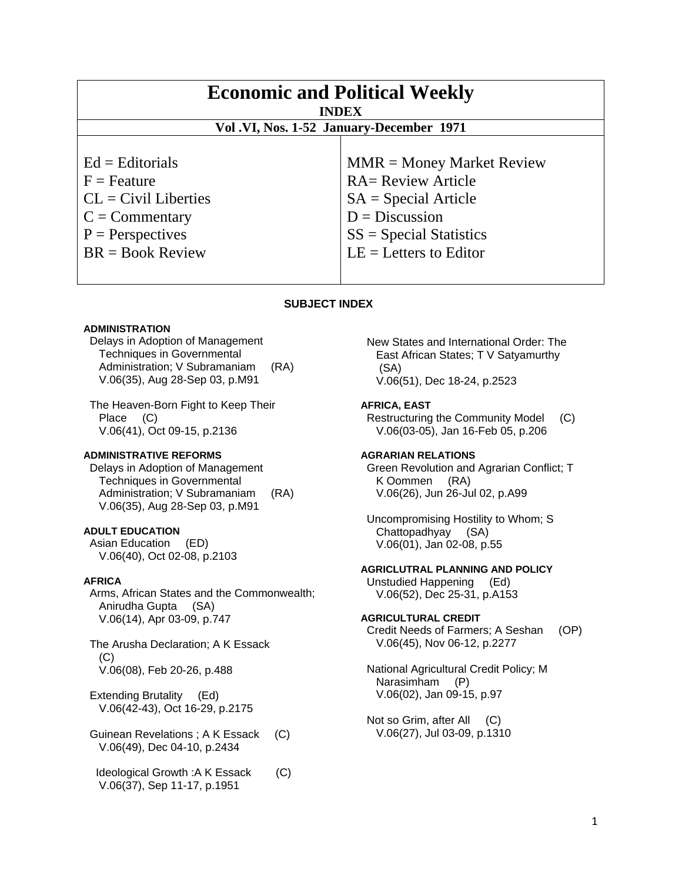| <b>Economic and Political Weekly</b><br><b>INDEX</b>                                                                                |                                                                                                                                                                 |
|-------------------------------------------------------------------------------------------------------------------------------------|-----------------------------------------------------------------------------------------------------------------------------------------------------------------|
| Vol.VI, Nos. 1-52 January-December 1971                                                                                             |                                                                                                                                                                 |
| $Ed =$ Editorials<br>$F =$ Feature<br>$CL = Civil Libraries$<br>$C = \text{Commentary}$<br>$P =$ Perspectives<br>$BR = Book Review$ | $MMR = Money Market Review$<br><b>RA= Review Article</b><br>$SA = Special Article$<br>$D = Discussion$<br>$SS = Special Statistics$<br>$LE = Letters to Editor$ |

## **SUBJECT INDEX**

### **ADMINISTRATION**

 Delays in Adoption of Management Techniques in Governmental Administration; V Subramaniam (RA) V.06(35), Aug 28-Sep 03, p.M91

 The Heaven-Born Fight to Keep Their Place (C) V.06(41), Oct 09-15, p.2136

### **ADMINISTRATIVE REFORMS**

 Delays in Adoption of Management Techniques in Governmental Administration; V Subramaniam (RA) V.06(35), Aug 28-Sep 03, p.M91

## **ADULT EDUCATION**

 Asian Education (ED) V.06(40), Oct 02-08, p.2103

### **AFRICA**

 Arms, African States and the Commonwealth; Anirudha Gupta (SA) V.06(14), Apr 03-09, p.747

 The Arusha Declaration; A K Essack (C) V.06(08), Feb 20-26, p.488

 Extending Brutality (Ed) V.06(42-43), Oct 16-29, p.2175

 Guinean Revelations ; A K Essack (C) V.06(49), Dec 04-10, p.2434

 Ideological Growth :A K Essack (C) V.06(37), Sep 11-17, p.1951

 New States and International Order: The East African States; T V Satyamurthy (SA) V.06(51), Dec 18-24, p.2523

### **AFRICA, EAST**

 Restructuring the Community Model (C) V.06(03-05), Jan 16-Feb 05, p.206

### **AGRARIAN RELATIONS**

 Green Revolution and Agrarian Conflict; T K Oommen (RA) V.06(26), Jun 26-Jul 02, p.A99

 Uncompromising Hostility to Whom; S Chattopadhyay (SA) V.06(01), Jan 02-08, p.55

## **AGRICLUTRAL PLANNING AND POLICY**

 Unstudied Happening (Ed) V.06(52), Dec 25-31, p.A153

### **AGRICULTURAL CREDIT**

 Credit Needs of Farmers; A Seshan (OP) V.06(45), Nov 06-12, p.2277

 National Agricultural Credit Policy; M Narasimham (P) V.06(02), Jan 09-15, p.97

 Not so Grim, after All (C) V.06(27), Jul 03-09, p.1310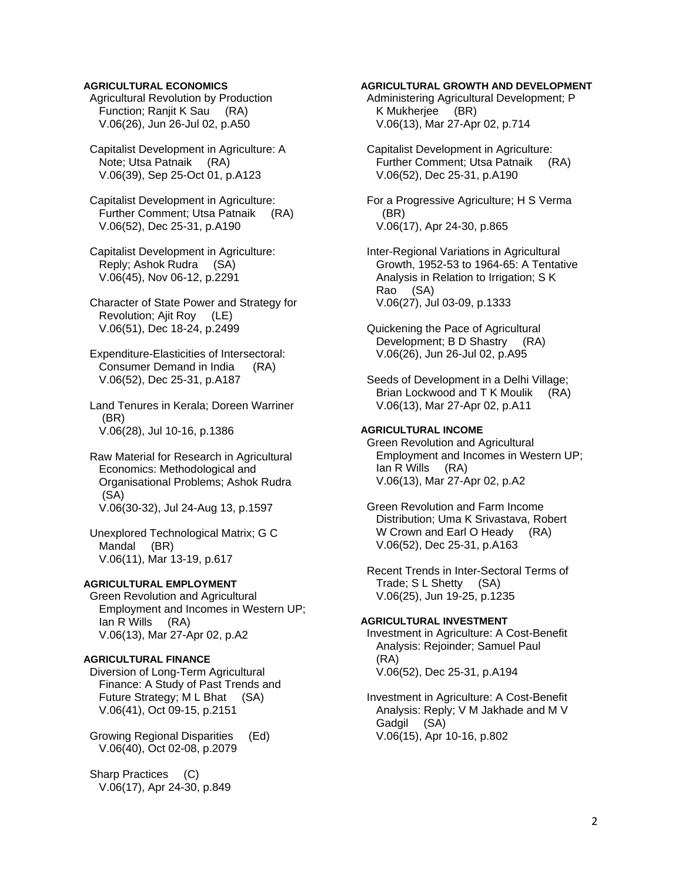### **AGRICULTURAL ECONOMICS**

 Agricultural Revolution by Production Function; Ranjit K Sau (RA) V.06(26), Jun 26-Jul 02, p.A50

 Capitalist Development in Agriculture: A Note; Utsa Patnaik (RA) V.06(39), Sep 25-Oct 01, p.A123

 Capitalist Development in Agriculture: Further Comment; Utsa Patnaik (RA) V.06(52), Dec 25-31, p.A190

 Capitalist Development in Agriculture: Reply; Ashok Rudra (SA) V.06(45), Nov 06-12, p.2291

 Character of State Power and Strategy for Revolution; Ajit Roy (LE) V.06(51), Dec 18-24, p.2499

 Expenditure-Elasticities of Intersectoral: Consumer Demand in India (RA) V.06(52), Dec 25-31, p.A187

 Land Tenures in Kerala; Doreen Warriner (BR) V.06(28), Jul 10-16, p.1386

 Raw Material for Research in Agricultural Economics: Methodological and Organisational Problems; Ashok Rudra (SA) V.06(30-32), Jul 24-Aug 13, p.1597

 Unexplored Technological Matrix; G C Mandal (BR) V.06(11), Mar 13-19, p.617

## **AGRICULTURAL EMPLOYMENT**

 Green Revolution and Agricultural Employment and Incomes in Western UP; Ian R Wills (RA) V.06(13), Mar 27-Apr 02, p.A2

### **AGRICULTURAL FINANCE**

 Diversion of Long-Term Agricultural Finance: A Study of Past Trends and Future Strategy; M L Bhat (SA) V.06(41), Oct 09-15, p.2151

 Growing Regional Disparities (Ed) V.06(40), Oct 02-08, p.2079

 Sharp Practices (C) V.06(17), Apr 24-30, p.849

### **AGRICULTURAL GROWTH AND DEVELOPMENT**

 Administering Agricultural Development; P K Mukherjee (BR) V.06(13), Mar 27-Apr 02, p.714

 Capitalist Development in Agriculture: Further Comment; Utsa Patnaik (RA) V.06(52), Dec 25-31, p.A190

 For a Progressive Agriculture; H S Verma (BR) V.06(17), Apr 24-30, p.865

 Inter-Regional Variations in Agricultural Growth, 1952-53 to 1964-65: A Tentative Analysis in Relation to Irrigation; S K Rao (SA) V.06(27), Jul 03-09, p.1333

 Quickening the Pace of Agricultural Development; B D Shastry (RA) V.06(26), Jun 26-Jul 02, p.A95

 Seeds of Development in a Delhi Village; Brian Lockwood and T K Moulik (RA) V.06(13), Mar 27-Apr 02, p.A11

## **AGRICULTURAL INCOME**

 Green Revolution and Agricultural Employment and Incomes in Western UP; Ian R Wills (RA) V.06(13), Mar 27-Apr 02, p.A2

 Green Revolution and Farm Income Distribution; Uma K Srivastava, Robert W Crown and Earl O Heady (RA) V.06(52), Dec 25-31, p.A163

 Recent Trends in Inter-Sectoral Terms of Trade; S L Shetty (SA) V.06(25), Jun 19-25, p.1235

### **AGRICULTURAL INVESTMENT**

 Investment in Agriculture: A Cost-Benefit Analysis: Rejoinder; Samuel Paul (RA) V.06(52), Dec 25-31, p.A194

 Investment in Agriculture: A Cost-Benefit Analysis: Reply; V M Jakhade and M V Gadgil (SA) V.06(15), Apr 10-16, p.802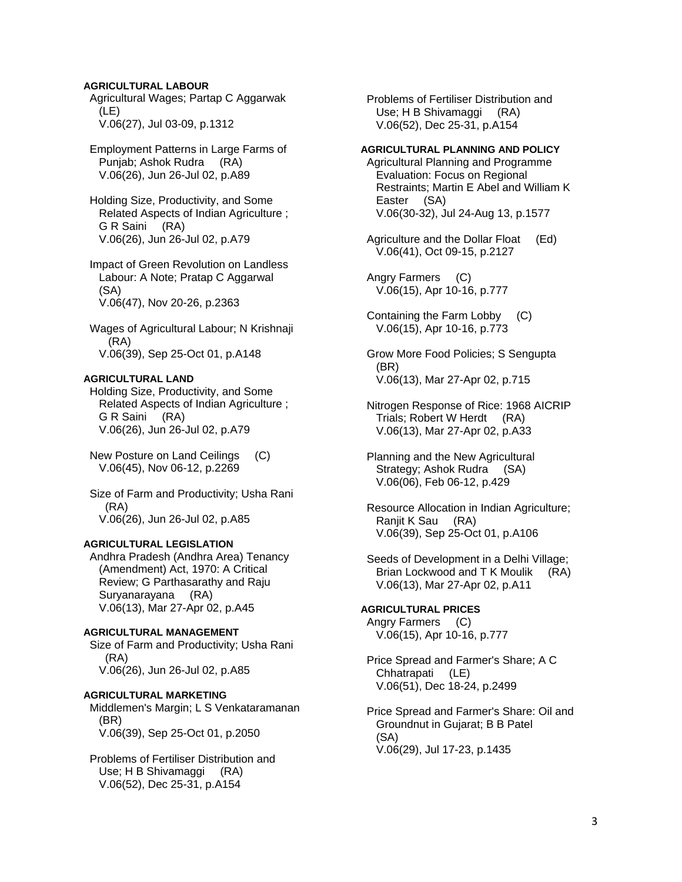### **AGRICULTURAL LABOUR**

 Agricultural Wages; Partap C Aggarwak (LE) V.06(27), Jul 03-09, p.1312

 Employment Patterns in Large Farms of Punjab; Ashok Rudra (RA) V.06(26), Jun 26-Jul 02, p.A89

 Holding Size, Productivity, and Some Related Aspects of Indian Agriculture ; G R Saini (RA) V.06(26), Jun 26-Jul 02, p.A79

 Impact of Green Revolution on Landless Labour: A Note; Pratap C Aggarwal (SA) V.06(47), Nov 20-26, p.2363

 Wages of Agricultural Labour; N Krishnaji (RA) V.06(39), Sep 25-Oct 01, p.A148

### **AGRICULTURAL LAND**

 Holding Size, Productivity, and Some Related Aspects of Indian Agriculture ; G R Saini (RA) V.06(26), Jun 26-Jul 02, p.A79

 New Posture on Land Ceilings (C) V.06(45), Nov 06-12, p.2269

 Size of Farm and Productivity; Usha Rani (RA) V.06(26), Jun 26-Jul 02, p.A85

### **AGRICULTURAL LEGISLATION**

 Andhra Pradesh (Andhra Area) Tenancy (Amendment) Act, 1970: A Critical Review; G Parthasarathy and Raju<br>Suryanarayana (RA) Suryanarayana V.06(13), Mar 27-Apr 02, p.A45

### **AGRICULTURAL MANAGEMENT**

 Size of Farm and Productivity; Usha Rani (RA) V.06(26), Jun 26-Jul 02, p.A85

### **AGRICULTURAL MARKETING**  Middlemen's Margin; L S Venkataramanan (BR)

V.06(39), Sep 25-Oct 01, p.2050

 Problems of Fertiliser Distribution and Use; H B Shivamaggi (RA) V.06(52), Dec 25-31, p.A154

 Problems of Fertiliser Distribution and Use; H B Shivamaggi (RA) V.06(52), Dec 25-31, p.A154

### **AGRICULTURAL PLANNING AND POLICY**

 Agricultural Planning and Programme Evaluation: Focus on Regional Restraints; Martin E Abel and William K Easter (SA) V.06(30-32), Jul 24-Aug 13, p.1577

 Agriculture and the Dollar Float (Ed) V.06(41), Oct 09-15, p.2127

 Angry Farmers (C) V.06(15), Apr 10-16, p.777

- Containing the Farm Lobby (C) V.06(15), Apr 10-16, p.773
- Grow More Food Policies; S Sengupta (BR) V.06(13), Mar 27-Apr 02, p.715
- Nitrogen Response of Rice: 1968 AICRIP Trials; Robert W Herdt (RA) V.06(13), Mar 27-Apr 02, p.A33

 Planning and the New Agricultural Strategy; Ashok Rudra (SA) V.06(06), Feb 06-12, p.429

 Resource Allocation in Indian Agriculture; Ranjit K Sau (RA) V.06(39), Sep 25-Oct 01, p.A106

 Seeds of Development in a Delhi Village; Brian Lockwood and T K Moulik (RA) V.06(13), Mar 27-Apr 02, p.A11

## **AGRICULTURAL PRICES**

 Angry Farmers (C) V.06(15), Apr 10-16, p.777

 Price Spread and Farmer's Share; A C Chhatrapati (LE) V.06(51), Dec 18-24, p.2499

### Price Spread and Farmer's Share: Oil and Groundnut in Gujarat; B B Patel (SA) V.06(29), Jul 17-23, p.1435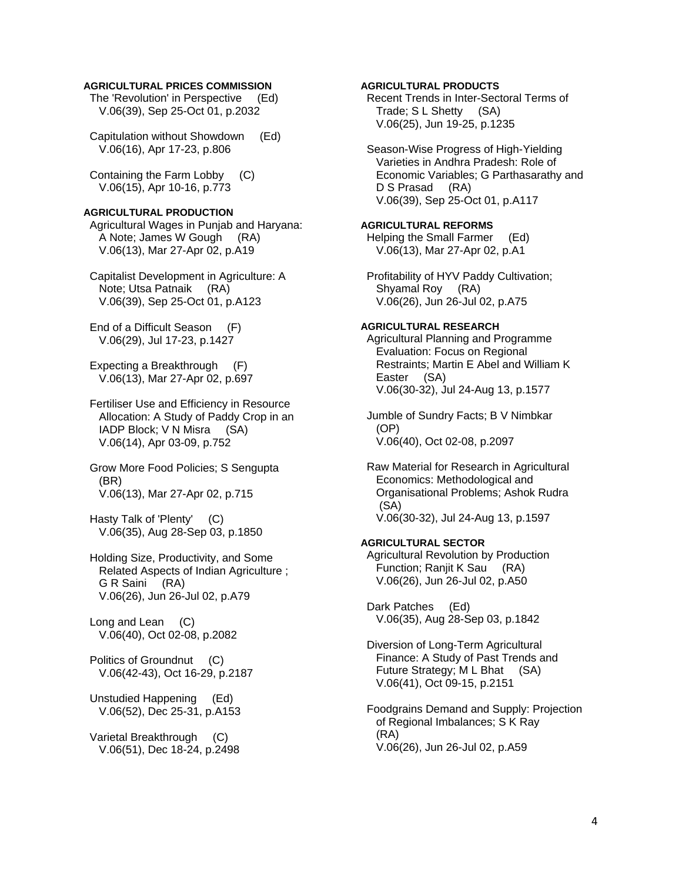### **AGRICULTURAL PRICES COMMISSION**

 The 'Revolution' in Perspective (Ed) V.06(39), Sep 25-Oct 01, p.2032

 Capitulation without Showdown (Ed) V.06(16), Apr 17-23, p.806

 Containing the Farm Lobby (C) V.06(15), Apr 10-16, p.773

## **AGRICULTURAL PRODUCTION**

 Agricultural Wages in Punjab and Haryana: A Note; James W Gough (RA) V.06(13), Mar 27-Apr 02, p.A19

 Capitalist Development in Agriculture: A Note; Utsa Patnaik (RA) V.06(39), Sep 25-Oct 01, p.A123

 End of a Difficult Season (F) V.06(29), Jul 17-23, p.1427

 Expecting a Breakthrough (F) V.06(13), Mar 27-Apr 02, p.697

 Fertiliser Use and Efficiency in Resource Allocation: A Study of Paddy Crop in an IADP Block; V N Misra (SA) V.06(14), Apr 03-09, p.752

 Grow More Food Policies; S Sengupta (BR) V.06(13), Mar 27-Apr 02, p.715

 Hasty Talk of 'Plenty' (C) V.06(35), Aug 28-Sep 03, p.1850

 Holding Size, Productivity, and Some Related Aspects of Indian Agriculture ; G R Saini (RA) V.06(26), Jun 26-Jul 02, p.A79

 Long and Lean (C) V.06(40), Oct 02-08, p.2082

 Politics of Groundnut (C) V.06(42-43), Oct 16-29, p.2187

 Unstudied Happening (Ed) V.06(52), Dec 25-31, p.A153

 Varietal Breakthrough (C) V.06(51), Dec 18-24, p.2498 **AGRICULTURAL PRODUCTS** 

 Recent Trends in Inter-Sectoral Terms of Trade; S L Shetty (SA) V.06(25), Jun 19-25, p.1235

 Season-Wise Progress of High-Yielding Varieties in Andhra Pradesh: Role of Economic Variables; G Parthasarathy and D S Prasad (RA) V.06(39), Sep 25-Oct 01, p.A117

## **AGRICULTURAL REFORMS**

 Helping the Small Farmer (Ed) V.06(13), Mar 27-Apr 02, p.A1

 Profitability of HYV Paddy Cultivation; Shyamal Roy (RA) V.06(26), Jun 26-Jul 02, p.A75

### **AGRICULTURAL RESEARCH**

 Agricultural Planning and Programme Evaluation: Focus on Regional Restraints; Martin E Abel and William K Easter (SA) V.06(30-32), Jul 24-Aug 13, p.1577

 Jumble of Sundry Facts; B V Nimbkar (OP) V.06(40), Oct 02-08, p.2097

 Raw Material for Research in Agricultural Economics: Methodological and Organisational Problems; Ashok Rudra (SA) V.06(30-32), Jul 24-Aug 13, p.1597

## **AGRICULTURAL SECTOR**

 Agricultural Revolution by Production Function; Ranjit K Sau (RA) V.06(26), Jun 26-Jul 02, p.A50

 Dark Patches (Ed) V.06(35), Aug 28-Sep 03, p.1842

 Diversion of Long-Term Agricultural Finance: A Study of Past Trends and Future Strategy; M L Bhat (SA) V.06(41), Oct 09-15, p.2151

 Foodgrains Demand and Supply: Projection of Regional Imbalances; S K Ray (RA) V.06(26), Jun 26-Jul 02, p.A59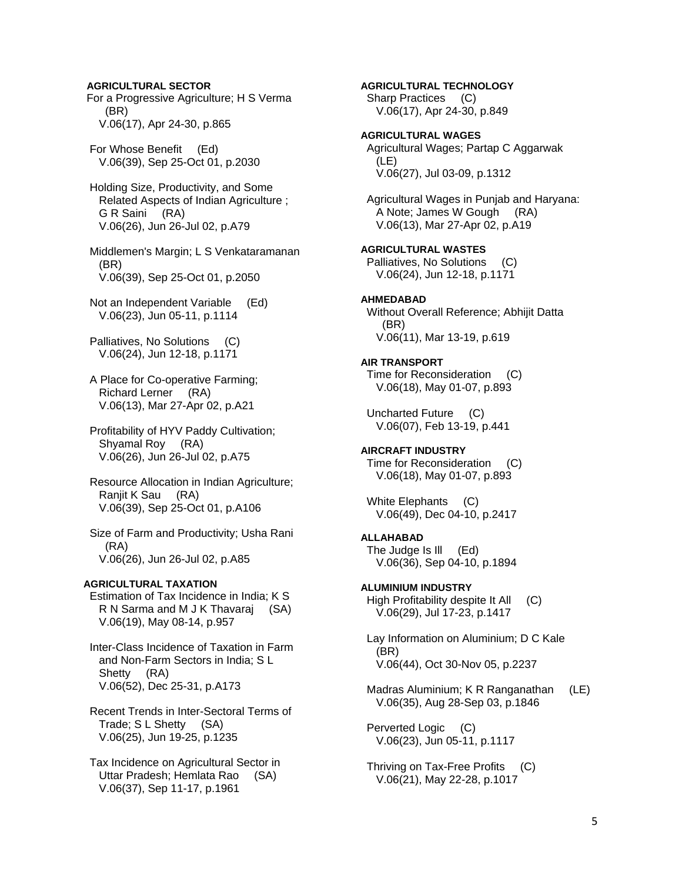**AGRICULTURAL SECTOR**  For a Progressive Agriculture; H S Verma (BR) V.06(17), Apr 24-30, p.865

 For Whose Benefit (Ed) V.06(39), Sep 25-Oct 01, p.2030

 Holding Size, Productivity, and Some Related Aspects of Indian Agriculture ; G R Saini (RA) V.06(26), Jun 26-Jul 02, p.A79

 Middlemen's Margin; L S Venkataramanan (BR) V.06(39), Sep 25-Oct 01, p.2050

 Not an Independent Variable (Ed) V.06(23), Jun 05-11, p.1114

 Palliatives, No Solutions (C) V.06(24), Jun 12-18, p.1171

 A Place for Co-operative Farming; Richard Lerner (RA) V.06(13), Mar 27-Apr 02, p.A21

 Profitability of HYV Paddy Cultivation; Shyamal Roy (RA) V.06(26), Jun 26-Jul 02, p.A75

 Resource Allocation in Indian Agriculture; Ranjit K Sau (RA) V.06(39), Sep 25-Oct 01, p.A106

 Size of Farm and Productivity; Usha Rani (RA) V.06(26), Jun 26-Jul 02, p.A85

### **AGRICULTURAL TAXATION**

 Estimation of Tax Incidence in India; K S R N Sarma and M J K Thavaraj (SA) V.06(19), May 08-14, p.957

 Inter-Class Incidence of Taxation in Farm and Non-Farm Sectors in India; S L Shetty (RA) V.06(52), Dec 25-31, p.A173

 Recent Trends in Inter-Sectoral Terms of Trade; S L Shetty (SA) V.06(25), Jun 19-25, p.1235

 Tax Incidence on Agricultural Sector in Uttar Pradesh; Hemlata Rao (SA) V.06(37), Sep 11-17, p.1961

**AGRICULTURAL TECHNOLOGY**  Sharp Practices (C) V.06(17), Apr 24-30, p.849 **AGRICULTURAL WAGES**  Agricultural Wages; Partap C Aggarwak (LE) V.06(27), Jul 03-09, p.1312 Agricultural Wages in Punjab and Haryana: A Note; James W Gough (RA) V.06(13), Mar 27-Apr 02, p.A19 **AGRICULTURAL WASTES**  Palliatives, No Solutions (C) V.06(24), Jun 12-18, p.1171 **AHMEDABAD**  Without Overall Reference; Abhijit Datta (BR) V.06(11), Mar 13-19, p.619 **AIR TRANSPORT**  Time for Reconsideration (C) V.06(18), May 01-07, p.893 Uncharted Future (C) V.06(07), Feb 13-19, p.441 **AIRCRAFT INDUSTRY**  Time for Reconsideration (C) V.06(18), May 01-07, p.893 White Elephants (C) V.06(49), Dec 04-10, p.2417 **ALLAHABAD**  The Judge Is Ill (Ed) V.06(36), Sep 04-10, p.1894 **ALUMINIUM INDUSTRY**  High Profitability despite It All (C) V.06(29), Jul 17-23, p.1417 Lay Information on Aluminium; D C Kale (BR) V.06(44), Oct 30-Nov 05, p.2237 Madras Aluminium; K R Ranganathan (LE) V.06(35), Aug 28-Sep 03, p.1846 Perverted Logic (C) V.06(23), Jun 05-11, p.1117 Thriving on Tax-Free Profits (C) V.06(21), May 22-28, p.1017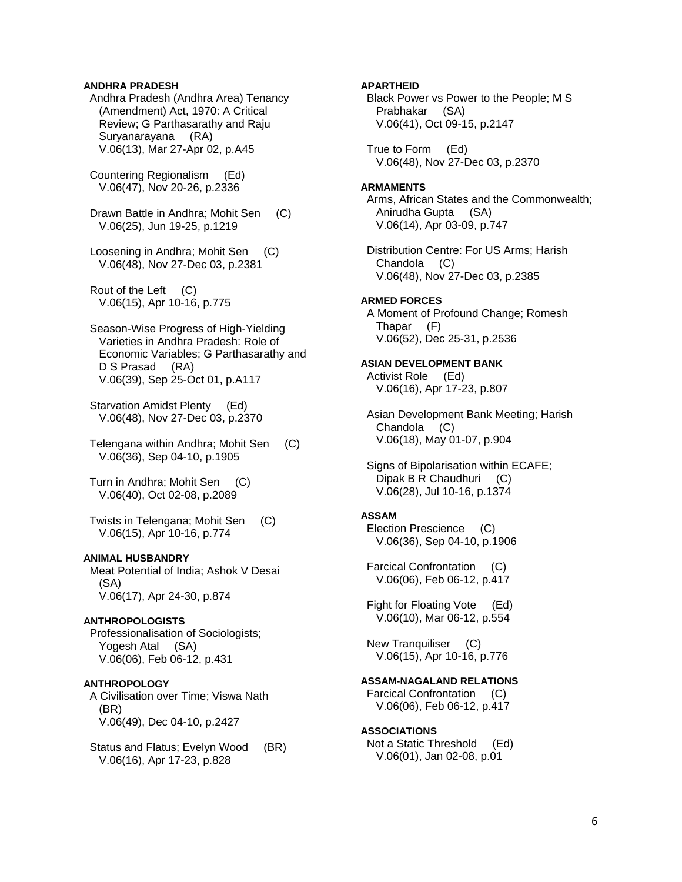### **ANDHRA PRADESH**

 Andhra Pradesh (Andhra Area) Tenancy (Amendment) Act, 1970: A Critical Review; G Parthasarathy and Raju Suryanarayana (RA) V.06(13), Mar 27-Apr 02, p.A45

 Countering Regionalism (Ed) V.06(47), Nov 20-26, p.2336

 Drawn Battle in Andhra; Mohit Sen (C) V.06(25), Jun 19-25, p.1219

 Loosening in Andhra; Mohit Sen (C) V.06(48), Nov 27-Dec 03, p.2381

 Rout of the Left (C) V.06(15), Apr 10-16, p.775

 Season-Wise Progress of High-Yielding Varieties in Andhra Pradesh: Role of Economic Variables; G Parthasarathy and D S Prasad (RA) V.06(39), Sep 25-Oct 01, p.A117

 Starvation Amidst Plenty (Ed) V.06(48), Nov 27-Dec 03, p.2370

 Telengana within Andhra; Mohit Sen (C) V.06(36), Sep 04-10, p.1905

 Turn in Andhra; Mohit Sen (C) V.06(40), Oct 02-08, p.2089

 Twists in Telengana; Mohit Sen (C) V.06(15), Apr 10-16, p.774

### **ANIMAL HUSBANDRY**

 Meat Potential of India; Ashok V Desai (SA) V.06(17), Apr 24-30, p.874

### **ANTHROPOLOGISTS**

 Professionalisation of Sociologists; Yogesh Atal (SA) V.06(06), Feb 06-12, p.431

## **ANTHROPOLOGY**

 A Civilisation over Time; Viswa Nath (BR) V.06(49), Dec 04-10, p.2427

 Status and Flatus; Evelyn Wood (BR) V.06(16), Apr 17-23, p.828

### **APARTHEID**

 Black Power vs Power to the People; M S Prabhakar (SA) V.06(41), Oct 09-15, p.2147

 True to Form (Ed) V.06(48), Nov 27-Dec 03, p.2370

### **ARMAMENTS**

 Arms, African States and the Commonwealth; Anirudha Gupta (SA) V.06(14), Apr 03-09, p.747

 Distribution Centre: For US Arms; Harish Chandola (C) V.06(48), Nov 27-Dec 03, p.2385

## **ARMED FORCES**

 A Moment of Profound Change; Romesh Thapar (F) V.06(52), Dec 25-31, p.2536

### **ASIAN DEVELOPMENT BANK**

 Activist Role (Ed) V.06(16), Apr 17-23, p.807

 Asian Development Bank Meeting; Harish Chandola (C) V.06(18), May 01-07, p.904

 Signs of Bipolarisation within ECAFE; Dipak B R Chaudhuri (C) V.06(28), Jul 10-16, p.1374

## **ASSAM**

 Election Prescience (C) V.06(36), Sep 04-10, p.1906

 Farcical Confrontation (C) V.06(06), Feb 06-12, p.417

 Fight for Floating Vote (Ed) V.06(10), Mar 06-12, p.554

 New Tranquiliser (C) V.06(15), Apr 10-16, p.776

## **ASSAM-NAGALAND RELATIONS**

 Farcical Confrontation (C) V.06(06), Feb 06-12, p.417

### **ASSOCIATIONS**

 Not a Static Threshold (Ed) V.06(01), Jan 02-08, p.01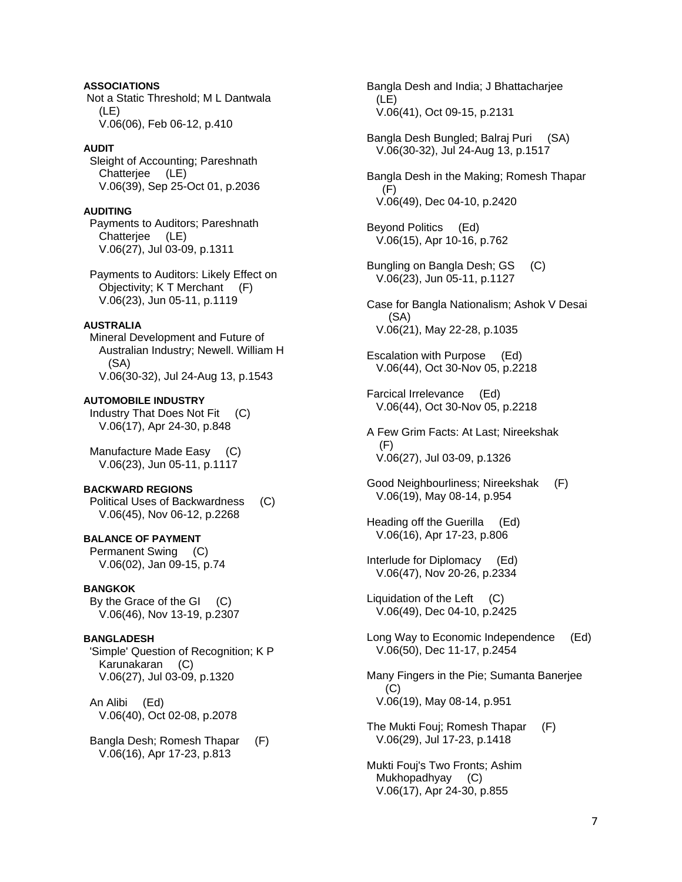**ASSOCIATIONS**  Not a Static Threshold; M L Dantwala (LE) V.06(06), Feb 06-12, p.410

### **AUDIT**

 Sleight of Accounting; Pareshnath Chatterjee (LE) V.06(39), Sep 25-Oct 01, p.2036

### **AUDITING**

 Payments to Auditors; Pareshnath Chatterjee (LE) V.06(27), Jul 03-09, p.1311

 Payments to Auditors: Likely Effect on Objectivity; K T Merchant (F) V.06(23), Jun 05-11, p.1119

## **AUSTRALIA**

 Mineral Development and Future of Australian Industry; Newell. William H (SA) V.06(30-32), Jul 24-Aug 13, p.1543

**AUTOMOBILE INDUSTRY**  Industry That Does Not Fit (C)

V.06(17), Apr 24-30, p.848

 Manufacture Made Easy (C) V.06(23), Jun 05-11, p.1117

## **BACKWARD REGIONS**

 Political Uses of Backwardness (C) V.06(45), Nov 06-12, p.2268

**BALANCE OF PAYMENT**  Permanent Swing (C) V.06(02), Jan 09-15, p.74

## **BANGKOK**

 By the Grace of the GI (C) V.06(46), Nov 13-19, p.2307

## **BANGLADESH**

 'Simple' Question of Recognition; K P Karunakaran (C) V.06(27), Jul 03-09, p.1320

 An Alibi (Ed) V.06(40), Oct 02-08, p.2078

 Bangla Desh; Romesh Thapar (F) V.06(16), Apr 17-23, p.813

 Bangla Desh and India; J Bhattacharjee (LE) V.06(41), Oct 09-15, p.2131

 Bangla Desh Bungled; Balraj Puri (SA) V.06(30-32), Jul 24-Aug 13, p.1517

 Bangla Desh in the Making; Romesh Thapar (F) V.06(49), Dec 04-10, p.2420

 Beyond Politics (Ed) V.06(15), Apr 10-16, p.762

 Bungling on Bangla Desh; GS (C) V.06(23), Jun 05-11, p.1127

 Case for Bangla Nationalism; Ashok V Desai (SA) V.06(21), May 22-28, p.1035

 Escalation with Purpose (Ed) V.06(44), Oct 30-Nov 05, p.2218

 Farcical Irrelevance (Ed) V.06(44), Oct 30-Nov 05, p.2218

 A Few Grim Facts: At Last; Nireekshak (F) V.06(27), Jul 03-09, p.1326

 Good Neighbourliness; Nireekshak (F) V.06(19), May 08-14, p.954

 Heading off the Guerilla (Ed) V.06(16), Apr 17-23, p.806

 Interlude for Diplomacy (Ed) V.06(47), Nov 20-26, p.2334

 Liquidation of the Left (C) V.06(49), Dec 04-10, p.2425

 Long Way to Economic Independence (Ed) V.06(50), Dec 11-17, p.2454

 Many Fingers in the Pie; Sumanta Banerjee  $(C)$ V.06(19), May 08-14, p.951

 The Mukti Fouj; Romesh Thapar (F) V.06(29), Jul 17-23, p.1418

 Mukti Fouj's Two Fronts; Ashim Mukhopadhyay (C) V.06(17), Apr 24-30, p.855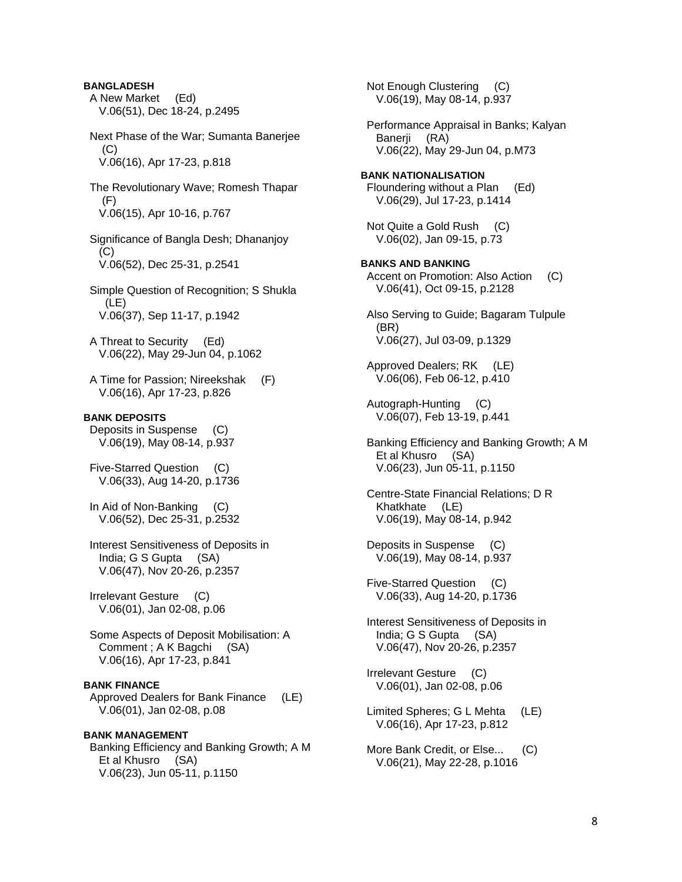**BANGLADESH**  A New Market (Ed) V.06(51), Dec 18-24, p.2495 Next Phase of the War; Sumanta Banerjee  $(C)$  V.06(16), Apr 17-23, p.818 The Revolutionary Wave; Romesh Thapar (F) V.06(15), Apr 10-16, p.767 Significance of Bangla Desh; Dhananjoy (C) V.06(52), Dec 25-31, p.2541 Simple Question of Recognition; S Shukla (LE) V.06(37), Sep 11-17, p.1942 A Threat to Security (Ed) V.06(22), May 29-Jun 04, p.1062 A Time for Passion; Nireekshak (F) V.06(16), Apr 17-23, p.826 **BANK DEPOSITS**  Deposits in Suspense (C) V.06(19), May 08-14, p.937 Five-Starred Question (C) V.06(33), Aug 14-20, p.1736 In Aid of Non-Banking (C) V.06(52), Dec 25-31, p.2532 Interest Sensitiveness of Deposits in India; G S Gupta (SA) V.06(47), Nov 20-26, p.2357 Irrelevant Gesture (C) V.06(01), Jan 02-08, p.06 Some Aspects of Deposit Mobilisation: A Comment ; A K Bagchi (SA) V.06(16), Apr 17-23, p.841 **BANK FINANCE**  Approved Dealers for Bank Finance (LE) V.06(01), Jan 02-08, p.08 **BANK MANAGEMENT**  Banking Efficiency and Banking Growth; A M Et al Khusro (SA)

V.06(23), Jun 05-11, p.1150

 Not Enough Clustering (C) V.06(19), May 08-14, p.937 Performance Appraisal in Banks; Kalyan Banerji (RA) V.06(22), May 29-Jun 04, p.M73 **BANK NATIONALISATION**  Floundering without a Plan (Ed) V.06(29), Jul 17-23, p.1414 Not Quite a Gold Rush (C) V.06(02), Jan 09-15, p.73 **BANKS AND BANKING**  Accent on Promotion: Also Action (C) V.06(41), Oct 09-15, p.2128 Also Serving to Guide; Bagaram Tulpule (BR) V.06(27), Jul 03-09, p.1329 Approved Dealers; RK (LE) V.06(06), Feb 06-12, p.410 Autograph-Hunting (C) V.06(07), Feb 13-19, p.441 Banking Efficiency and Banking Growth; A M Et al Khusro (SA) V.06(23), Jun 05-11, p.1150 Centre-State Financial Relations; D R Khatkhate (LE) V.06(19), May 08-14, p.942 Deposits in Suspense (C) V.06(19), May 08-14, p.937 Five-Starred Question (C) V.06(33), Aug 14-20, p.1736 Interest Sensitiveness of Deposits in India; G S Gupta (SA) V.06(47), Nov 20-26, p.2357 Irrelevant Gesture (C) V.06(01), Jan 02-08, p.06 Limited Spheres; G L Mehta (LE) V.06(16), Apr 17-23, p.812 More Bank Credit, or Else... (C) V.06(21), May 22-28, p.1016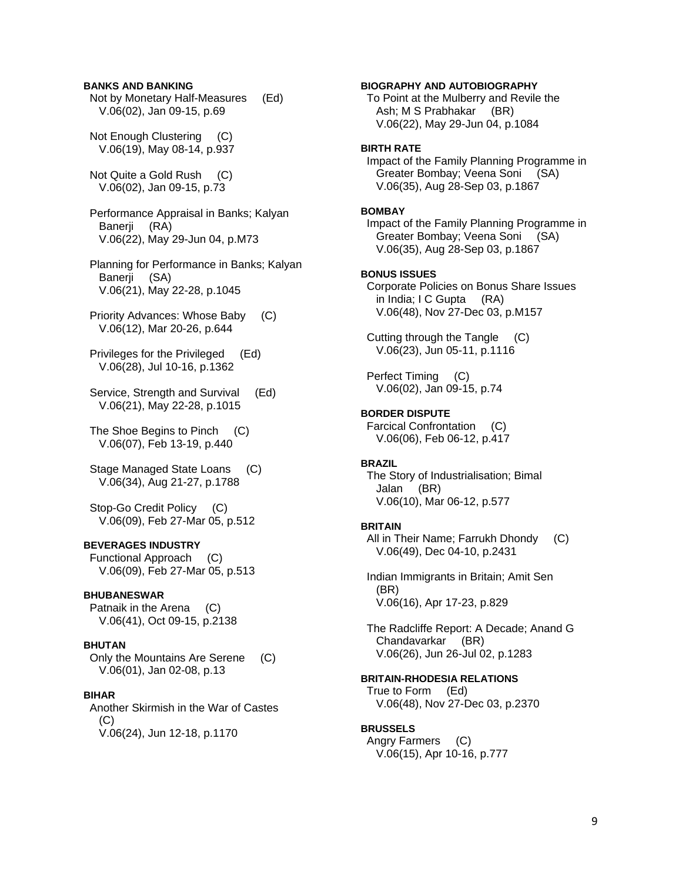### **BANKS AND BANKING**

 Not by Monetary Half-Measures (Ed) V.06(02), Jan 09-15, p.69

 Not Enough Clustering (C) V.06(19), May 08-14, p.937

 Not Quite a Gold Rush (C) V.06(02), Jan 09-15, p.73

 Performance Appraisal in Banks; Kalyan Banerii (RA) V.06(22), May 29-Jun 04, p.M73

 Planning for Performance in Banks; Kalyan Banerji (SA) V.06(21), May 22-28, p.1045

 Priority Advances: Whose Baby (C) V.06(12), Mar 20-26, p.644

 Privileges for the Privileged (Ed) V.06(28), Jul 10-16, p.1362

 Service, Strength and Survival (Ed) V.06(21), May 22-28, p.1015

 The Shoe Begins to Pinch (C) V.06(07), Feb 13-19, p.440

 Stage Managed State Loans (C) V.06(34), Aug 21-27, p.1788

 Stop-Go Credit Policy (C) V.06(09), Feb 27-Mar 05, p.512

## **BEVERAGES INDUSTRY**

 Functional Approach (C) V.06(09), Feb 27-Mar 05, p.513

## **BHUBANESWAR**

 Patnaik in the Arena (C) V.06(41), Oct 09-15, p.2138

### **BHUTAN**

 Only the Mountains Are Serene (C) V.06(01), Jan 02-08, p.13

### **BIHAR**

 Another Skirmish in the War of Castes  $(C)$ V.06(24), Jun 12-18, p.1170

### **BIOGRAPHY AND AUTOBIOGRAPHY**

 To Point at the Mulberry and Revile the Ash; M S Prabhakar (BR) V.06(22), May 29-Jun 04, p.1084

## **BIRTH RATE**

 Impact of the Family Planning Programme in Greater Bombay; Veena Soni (SA) V.06(35), Aug 28-Sep 03, p.1867

### **BOMBAY**

 Impact of the Family Planning Programme in Greater Bombay; Veena Soni (SA) V.06(35), Aug 28-Sep 03, p.1867

### **BONUS ISSUES**

 Corporate Policies on Bonus Share Issues in India; I C Gupta (RA) V.06(48), Nov 27-Dec 03, p.M157

 Cutting through the Tangle (C) V.06(23), Jun 05-11, p.1116

 Perfect Timing (C) V.06(02), Jan 09-15, p.74

### **BORDER DISPUTE**

 Farcical Confrontation (C) V.06(06), Feb 06-12, p.417

#### **BRAZIL**

 The Story of Industrialisation; Bimal Jalan (BR) V.06(10), Mar 06-12, p.577

#### **BRITAIN**

 All in Their Name; Farrukh Dhondy (C) V.06(49), Dec 04-10, p.2431

 Indian Immigrants in Britain; Amit Sen (BR) V.06(16), Apr 17-23, p.829

 The Radcliffe Report: A Decade; Anand G Chandavarkar (BR) V.06(26), Jun 26-Jul 02, p.1283

## **BRITAIN-RHODESIA RELATIONS**

 True to Form (Ed) V.06(48), Nov 27-Dec 03, p.2370

### **BRUSSELS**

 Angry Farmers (C) V.06(15), Apr 10-16, p.777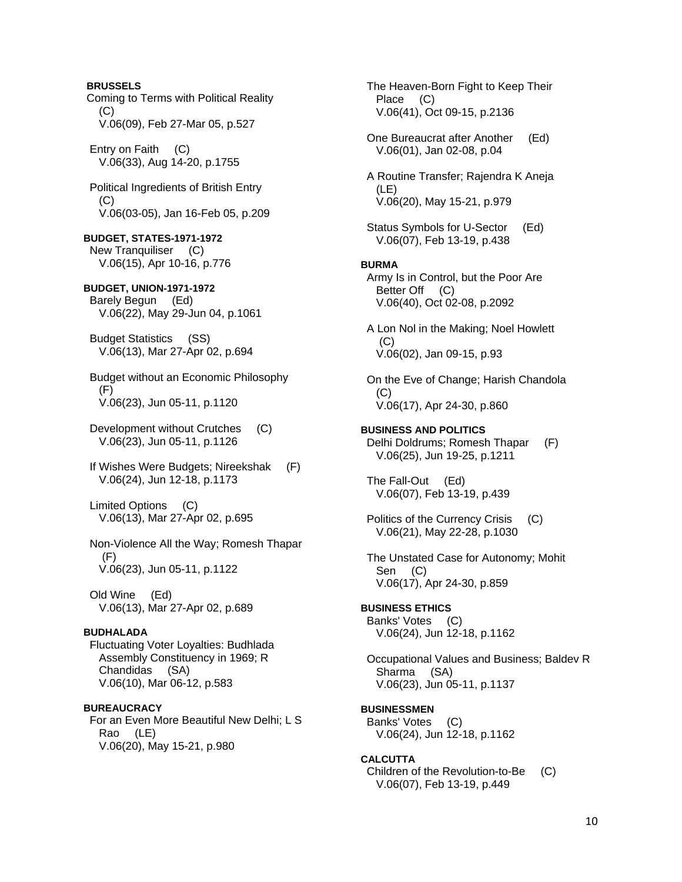**BRUSSELS**  Coming to Terms with Political Reality  $(C)$  V.06(09), Feb 27-Mar 05, p.527 Entry on Faith (C) V.06(33), Aug 14-20, p.1755 Political Ingredients of British Entry (C) V.06(03-05), Jan 16-Feb 05, p.209 **BUDGET, STATES-1971-1972**  New Tranquiliser (C) V.06(15), Apr 10-16, p.776 **BUDGET, UNION-1971-1972**  Barely Begun (Ed) V.06(22), May 29-Jun 04, p.1061 Budget Statistics (SS) V.06(13), Mar 27-Apr 02, p.694 Budget without an Economic Philosophy (F) V.06(23), Jun 05-11, p.1120 Development without Crutches (C) V.06(23), Jun 05-11, p.1126 If Wishes Were Budgets; Nireekshak (F) V.06(24), Jun 12-18, p.1173 Limited Options (C) V.06(13), Mar 27-Apr 02, p.695 Non-Violence All the Way; Romesh Thapar (F) V.06(23), Jun 05-11, p.1122 Old Wine (Ed) V.06(13), Mar 27-Apr 02, p.689 **BUDHALADA**  Fluctuating Voter Loyalties: Budhlada Assembly Constituency in 1969; R Chandidas (SA) V.06(10), Mar 06-12, p.583 **BUREAUCRACY**  For an Even More Beautiful New Delhi; L S Rao (LE) V.06(20), May 15-21, p.980

 The Heaven-Born Fight to Keep Their Place (C) V.06(41), Oct 09-15, p.2136 One Bureaucrat after Another (Ed) V.06(01), Jan 02-08, p.04 A Routine Transfer; Rajendra K Aneja (LE) V.06(20), May 15-21, p.979 Status Symbols for U-Sector (Ed) V.06(07), Feb 13-19, p.438 **BURMA**  Army Is in Control, but the Poor Are Better Off (C) V.06(40), Oct 02-08, p.2092 A Lon Nol in the Making; Noel Howlett  $(C)$  V.06(02), Jan 09-15, p.93 On the Eve of Change; Harish Chandola (C) V.06(17), Apr 24-30, p.860 **BUSINESS AND POLITICS**  Delhi Doldrums; Romesh Thapar (F) V.06(25), Jun 19-25, p.1211 The Fall-Out (Ed) V.06(07), Feb 13-19, p.439 Politics of the Currency Crisis (C) V.06(21), May 22-28, p.1030 The Unstated Case for Autonomy; Mohit Sen (C) V.06(17), Apr 24-30, p.859 **BUSINESS ETHICS**  Banks' Votes (C) V.06(24), Jun 12-18, p.1162 Occupational Values and Business; Baldev R Sharma (SA) V.06(23), Jun 05-11, p.1137 **BUSINESSMEN**  Banks' Votes (C) V.06(24), Jun 12-18, p.1162 **CALCUTTA**  Children of the Revolution-to-Be (C) V.06(07), Feb 13-19, p.449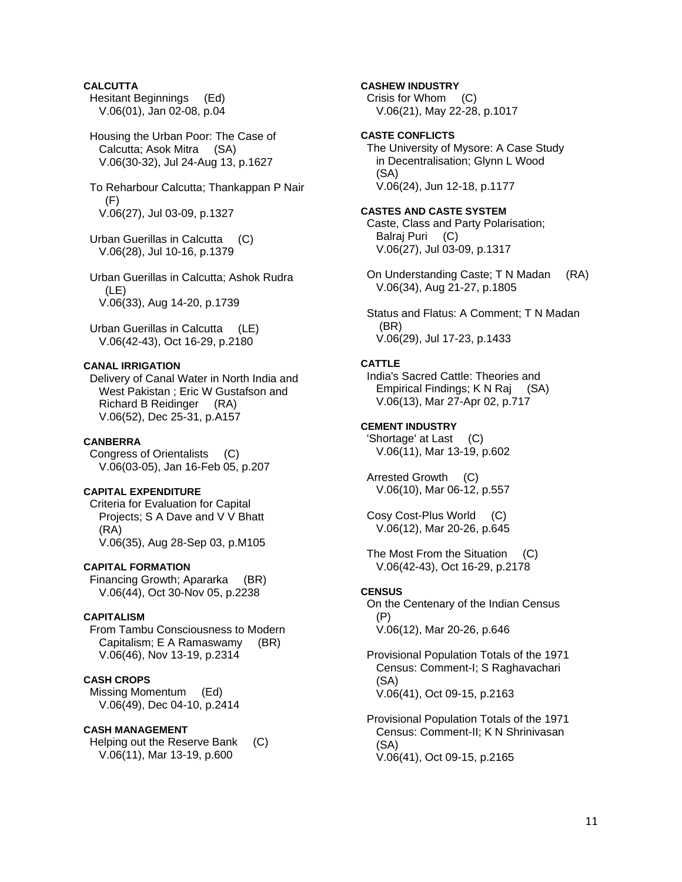## **CALCUTTA**

 Hesitant Beginnings (Ed) V.06(01), Jan 02-08, p.04

 Housing the Urban Poor: The Case of Calcutta; Asok Mitra (SA) V.06(30-32), Jul 24-Aug 13, p.1627

 To Reharbour Calcutta; Thankappan P Nair  $(F)$ V.06(27), Jul 03-09, p.1327

 Urban Guerillas in Calcutta (C) V.06(28), Jul 10-16, p.1379

 Urban Guerillas in Calcutta; Ashok Rudra (LE) V.06(33), Aug 14-20, p.1739

 Urban Guerillas in Calcutta (LE) V.06(42-43), Oct 16-29, p.2180

## **CANAL IRRIGATION**

 Delivery of Canal Water in North India and West Pakistan ; Eric W Gustafson and Richard B Reidinger (RA) V.06(52), Dec 25-31, p.A157

### **CANBERRA**

 Congress of Orientalists (C) V.06(03-05), Jan 16-Feb 05, p.207

## **CAPITAL EXPENDITURE**

 Criteria for Evaluation for Capital Projects; S A Dave and V V Bhatt (RA) V.06(35), Aug 28-Sep 03, p.M105

### **CAPITAL FORMATION**

 Financing Growth; Apararka (BR) V.06(44), Oct 30-Nov 05, p.2238

### **CAPITALISM**

 From Tambu Consciousness to Modern Capitalism; E A Ramaswamy (BR) V.06(46), Nov 13-19, p.2314

## **CASH CROPS**

 Missing Momentum (Ed) V.06(49), Dec 04-10, p.2414

## **CASH MANAGEMENT**

 Helping out the Reserve Bank (C) V.06(11), Mar 13-19, p.600

## **CASHEW INDUSTRY**

 Crisis for Whom (C) V.06(21), May 22-28, p.1017

## **CASTE CONFLICTS**

 The University of Mysore: A Case Study in Decentralisation; Glynn L Wood (SA) V.06(24), Jun 12-18, p.1177

## **CASTES AND CASTE SYSTEM**

 Caste, Class and Party Polarisation; Balraj Puri (C) V.06(27), Jul 03-09, p.1317

 On Understanding Caste; T N Madan (RA) V.06(34), Aug 21-27, p.1805

 Status and Flatus: A Comment; T N Madan (BR) V.06(29), Jul 17-23, p.1433

### **CATTLE**

 India's Sacred Cattle: Theories and Empirical Findings; K N Raj (SA) V.06(13), Mar 27-Apr 02, p.717

### **CEMENT INDUSTRY**

 'Shortage' at Last (C) V.06(11), Mar 13-19, p.602

 Arrested Growth (C) V.06(10), Mar 06-12, p.557

 Cosy Cost-Plus World (C) V.06(12), Mar 20-26, p.645

 The Most From the Situation (C) V.06(42-43), Oct 16-29, p.2178

### **CENSUS**

 On the Centenary of the Indian Census (P)

V.06(12), Mar 20-26, p.646

 Provisional Population Totals of the 1971 Census: Comment-I; S Raghavachari (SA) V.06(41), Oct 09-15, p.2163

 Provisional Population Totals of the 1971 Census: Comment-II; K N Shrinivasan (SA) V.06(41), Oct 09-15, p.2165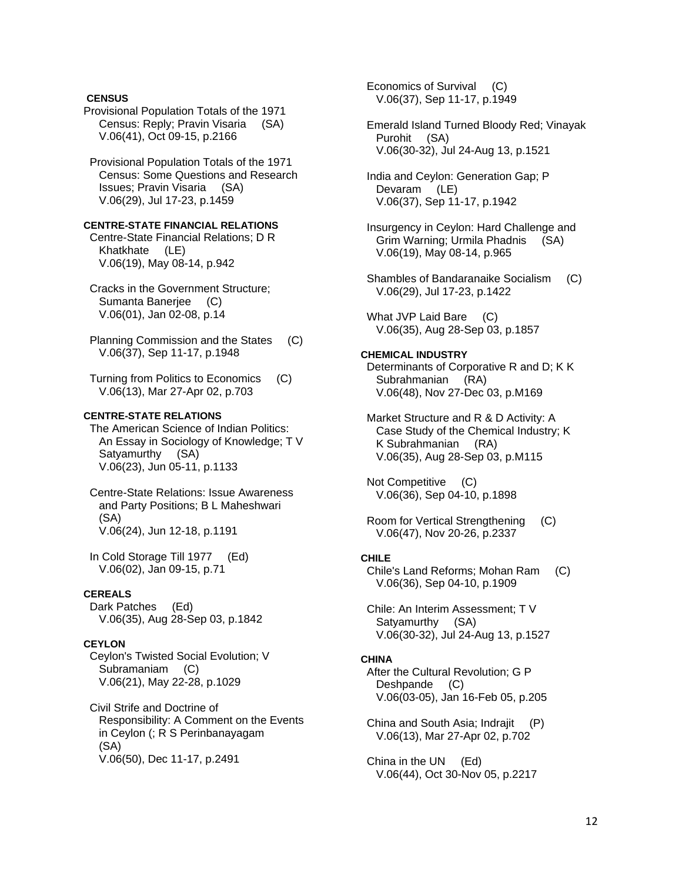## **CENSUS**

Provisional Population Totals of the 1971 Census: Reply; Pravin Visaria (SA) V.06(41), Oct 09-15, p.2166

 Provisional Population Totals of the 1971 Census: Some Questions and Research Issues; Pravin Visaria (SA) V.06(29), Jul 17-23, p.1459

### **CENTRE-STATE FINANCIAL RELATIONS**

 Centre-State Financial Relations; D R Khatkhate (LE) V.06(19), May 08-14, p.942

 Cracks in the Government Structure; Sumanta Banerjee (C) V.06(01), Jan 02-08, p.14

 Planning Commission and the States (C) V.06(37), Sep 11-17, p.1948

 Turning from Politics to Economics (C) V.06(13), Mar 27-Apr 02, p.703

## **CENTRE-STATE RELATIONS**

 The American Science of Indian Politics: An Essay in Sociology of Knowledge; T V Satyamurthy (SA) V.06(23), Jun 05-11, p.1133

 Centre-State Relations: Issue Awareness and Party Positions; B L Maheshwari (SA) V.06(24), Jun 12-18, p.1191

 In Cold Storage Till 1977 (Ed) V.06(02), Jan 09-15, p.71

## **CEREALS**

 Dark Patches (Ed) V.06(35), Aug 28-Sep 03, p.1842

## **CEYLON**

 Ceylon's Twisted Social Evolution; V Subramaniam (C) V.06(21), May 22-28, p.1029

 Civil Strife and Doctrine of Responsibility: A Comment on the Events in Ceylon (; R S Perinbanayagam (SA) V.06(50), Dec 11-17, p.2491

 Economics of Survival (C) V.06(37), Sep 11-17, p.1949

 Emerald Island Turned Bloody Red; Vinayak Purohit (SA) V.06(30-32), Jul 24-Aug 13, p.1521

 India and Ceylon: Generation Gap; P Devaram (LE) V.06(37), Sep 11-17, p.1942

- Insurgency in Ceylon: Hard Challenge and Grim Warning; Urmila Phadnis (SA) V.06(19), May 08-14, p.965
- Shambles of Bandaranaike Socialism (C) V.06(29), Jul 17-23, p.1422

What JVP Laid Bare (C) V.06(35), Aug 28-Sep 03, p.1857

### **CHEMICAL INDUSTRY**

 Determinants of Corporative R and D; K K Subrahmanian (RA) V.06(48), Nov 27-Dec 03, p.M169

 Market Structure and R & D Activity: A Case Study of the Chemical Industry; K K Subrahmanian (RA) V.06(35), Aug 28-Sep 03, p.M115

 Not Competitive (C) V.06(36), Sep 04-10, p.1898

 Room for Vertical Strengthening (C) V.06(47), Nov 20-26, p.2337

### **CHILE**

 Chile's Land Reforms; Mohan Ram (C) V.06(36), Sep 04-10, p.1909

 Chile: An Interim Assessment; T V Satyamurthy (SA) V.06(30-32), Jul 24-Aug 13, p.1527

### **CHINA**

 After the Cultural Revolution; G P Deshpande (C) V.06(03-05), Jan 16-Feb 05, p.205

 China and South Asia; Indrajit (P) V.06(13), Mar 27-Apr 02, p.702

 China in the UN (Ed) V.06(44), Oct 30-Nov 05, p.2217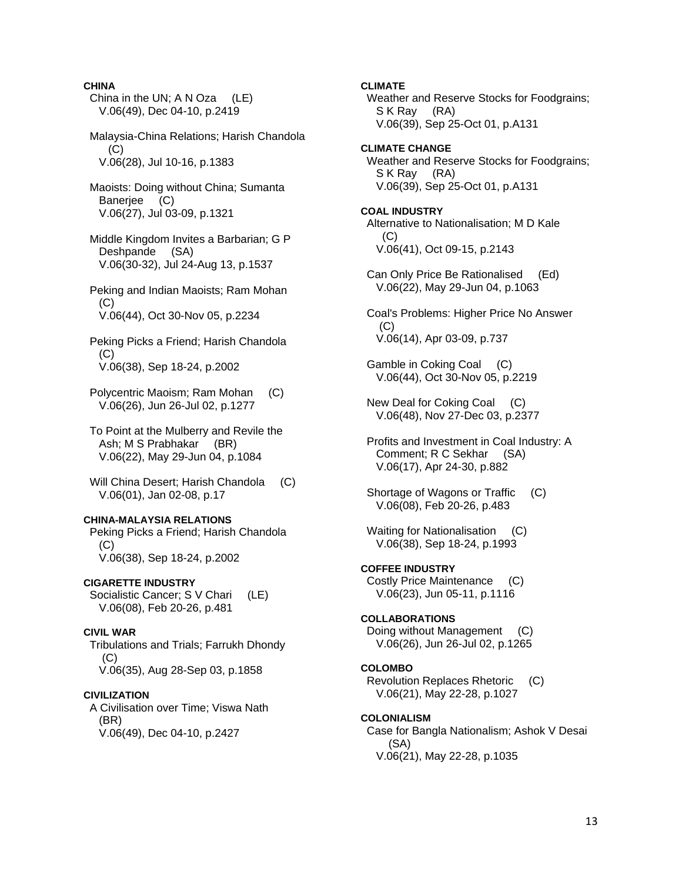## **CHINA**

- China in the UN; A N Oza (LE) V.06(49), Dec 04-10, p.2419
- Malaysia-China Relations; Harish Chandola  $(C)$ V.06(28), Jul 10-16, p.1383
- Maoists: Doing without China; Sumanta Banerjee (C) V.06(27), Jul 03-09, p.1321
- Middle Kingdom Invites a Barbarian; G P Deshpande (SA) V.06(30-32), Jul 24-Aug 13, p.1537
- Peking and Indian Maoists; Ram Mohan  $(C)$ V.06(44), Oct 30-Nov 05, p.2234
- Peking Picks a Friend; Harish Chandola (C) V.06(38), Sep 18-24, p.2002
- Polycentric Maoism; Ram Mohan (C) V.06(26), Jun 26-Jul 02, p.1277
- To Point at the Mulberry and Revile the Ash; M S Prabhakar (BR) V.06(22), May 29-Jun 04, p.1084
- Will China Desert: Harish Chandola (C) V.06(01), Jan 02-08, p.17

## **CHINA-MALAYSIA RELATIONS**

 Peking Picks a Friend; Harish Chandola (C) V.06(38), Sep 18-24, p.2002

### **CIGARETTE INDUSTRY**

Socialistic Cancer; S V Chari (LE) V.06(08), Feb 20-26, p.481

### **CIVIL WAR**

 Tribulations and Trials; Farrukh Dhondy  $(C)$ V.06(35), Aug 28-Sep 03, p.1858

### **CIVILIZATION**

 A Civilisation over Time; Viswa Nath (BR) V.06(49), Dec 04-10, p.2427

**CLIMATE** 

 Weather and Reserve Stocks for Foodgrains; S K Ray (RA) V.06(39), Sep 25-Oct 01, p.A131

## **CLIMATE CHANGE**

 Weather and Reserve Stocks for Foodgrains; S K Ray (RA) V.06(39), Sep 25-Oct 01, p.A131

### **COAL INDUSTRY**

 Alternative to Nationalisation; M D Kale (C) V.06(41), Oct 09-15, p.2143

 Can Only Price Be Rationalised (Ed) V.06(22), May 29-Jun 04, p.1063

 Coal's Problems: Higher Price No Answer (C) V.06(14), Apr 03-09, p.737

 Gamble in Coking Coal (C) V.06(44), Oct 30-Nov 05, p.2219

 New Deal for Coking Coal (C) V.06(48), Nov 27-Dec 03, p.2377

 Profits and Investment in Coal Industry: A Comment; R C Sekhar (SA) V.06(17), Apr 24-30, p.882

 Shortage of Wagons or Traffic (C) V.06(08), Feb 20-26, p.483

Waiting for Nationalisation (C) V.06(38), Sep 18-24, p.1993

## **COFFEE INDUSTRY**

 Costly Price Maintenance (C) V.06(23), Jun 05-11, p.1116

### **COLLABORATIONS**

 Doing without Management (C) V.06(26), Jun 26-Jul 02, p.1265

## **COLOMBO**

 Revolution Replaces Rhetoric (C) V.06(21), May 22-28, p.1027

# **COLONIALISM**

 Case for Bangla Nationalism; Ashok V Desai (SA) V.06(21), May 22-28, p.1035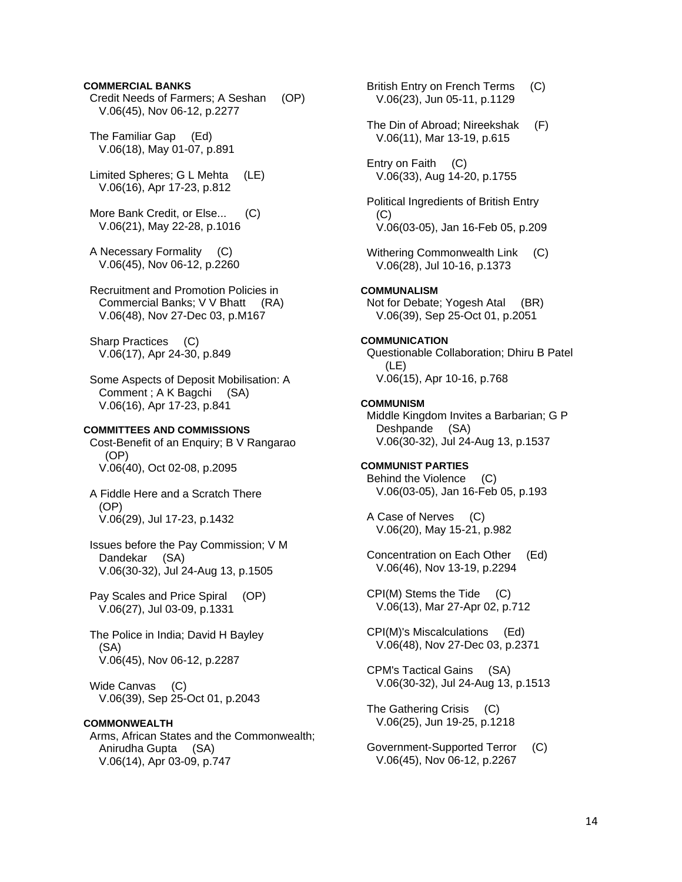### **COMMERCIAL BANKS**

 Credit Needs of Farmers; A Seshan (OP) V.06(45), Nov 06-12, p.2277

 The Familiar Gap (Ed) V.06(18), May 01-07, p.891

 Limited Spheres; G L Mehta (LE) V.06(16), Apr 17-23, p.812

More Bank Credit, or Else... (C) V.06(21), May 22-28, p.1016

 A Necessary Formality (C) V.06(45), Nov 06-12, p.2260

 Recruitment and Promotion Policies in Commercial Banks; V V Bhatt (RA) V.06(48), Nov 27-Dec 03, p.M167

 Sharp Practices (C) V.06(17), Apr 24-30, p.849

 Some Aspects of Deposit Mobilisation: A Comment ; A K Bagchi (SA) V.06(16), Apr 17-23, p.841

## **COMMITTEES AND COMMISSIONS**

 Cost-Benefit of an Enquiry; B V Rangarao (OP) V.06(40), Oct 02-08, p.2095

 A Fiddle Here and a Scratch There (OP) V.06(29), Jul 17-23, p.1432

 Issues before the Pay Commission; V M Dandekar (SA) V.06(30-32), Jul 24-Aug 13, p.1505

 Pay Scales and Price Spiral (OP) V.06(27), Jul 03-09, p.1331

 The Police in India; David H Bayley (SA) V.06(45), Nov 06-12, p.2287

 Wide Canvas (C) V.06(39), Sep 25-Oct 01, p.2043

## **COMMONWEALTH**

 Arms, African States and the Commonwealth; Anirudha Gupta (SA) V.06(14), Apr 03-09, p.747

 British Entry on French Terms (C) V.06(23), Jun 05-11, p.1129

 The Din of Abroad; Nireekshak (F) V.06(11), Mar 13-19, p.615

 Entry on Faith (C) V.06(33), Aug 14-20, p.1755

 Political Ingredients of British Entry (C) V.06(03-05), Jan 16-Feb 05, p.209

Withering Commonwealth Link (C) V.06(28), Jul 10-16, p.1373

### **COMMUNALISM**

 Not for Debate; Yogesh Atal (BR) V.06(39), Sep 25-Oct 01, p.2051

### **COMMUNICATION**

 Questionable Collaboration; Dhiru B Patel (LE) V.06(15), Apr 10-16, p.768

### **COMMUNISM**

 Middle Kingdom Invites a Barbarian; G P Deshpande (SA) V.06(30-32), Jul 24-Aug 13, p.1537

## **COMMUNIST PARTIES**

 Behind the Violence (C) V.06(03-05), Jan 16-Feb 05, p.193

 A Case of Nerves (C) V.06(20), May 15-21, p.982

 Concentration on Each Other (Ed) V.06(46), Nov 13-19, p.2294

 CPI(M) Stems the Tide (C) V.06(13), Mar 27-Apr 02, p.712

 CPI(M)'s Miscalculations (Ed) V.06(48), Nov 27-Dec 03, p.2371

 CPM's Tactical Gains (SA) V.06(30-32), Jul 24-Aug 13, p.1513

 The Gathering Crisis (C) V.06(25), Jun 19-25, p.1218

 Government-Supported Terror (C) V.06(45), Nov 06-12, p.2267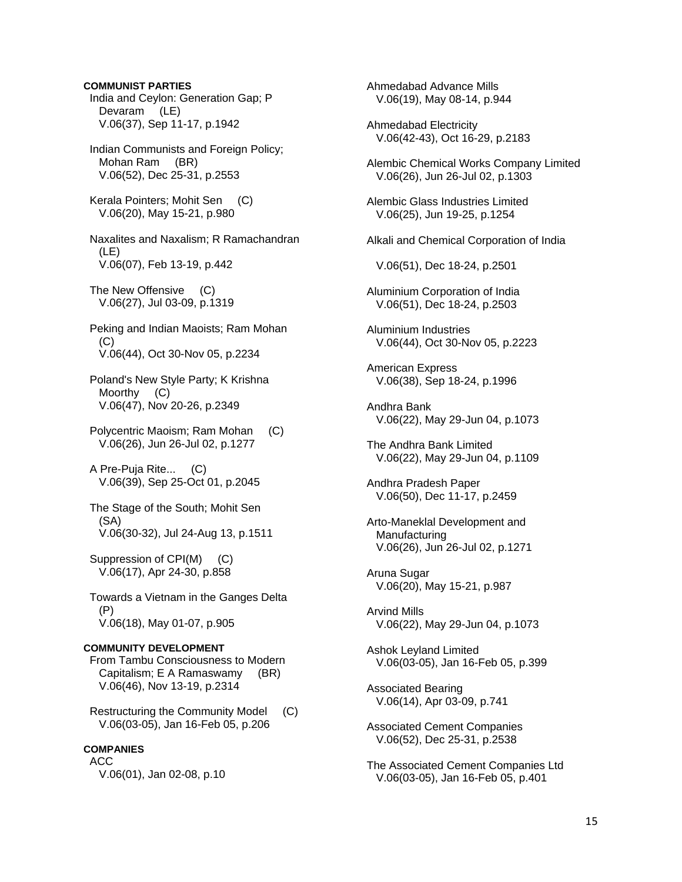## India and Ceylon: Generation Gap; P Devaram (LE) V.06(37), Sep 11-17, p.1942 Indian Communists and Foreign Policy; Mohan Ram (BR) V.06(52), Dec 25-31, p.2553 Kerala Pointers; Mohit Sen (C) V.06(20), May 15-21, p.980 Naxalites and Naxalism; R Ramachandran (LE) V.06(07), Feb 13-19, p.442 The New Offensive (C) V.06(27), Jul 03-09, p.1319 Peking and Indian Maoists; Ram Mohan  $(C)$  V.06(44), Oct 30-Nov 05, p.2234 Poland's New Style Party; K Krishna Moorthy (C) V.06(47), Nov 20-26, p.2349 Polycentric Maoism; Ram Mohan (C) V.06(26), Jun 26-Jul 02, p.1277 A Pre-Puja Rite... (C) V.06(39), Sep 25-Oct 01, p.2045 The Stage of the South; Mohit Sen (SA) V.06(30-32), Jul 24-Aug 13, p.1511 Suppression of CPI(M) (C) V.06(17), Apr 24-30, p.858 Towards a Vietnam in the Ganges Delta (P) V.06(18), May 01-07, p.905 **COMMUNITY DEVELOPMENT**  From Tambu Consciousness to Modern Capitalism; E A Ramaswamy (BR) V.06(46), Nov 13-19, p.2314 Restructuring the Community Model (C) V.06(03-05), Jan 16-Feb 05, p.206 **COMPANIES**  ACC

**COMMUNIST PARTIES** 

V.06(01), Jan 02-08, p.10

 Ahmedabad Advance Mills V.06(19), May 08-14, p.944 Ahmedabad Electricity V.06(42-43), Oct 16-29, p.2183 Alembic Chemical Works Company Limited V.06(26), Jun 26-Jul 02, p.1303 Alembic Glass Industries Limited V.06(25), Jun 19-25, p.1254 Alkali and Chemical Corporation of India V.06(51), Dec 18-24, p.2501 Aluminium Corporation of India V.06(51), Dec 18-24, p.2503 Aluminium Industries V.06(44), Oct 30-Nov 05, p.2223 American Express V.06(38), Sep 18-24, p.1996 Andhra Bank V.06(22), May 29-Jun 04, p.1073 The Andhra Bank Limited V.06(22), May 29-Jun 04, p.1109 Andhra Pradesh Paper V.06(50), Dec 11-17, p.2459 Arto-Maneklal Development and Manufacturing V.06(26), Jun 26-Jul 02, p.1271 Aruna Sugar V.06(20), May 15-21, p.987 Arvind Mills V.06(22), May 29-Jun 04, p.1073 Ashok Leyland Limited V.06(03-05), Jan 16-Feb 05, p.399 Associated Bearing V.06(14), Apr 03-09, p.741 Associated Cement Companies V.06(52), Dec 25-31, p.2538

 The Associated Cement Companies Ltd V.06(03-05), Jan 16-Feb 05, p.401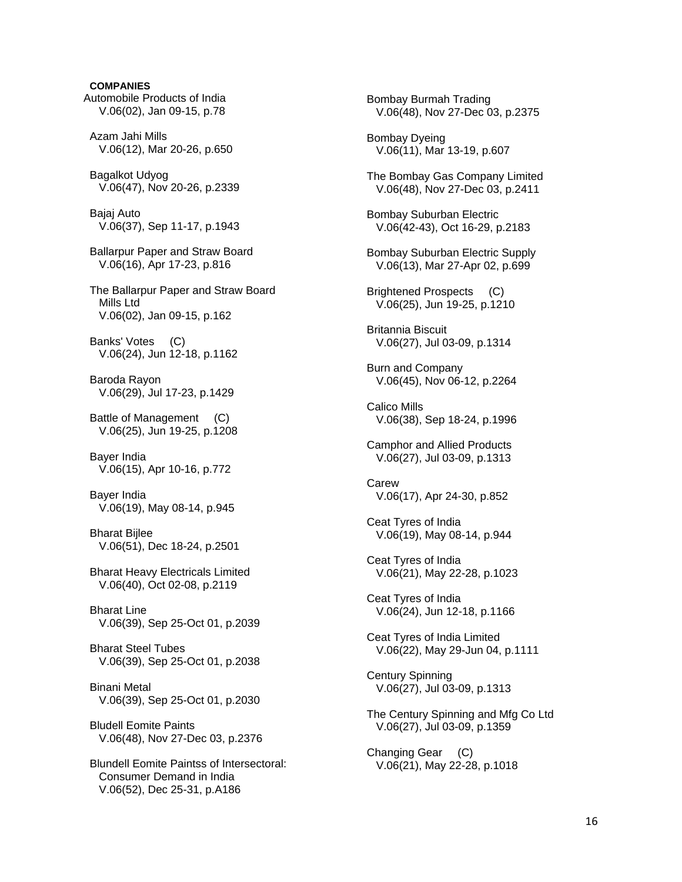**COMPANIES**  Automobile Products of India V.06(02), Jan 09-15, p.78 Azam Jahi Mills V.06(12), Mar 20-26, p.650 Bagalkot Udyog V.06(47), Nov 20-26, p.2339 Bajaj Auto V.06(37), Sep 11-17, p.1943 Ballarpur Paper and Straw Board V.06(16), Apr 17-23, p.816 The Ballarpur Paper and Straw Board Mills Ltd V.06(02), Jan 09-15, p.162 Banks' Votes (C) V.06(24), Jun 12-18, p.1162 Baroda Rayon V.06(29), Jul 17-23, p.1429 Battle of Management (C) V.06(25), Jun 19-25, p.1208 Bayer India V.06(15), Apr 10-16, p.772 Bayer India V.06(19), May 08-14, p.945 Bharat Bijlee V.06(51), Dec 18-24, p.2501 Bharat Heavy Electricals Limited V.06(40), Oct 02-08, p.2119 Bharat Line V.06(39), Sep 25-Oct 01, p.2039 Bharat Steel Tubes V.06(39), Sep 25-Oct 01, p.2038 Binani Metal V.06(39), Sep 25-Oct 01, p.2030 Bludell Eomite Paints V.06(48), Nov 27-Dec 03, p.2376 Blundell Eomite Paintss of Intersectoral: Consumer Demand in India V.06(52), Dec 25-31, p.A186

 Bombay Burmah Trading V.06(48), Nov 27-Dec 03, p.2375 Bombay Dyeing V.06(11), Mar 13-19, p.607 The Bombay Gas Company Limited V.06(48), Nov 27-Dec 03, p.2411 Bombay Suburban Electric V.06(42-43), Oct 16-29, p.2183 Bombay Suburban Electric Supply V.06(13), Mar 27-Apr 02, p.699 Brightened Prospects (C) V.06(25), Jun 19-25, p.1210 Britannia Biscuit V.06(27), Jul 03-09, p.1314 Burn and Company V.06(45), Nov 06-12, p.2264 Calico Mills V.06(38), Sep 18-24, p.1996 Camphor and Allied Products V.06(27), Jul 03-09, p.1313 Carew V.06(17), Apr 24-30, p.852 Ceat Tyres of India V.06(19), May 08-14, p.944 Ceat Tyres of India V.06(21), May 22-28, p.1023 Ceat Tyres of India V.06(24), Jun 12-18, p.1166 Ceat Tyres of India Limited V.06(22), May 29-Jun 04, p.1111 Century Spinning V.06(27), Jul 03-09, p.1313 The Century Spinning and Mfg Co Ltd V.06(27), Jul 03-09, p.1359 Changing Gear (C) V.06(21), May 22-28, p.1018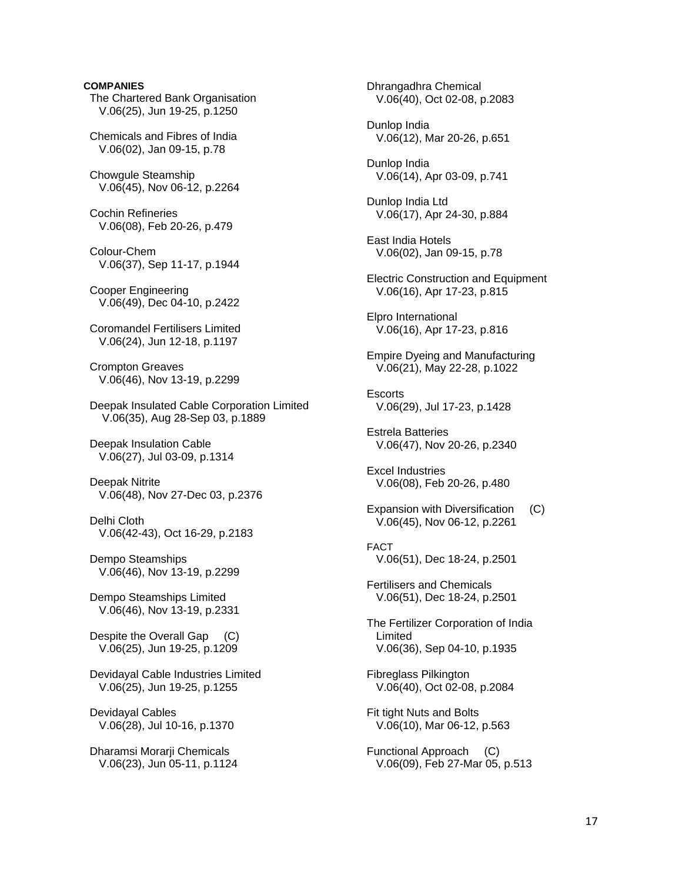# **COMPANIES**  The Chartered Bank Organisation V.06(25), Jun 19-25, p.1250 Chemicals and Fibres of India V.06(02), Jan 09-15, p.78 Chowgule Steamship V.06(45), Nov 06-12, p.2264 Cochin Refineries V.06(08), Feb 20-26, p.479 Colour-Chem V.06(37), Sep 11-17, p.1944 Cooper Engineering V.06(49), Dec 04-10, p.2422 Coromandel Fertilisers Limited V.06(24), Jun 12-18, p.1197 Crompton Greaves V.06(46), Nov 13-19, p.2299 Deepak Insulated Cable Corporation Limited V.06(35), Aug 28-Sep 03, p.1889 Deepak Insulation Cable V.06(27), Jul 03-09, p.1314 Deepak Nitrite V.06(48), Nov 27-Dec 03, p.2376 Delhi Cloth V.06(42-43), Oct 16-29, p.2183 Dempo Steamships V.06(46), Nov 13-19, p.2299 Dempo Steamships Limited V.06(46), Nov 13-19, p.2331 Despite the Overall Gap (C) V.06(25), Jun 19-25, p.1209 Devidayal Cable Industries Limited V.06(25), Jun 19-25, p.1255 Devidayal Cables V.06(28), Jul 10-16, p.1370 Dharamsi Morarji Chemicals V.06(23), Jun 05-11, p.1124

 Dhrangadhra Chemical V.06(40), Oct 02-08, p.2083 Dunlop India V.06(12), Mar 20-26, p.651 Dunlop India V.06(14), Apr 03-09, p.741 Dunlop India Ltd V.06(17), Apr 24-30, p.884 East India Hotels V.06(02), Jan 09-15, p.78 Electric Construction and Equipment V.06(16), Apr 17-23, p.815 Elpro International V.06(16), Apr 17-23, p.816 Empire Dyeing and Manufacturing V.06(21), May 22-28, p.1022 **Escorts**  V.06(29), Jul 17-23, p.1428 Estrela Batteries V.06(47), Nov 20-26, p.2340 Excel Industries V.06(08), Feb 20-26, p.480 Expansion with Diversification (C) V.06(45), Nov 06-12, p.2261 FACT V.06(51), Dec 18-24, p.2501 Fertilisers and Chemicals V.06(51), Dec 18-24, p.2501 The Fertilizer Corporation of India Limited V.06(36), Sep 04-10, p.1935 Fibreglass Pilkington V.06(40), Oct 02-08, p.2084 Fit tight Nuts and Bolts V.06(10), Mar 06-12, p.563 Functional Approach (C) V.06(09), Feb 27-Mar 05, p.513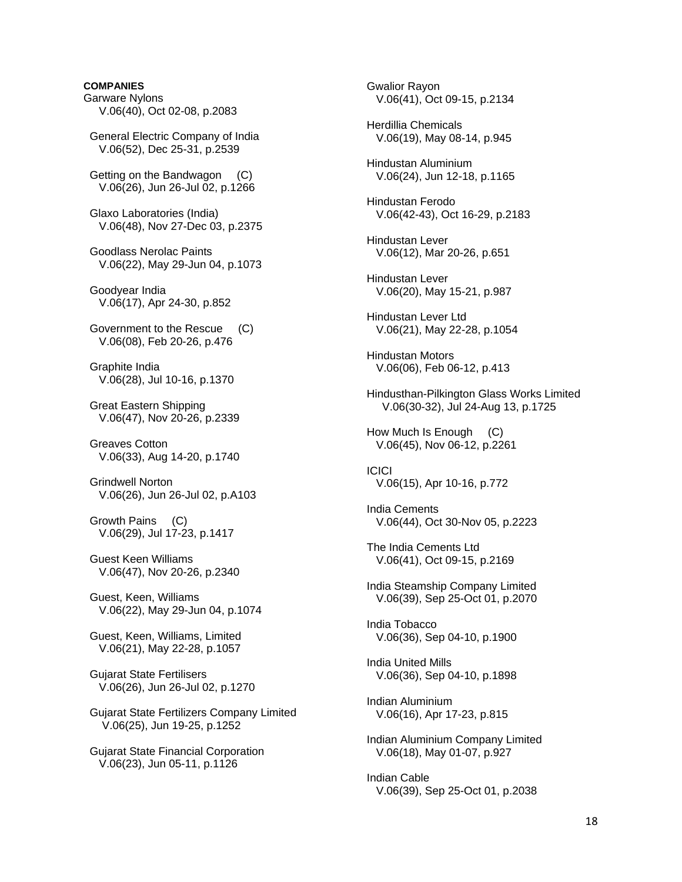# **COMPANIES**  Garware Nylons V.06(40), Oct 02-08, p.2083 General Electric Company of India V.06(52), Dec 25-31, p.2539 Getting on the Bandwagon (C) V.06(26), Jun 26-Jul 02, p.1266 Glaxo Laboratories (India) V.06(48), Nov 27-Dec 03, p.2375 Goodlass Nerolac Paints V.06(22), May 29-Jun 04, p.1073 Goodyear India V.06(17), Apr 24-30, p.852 Government to the Rescue (C) V.06(08), Feb 20-26, p.476 Graphite India V.06(28), Jul 10-16, p.1370 Great Eastern Shipping V.06(47), Nov 20-26, p.2339 Greaves Cotton V.06(33), Aug 14-20, p.1740 Grindwell Norton V.06(26), Jun 26-Jul 02, p.A103 Growth Pains (C) V.06(29), Jul 17-23, p.1417 Guest Keen Williams V.06(47), Nov 20-26, p.2340 Guest, Keen, Williams V.06(22), May 29-Jun 04, p.1074 Guest, Keen, Williams, Limited V.06(21), May 22-28, p.1057 Gujarat State Fertilisers V.06(26), Jun 26-Jul 02, p.1270 Gujarat State Fertilizers Company Limited V.06(25), Jun 19-25, p.1252 Gujarat State Financial Corporation V.06(23), Jun 05-11, p.1126

 Gwalior Rayon V.06(41), Oct 09-15, p.2134 Herdillia Chemicals V.06(19), May 08-14, p.945 Hindustan Aluminium V.06(24), Jun 12-18, p.1165 Hindustan Ferodo V.06(42-43), Oct 16-29, p.2183 Hindustan Lever V.06(12), Mar 20-26, p.651 Hindustan Lever V.06(20), May 15-21, p.987 Hindustan Lever Ltd V.06(21), May 22-28, p.1054 Hindustan Motors V.06(06), Feb 06-12, p.413 Hindusthan-Pilkington Glass Works Limited V.06(30-32), Jul 24-Aug 13, p.1725 How Much Is Enough (C) V.06(45), Nov 06-12, p.2261 ICICI V.06(15), Apr 10-16, p.772 India Cements V.06(44), Oct 30-Nov 05, p.2223 The India Cements Ltd V.06(41), Oct 09-15, p.2169 India Steamship Company Limited V.06(39), Sep 25-Oct 01, p.2070 India Tobacco V.06(36), Sep 04-10, p.1900 India United Mills V.06(36), Sep 04-10, p.1898 Indian Aluminium V.06(16), Apr 17-23, p.815 Indian Aluminium Company Limited V.06(18), May 01-07, p.927 Indian Cable V.06(39), Sep 25-Oct 01, p.2038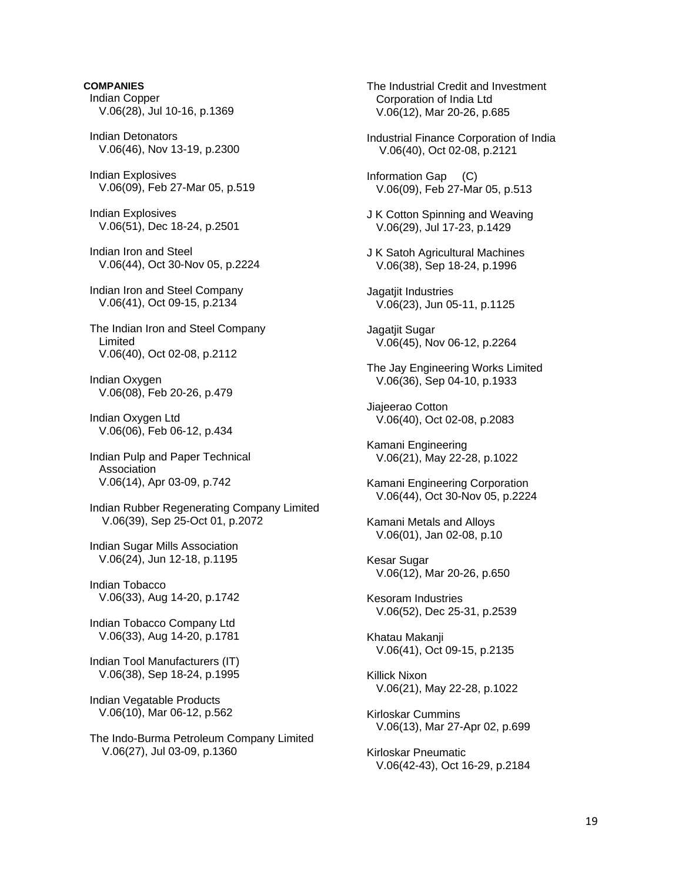### **COMPANIES**

- Indian Copper V.06(28), Jul 10-16, p.1369
- Indian Detonators V.06(46), Nov 13-19, p.2300
- Indian Explosives V.06(09), Feb 27-Mar 05, p.519
- Indian Explosives V.06(51), Dec 18-24, p.2501
- Indian Iron and Steel V.06(44), Oct 30-Nov 05, p.2224
- Indian Iron and Steel Company V.06(41), Oct 09-15, p.2134
- The Indian Iron and Steel Company Limited V.06(40), Oct 02-08, p.2112
- Indian Oxygen V.06(08), Feb 20-26, p.479
- Indian Oxygen Ltd V.06(06), Feb 06-12, p.434
- Indian Pulp and Paper Technical Association V.06(14), Apr 03-09, p.742
- Indian Rubber Regenerating Company Limited V.06(39), Sep 25-Oct 01, p.2072
- Indian Sugar Mills Association V.06(24), Jun 12-18, p.1195
- Indian Tobacco V.06(33), Aug 14-20, p.1742
- Indian Tobacco Company Ltd V.06(33), Aug 14-20, p.1781
- Indian Tool Manufacturers (IT) V.06(38), Sep 18-24, p.1995
- Indian Vegatable Products V.06(10), Mar 06-12, p.562
- The Indo-Burma Petroleum Company Limited V.06(27), Jul 03-09, p.1360

 The Industrial Credit and Investment Corporation of India Ltd V.06(12), Mar 20-26, p.685

- Industrial Finance Corporation of India V.06(40), Oct 02-08, p.2121
- Information Gap (C) V.06(09), Feb 27-Mar 05, p.513
- J K Cotton Spinning and Weaving V.06(29), Jul 17-23, p.1429
- J K Satoh Agricultural Machines V.06(38), Sep 18-24, p.1996
- Jagatjit Industries V.06(23), Jun 05-11, p.1125
- Jagatjit Sugar V.06(45), Nov 06-12, p.2264
- The Jay Engineering Works Limited V.06(36), Sep 04-10, p.1933
- Jiajeerao Cotton V.06(40), Oct 02-08, p.2083
- Kamani Engineering V.06(21), May 22-28, p.1022
- Kamani Engineering Corporation V.06(44), Oct 30-Nov 05, p.2224
- Kamani Metals and Alloys V.06(01), Jan 02-08, p.10
- Kesar Sugar V.06(12), Mar 20-26, p.650
- Kesoram Industries V.06(52), Dec 25-31, p.2539
- Khatau Makanji V.06(41), Oct 09-15, p.2135
- Killick Nixon V.06(21), May 22-28, p.1022
- Kirloskar Cummins V.06(13), Mar 27-Apr 02, p.699
- Kirloskar Pneumatic V.06(42-43), Oct 16-29, p.2184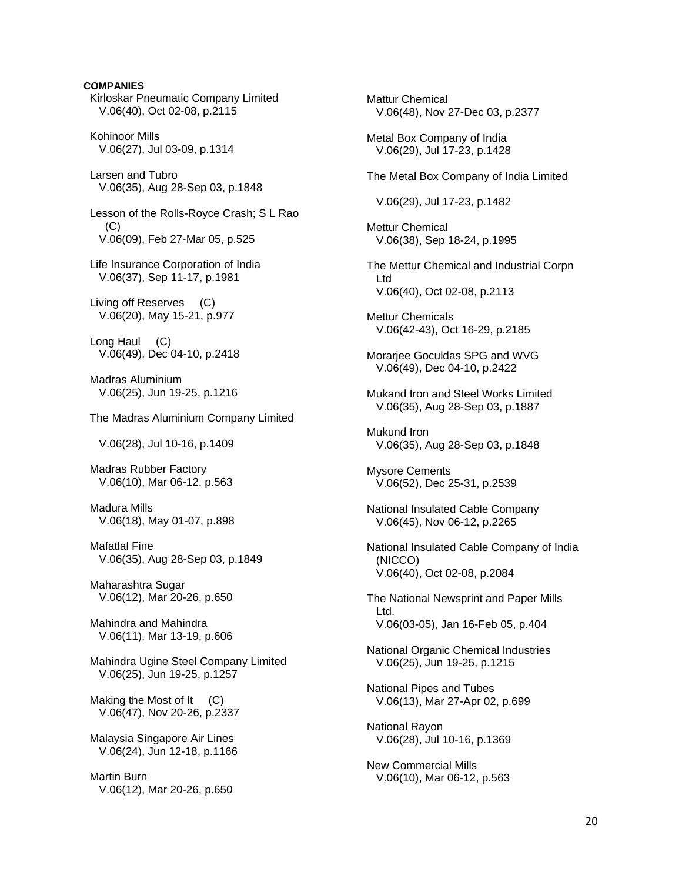## **COMPANIES**

 Kirloskar Pneumatic Company Limited V.06(40), Oct 02-08, p.2115

 Kohinoor Mills V.06(27), Jul 03-09, p.1314

 Larsen and Tubro V.06(35), Aug 28-Sep 03, p.1848

 Lesson of the Rolls-Royce Crash; S L Rao  $(C)$ V.06(09), Feb 27-Mar 05, p.525

 Life Insurance Corporation of India V.06(37), Sep 11-17, p.1981

 Living off Reserves (C) V.06(20), May 15-21, p.977

 Long Haul (C) V.06(49), Dec 04-10, p.2418

 Madras Aluminium V.06(25), Jun 19-25, p.1216

The Madras Aluminium Company Limited

V.06(28), Jul 10-16, p.1409

 Madras Rubber Factory V.06(10), Mar 06-12, p.563

 Madura Mills V.06(18), May 01-07, p.898

 Mafatlal Fine V.06(35), Aug 28-Sep 03, p.1849

 Maharashtra Sugar V.06(12), Mar 20-26, p.650

 Mahindra and Mahindra V.06(11), Mar 13-19, p.606

 Mahindra Ugine Steel Company Limited V.06(25), Jun 19-25, p.1257

Making the Most of It (C) V.06(47), Nov 20-26, p.2337

 Malaysia Singapore Air Lines V.06(24), Jun 12-18, p.1166

 Martin Burn V.06(12), Mar 20-26, p.650  Mattur Chemical V.06(48), Nov 27-Dec 03, p.2377 Metal Box Company of India V.06(29), Jul 17-23, p.1428 The Metal Box Company of India Limited V.06(29), Jul 17-23, p.1482 Mettur Chemical V.06(38), Sep 18-24, p.1995 The Mettur Chemical and Industrial Corpn Ltd V.06(40), Oct 02-08, p.2113 Mettur Chemicals V.06(42-43), Oct 16-29, p.2185 Morarjee Goculdas SPG and WVG V.06(49), Dec 04-10, p.2422 Mukand Iron and Steel Works Limited V.06(35), Aug 28-Sep 03, p.1887 Mukund Iron V.06(35), Aug 28-Sep 03, p.1848 Mysore Cements V.06(52), Dec 25-31, p.2539 National Insulated Cable Company V.06(45), Nov 06-12, p.2265 National Insulated Cable Company of India (NICCO) V.06(40), Oct 02-08, p.2084 The National Newsprint and Paper Mills Ltd. V.06(03-05), Jan 16-Feb 05, p.404 National Organic Chemical Industries V.06(25), Jun 19-25, p.1215 National Pipes and Tubes V.06(13), Mar 27-Apr 02, p.699 National Rayon V.06(28), Jul 10-16, p.1369 New Commercial Mills V.06(10), Mar 06-12, p.563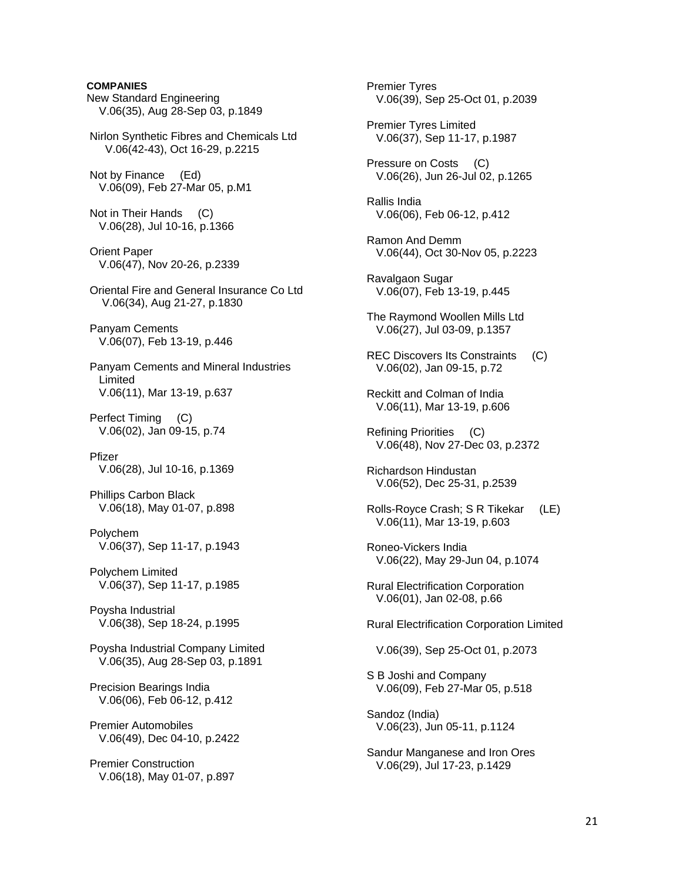# **COMPANIES**  New Standard Engineering V.06(35), Aug 28-Sep 03, p.1849 Nirlon Synthetic Fibres and Chemicals Ltd V.06(42-43), Oct 16-29, p.2215 Not by Finance (Ed) V.06(09), Feb 27-Mar 05, p.M1 Not in Their Hands (C) V.06(28), Jul 10-16, p.1366 Orient Paper V.06(47), Nov 20-26, p.2339 Oriental Fire and General Insurance Co Ltd V.06(34), Aug 21-27, p.1830 Panyam Cements V.06(07), Feb 13-19, p.446 Panyam Cements and Mineral Industries Limited V.06(11), Mar 13-19, p.637 Perfect Timing (C) V.06(02), Jan 09-15, p.74 Pfizer V.06(28), Jul 10-16, p.1369 Phillips Carbon Black V.06(18), May 01-07, p.898 Polychem V.06(37), Sep 11-17, p.1943 Polychem Limited V.06(37), Sep 11-17, p.1985 Poysha Industrial V.06(38), Sep 18-24, p.1995 Poysha Industrial Company Limited V.06(35), Aug 28-Sep 03, p.1891 Precision Bearings India V.06(06), Feb 06-12, p.412 Premier Automobiles V.06(49), Dec 04-10, p.2422 Premier Construction V.06(18), May 01-07, p.897

 Premier Tyres V.06(39), Sep 25-Oct 01, p.2039 Premier Tyres Limited V.06(37), Sep 11-17, p.1987 Pressure on Costs (C) V.06(26), Jun 26-Jul 02, p.1265 Rallis India V.06(06), Feb 06-12, p.412 Ramon And Demm V.06(44), Oct 30-Nov 05, p.2223 Ravalgaon Sugar V.06(07), Feb 13-19, p.445 The Raymond Woollen Mills Ltd V.06(27), Jul 03-09, p.1357 REC Discovers Its Constraints (C) V.06(02), Jan 09-15, p.72 Reckitt and Colman of India V.06(11), Mar 13-19, p.606 Refining Priorities (C) V.06(48), Nov 27-Dec 03, p.2372 Richardson Hindustan V.06(52), Dec 25-31, p.2539 Rolls-Royce Crash; S R Tikekar (LE) V.06(11), Mar 13-19, p.603 Roneo-Vickers India V.06(22), May 29-Jun 04, p.1074 Rural Electrification Corporation V.06(01), Jan 02-08, p.66 Rural Electrification Corporation Limited V.06(39), Sep 25-Oct 01, p.2073 S B Joshi and Company V.06(09), Feb 27-Mar 05, p.518 Sandoz (India) V.06(23), Jun 05-11, p.1124 Sandur Manganese and Iron Ores V.06(29), Jul 17-23, p.1429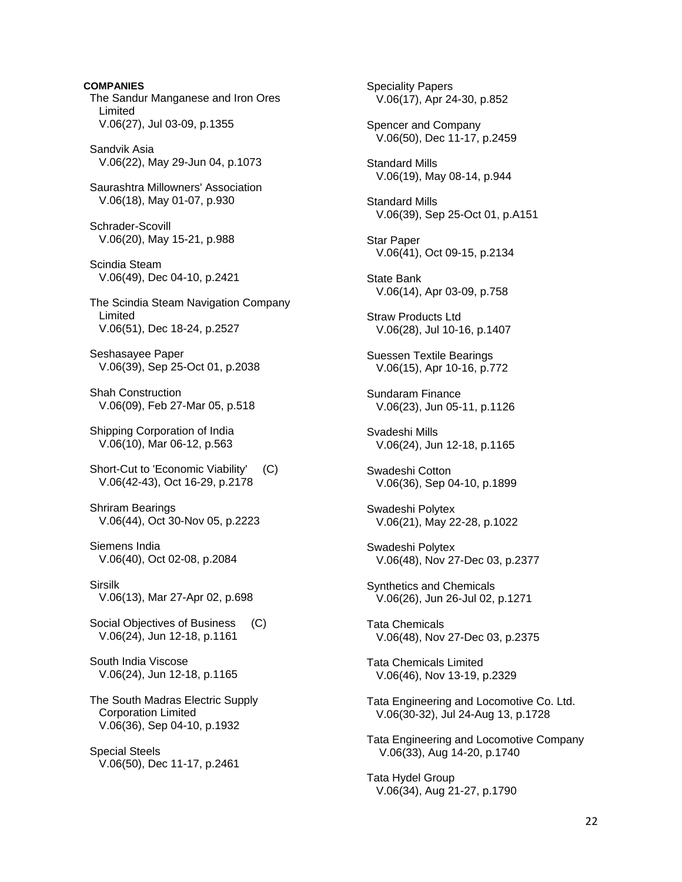**COMPANIES**  The Sandur Manganese and Iron Ores Limited V.06(27), Jul 03-09, p.1355 Sandvik Asia V.06(22), May 29-Jun 04, p.1073 Saurashtra Millowners' Association V.06(18), May 01-07, p.930 Schrader-Scovill V.06(20), May 15-21, p.988 Scindia Steam V.06(49), Dec 04-10, p.2421 The Scindia Steam Navigation Company Limited V.06(51), Dec 18-24, p.2527 Seshasayee Paper V.06(39), Sep 25-Oct 01, p.2038 Shah Construction V.06(09), Feb 27-Mar 05, p.518 Shipping Corporation of India V.06(10), Mar 06-12, p.563 Short-Cut to 'Economic Viability' (C) V.06(42-43), Oct 16-29, p.2178 Shriram Bearings V.06(44), Oct 30-Nov 05, p.2223 Siemens India V.06(40), Oct 02-08, p.2084 Sirsilk V.06(13), Mar 27-Apr 02, p.698 Social Objectives of Business (C) V.06(24), Jun 12-18, p.1161 South India Viscose V.06(24), Jun 12-18, p.1165 The South Madras Electric Supply Corporation Limited V.06(36), Sep 04-10, p.1932

 Special Steels V.06(50), Dec 11-17, p.2461  Speciality Papers V.06(17), Apr 24-30, p.852 Spencer and Company V.06(50), Dec 11-17, p.2459 Standard Mills V.06(19), May 08-14, p.944 Standard Mills V.06(39), Sep 25-Oct 01, p.A151 Star Paper V.06(41), Oct 09-15, p.2134 State Bank V.06(14), Apr 03-09, p.758 Straw Products Ltd V.06(28), Jul 10-16, p.1407 Suessen Textile Bearings V.06(15), Apr 10-16, p.772 Sundaram Finance V.06(23), Jun 05-11, p.1126 Svadeshi Mills V.06(24), Jun 12-18, p.1165 Swadeshi Cotton V.06(36), Sep 04-10, p.1899 Swadeshi Polytex V.06(21), May 22-28, p.1022 Swadeshi Polytex V.06(48), Nov 27-Dec 03, p.2377 Synthetics and Chemicals V.06(26), Jun 26-Jul 02, p.1271 Tata Chemicals V.06(48), Nov 27-Dec 03, p.2375 Tata Chemicals Limited V.06(46), Nov 13-19, p.2329 Tata Engineering and Locomotive Co. Ltd. V.06(30-32), Jul 24-Aug 13, p.1728 Tata Engineering and Locomotive Company V.06(33), Aug 14-20, p.1740 Tata Hydel Group V.06(34), Aug 21-27, p.1790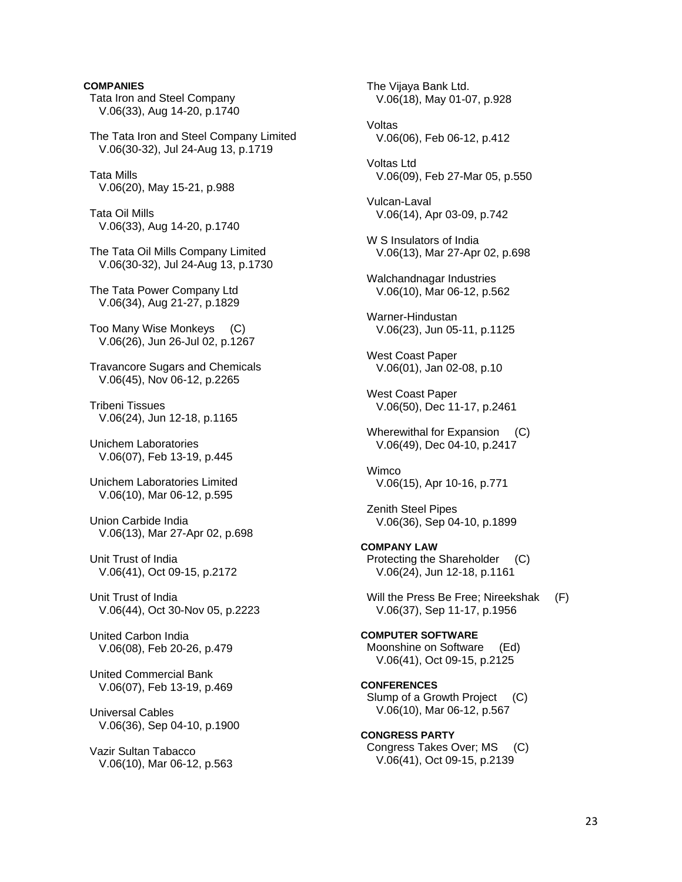Tata Iron and Steel Company V.06(33), Aug 14-20, p.1740 The Tata Iron and Steel Company Limited V.06(30-32), Jul 24-Aug 13, p.1719 Tata Mills V.06(20), May 15-21, p.988 Tata Oil Mills V.06(33), Aug 14-20, p.1740 The Tata Oil Mills Company Limited V.06(30-32), Jul 24-Aug 13, p.1730 The Tata Power Company Ltd V.06(34), Aug 21-27, p.1829 Too Many Wise Monkeys (C) V.06(26), Jun 26-Jul 02, p.1267 Travancore Sugars and Chemicals V.06(45), Nov 06-12, p.2265 Tribeni Tissues V.06(24), Jun 12-18, p.1165 Unichem Laboratories V.06(07), Feb 13-19, p.445 Unichem Laboratories Limited V.06(10), Mar 06-12, p.595 Union Carbide India V.06(13), Mar 27-Apr 02, p.698 Unit Trust of India V.06(41), Oct 09-15, p.2172 Unit Trust of India V.06(44), Oct 30-Nov 05, p.2223 United Carbon India V.06(08), Feb 20-26, p.479 United Commercial Bank V.06(07), Feb 13-19, p.469 Universal Cables V.06(36), Sep 04-10, p.1900 Vazir Sultan Tabacco V.06(10), Mar 06-12, p.563

**COMPANIES** 

 The Vijaya Bank Ltd. V.06(18), May 01-07, p.928 Voltas V.06(06), Feb 06-12, p.412 Voltas Ltd V.06(09), Feb 27-Mar 05, p.550 Vulcan-Laval V.06(14), Apr 03-09, p.742 W S Insulators of India V.06(13), Mar 27-Apr 02, p.698 Walchandnagar Industries V.06(10), Mar 06-12, p.562 Warner-Hindustan V.06(23), Jun 05-11, p.1125 West Coast Paper V.06(01), Jan 02-08, p.10 West Coast Paper V.06(50), Dec 11-17, p.2461 Wherewithal for Expansion (C) V.06(49), Dec 04-10, p.2417 Wimco V.06(15), Apr 10-16, p.771 Zenith Steel Pipes V.06(36), Sep 04-10, p.1899 **COMPANY LAW**  Protecting the Shareholder (C) V.06(24), Jun 12-18, p.1161 Will the Press Be Free: Nireekshak (F) V.06(37), Sep 11-17, p.1956 **COMPUTER SOFTWARE**  Moonshine on Software (Ed) V.06(41), Oct 09-15, p.2125 **CONFERENCES**  Slump of a Growth Project (C) V.06(10), Mar 06-12, p.567 **CONGRESS PARTY**  Congress Takes Over; MS (C) V.06(41), Oct 09-15, p.2139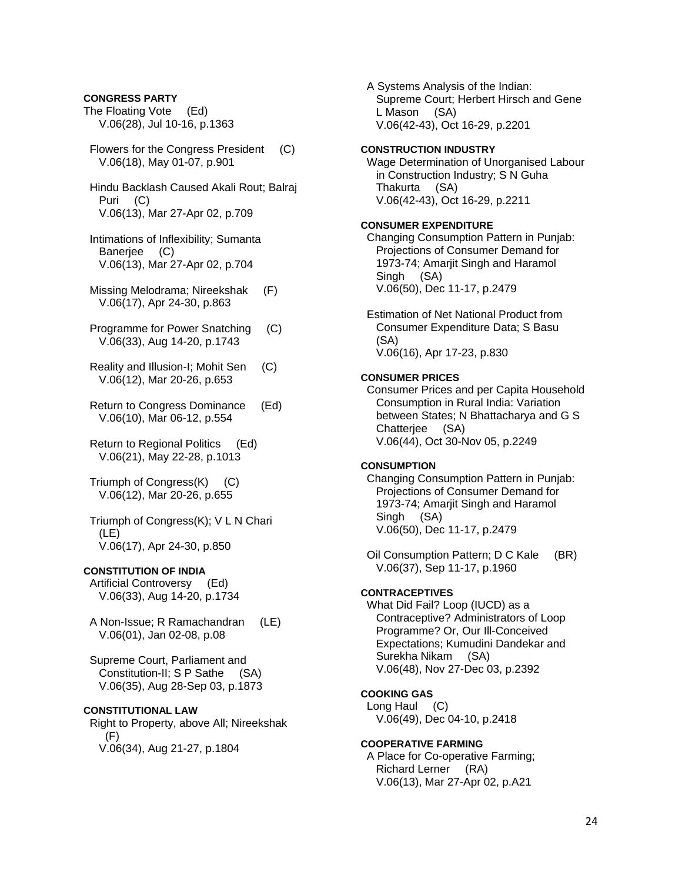### **CONGRESS PARTY**

The Floating Vote (Ed) V.06(28), Jul 10-16, p.1363

- Flowers for the Congress President (C) V.06(18), May 01-07, p.901
- Hindu Backlash Caused Akali Rout; Balraj Puri (C) V.06(13), Mar 27-Apr 02, p.709
- Intimations of Inflexibility; Sumanta Banerjee (C) V.06(13), Mar 27-Apr 02, p.704
- Missing Melodrama; Nireekshak (F) V.06(17), Apr 24-30, p.863
- Programme for Power Snatching (C) V.06(33), Aug 14-20, p.1743
- Reality and Illusion-I; Mohit Sen (C) V.06(12), Mar 20-26, p.653
- Return to Congress Dominance (Ed) V.06(10), Mar 06-12, p.554
- Return to Regional Politics (Ed) V.06(21), May 22-28, p.1013
- Triumph of Congress(K) (C) V.06(12), Mar 20-26, p.655
- Triumph of Congress(K); V L N Chari (LE) V.06(17), Apr 24-30, p.850

### **CONSTITUTION OF INDIA**

 Artificial Controversy (Ed) V.06(33), Aug 14-20, p.1734

- A Non-Issue; R Ramachandran (LE) V.06(01), Jan 02-08, p.08
- Supreme Court, Parliament and Constitution-II; S P Sathe (SA) V.06(35), Aug 28-Sep 03, p.1873

## **CONSTITUTIONAL LAW**

 Right to Property, above All; Nireekshak (F) V.06(34), Aug 21-27, p.1804

 A Systems Analysis of the Indian: Supreme Court; Herbert Hirsch and Gene L Mason (SA) V.06(42-43), Oct 16-29, p.2201

### **CONSTRUCTION INDUSTRY**

 Wage Determination of Unorganised Labour in Construction Industry; S N Guha Thakurta (SA) V.06(42-43), Oct 16-29, p.2211

### **CONSUMER EXPENDITURE**

 Changing Consumption Pattern in Punjab: Projections of Consumer Demand for 1973-74; Amarjit Singh and Haramol Singh (SA) V.06(50), Dec 11-17, p.2479

 Estimation of Net National Product from Consumer Expenditure Data; S Basu (SA) V.06(16), Apr 17-23, p.830

### **CONSUMER PRICES**

 Consumer Prices and per Capita Household Consumption in Rural India: Variation between States; N Bhattacharya and G S Chatterjee (SA) V.06(44), Oct 30-Nov 05, p.2249

### **CONSUMPTION**

 Changing Consumption Pattern in Punjab: Projections of Consumer Demand for 1973-74; Amarjit Singh and Haramol Singh (SA) V.06(50), Dec 11-17, p.2479

 Oil Consumption Pattern; D C Kale (BR) V.06(37), Sep 11-17, p.1960

### **CONTRACEPTIVES**

 What Did Fail? Loop (IUCD) as a Contraceptive? Administrators of Loop Programme? Or, Our Ill-Conceived Expectations; Kumudini Dandekar and Surekha Nikam (SA) V.06(48), Nov 27-Dec 03, p.2392

### **COOKING GAS**

 Long Haul (C) V.06(49), Dec 04-10, p.2418

### **COOPERATIVE FARMING**

 A Place for Co-operative Farming; Richard Lerner (RA) V.06(13), Mar 27-Apr 02, p.A21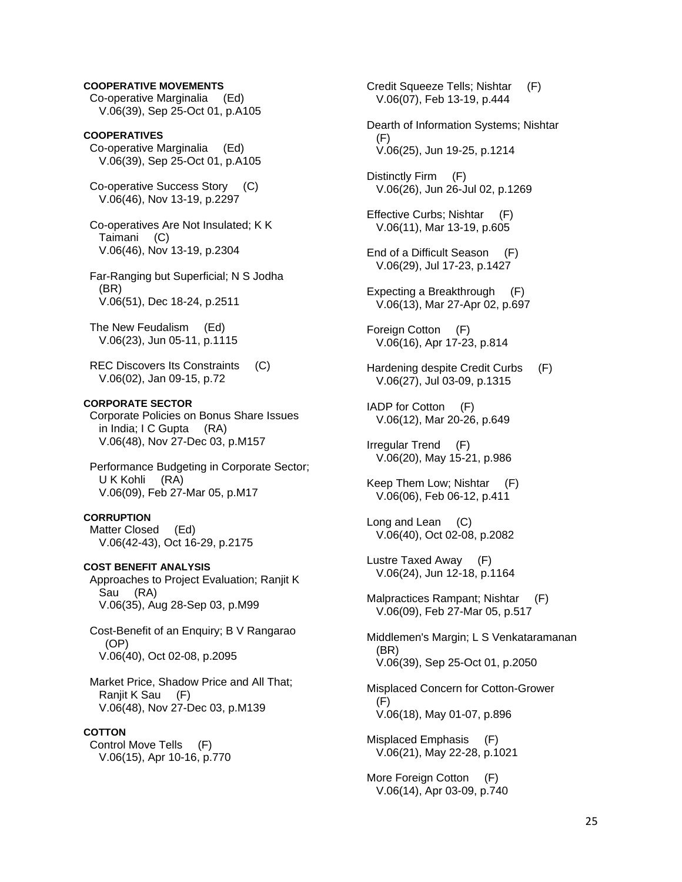## **COOPERATIVE MOVEMENTS**

 Co-operative Marginalia (Ed) V.06(39), Sep 25-Oct 01, p.A105

**COOPERATIVES**  Co-operative Marginalia (Ed) V.06(39), Sep 25-Oct 01, p.A105

 Co-operative Success Story (C) V.06(46), Nov 13-19, p.2297

 Co-operatives Are Not Insulated; K K Taimani (C) V.06(46), Nov 13-19, p.2304

 Far-Ranging but Superficial; N S Jodha (BR) V.06(51), Dec 18-24, p.2511

 The New Feudalism (Ed) V.06(23), Jun 05-11, p.1115

 REC Discovers Its Constraints (C) V.06(02), Jan 09-15, p.72

## **CORPORATE SECTOR**

 Corporate Policies on Bonus Share Issues in India; I C Gupta (RA) V.06(48), Nov 27-Dec 03, p.M157

 Performance Budgeting in Corporate Sector; U K Kohli (RA) V.06(09), Feb 27-Mar 05, p.M17

### **CORRUPTION**

 Matter Closed (Ed) V.06(42-43), Oct 16-29, p.2175

**COST BENEFIT ANALYSIS**  Approaches to Project Evaluation; Ranjit K Sau (RA) V.06(35), Aug 28-Sep 03, p.M99

 Cost-Benefit of an Enquiry; B V Rangarao (OP) V.06(40), Oct 02-08, p.2095

 Market Price, Shadow Price and All That; Ranjit K Sau (F) V.06(48), Nov 27-Dec 03, p.M139

## **COTTON**

 Control Move Tells (F) V.06(15), Apr 10-16, p.770  Credit Squeeze Tells; Nishtar (F) V.06(07), Feb 13-19, p.444

 Dearth of Information Systems; Nishtar (F) V.06(25), Jun 19-25, p.1214

 Distinctly Firm (F) V.06(26), Jun 26-Jul 02, p.1269

 Effective Curbs; Nishtar (F) V.06(11), Mar 13-19, p.605

- End of a Difficult Season (F) V.06(29), Jul 17-23, p.1427
- Expecting a Breakthrough (F) V.06(13), Mar 27-Apr 02, p.697

 Foreign Cotton (F) V.06(16), Apr 17-23, p.814

 Hardening despite Credit Curbs (F) V.06(27), Jul 03-09, p.1315

 IADP for Cotton (F) V.06(12), Mar 20-26, p.649

 Irregular Trend (F) V.06(20), May 15-21, p.986

 Keep Them Low; Nishtar (F) V.06(06), Feb 06-12, p.411

 Long and Lean (C) V.06(40), Oct 02-08, p.2082

 Lustre Taxed Away (F) V.06(24), Jun 12-18, p.1164

 Malpractices Rampant; Nishtar (F) V.06(09), Feb 27-Mar 05, p.517

 Middlemen's Margin; L S Venkataramanan (BR) V.06(39), Sep 25-Oct 01, p.2050

 Misplaced Concern for Cotton-Grower (F) V.06(18), May 01-07, p.896

 Misplaced Emphasis (F) V.06(21), May 22-28, p.1021

 More Foreign Cotton (F) V.06(14), Apr 03-09, p.740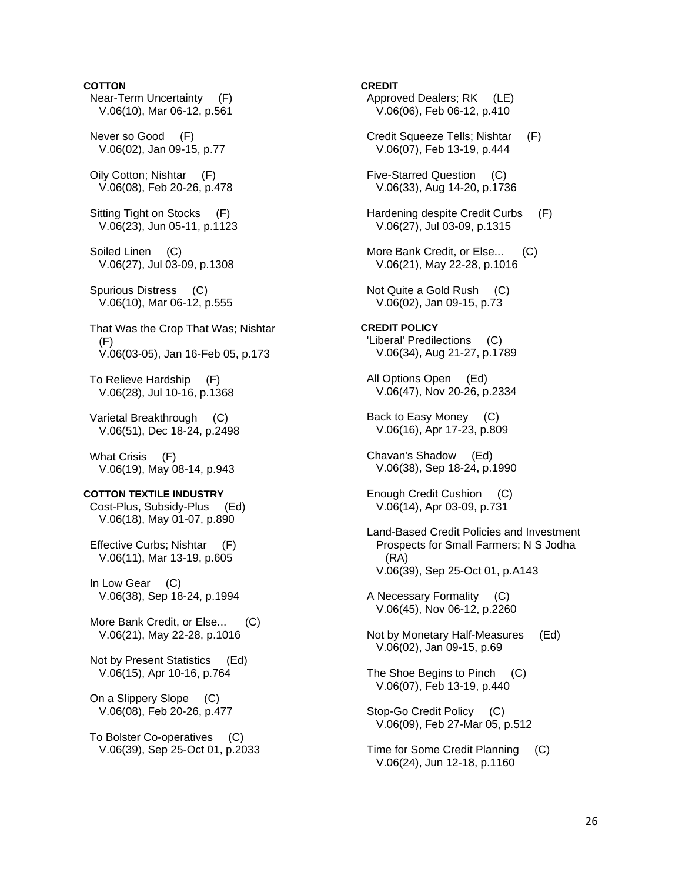## **COTTON**

- Near-Term Uncertainty (F) V.06(10), Mar 06-12, p.561
- Never so Good (F) V.06(02), Jan 09-15, p.77
- Oily Cotton; Nishtar (F) V.06(08), Feb 20-26, p.478
- Sitting Tight on Stocks (F) V.06(23), Jun 05-11, p.1123
- Soiled Linen (C) V.06(27), Jul 03-09, p.1308
- Spurious Distress (C) V.06(10), Mar 06-12, p.555
- That Was the Crop That Was; Nishtar  $(F)$ V.06(03-05), Jan 16-Feb 05, p.173
- To Relieve Hardship (F) V.06(28), Jul 10-16, p.1368
- Varietal Breakthrough (C) V.06(51), Dec 18-24, p.2498
- What Crisis (F) V.06(19), May 08-14, p.943

### **COTTON TEXTILE INDUSTRY**

 Cost-Plus, Subsidy-Plus (Ed) V.06(18), May 01-07, p.890

- Effective Curbs; Nishtar (F) V.06(11), Mar 13-19, p.605
- In Low Gear (C) V.06(38), Sep 18-24, p.1994
- More Bank Credit, or Else... (C) V.06(21), May 22-28, p.1016
- Not by Present Statistics (Ed) V.06(15), Apr 10-16, p.764
- On a Slippery Slope (C) V.06(08), Feb 20-26, p.477
- To Bolster Co-operatives (C) V.06(39), Sep 25-Oct 01, p.2033

### **CREDIT**

- Approved Dealers; RK (LE) V.06(06), Feb 06-12, p.410
- Credit Squeeze Tells; Nishtar (F) V.06(07), Feb 13-19, p.444
- Five-Starred Question (C) V.06(33), Aug 14-20, p.1736
- Hardening despite Credit Curbs (F) V.06(27), Jul 03-09, p.1315
- More Bank Credit, or Else... (C) V.06(21), May 22-28, p.1016
- Not Quite a Gold Rush (C) V.06(02), Jan 09-15, p.73
- **CREDIT POLICY**  'Liberal' Predilections (C) V.06(34), Aug 21-27, p.1789
- All Options Open (Ed) V.06(47), Nov 20-26, p.2334
- Back to Easy Money (C) V.06(16), Apr 17-23, p.809
- Chavan's Shadow (Ed) V.06(38), Sep 18-24, p.1990
- Enough Credit Cushion (C) V.06(14), Apr 03-09, p.731
- Land-Based Credit Policies and Investment Prospects for Small Farmers; N S Jodha (RA) V.06(39), Sep 25-Oct 01, p.A143
- A Necessary Formality (C) V.06(45), Nov 06-12, p.2260
- Not by Monetary Half-Measures (Ed) V.06(02), Jan 09-15, p.69
- The Shoe Begins to Pinch (C) V.06(07), Feb 13-19, p.440
- Stop-Go Credit Policy (C) V.06(09), Feb 27-Mar 05, p.512
- Time for Some Credit Planning (C) V.06(24), Jun 12-18, p.1160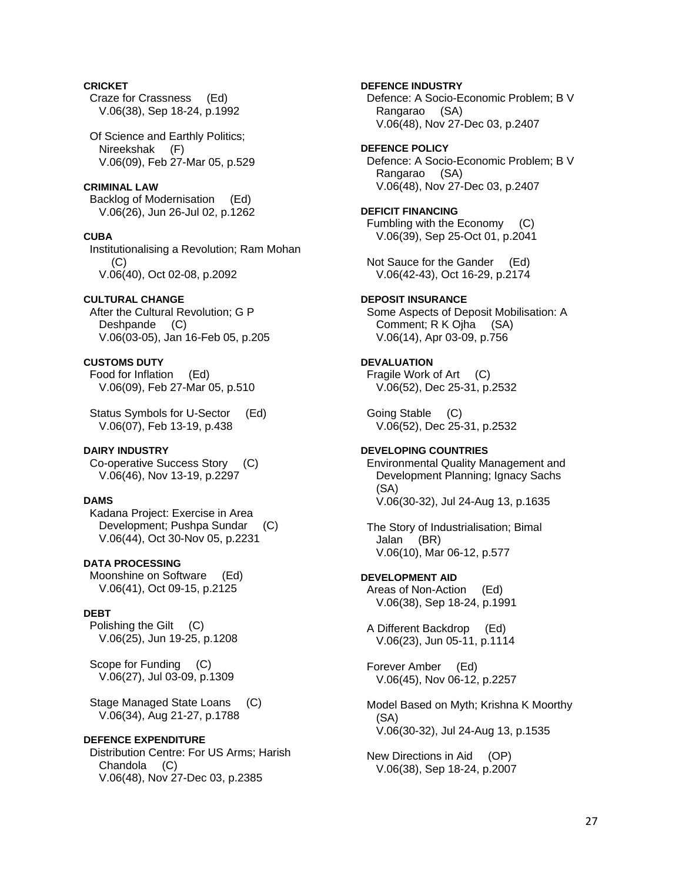## **CRICKET**

 Craze for Crassness (Ed) V.06(38), Sep 18-24, p.1992

 Of Science and Earthly Politics; Nireekshak (F) V.06(09), Feb 27-Mar 05, p.529

### **CRIMINAL LAW**

 Backlog of Modernisation (Ed) V.06(26), Jun 26-Jul 02, p.1262

## **CUBA**

 Institutionalising a Revolution; Ram Mohan  $(C)$ V.06(40), Oct 02-08, p.2092

## **CULTURAL CHANGE**

 After the Cultural Revolution; G P Deshpande (C) V.06(03-05), Jan 16-Feb 05, p.205

## **CUSTOMS DUTY**

 Food for Inflation (Ed) V.06(09), Feb 27-Mar 05, p.510

 Status Symbols for U-Sector (Ed) V.06(07), Feb 13-19, p.438

### **DAIRY INDUSTRY**

 Co-operative Success Story (C) V.06(46), Nov 13-19, p.2297

### **DAMS**

 Kadana Project: Exercise in Area Development; Pushpa Sundar (C) V.06(44), Oct 30-Nov 05, p.2231

## **DATA PROCESSING**

 Moonshine on Software (Ed) V.06(41), Oct 09-15, p.2125

## **DEBT**

 Polishing the Gilt (C) V.06(25), Jun 19-25, p.1208

Scope for Funding (C) V.06(27), Jul 03-09, p.1309

 Stage Managed State Loans (C) V.06(34), Aug 21-27, p.1788

### **DEFENCE EXPENDITURE**

 Distribution Centre: For US Arms; Harish Chandola (C) V.06(48), Nov 27-Dec 03, p.2385

**DEFENCE INDUSTRY**  Defence: A Socio-Economic Problem; B V Rangarao (SA) V.06(48), Nov 27-Dec 03, p.2407 **DEFENCE POLICY**  Defence: A Socio-Economic Problem; B V Rangarao (SA) V.06(48), Nov 27-Dec 03, p.2407 **DEFICIT FINANCING**  Fumbling with the Economy (C) V.06(39), Sep 25-Oct 01, p.2041 Not Sauce for the Gander (Ed) V.06(42-43), Oct 16-29, p.2174 **DEPOSIT INSURANCE**  Some Aspects of Deposit Mobilisation: A Comment; R K Ojha (SA) V.06(14), Apr 03-09, p.756 **DEVALUATION**  Fragile Work of Art (C) V.06(52), Dec 25-31, p.2532 Going Stable (C) V.06(52), Dec 25-31, p.2532 **DEVELOPING COUNTRIES**  Environmental Quality Management and Development Planning; Ignacy Sachs (SA) V.06(30-32), Jul 24-Aug 13, p.1635 The Story of Industrialisation; Bimal Jalan (BR) V.06(10), Mar 06-12, p.577 **DEVELOPMENT AID**  Areas of Non-Action (Ed) V.06(38), Sep 18-24, p.1991 A Different Backdrop (Ed) V.06(23), Jun 05-11, p.1114 Forever Amber (Ed) V.06(45), Nov 06-12, p.2257 Model Based on Myth; Krishna K Moorthy (SA) V.06(30-32), Jul 24-Aug 13, p.1535 New Directions in Aid (OP) V.06(38), Sep 18-24, p.2007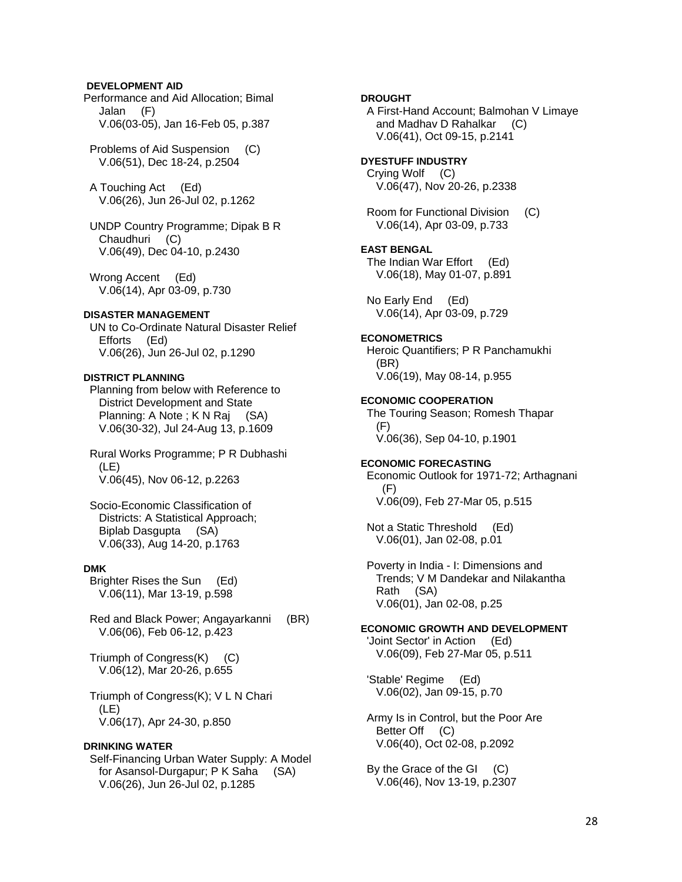## **DEVELOPMENT AID**

Performance and Aid Allocation; Bimal Jalan (F) V.06(03-05), Jan 16-Feb 05, p.387

 Problems of Aid Suspension (C) V.06(51), Dec 18-24, p.2504

 A Touching Act (Ed) V.06(26), Jun 26-Jul 02, p.1262

 UNDP Country Programme; Dipak B R Chaudhuri (C) V.06(49), Dec 04-10, p.2430

 Wrong Accent (Ed) V.06(14), Apr 03-09, p.730

### **DISASTER MANAGEMENT**

 UN to Co-Ordinate Natural Disaster Relief Efforts (Ed) V.06(26), Jun 26-Jul 02, p.1290

### **DISTRICT PLANNING**

 Planning from below with Reference to District Development and State Planning: A Note; K N Raj (SA) V.06(30-32), Jul 24-Aug 13, p.1609

 Rural Works Programme; P R Dubhashi (LE) V.06(45), Nov 06-12, p.2263

 Socio-Economic Classification of Districts: A Statistical Approach; Biplab Dasgupta (SA) V.06(33), Aug 14-20, p.1763

## **DMK**

 Brighter Rises the Sun (Ed) V.06(11), Mar 13-19, p.598

 Red and Black Power; Angayarkanni (BR) V.06(06), Feb 06-12, p.423

 Triumph of Congress(K) (C) V.06(12), Mar 20-26, p.655

 Triumph of Congress(K); V L N Chari (LE) V.06(17), Apr 24-30, p.850

### **DRINKING WATER**

 Self-Financing Urban Water Supply: A Model for Asansol-Durgapur; P K Saha (SA) V.06(26), Jun 26-Jul 02, p.1285

## **DROUGHT**

 A First-Hand Account; Balmohan V Limaye and Madhav D Rahalkar (C) V.06(41), Oct 09-15, p.2141

## **DYESTUFF INDUSTRY**

 Crying Wolf (C) V.06(47), Nov 20-26, p.2338

 Room for Functional Division (C) V.06(14), Apr 03-09, p.733

### **EAST BENGAL**

 The Indian War Effort (Ed) V.06(18), May 01-07, p.891

 No Early End (Ed) V.06(14), Apr 03-09, p.729

### **ECONOMETRICS**

 Heroic Quantifiers; P R Panchamukhi (BR) V.06(19), May 08-14, p.955

## **ECONOMIC COOPERATION**

 The Touring Season; Romesh Thapar (F) V.06(36), Sep 04-10, p.1901

### **ECONOMIC FORECASTING**  Economic Outlook for 1971-72; Arthagnani (F)

V.06(09), Feb 27-Mar 05, p.515

 Not a Static Threshold (Ed) V.06(01), Jan 02-08, p.01

 Poverty in India - I: Dimensions and Trends; V M Dandekar and Nilakantha Rath (SA) V.06(01), Jan 02-08, p.25

### **ECONOMIC GROWTH AND DEVELOPMENT**

 'Joint Sector' in Action (Ed) V.06(09), Feb 27-Mar 05, p.511

 'Stable' Regime (Ed) V.06(02), Jan 09-15, p.70

### Army Is in Control, but the Poor Are Better Off (C) V.06(40), Oct 02-08, p.2092

 By the Grace of the GI (C) V.06(46), Nov 13-19, p.2307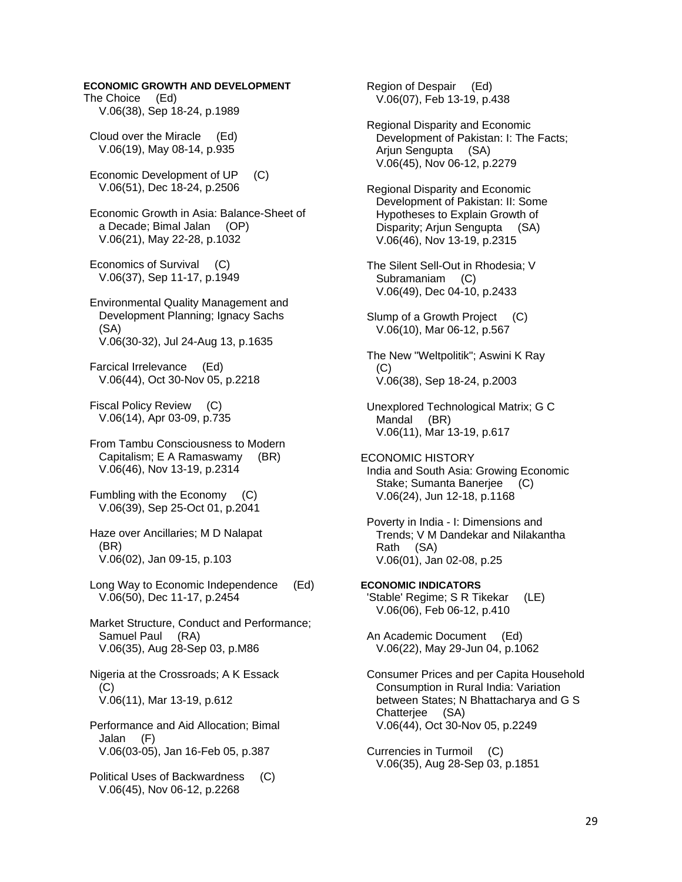## **ECONOMIC GROWTH AND DEVELOPMENT**

The Choice (Ed) V.06(38), Sep 18-24, p.1989

 Cloud over the Miracle (Ed) V.06(19), May 08-14, p.935

 Economic Development of UP (C) V.06(51), Dec 18-24, p.2506

 Economic Growth in Asia: Balance-Sheet of a Decade; Bimal Jalan (OP) V.06(21), May 22-28, p.1032

 Economics of Survival (C) V.06(37), Sep 11-17, p.1949

 Environmental Quality Management and Development Planning; Ignacy Sachs (SA) V.06(30-32), Jul 24-Aug 13, p.1635

 Farcical Irrelevance (Ed) V.06(44), Oct 30-Nov 05, p.2218

 Fiscal Policy Review (C) V.06(14), Apr 03-09, p.735

 From Tambu Consciousness to Modern Capitalism; E A Ramaswamy (BR) V.06(46), Nov 13-19, p.2314

 Fumbling with the Economy (C) V.06(39), Sep 25-Oct 01, p.2041

 Haze over Ancillaries; M D Nalapat (BR) V.06(02), Jan 09-15, p.103

 Long Way to Economic Independence (Ed) V.06(50), Dec 11-17, p.2454

 Market Structure, Conduct and Performance; Samuel Paul (RA) V.06(35), Aug 28-Sep 03, p.M86

 Nigeria at the Crossroads; A K Essack  $(C)$ V.06(11), Mar 13-19, p.612

 Performance and Aid Allocation; Bimal Jalan (F) V.06(03-05), Jan 16-Feb 05, p.387

 Political Uses of Backwardness (C) V.06(45), Nov 06-12, p.2268

 Region of Despair (Ed) V.06(07), Feb 13-19, p.438

 Regional Disparity and Economic Development of Pakistan: I: The Facts; Arjun Sengupta (SA) V.06(45), Nov 06-12, p.2279

 Regional Disparity and Economic Development of Pakistan: II: Some Hypotheses to Explain Growth of Disparity; Arjun Sengupta (SA) V.06(46), Nov 13-19, p.2315

 The Silent Sell-Out in Rhodesia; V Subramaniam (C) V.06(49), Dec 04-10, p.2433

Slump of a Growth Project (C) V.06(10), Mar 06-12, p.567

 The New "Weltpolitik"; Aswini K Ray (C) V.06(38), Sep 18-24, p.2003

 Unexplored Technological Matrix; G C Mandal (BR) V.06(11), Mar 13-19, p.617

ECONOMIC HISTORY India and South Asia: Growing Economic Stake; Sumanta Banerjee (C) V.06(24), Jun 12-18, p.1168

 Poverty in India - I: Dimensions and Trends; V M Dandekar and Nilakantha Rath (SA) V.06(01), Jan 02-08, p.25

**ECONOMIC INDICATORS**  'Stable' Regime; S R Tikekar (LE) V.06(06), Feb 06-12, p.410

 An Academic Document (Ed) V.06(22), May 29-Jun 04, p.1062

 Consumer Prices and per Capita Household Consumption in Rural India: Variation between States; N Bhattacharya and G S Chatterjee (SA) V.06(44), Oct 30-Nov 05, p.2249

 Currencies in Turmoil (C) V.06(35), Aug 28-Sep 03, p.1851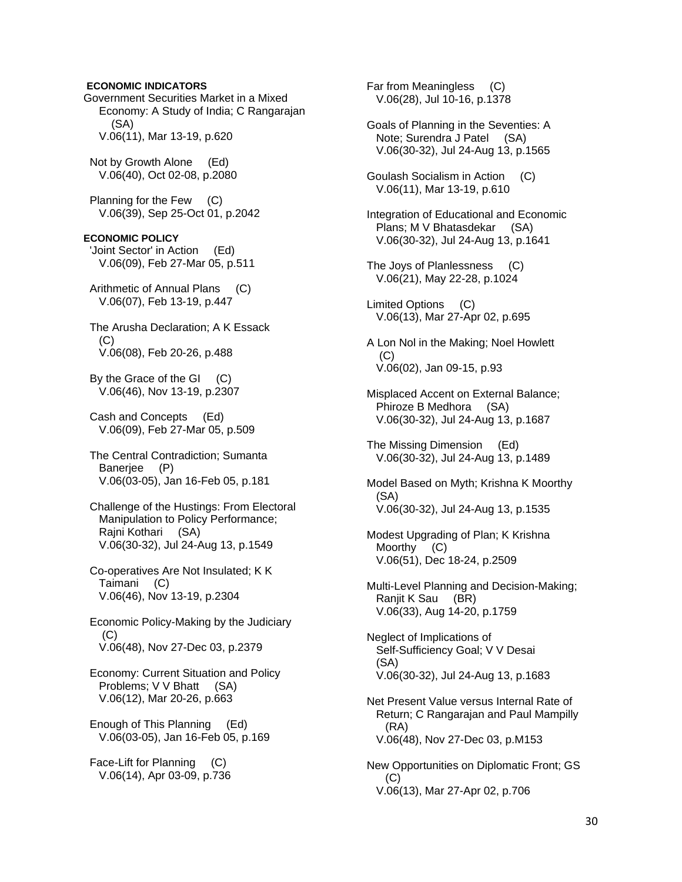**ECONOMIC INDICATORS**  Government Securities Market in a Mixed Economy: A Study of India; C Rangarajan (SA) V.06(11), Mar 13-19, p.620 Not by Growth Alone (Ed) V.06(40), Oct 02-08, p.2080 Planning for the Few (C) V.06(39), Sep 25-Oct 01, p.2042 **ECONOMIC POLICY**  'Joint Sector' in Action (Ed) V.06(09), Feb 27-Mar 05, p.511 Arithmetic of Annual Plans (C) V.06(07), Feb 13-19, p.447 The Arusha Declaration; A K Essack  $(C)$  V.06(08), Feb 20-26, p.488 By the Grace of the GI (C) V.06(46), Nov 13-19, p.2307 Cash and Concepts (Ed) V.06(09), Feb 27-Mar 05, p.509 The Central Contradiction; Sumanta Banerjee (P) V.06(03-05), Jan 16-Feb 05, p.181 Challenge of the Hustings: From Electoral Manipulation to Policy Performance; Rajni Kothari (SA) V.06(30-32), Jul 24-Aug 13, p.1549 Co-operatives Are Not Insulated; K K Taimani (C) V.06(46), Nov 13-19, p.2304 Economic Policy-Making by the Judiciary (C) V.06(48), Nov 27-Dec 03, p.2379

 Economy: Current Situation and Policy Problems; V V Bhatt (SA) V.06(12), Mar 20-26, p.663

 Enough of This Planning (Ed) V.06(03-05), Jan 16-Feb 05, p.169

 Face-Lift for Planning (C) V.06(14), Apr 03-09, p.736  Far from Meaningless (C) V.06(28), Jul 10-16, p.1378

 Goals of Planning in the Seventies: A Note; Surendra J Patel (SA) V.06(30-32), Jul 24-Aug 13, p.1565

 Goulash Socialism in Action (C) V.06(11), Mar 13-19, p.610

 Integration of Educational and Economic Plans; M V Bhatasdekar (SA) V.06(30-32), Jul 24-Aug 13, p.1641

 The Joys of Planlessness (C) V.06(21), May 22-28, p.1024

 Limited Options (C) V.06(13), Mar 27-Apr 02, p.695

 A Lon Nol in the Making; Noel Howlett  $(C)$ V.06(02), Jan 09-15, p.93

 Misplaced Accent on External Balance; Phiroze B Medhora (SA) V.06(30-32), Jul 24-Aug 13, p.1687

 The Missing Dimension (Ed) V.06(30-32), Jul 24-Aug 13, p.1489

 Model Based on Myth; Krishna K Moorthy (SA) V.06(30-32), Jul 24-Aug 13, p.1535

 Modest Upgrading of Plan; K Krishna Moorthy (C) V.06(51), Dec 18-24, p.2509

 Multi-Level Planning and Decision-Making; Ranjit K Sau (BR) V.06(33), Aug 14-20, p.1759

 Neglect of Implications of Self-Sufficiency Goal; V V Desai (SA) V.06(30-32), Jul 24-Aug 13, p.1683

 Net Present Value versus Internal Rate of Return; C Rangarajan and Paul Mampilly (RA) V.06(48), Nov 27-Dec 03, p.M153

 New Opportunities on Diplomatic Front; GS (C) V.06(13), Mar 27-Apr 02, p.706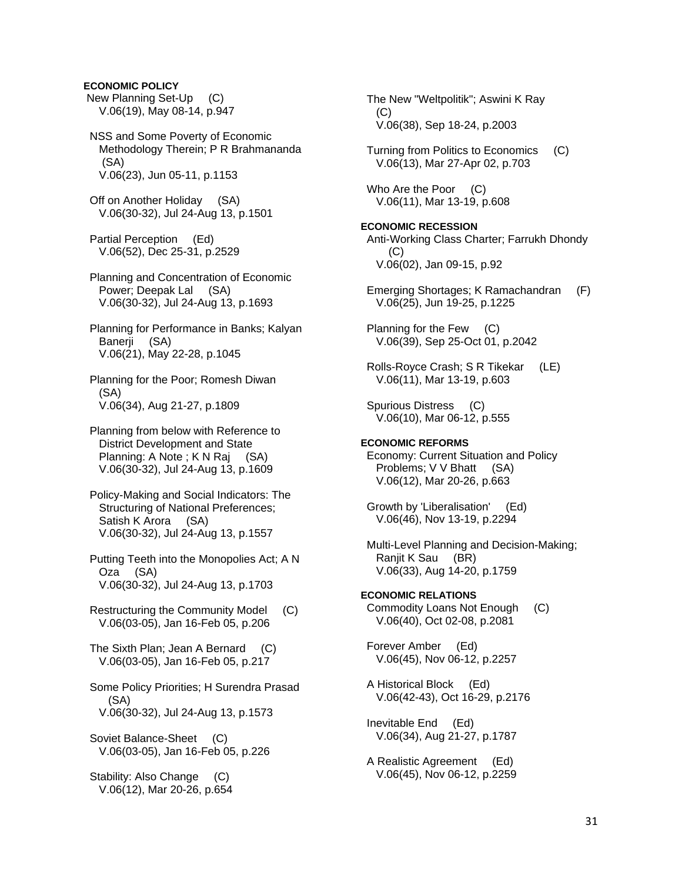## **ECONOMIC POLICY**

 New Planning Set-Up (C) V.06(19), May 08-14, p.947

 NSS and Some Poverty of Economic Methodology Therein; P R Brahmananda (SA) V.06(23), Jun 05-11, p.1153

 Off on Another Holiday (SA) V.06(30-32), Jul 24-Aug 13, p.1501

 Partial Perception (Ed) V.06(52), Dec 25-31, p.2529

 Planning and Concentration of Economic Power; Deepak Lal (SA) V.06(30-32), Jul 24-Aug 13, p.1693

 Planning for Performance in Banks; Kalyan Banerii (SA) V.06(21), May 22-28, p.1045

 Planning for the Poor; Romesh Diwan (SA) V.06(34), Aug 21-27, p.1809

 Planning from below with Reference to District Development and State Planning: A Note ; K N Raj (SA) V.06(30-32), Jul 24-Aug 13, p.1609

 Policy-Making and Social Indicators: The Structuring of National Preferences; Satish K Arora (SA) V.06(30-32), Jul 24-Aug 13, p.1557

 Putting Teeth into the Monopolies Act; A N Oza (SA) V.06(30-32), Jul 24-Aug 13, p.1703

 Restructuring the Community Model (C) V.06(03-05), Jan 16-Feb 05, p.206

 The Sixth Plan; Jean A Bernard (C) V.06(03-05), Jan 16-Feb 05, p.217

 Some Policy Priorities; H Surendra Prasad (SA) V.06(30-32), Jul 24-Aug 13, p.1573

Soviet Balance-Sheet (C) V.06(03-05), Jan 16-Feb 05, p.226

 Stability: Also Change (C) V.06(12), Mar 20-26, p.654  The New "Weltpolitik"; Aswini K Ray (C) V.06(38), Sep 18-24, p.2003

 Turning from Politics to Economics (C) V.06(13), Mar 27-Apr 02, p.703

Who Are the Poor (C) V.06(11), Mar 13-19, p.608

**ECONOMIC RECESSION**  Anti-Working Class Charter; Farrukh Dhondy (C) V.06(02), Jan 09-15, p.92

 Emerging Shortages; K Ramachandran (F) V.06(25), Jun 19-25, p.1225

 Planning for the Few (C) V.06(39), Sep 25-Oct 01, p.2042

 Rolls-Royce Crash; S R Tikekar (LE) V.06(11), Mar 13-19, p.603

 Spurious Distress (C) V.06(10), Mar 06-12, p.555

**ECONOMIC REFORMS**  Economy: Current Situation and Policy Problems; V V Bhatt (SA) V.06(12), Mar 20-26, p.663

 Growth by 'Liberalisation' (Ed) V.06(46), Nov 13-19, p.2294

 Multi-Level Planning and Decision-Making; Ranjit K Sau (BR) V.06(33), Aug 14-20, p.1759

**ECONOMIC RELATIONS**  Commodity Loans Not Enough (C) V.06(40), Oct 02-08, p.2081

 Forever Amber (Ed) V.06(45), Nov 06-12, p.2257

 A Historical Block (Ed) V.06(42-43), Oct 16-29, p.2176

 Inevitable End (Ed) V.06(34), Aug 21-27, p.1787

 A Realistic Agreement (Ed) V.06(45), Nov 06-12, p.2259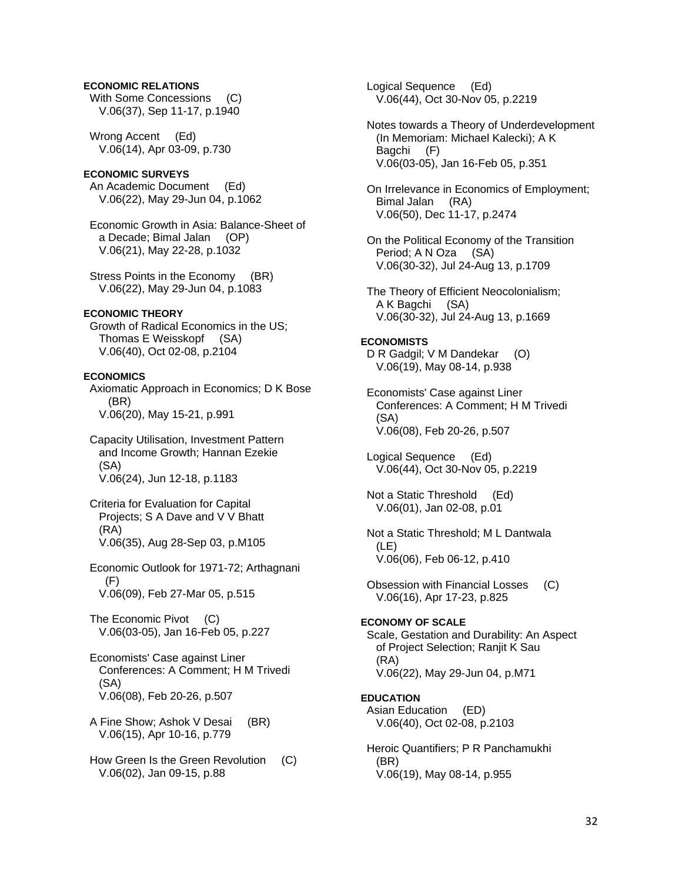## **ECONOMIC RELATIONS**

With Some Concessions (C) V.06(37), Sep 11-17, p.1940

 Wrong Accent (Ed) V.06(14), Apr 03-09, p.730

### **ECONOMIC SURVEYS**

 An Academic Document (Ed) V.06(22), May 29-Jun 04, p.1062

 Economic Growth in Asia: Balance-Sheet of a Decade; Bimal Jalan (OP) V.06(21), May 22-28, p.1032

 Stress Points in the Economy (BR) V.06(22), May 29-Jun 04, p.1083

### **ECONOMIC THEORY**

 Growth of Radical Economics in the US; Thomas E Weisskopf (SA) V.06(40), Oct 02-08, p.2104

### **ECONOMICS**

 Axiomatic Approach in Economics; D K Bose (BR) V.06(20), May 15-21, p.991

 Capacity Utilisation, Investment Pattern and Income Growth; Hannan Ezekie (SA) V.06(24), Jun 12-18, p.1183

 Criteria for Evaluation for Capital Projects; S A Dave and V V Bhatt (RA) V.06(35), Aug 28-Sep 03, p.M105

 Economic Outlook for 1971-72; Arthagnani (F) V.06(09), Feb 27-Mar 05, p.515

The Economic Pivot (C) V.06(03-05), Jan 16-Feb 05, p.227

 Economists' Case against Liner Conferences: A Comment; H M Trivedi (SA) V.06(08), Feb 20-26, p.507

 A Fine Show; Ashok V Desai (BR) V.06(15), Apr 10-16, p.779

 How Green Is the Green Revolution (C) V.06(02), Jan 09-15, p.88

 Logical Sequence (Ed) V.06(44), Oct 30-Nov 05, p.2219

 Notes towards a Theory of Underdevelopment (In Memoriam: Michael Kalecki); A K Bagchi (F) V.06(03-05), Jan 16-Feb 05, p.351

 On Irrelevance in Economics of Employment; Bimal Jalan (RA) V.06(50), Dec 11-17, p.2474

 On the Political Economy of the Transition Period; A N Oza (SA) V.06(30-32), Jul 24-Aug 13, p.1709

 The Theory of Efficient Neocolonialism; A K Bagchi (SA) V.06(30-32), Jul 24-Aug 13, p.1669

### **ECONOMISTS**

D R Gadgil; V M Dandekar (O) V.06(19), May 08-14, p.938

 Economists' Case against Liner Conferences: A Comment; H M Trivedi (SA) V.06(08), Feb 20-26, p.507

 Logical Sequence (Ed) V.06(44), Oct 30-Nov 05, p.2219

 Not a Static Threshold (Ed) V.06(01), Jan 02-08, p.01

 Not a Static Threshold; M L Dantwala (LE) V.06(06), Feb 06-12, p.410

 Obsession with Financial Losses (C) V.06(16), Apr 17-23, p.825

## **ECONOMY OF SCALE**

 Scale, Gestation and Durability: An Aspect of Project Selection; Ranjit K Sau (RA) V.06(22), May 29-Jun 04, p.M71

### **EDUCATION**

 Asian Education (ED) V.06(40), Oct 02-08, p.2103

 Heroic Quantifiers; P R Panchamukhi (BR) V.06(19), May 08-14, p.955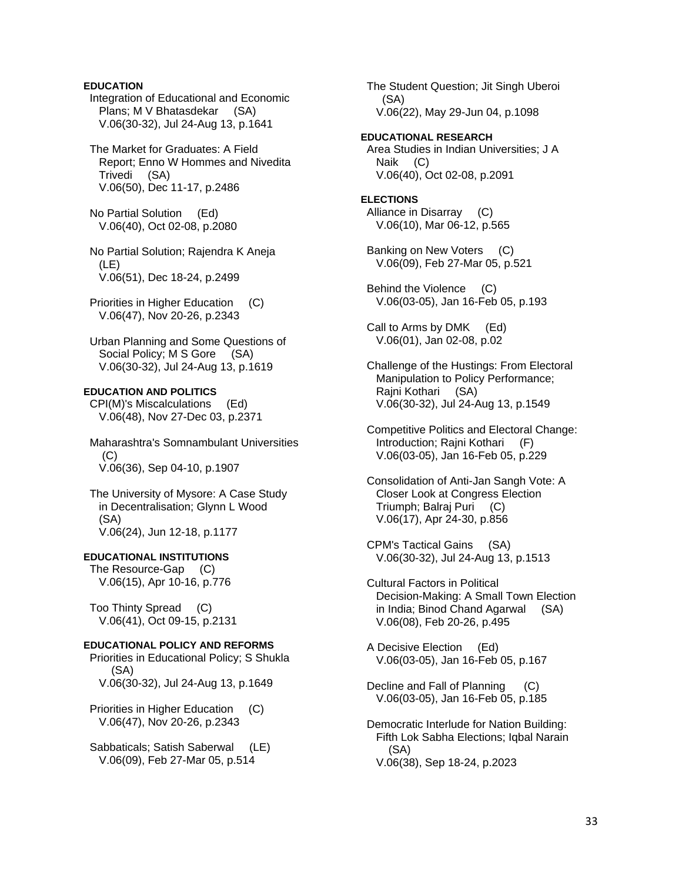## **EDUCATION**

 Integration of Educational and Economic Plans; M V Bhatasdekar (SA) V.06(30-32), Jul 24-Aug 13, p.1641

 The Market for Graduates: A Field Report; Enno W Hommes and Nivedita Trivedi (SA) V.06(50), Dec 11-17, p.2486

 No Partial Solution (Ed) V.06(40), Oct 02-08, p.2080

 No Partial Solution; Rajendra K Aneja  $(LE)$ V.06(51), Dec 18-24, p.2499

Priorities in Higher Education (C) V.06(47), Nov 20-26, p.2343

 Urban Planning and Some Questions of Social Policy; M S Gore (SA) V.06(30-32), Jul 24-Aug 13, p.1619

## **EDUCATION AND POLITICS**

 CPI(M)'s Miscalculations (Ed) V.06(48), Nov 27-Dec 03, p.2371

 Maharashtra's Somnambulant Universities  $(C)$ V.06(36), Sep 04-10, p.1907

 The University of Mysore: A Case Study in Decentralisation; Glynn L Wood (SA) V.06(24), Jun 12-18, p.1177

## **EDUCATIONAL INSTITUTIONS**

 The Resource-Gap (C) V.06(15), Apr 10-16, p.776

 Too Thinty Spread (C) V.06(41), Oct 09-15, p.2131

### **EDUCATIONAL POLICY AND REFORMS**

 Priorities in Educational Policy; S Shukla (SA) V.06(30-32), Jul 24-Aug 13, p.1649

 Priorities in Higher Education (C) V.06(47), Nov 20-26, p.2343

 Sabbaticals; Satish Saberwal (LE) V.06(09), Feb 27-Mar 05, p.514

 The Student Question; Jit Singh Uberoi (SA) V.06(22), May 29-Jun 04, p.1098

**EDUCATIONAL RESEARCH**  Area Studies in Indian Universities; J A Naik (C) V.06(40), Oct 02-08, p.2091

**ELECTIONS**  Alliance in Disarray (C) V.06(10), Mar 06-12, p.565

 Banking on New Voters (C) V.06(09), Feb 27-Mar 05, p.521

 Behind the Violence (C) V.06(03-05), Jan 16-Feb 05, p.193

 Call to Arms by DMK (Ed) V.06(01), Jan 02-08, p.02

 Challenge of the Hustings: From Electoral Manipulation to Policy Performance; Rajni Kothari (SA) V.06(30-32), Jul 24-Aug 13, p.1549

 Competitive Politics and Electoral Change: Introduction; Rajni Kothari (F) V.06(03-05), Jan 16-Feb 05, p.229

 Consolidation of Anti-Jan Sangh Vote: A Closer Look at Congress Election Triumph; Balraj Puri (C) V.06(17), Apr 24-30, p.856

 CPM's Tactical Gains (SA) V.06(30-32), Jul 24-Aug 13, p.1513

 Cultural Factors in Political Decision-Making: A Small Town Election in India; Binod Chand Agarwal (SA) V.06(08), Feb 20-26, p.495

 A Decisive Election (Ed) V.06(03-05), Jan 16-Feb 05, p.167

 Decline and Fall of Planning (C) V.06(03-05), Jan 16-Feb 05, p.185

 Democratic Interlude for Nation Building: Fifth Lok Sabha Elections; Iqbal Narain (SA) V.06(38), Sep 18-24, p.2023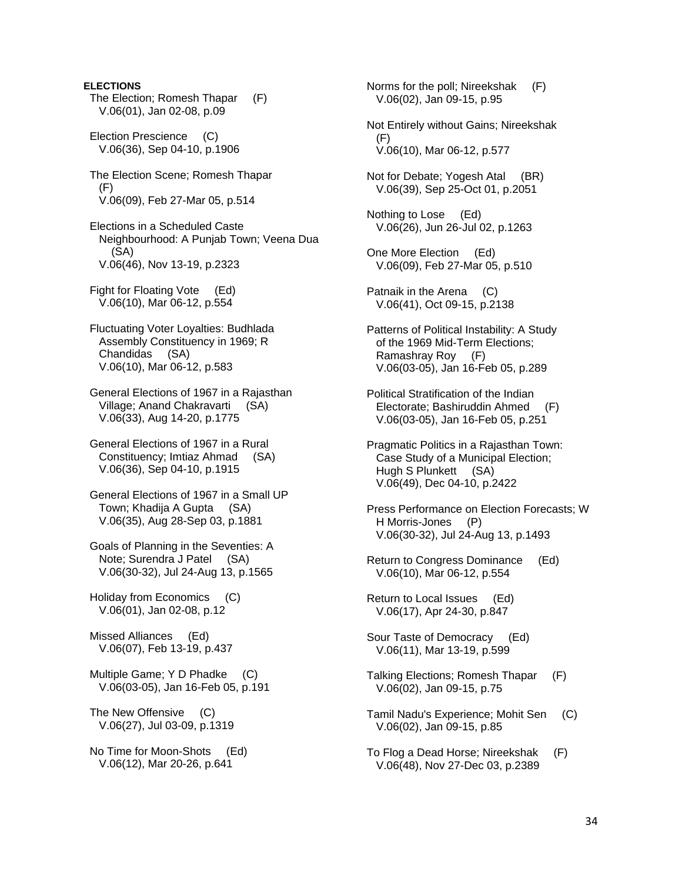## **ELECTIONS**

- The Election; Romesh Thapar (F) V.06(01), Jan 02-08, p.09
- Election Prescience (C) V.06(36), Sep 04-10, p.1906
- The Election Scene; Romesh Thapar (F) V.06(09), Feb 27-Mar 05, p.514
- Elections in a Scheduled Caste Neighbourhood: A Punjab Town; Veena Dua (SA) V.06(46), Nov 13-19, p.2323
- Fight for Floating Vote (Ed) V.06(10), Mar 06-12, p.554
- Fluctuating Voter Loyalties: Budhlada Assembly Constituency in 1969; R Chandidas (SA) V.06(10), Mar 06-12, p.583
- General Elections of 1967 in a Rajasthan Village; Anand Chakravarti (SA) V.06(33), Aug 14-20, p.1775
- General Elections of 1967 in a Rural Constituency; Imtiaz Ahmad (SA) V.06(36), Sep 04-10, p.1915
- General Elections of 1967 in a Small UP Town; Khadija A Gupta (SA) V.06(35), Aug 28-Sep 03, p.1881
- Goals of Planning in the Seventies: A Note; Surendra J Patel (SA) V.06(30-32), Jul 24-Aug 13, p.1565
- Holiday from Economics (C) V.06(01), Jan 02-08, p.12
- Missed Alliances (Ed) V.06(07), Feb 13-19, p.437
- Multiple Game; Y D Phadke (C) V.06(03-05), Jan 16-Feb 05, p.191
- The New Offensive (C) V.06(27), Jul 03-09, p.1319
- No Time for Moon-Shots (Ed) V.06(12), Mar 20-26, p.641

 Norms for the poll; Nireekshak (F) V.06(02), Jan 09-15, p.95

- Not Entirely without Gains; Nireekshak (F) V.06(10), Mar 06-12, p.577
- Not for Debate; Yogesh Atal (BR) V.06(39), Sep 25-Oct 01, p.2051
- Nothing to Lose (Ed) V.06(26), Jun 26-Jul 02, p.1263
- One More Election (Ed) V.06(09), Feb 27-Mar 05, p.510
- Patnaik in the Arena (C) V.06(41), Oct 09-15, p.2138
- Patterns of Political Instability: A Study of the 1969 Mid-Term Elections; Ramashray Roy (F) V.06(03-05), Jan 16-Feb 05, p.289
- Political Stratification of the Indian Electorate; Bashiruddin Ahmed (F) V.06(03-05), Jan 16-Feb 05, p.251
- Pragmatic Politics in a Rajasthan Town: Case Study of a Municipal Election; Hugh S Plunkett (SA) V.06(49), Dec 04-10, p.2422
- Press Performance on Election Forecasts; W H Morris-Jones (P) V.06(30-32), Jul 24-Aug 13, p.1493
- Return to Congress Dominance (Ed) V.06(10), Mar 06-12, p.554
- Return to Local Issues (Ed) V.06(17), Apr 24-30, p.847
- Sour Taste of Democracy (Ed) V.06(11), Mar 13-19, p.599
- Talking Elections; Romesh Thapar (F) V.06(02), Jan 09-15, p.75
- Tamil Nadu's Experience; Mohit Sen (C) V.06(02), Jan 09-15, p.85
- To Flog a Dead Horse; Nireekshak (F) V.06(48), Nov 27-Dec 03, p.2389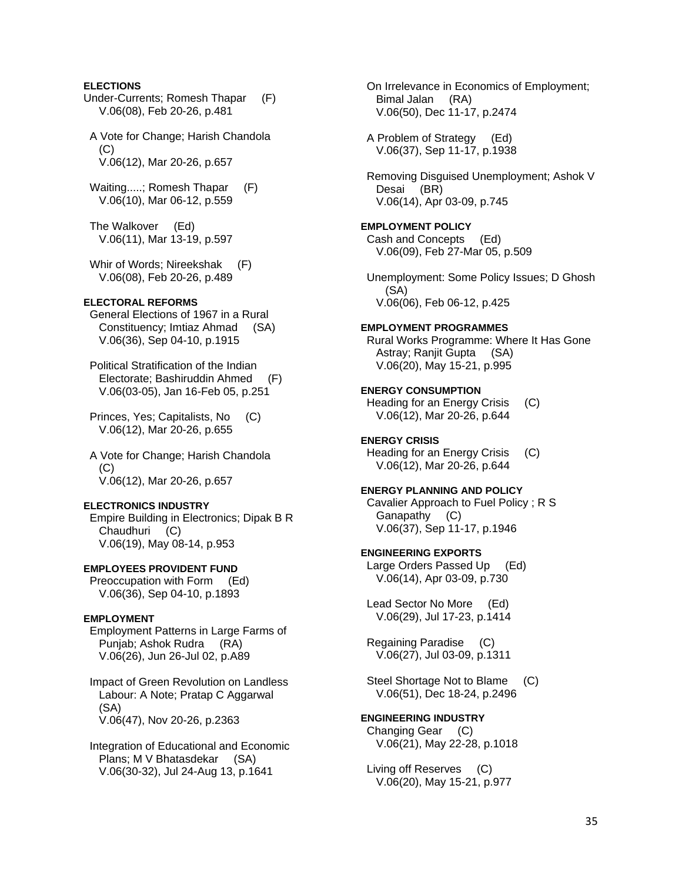### **ELECTIONS**

- Under-Currents; Romesh Thapar (F) V.06(08), Feb 20-26, p.481
- A Vote for Change; Harish Chandola  $(C)$ V.06(12), Mar 20-26, p.657
- Waiting.....; Romesh Thapar (F) V.06(10), Mar 06-12, p.559
- The Walkover (Ed) V.06(11), Mar 13-19, p.597
- Whir of Words; Nireekshak (F) V.06(08), Feb 20-26, p.489

### **ELECTORAL REFORMS**

- General Elections of 1967 in a Rural Constituency; Imtiaz Ahmad (SA) V.06(36), Sep 04-10, p.1915
- Political Stratification of the Indian Electorate; Bashiruddin Ahmed (F) V.06(03-05), Jan 16-Feb 05, p.251
- Princes, Yes; Capitalists, No (C) V.06(12), Mar 20-26, p.655
- A Vote for Change; Harish Chandola  $(C)$ V.06(12), Mar 20-26, p.657

### **ELECTRONICS INDUSTRY**

 Empire Building in Electronics; Dipak B R Chaudhuri (C) V.06(19), May 08-14, p.953

### **EMPLOYEES PROVIDENT FUND**

 Preoccupation with Form (Ed) V.06(36), Sep 04-10, p.1893

### **EMPLOYMENT**

 Employment Patterns in Large Farms of Punjab; Ashok Rudra (RA) V.06(26), Jun 26-Jul 02, p.A89

 Impact of Green Revolution on Landless Labour: A Note; Pratap C Aggarwal (SA) V.06(47), Nov 20-26, p.2363

 Integration of Educational and Economic Plans; M V Bhatasdekar (SA) V.06(30-32), Jul 24-Aug 13, p.1641

 On Irrelevance in Economics of Employment; Bimal Jalan (RA) V.06(50), Dec 11-17, p.2474

 A Problem of Strategy (Ed) V.06(37), Sep 11-17, p.1938

 Removing Disguised Unemployment; Ashok V Desai (BR) V.06(14), Apr 03-09, p.745

### **EMPLOYMENT POLICY**  Cash and Concepts (Ed) V.06(09), Feb 27-Mar 05, p.509

 Unemployment: Some Policy Issues; D Ghosh (SA) V.06(06), Feb 06-12, p.425

### **EMPLOYMENT PROGRAMMES**

 Rural Works Programme: Where It Has Gone Astray; Ranjit Gupta (SA) V.06(20), May 15-21, p.995

### **ENERGY CONSUMPTION**

 Heading for an Energy Crisis (C) V.06(12), Mar 20-26, p.644

### **ENERGY CRISIS**

 Heading for an Energy Crisis (C) V.06(12), Mar 20-26, p.644

### **ENERGY PLANNING AND POLICY**

 Cavalier Approach to Fuel Policy ; R S Ganapathy (C) V.06(37), Sep 11-17, p.1946

## **ENGINEERING EXPORTS**

 Large Orders Passed Up (Ed) V.06(14), Apr 03-09, p.730

 Lead Sector No More (Ed) V.06(29), Jul 17-23, p.1414

 Regaining Paradise (C) V.06(27), Jul 03-09, p.1311

 Steel Shortage Not to Blame (C) V.06(51), Dec 18-24, p.2496

## **ENGINEERING INDUSTRY**

 Changing Gear (C) V.06(21), May 22-28, p.1018

 Living off Reserves (C) V.06(20), May 15-21, p.977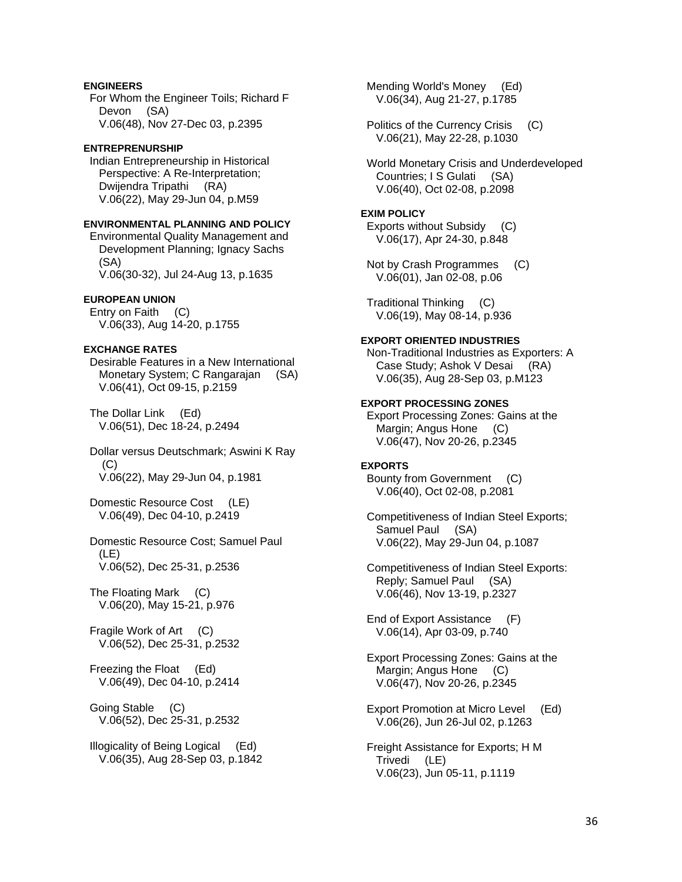## **ENGINEERS**

 For Whom the Engineer Toils; Richard F Devon (SA) V.06(48), Nov 27-Dec 03, p.2395

### **ENTREPRENURSHIP**

 Indian Entrepreneurship in Historical Perspective: A Re-Interpretation; Dwijendra Tripathi (RA) V.06(22), May 29-Jun 04, p.M59

## **ENVIRONMENTAL PLANNING AND POLICY**

 Environmental Quality Management and Development Planning; Ignacy Sachs (SA) V.06(30-32), Jul 24-Aug 13, p.1635

## **EUROPEAN UNION**

 Entry on Faith (C) V.06(33), Aug 14-20, p.1755

## **EXCHANGE RATES**

 Desirable Features in a New International Monetary System; C Rangarajan (SA) V.06(41), Oct 09-15, p.2159

 The Dollar Link (Ed) V.06(51), Dec 18-24, p.2494

 Dollar versus Deutschmark; Aswini K Ray (C) V.06(22), May 29-Jun 04, p.1981

 Domestic Resource Cost (LE) V.06(49), Dec 04-10, p.2419

 Domestic Resource Cost; Samuel Paul (LE) V.06(52), Dec 25-31, p.2536

 The Floating Mark (C) V.06(20), May 15-21, p.976

 Fragile Work of Art (C) V.06(52), Dec 25-31, p.2532

 Freezing the Float (Ed) V.06(49), Dec 04-10, p.2414

 Going Stable (C) V.06(52), Dec 25-31, p.2532

 Illogicality of Being Logical (Ed) V.06(35), Aug 28-Sep 03, p.1842  Mending World's Money (Ed) V.06(34), Aug 21-27, p.1785

 Politics of the Currency Crisis (C) V.06(21), May 22-28, p.1030

 World Monetary Crisis and Underdeveloped Countries; I S Gulati (SA) V.06(40), Oct 02-08, p.2098

### **EXIM POLICY**

 Exports without Subsidy (C) V.06(17), Apr 24-30, p.848

 Not by Crash Programmes (C) V.06(01), Jan 02-08, p.06

 Traditional Thinking (C) V.06(19), May 08-14, p.936

### **EXPORT ORIENTED INDUSTRIES**

 Non-Traditional Industries as Exporters: A Case Study; Ashok V Desai (RA) V.06(35), Aug 28-Sep 03, p.M123

## **EXPORT PROCESSING ZONES**

 Export Processing Zones: Gains at the Margin; Angus Hone (C) V.06(47), Nov 20-26, p.2345

## **EXPORTS**

 Bounty from Government (C) V.06(40), Oct 02-08, p.2081

 Competitiveness of Indian Steel Exports; Samuel Paul (SA) V.06(22), May 29-Jun 04, p.1087

 Competitiveness of Indian Steel Exports: Reply; Samuel Paul (SA) V.06(46), Nov 13-19, p.2327

 End of Export Assistance (F) V.06(14), Apr 03-09, p.740

 Export Processing Zones: Gains at the Margin; Angus Hone (C) V.06(47), Nov 20-26, p.2345

 Export Promotion at Micro Level (Ed) V.06(26), Jun 26-Jul 02, p.1263

 Freight Assistance for Exports; H M Trivedi (LE) V.06(23), Jun 05-11, p.1119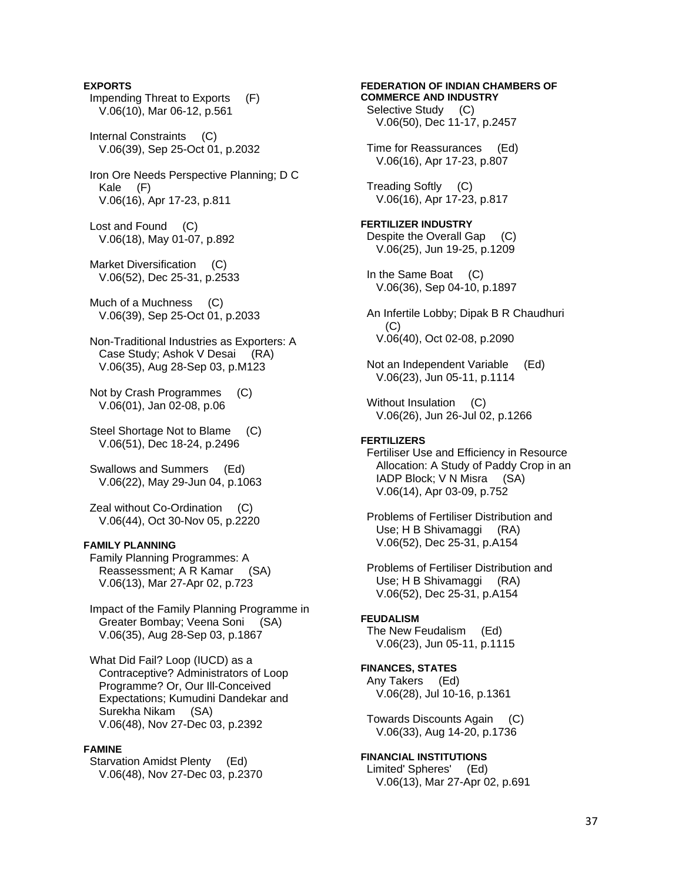# **EXPORTS**  Impending Threat to Exports (F) V.06(10), Mar 06-12, p.561 Internal Constraints (C) V.06(39), Sep 25-Oct 01, p.2032 Iron Ore Needs Perspective Planning; D C Kale (F) V.06(16), Apr 17-23, p.811 Lost and Found (C) V.06(18), May 01-07, p.892 Market Diversification (C) V.06(52), Dec 25-31, p.2533 Much of a Muchness (C) V.06(39), Sep 25-Oct 01, p.2033 Non-Traditional Industries as Exporters: A Case Study; Ashok V Desai (RA) V.06(35), Aug 28-Sep 03, p.M123 Not by Crash Programmes (C) V.06(01), Jan 02-08, p.06 Steel Shortage Not to Blame (C) V.06(51), Dec 18-24, p.2496 Swallows and Summers (Ed) V.06(22), May 29-Jun 04, p.1063 Zeal without Co-Ordination (C) V.06(44), Oct 30-Nov 05, p.2220 **FAMILY PLANNING**  Family Planning Programmes: A Reassessment; A R Kamar (SA) V.06(13), Mar 27-Apr 02, p.723 Impact of the Family Planning Programme in Greater Bombay; Veena Soni (SA)

 What Did Fail? Loop (IUCD) as a Contraceptive? Administrators of Loop Programme? Or, Our Ill-Conceived Expectations; Kumudini Dandekar and Surekha Nikam (SA) V.06(48), Nov 27-Dec 03, p.2392

V.06(35), Aug 28-Sep 03, p.1867

#### **FAMINE**

 Starvation Amidst Plenty (Ed) V.06(48), Nov 27-Dec 03, p.2370

# **COMMERCE AND INDUSTRY**  Selective Study (C) V.06(50), Dec 11-17, p.2457 Time for Reassurances (Ed) V.06(16), Apr 17-23, p.807 Treading Softly (C) V.06(16), Apr 17-23, p.817 **FERTILIZER INDUSTRY**  Despite the Overall Gap (C) V.06(25), Jun 19-25, p.1209 In the Same Boat (C) V.06(36), Sep 04-10, p.1897 An Infertile Lobby; Dipak B R Chaudhuri (C) V.06(40), Oct 02-08, p.2090 Not an Independent Variable (Ed) V.06(23), Jun 05-11, p.1114 Without Insulation (C) V.06(26), Jun 26-Jul 02, p.1266 **FERTILIZERS**  Fertiliser Use and Efficiency in Resource Allocation: A Study of Paddy Crop in an IADP Block; V N Misra (SA) V.06(14), Apr 03-09, p.752 Problems of Fertiliser Distribution and Use; H B Shivamaggi (RA) V.06(52), Dec 25-31, p.A154 Problems of Fertiliser Distribution and Use; H B Shivamaggi (RA) V.06(52), Dec 25-31, p.A154 **FEUDALISM**  The New Feudalism (Ed) V.06(23), Jun 05-11, p.1115 **FINANCES, STATES**  Any Takers (Ed) V.06(28), Jul 10-16, p.1361 Towards Discounts Again (C) V.06(33), Aug 14-20, p.1736 **FINANCIAL INSTITUTIONS**

**FEDERATION OF INDIAN CHAMBERS OF** 

 Limited' Spheres' (Ed) V.06(13), Mar 27-Apr 02, p.691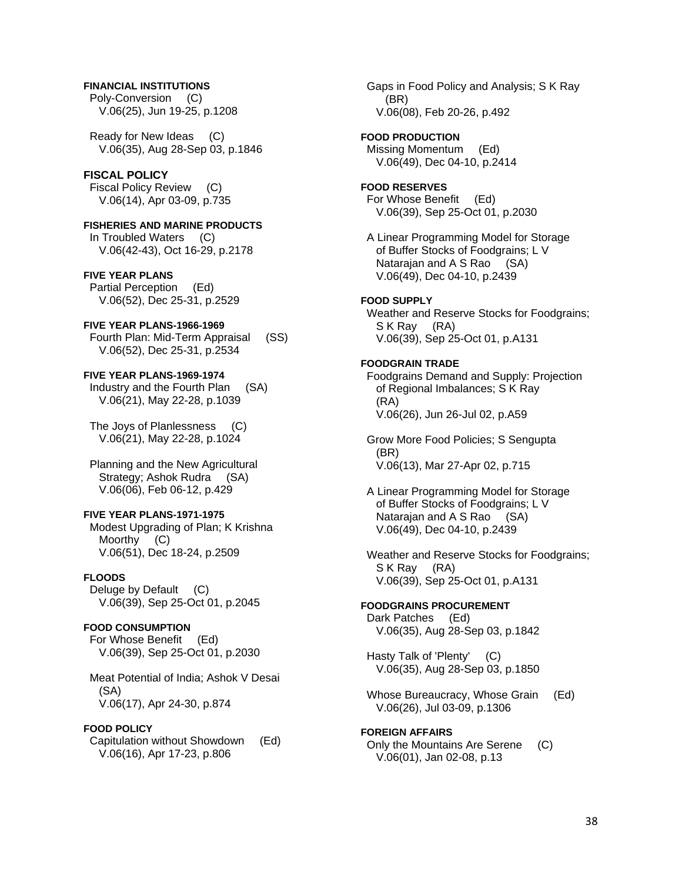## **FINANCIAL INSTITUTIONS**

 Poly-Conversion (C) V.06(25), Jun 19-25, p.1208

 Ready for New Ideas (C) V.06(35), Aug 28-Sep 03, p.1846

### **FISCAL POLICY**

 Fiscal Policy Review (C) V.06(14), Apr 03-09, p.735

**FISHERIES AND MARINE PRODUCTS**  In Troubled Waters (C) V.06(42-43), Oct 16-29, p.2178

## **FIVE YEAR PLANS**

 Partial Perception (Ed) V.06(52), Dec 25-31, p.2529

## **FIVE YEAR PLANS-1966-1969**

 Fourth Plan: Mid-Term Appraisal (SS) V.06(52), Dec 25-31, p.2534

## **FIVE YEAR PLANS-1969-1974**

 Industry and the Fourth Plan (SA) V.06(21), May 22-28, p.1039

 The Joys of Planlessness (C) V.06(21), May 22-28, p.1024

 Planning and the New Agricultural Strategy; Ashok Rudra (SA) V.06(06), Feb 06-12, p.429

## **FIVE YEAR PLANS-1971-1975**

 Modest Upgrading of Plan; K Krishna Moorthy (C) V.06(51), Dec 18-24, p.2509

## **FLOODS**

 Deluge by Default (C) V.06(39), Sep 25-Oct 01, p.2045

## **FOOD CONSUMPTION**

 For Whose Benefit (Ed) V.06(39), Sep 25-Oct 01, p.2030

 Meat Potential of India; Ashok V Desai (SA) V.06(17), Apr 24-30, p.874

#### **FOOD POLICY**

 Capitulation without Showdown (Ed) V.06(16), Apr 17-23, p.806

 Gaps in Food Policy and Analysis; S K Ray (BR) V.06(08), Feb 20-26, p.492

### **FOOD PRODUCTION**

 Missing Momentum (Ed) V.06(49), Dec 04-10, p.2414

## **FOOD RESERVES**

 For Whose Benefit (Ed) V.06(39), Sep 25-Oct 01, p.2030

 A Linear Programming Model for Storage of Buffer Stocks of Foodgrains; L V Natarajan and A S Rao (SA) V.06(49), Dec 04-10, p.2439

## **FOOD SUPPLY**

 Weather and Reserve Stocks for Foodgrains; S K Ray (RA) V.06(39), Sep 25-Oct 01, p.A131

## **FOODGRAIN TRADE**

 Foodgrains Demand and Supply: Projection of Regional Imbalances; S K Ray (RA) V.06(26), Jun 26-Jul 02, p.A59

 Grow More Food Policies; S Sengupta (BR) V.06(13), Mar 27-Apr 02, p.715

 A Linear Programming Model for Storage of Buffer Stocks of Foodgrains; L V Natarajan and A S Rao (SA) V.06(49), Dec 04-10, p.2439

 Weather and Reserve Stocks for Foodgrains; S K Ray (RA) V.06(39), Sep 25-Oct 01, p.A131

# **FOODGRAINS PROCUREMENT**

 Dark Patches (Ed) V.06(35), Aug 28-Sep 03, p.1842

 Hasty Talk of 'Plenty' (C) V.06(35), Aug 28-Sep 03, p.1850

 Whose Bureaucracy, Whose Grain (Ed) V.06(26), Jul 03-09, p.1306

## **FOREIGN AFFAIRS**

 Only the Mountains Are Serene (C) V.06(01), Jan 02-08, p.13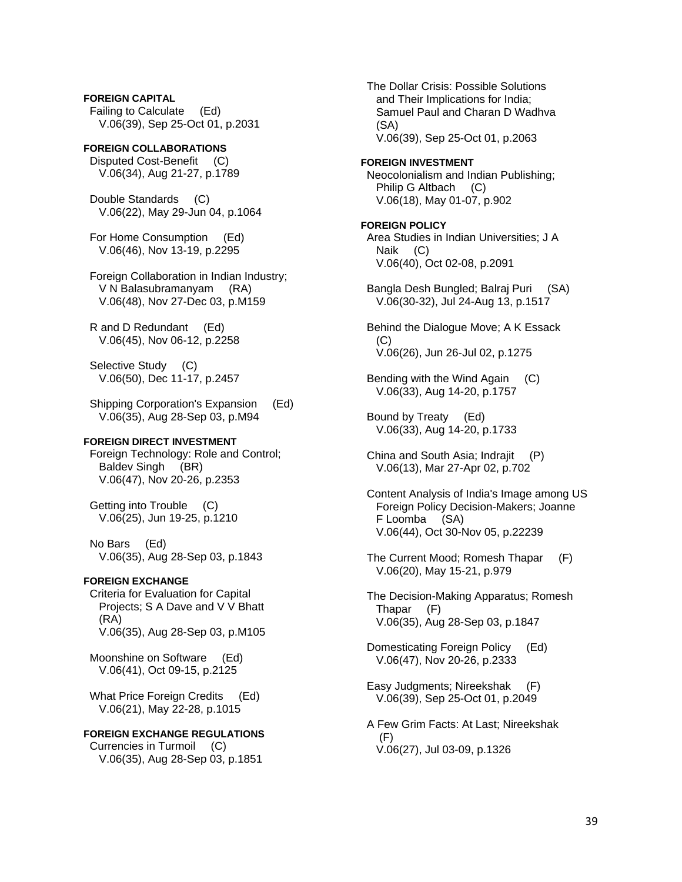**FOREIGN CAPITAL**  Failing to Calculate (Ed) V.06(39), Sep 25-Oct 01, p.2031

**FOREIGN COLLABORATIONS**  Disputed Cost-Benefit (C) V.06(34), Aug 21-27, p.1789

 Double Standards (C) V.06(22), May 29-Jun 04, p.1064

 For Home Consumption (Ed) V.06(46), Nov 13-19, p.2295

 Foreign Collaboration in Indian Industry; V N Balasubramanyam (RA) V.06(48), Nov 27-Dec 03, p.M159

 R and D Redundant (Ed) V.06(45), Nov 06-12, p.2258

 Selective Study (C) V.06(50), Dec 11-17, p.2457

 Shipping Corporation's Expansion (Ed) V.06(35), Aug 28-Sep 03, p.M94

## **FOREIGN DIRECT INVESTMENT**

 Foreign Technology: Role and Control; Baldev Singh (BR) V.06(47), Nov 20-26, p.2353

 Getting into Trouble (C) V.06(25), Jun 19-25, p.1210

 No Bars (Ed) V.06(35), Aug 28-Sep 03, p.1843

## **FOREIGN EXCHANGE**

 Criteria for Evaluation for Capital Projects; S A Dave and V V Bhatt (RA) V.06(35), Aug 28-Sep 03, p.M105

 Moonshine on Software (Ed) V.06(41), Oct 09-15, p.2125

 What Price Foreign Credits (Ed) V.06(21), May 22-28, p.1015

**FOREIGN EXCHANGE REGULATIONS**  Currencies in Turmoil (C) V.06(35), Aug 28-Sep 03, p.1851

 and Their Implications for India; Samuel Paul and Charan D Wadhva (SA) V.06(39), Sep 25-Oct 01, p.2063 **FOREIGN INVESTMENT**  Neocolonialism and Indian Publishing; Philip G Altbach (C) V.06(18), May 01-07, p.902 **FOREIGN POLICY**  Area Studies in Indian Universities; J A Naik (C) V.06(40), Oct 02-08, p.2091 Bangla Desh Bungled; Balraj Puri (SA) V.06(30-32), Jul 24-Aug 13, p.1517 Behind the Dialogue Move; A K Essack (C) V.06(26), Jun 26-Jul 02, p.1275 Bending with the Wind Again (C) V.06(33), Aug 14-20, p.1757 Bound by Treaty (Ed) V.06(33), Aug 14-20, p.1733 China and South Asia; Indrajit (P) V.06(13), Mar 27-Apr 02, p.702 Content Analysis of India's Image among US Foreign Policy Decision-Makers; Joanne F Loomba (SA) V.06(44), Oct 30-Nov 05, p.22239 The Current Mood; Romesh Thapar (F) V.06(20), May 15-21, p.979 The Decision-Making Apparatus; Romesh Thapar (F) V.06(35), Aug 28-Sep 03, p.1847 Domesticating Foreign Policy (Ed) V.06(47), Nov 20-26, p.2333 Easy Judgments; Nireekshak (F) V.06(39), Sep 25-Oct 01, p.2049 A Few Grim Facts: At Last; Nireekshak (F) V.06(27), Jul 03-09, p.1326

The Dollar Crisis: Possible Solutions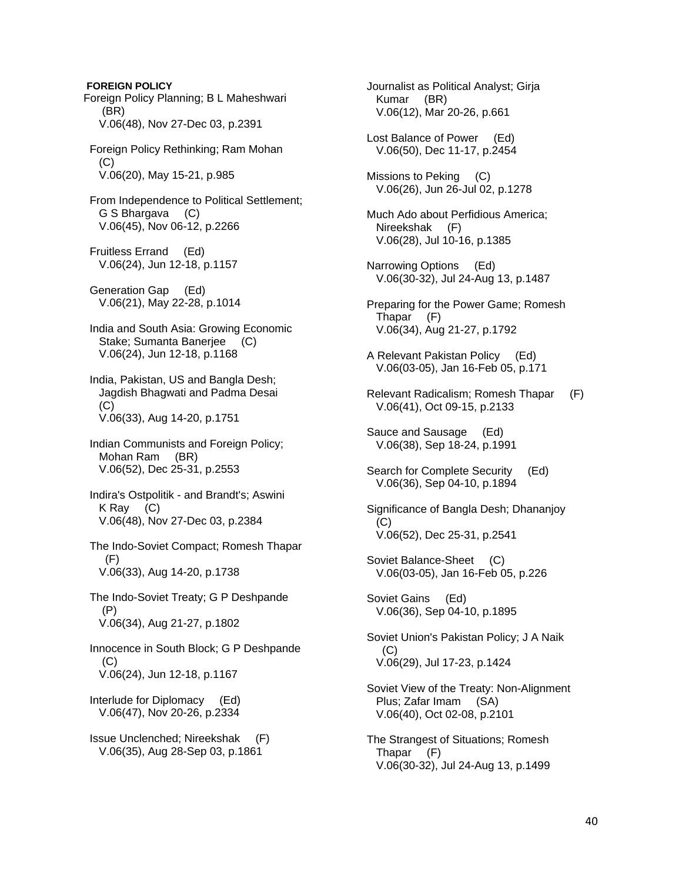**FOREIGN POLICY**  Foreign Policy Planning; B L Maheshwari (BR) V.06(48), Nov 27-Dec 03, p.2391 Foreign Policy Rethinking; Ram Mohan (C) V.06(20), May 15-21, p.985 From Independence to Political Settlement; G S Bhargava (C) V.06(45), Nov 06-12, p.2266 Fruitless Errand (Ed) V.06(24), Jun 12-18, p.1157 Generation Gap (Ed) V.06(21), May 22-28, p.1014 India and South Asia: Growing Economic Stake; Sumanta Banerjee (C) V.06(24), Jun 12-18, p.1168 India, Pakistan, US and Bangla Desh; Jagdish Bhagwati and Padma Desai (C) V.06(33), Aug 14-20, p.1751 Indian Communists and Foreign Policy; Mohan Ram (BR) V.06(52), Dec 25-31, p.2553 Indira's Ostpolitik - and Brandt's; Aswini K Ray (C) V.06(48), Nov 27-Dec 03, p.2384 The Indo-Soviet Compact; Romesh Thapar (F) V.06(33), Aug 14-20, p.1738 The Indo-Soviet Treaty; G P Deshpande (P) V.06(34), Aug 21-27, p.1802 Innocence in South Block; G P Deshpande (C) V.06(24), Jun 12-18, p.1167 Interlude for Diplomacy (Ed) V.06(47), Nov 20-26, p.2334 Issue Unclenched; Nireekshak (F) V.06(35), Aug 28-Sep 03, p.1861

 Journalist as Political Analyst; Girja Kumar (BR) V.06(12), Mar 20-26, p.661 Lost Balance of Power (Ed) V.06(50), Dec 11-17, p.2454

 Missions to Peking (C) V.06(26), Jun 26-Jul 02, p.1278

 Much Ado about Perfidious America; Nireekshak (F) V.06(28), Jul 10-16, p.1385

 Narrowing Options (Ed) V.06(30-32), Jul 24-Aug 13, p.1487

 Preparing for the Power Game; Romesh Thapar (F) V.06(34), Aug 21-27, p.1792

 A Relevant Pakistan Policy (Ed) V.06(03-05), Jan 16-Feb 05, p.171

 Relevant Radicalism; Romesh Thapar (F) V.06(41), Oct 09-15, p.2133

Sauce and Sausage (Ed) V.06(38), Sep 18-24, p.1991

 Search for Complete Security (Ed) V.06(36), Sep 04-10, p.1894

 Significance of Bangla Desh; Dhananjoy  $(C)$ V.06(52), Dec 25-31, p.2541

 Soviet Balance-Sheet (C) V.06(03-05), Jan 16-Feb 05, p.226

 Soviet Gains (Ed) V.06(36), Sep 04-10, p.1895

 Soviet Union's Pakistan Policy; J A Naik (C) V.06(29), Jul 17-23, p.1424

 Soviet View of the Treaty: Non-Alignment Plus; Zafar Imam (SA) V.06(40), Oct 02-08, p.2101

 The Strangest of Situations; Romesh Thapar (F) V.06(30-32), Jul 24-Aug 13, p.1499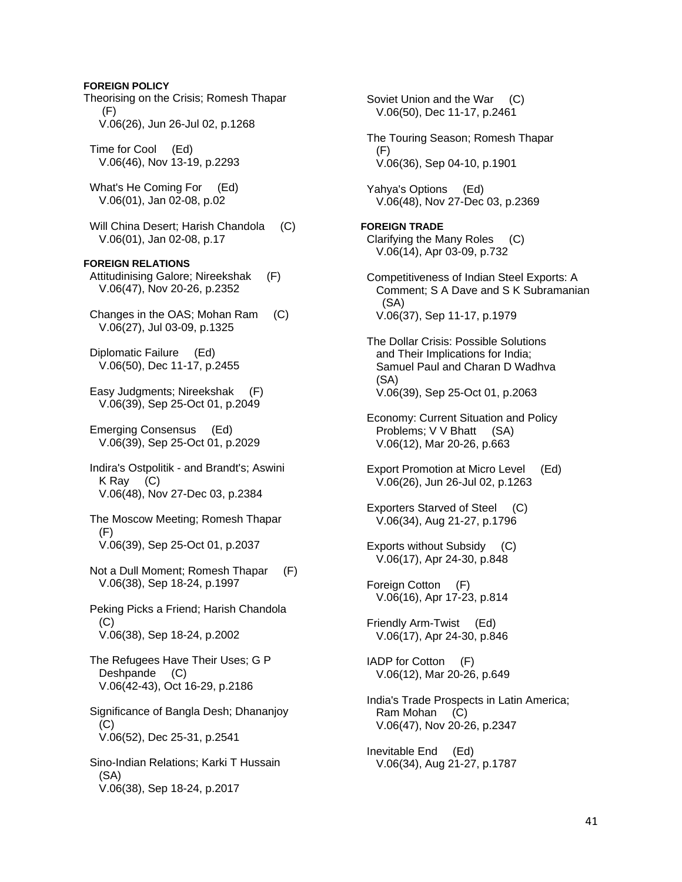**FOREIGN POLICY**  Theorising on the Crisis; Romesh Thapar (F) V.06(26), Jun 26-Jul 02, p.1268 Time for Cool (Ed) V.06(46), Nov 13-19, p.2293 What's He Coming For (Ed) V.06(01), Jan 02-08, p.02 Will China Desert; Harish Chandola (C) V.06(01), Jan 02-08, p.17 **FOREIGN RELATIONS**  Attitudinising Galore; Nireekshak (F) V.06(47), Nov 20-26, p.2352 Changes in the OAS; Mohan Ram (C) V.06(27), Jul 03-09, p.1325 Diplomatic Failure (Ed) V.06(50), Dec 11-17, p.2455 Easy Judgments; Nireekshak (F) V.06(39), Sep 25-Oct 01, p.2049 Emerging Consensus (Ed) V.06(39), Sep 25-Oct 01, p.2029 Indira's Ostpolitik - and Brandt's; Aswini K Ray (C) V.06(48), Nov 27-Dec 03, p.2384 The Moscow Meeting; Romesh Thapar (F) V.06(39), Sep 25-Oct 01, p.2037 Not a Dull Moment; Romesh Thapar (F) V.06(38), Sep 18-24, p.1997 Peking Picks a Friend; Harish Chandola (C) V.06(38), Sep 18-24, p.2002 The Refugees Have Their Uses; G P Deshpande (C) V.06(42-43), Oct 16-29, p.2186 Significance of Bangla Desh; Dhananjoy (C) V.06(52), Dec 25-31, p.2541 Sino-Indian Relations; Karki T Hussain (SA) V.06(38), Sep 18-24, p.2017 Soviet Union and the War (C)

 V.06(50), Dec 11-17, p.2461 The Touring Season; Romesh Thapar (F) V.06(36), Sep 04-10, p.1901 Yahya's Options (Ed) V.06(48), Nov 27-Dec 03, p.2369 **FOREIGN TRADE**  Clarifying the Many Roles (C) V.06(14), Apr 03-09, p.732 Competitiveness of Indian Steel Exports: A Comment; S A Dave and S K Subramanian (SA) V.06(37), Sep 11-17, p.1979 The Dollar Crisis: Possible Solutions and Their Implications for India; Samuel Paul and Charan D Wadhva (SA) V.06(39), Sep 25-Oct 01, p.2063 Economy: Current Situation and Policy Problems; V V Bhatt (SA) V.06(12), Mar 20-26, p.663 Export Promotion at Micro Level (Ed) V.06(26), Jun 26-Jul 02, p.1263 Exporters Starved of Steel (C) V.06(34), Aug 21-27, p.1796 Exports without Subsidy (C) V.06(17), Apr 24-30, p.848 Foreign Cotton (F) V.06(16), Apr 17-23, p.814 Friendly Arm-Twist (Ed) V.06(17), Apr 24-30, p.846 IADP for Cotton (F) V.06(12), Mar 20-26, p.649 India's Trade Prospects in Latin America; Ram Mohan (C) V.06(47), Nov 20-26, p.2347 Inevitable End (Ed) V.06(34), Aug 21-27, p.1787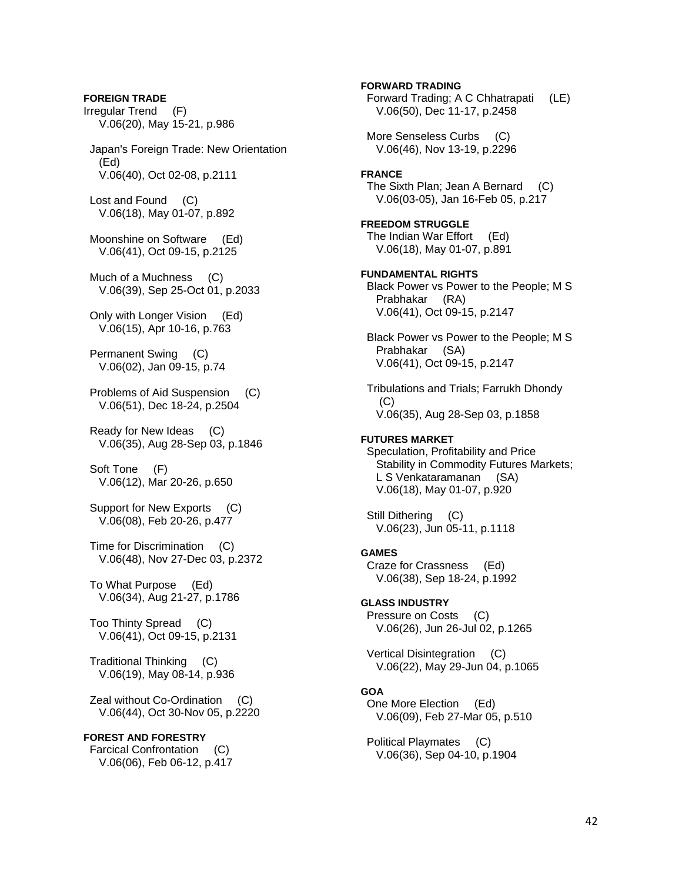**FOREIGN TRADE**  Irregular Trend (F) V.06(20), May 15-21, p.986 Japan's Foreign Trade: New Orientation (Ed) V.06(40), Oct 02-08, p.2111 Lost and Found (C) V.06(18), May 01-07, p.892 Moonshine on Software (Ed) V.06(41), Oct 09-15, p.2125 Much of a Muchness (C) V.06(39), Sep 25-Oct 01, p.2033 Only with Longer Vision (Ed) V.06(15), Apr 10-16, p.763 Permanent Swing (C) V.06(02), Jan 09-15, p.74 Problems of Aid Suspension (C) V.06(51), Dec 18-24, p.2504 Ready for New Ideas (C) V.06(35), Aug 28-Sep 03, p.1846 Soft Tone (F) V.06(12), Mar 20-26, p.650 Support for New Exports (C) V.06(08), Feb 20-26, p.477 Time for Discrimination (C) V.06(48), Nov 27-Dec 03, p.2372 To What Purpose (Ed) V.06(34), Aug 21-27, p.1786 Too Thinty Spread (C) V.06(41), Oct 09-15, p.2131 Traditional Thinking (C) V.06(19), May 08-14, p.936 Zeal without Co-Ordination (C) V.06(44), Oct 30-Nov 05, p.2220 **FOREST AND FORESTRY**  Farcical Confrontation (C) V.06(06), Feb 06-12, p.417

**FORWARD TRADING**  Forward Trading; A C Chhatrapati (LE) V.06(50), Dec 11-17, p.2458 More Senseless Curbs (C) V.06(46), Nov 13-19, p.2296 **FRANCE**  The Sixth Plan; Jean A Bernard (C) V.06(03-05), Jan 16-Feb 05, p.217 **FREEDOM STRUGGLE**  The Indian War Effort (Ed) V.06(18), May 01-07, p.891 **FUNDAMENTAL RIGHTS**  Black Power vs Power to the People; M S Prabhakar (RA) V.06(41), Oct 09-15, p.2147 Black Power vs Power to the People; M S Prabhakar (SA) V.06(41), Oct 09-15, p.2147 Tribulations and Trials; Farrukh Dhondy  $(C)$  V.06(35), Aug 28-Sep 03, p.1858 **FUTURES MARKET**  Speculation, Profitability and Price Stability in Commodity Futures Markets; L S Venkataramanan (SA) V.06(18), May 01-07, p.920 Still Dithering (C) V.06(23), Jun 05-11, p.1118 **GAMES**  Craze for Crassness (Ed) V.06(38), Sep 18-24, p.1992 **GLASS INDUSTRY**  Pressure on Costs (C) V.06(26), Jun 26-Jul 02, p.1265 Vertical Disintegration (C) V.06(22), May 29-Jun 04, p.1065 **GOA**  One More Election (Ed) V.06(09), Feb 27-Mar 05, p.510 Political Playmates (C) V.06(36), Sep 04-10, p.1904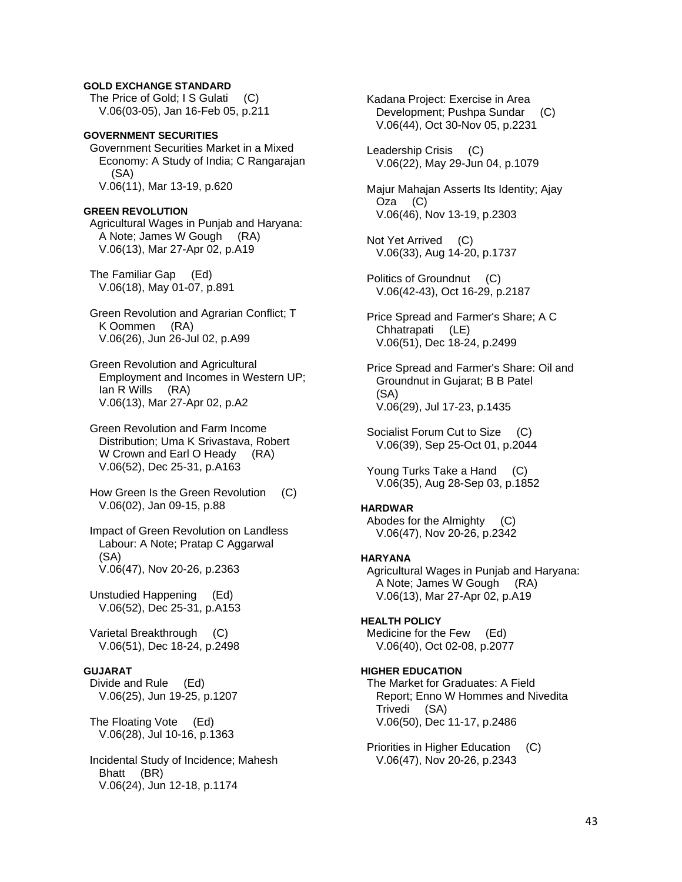## **GOLD EXCHANGE STANDARD**

The Price of Gold; I S Gulati (C) V.06(03-05), Jan 16-Feb 05, p.211

### **GOVERNMENT SECURITIES**  Government Securities Market in a Mixed Economy: A Study of India; C Rangarajan

 (SA) V.06(11), Mar 13-19, p.620

## **GREEN REVOLUTION**

 Agricultural Wages in Punjab and Haryana: A Note; James W Gough (RA) V.06(13), Mar 27-Apr 02, p.A19

 The Familiar Gap (Ed) V.06(18), May 01-07, p.891

 Green Revolution and Agrarian Conflict; T K Oommen (RA) V.06(26), Jun 26-Jul 02, p.A99

 Green Revolution and Agricultural Employment and Incomes in Western UP; Ian R Wills (RA) V.06(13), Mar 27-Apr 02, p.A2

 Green Revolution and Farm Income Distribution; Uma K Srivastava, Robert W Crown and Earl O Heady (RA) V.06(52), Dec 25-31, p.A163

 How Green Is the Green Revolution (C) V.06(02), Jan 09-15, p.88

 Impact of Green Revolution on Landless Labour: A Note; Pratap C Aggarwal (SA) V.06(47), Nov 20-26, p.2363

 Unstudied Happening (Ed) V.06(52), Dec 25-31, p.A153

 Varietal Breakthrough (C) V.06(51), Dec 18-24, p.2498

## **GUJARAT**

 Divide and Rule (Ed) V.06(25), Jun 19-25, p.1207

 The Floating Vote (Ed) V.06(28), Jul 10-16, p.1363

 Incidental Study of Incidence; Mahesh Bhatt (BR) V.06(24), Jun 12-18, p.1174

 Kadana Project: Exercise in Area Development; Pushpa Sundar (C) V.06(44), Oct 30-Nov 05, p.2231

 Leadership Crisis (C) V.06(22), May 29-Jun 04, p.1079

 Majur Mahajan Asserts Its Identity; Ajay Oza (C) V.06(46), Nov 13-19, p.2303

 Not Yet Arrived (C) V.06(33), Aug 14-20, p.1737

 Politics of Groundnut (C) V.06(42-43), Oct 16-29, p.2187

 Price Spread and Farmer's Share; A C Chhatrapati (LE) V.06(51), Dec 18-24, p.2499

 Price Spread and Farmer's Share: Oil and Groundnut in Gujarat; B B Patel (SA) V.06(29), Jul 17-23, p.1435

 Socialist Forum Cut to Size (C) V.06(39), Sep 25-Oct 01, p.2044

 Young Turks Take a Hand (C) V.06(35), Aug 28-Sep 03, p.1852

#### **HARDWAR**

 Abodes for the Almighty (C) V.06(47), Nov 20-26, p.2342

#### **HARYANA**

 Agricultural Wages in Punjab and Haryana: A Note; James W Gough (RA) V.06(13), Mar 27-Apr 02, p.A19

## **HEALTH POLICY**

 Medicine for the Few (Ed) V.06(40), Oct 02-08, p.2077

## **HIGHER EDUCATION**

 The Market for Graduates: A Field Report; Enno W Hommes and Nivedita Trivedi (SA) V.06(50), Dec 11-17, p.2486

 Priorities in Higher Education (C) V.06(47), Nov 20-26, p.2343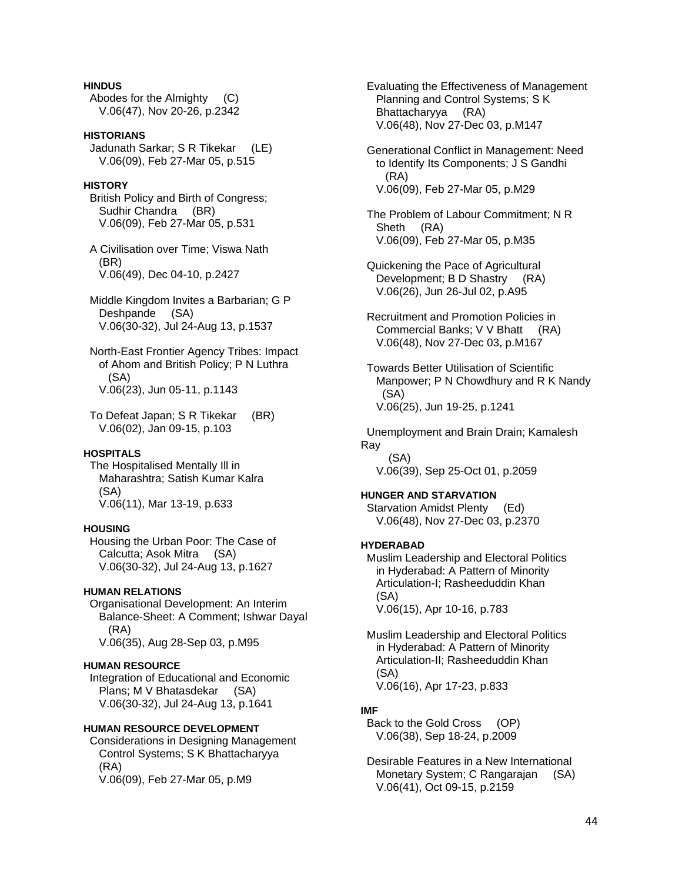## **HINDUS**

 Abodes for the Almighty (C) V.06(47), Nov 20-26, p.2342

## **HISTORIANS**

 Jadunath Sarkar; S R Tikekar (LE) V.06(09), Feb 27-Mar 05, p.515

## **HISTORY**

 British Policy and Birth of Congress; Sudhir Chandra (BR) V.06(09), Feb 27-Mar 05, p.531

 A Civilisation over Time; Viswa Nath (BR) V.06(49), Dec 04-10, p.2427

 Middle Kingdom Invites a Barbarian; G P Deshpande (SA) V.06(30-32), Jul 24-Aug 13, p.1537

 North-East Frontier Agency Tribes: Impact of Ahom and British Policy; P N Luthra (SA) V.06(23), Jun 05-11, p.1143

 To Defeat Japan; S R Tikekar (BR) V.06(02), Jan 09-15, p.103

## **HOSPITALS**

 The Hospitalised Mentally Ill in Maharashtra; Satish Kumar Kalra (SA) V.06(11), Mar 13-19, p.633

#### **HOUSING**

 Housing the Urban Poor: The Case of Calcutta; Asok Mitra (SA) V.06(30-32), Jul 24-Aug 13, p.1627

#### **HUMAN RELATIONS**

 Organisational Development: An Interim Balance-Sheet: A Comment; Ishwar Dayal (RA) V.06(35), Aug 28-Sep 03, p.M95

#### **HUMAN RESOURCE**

 Integration of Educational and Economic Plans; M V Bhatasdekar (SA) V.06(30-32), Jul 24-Aug 13, p.1641

## **HUMAN RESOURCE DEVELOPMENT**

 Considerations in Designing Management Control Systems; S K Bhattacharyya (RA) V.06(09), Feb 27-Mar 05, p.M9

 Evaluating the Effectiveness of Management Planning and Control Systems; S K Bhattacharyya (RA) V.06(48), Nov 27-Dec 03, p.M147

 Generational Conflict in Management: Need to Identify Its Components; J S Gandhi (RA) V.06(09), Feb 27-Mar 05, p.M29

 The Problem of Labour Commitment; N R Sheth (RA) V.06(09), Feb 27-Mar 05, p.M35

 Quickening the Pace of Agricultural Development; B D Shastry (RA) V.06(26), Jun 26-Jul 02, p.A95

 Recruitment and Promotion Policies in Commercial Banks; V V Bhatt (RA) V.06(48), Nov 27-Dec 03, p.M167

 Towards Better Utilisation of Scientific Manpower; P N Chowdhury and R K Nandy (SA) V.06(25), Jun 19-25, p.1241

 Unemployment and Brain Drain; Kamalesh Ray (SA)

V.06(39), Sep 25-Oct 01, p.2059

### **HUNGER AND STARVATION**

 Starvation Amidst Plenty (Ed) V.06(48), Nov 27-Dec 03, p.2370

### **HYDERABAD**

 Muslim Leadership and Electoral Politics in Hyderabad: A Pattern of Minority Articulation-I; Rasheeduddin Khan (SA) V.06(15), Apr 10-16, p.783

 Muslim Leadership and Electoral Politics in Hyderabad: A Pattern of Minority Articulation-II; Rasheeduddin Khan (SA) V.06(16), Apr 17-23, p.833

#### **IMF**

 Back to the Gold Cross (OP) V.06(38), Sep 18-24, p.2009

 Desirable Features in a New International Monetary System; C Rangarajan (SA) V.06(41), Oct 09-15, p.2159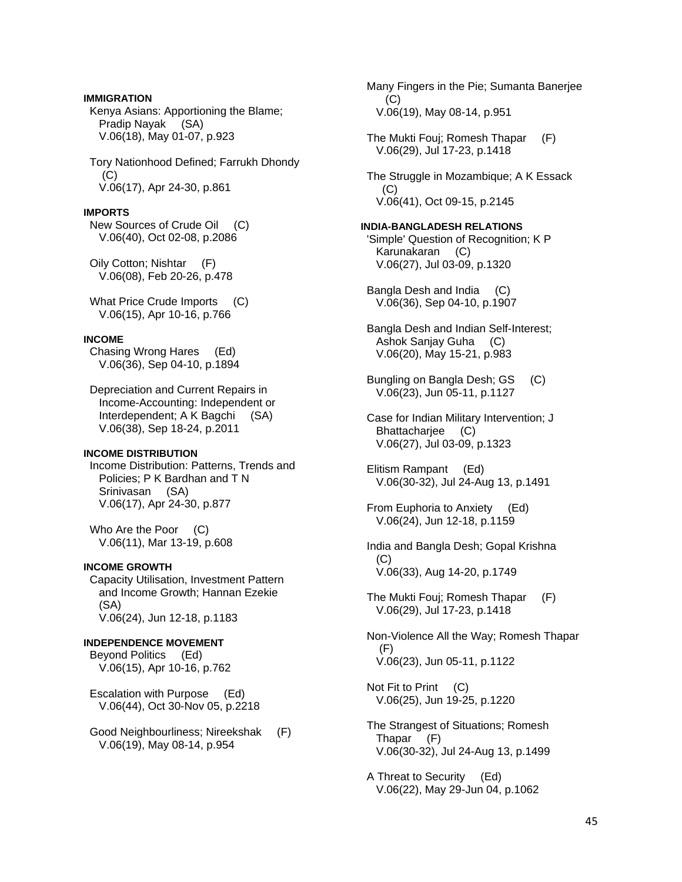## **IMMIGRATION**

 Kenya Asians: Apportioning the Blame; Pradip Nayak (SA) V.06(18), May 01-07, p.923

 Tory Nationhood Defined; Farrukh Dhondy (C) V.06(17), Apr 24-30, p.861

#### **IMPORTS**

 New Sources of Crude Oil (C) V.06(40), Oct 02-08, p.2086

 Oily Cotton; Nishtar (F) V.06(08), Feb 20-26, p.478

 What Price Crude Imports (C) V.06(15), Apr 10-16, p.766

## **INCOME**

 Chasing Wrong Hares (Ed) V.06(36), Sep 04-10, p.1894

 Depreciation and Current Repairs in Income-Accounting: Independent or Interdependent; A K Bagchi (SA) V.06(38), Sep 18-24, p.2011

## **INCOME DISTRIBUTION**

 Income Distribution: Patterns, Trends and Policies; P K Bardhan and T N Srinivasan (SA) V.06(17), Apr 24-30, p.877

Who Are the Poor (C) V.06(11), Mar 13-19, p.608

#### **INCOME GROWTH**

 Capacity Utilisation, Investment Pattern and Income Growth; Hannan Ezekie (SA) V.06(24), Jun 12-18, p.1183

## **INDEPENDENCE MOVEMENT**  Beyond Politics (Ed)

V.06(15), Apr 10-16, p.762

 Escalation with Purpose (Ed) V.06(44), Oct 30-Nov 05, p.2218

 Good Neighbourliness; Nireekshak (F) V.06(19), May 08-14, p.954

 Many Fingers in the Pie; Sumanta Banerjee (C) V.06(19), May 08-14, p.951

 The Mukti Fouj; Romesh Thapar (F) V.06(29), Jul 17-23, p.1418

 The Struggle in Mozambique; A K Essack (C) V.06(41), Oct 09-15, p.2145

## **INDIA-BANGLADESH RELATIONS**

 'Simple' Question of Recognition; K P Karunakaran (C) V.06(27), Jul 03-09, p.1320

 Bangla Desh and India (C) V.06(36), Sep 04-10, p.1907

 Bangla Desh and Indian Self-Interest; Ashok Sanjay Guha (C) V.06(20), May 15-21, p.983

 Bungling on Bangla Desh; GS (C) V.06(23), Jun 05-11, p.1127

 Case for Indian Military Intervention; J Bhattacharjee (C) V.06(27), Jul 03-09, p.1323

 Elitism Rampant (Ed) V.06(30-32), Jul 24-Aug 13, p.1491

 From Euphoria to Anxiety (Ed) V.06(24), Jun 12-18, p.1159

 India and Bangla Desh; Gopal Krishna (C) V.06(33), Aug 14-20, p.1749

 The Mukti Fouj; Romesh Thapar (F) V.06(29), Jul 17-23, p.1418

 Non-Violence All the Way; Romesh Thapar (F) V.06(23), Jun 05-11, p.1122

 Not Fit to Print (C) V.06(25), Jun 19-25, p.1220

 The Strangest of Situations; Romesh Thapar (F) V.06(30-32), Jul 24-Aug 13, p.1499

 A Threat to Security (Ed) V.06(22), May 29-Jun 04, p.1062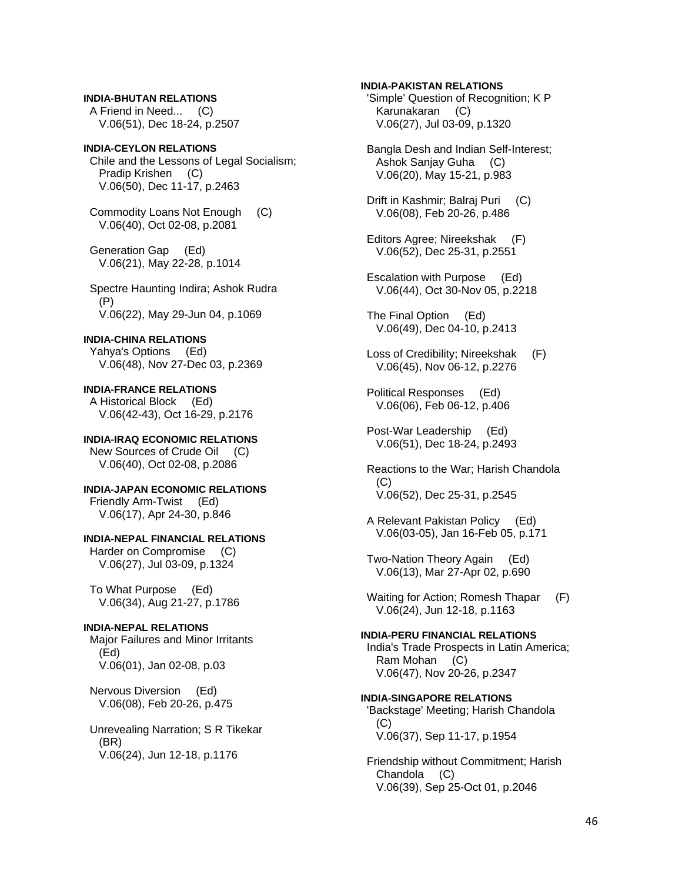## **INDIA-BHUTAN RELATIONS**

 A Friend in Need... (C) V.06(51), Dec 18-24, p.2507

### **INDIA-CEYLON RELATIONS**

 Chile and the Lessons of Legal Socialism; Pradip Krishen (C) V.06(50), Dec 11-17, p.2463

 Commodity Loans Not Enough (C) V.06(40), Oct 02-08, p.2081

 Generation Gap (Ed) V.06(21), May 22-28, p.1014

 Spectre Haunting Indira; Ashok Rudra (P) V.06(22), May 29-Jun 04, p.1069

### **INDIA-CHINA RELATIONS**

 Yahya's Options (Ed) V.06(48), Nov 27-Dec 03, p.2369

**INDIA-FRANCE RELATIONS**  A Historical Block (Ed) V.06(42-43), Oct 16-29, p.2176

#### **INDIA-IRAQ ECONOMIC RELATIONS**  New Sources of Crude Oil (C)

V.06(40), Oct 02-08, p.2086

**INDIA-JAPAN ECONOMIC RELATIONS**  Friendly Arm-Twist (Ed) V.06(17), Apr 24-30, p.846

## **INDIA-NEPAL FINANCIAL RELATIONS**

 Harder on Compromise (C) V.06(27), Jul 03-09, p.1324

 To What Purpose (Ed) V.06(34), Aug 21-27, p.1786

## **INDIA-NEPAL RELATIONS**

 Major Failures and Minor Irritants (Ed) V.06(01), Jan 02-08, p.03

 Nervous Diversion (Ed) V.06(08), Feb 20-26, p.475

 Unrevealing Narration; S R Tikekar (BR) V.06(24), Jun 12-18, p.1176

### **INDIA-PAKISTAN RELATIONS**

 'Simple' Question of Recognition; K P Karunakaran (C) V.06(27), Jul 03-09, p.1320

 Bangla Desh and Indian Self-Interest; Ashok Sanjay Guha (C) V.06(20), May 15-21, p.983

 Drift in Kashmir; Balraj Puri (C) V.06(08), Feb 20-26, p.486

 Editors Agree; Nireekshak (F) V.06(52), Dec 25-31, p.2551

 Escalation with Purpose (Ed) V.06(44), Oct 30-Nov 05, p.2218

 The Final Option (Ed) V.06(49), Dec 04-10, p.2413

 Loss of Credibility; Nireekshak (F) V.06(45), Nov 06-12, p.2276

 Political Responses (Ed) V.06(06), Feb 06-12, p.406

 Post-War Leadership (Ed) V.06(51), Dec 18-24, p.2493

 Reactions to the War; Harish Chandola (C) V.06(52), Dec 25-31, p.2545

 A Relevant Pakistan Policy (Ed) V.06(03-05), Jan 16-Feb 05, p.171

 Two-Nation Theory Again (Ed) V.06(13), Mar 27-Apr 02, p.690

Waiting for Action; Romesh Thapar (F) V.06(24), Jun 12-18, p.1163

## **INDIA-PERU FINANCIAL RELATIONS**

 India's Trade Prospects in Latin America; Ram Mohan (C) V.06(47), Nov 20-26, p.2347

#### **INDIA-SINGAPORE RELATIONS**

 'Backstage' Meeting; Harish Chandola (C) V.06(37), Sep 11-17, p.1954

 Friendship without Commitment; Harish Chandola (C) V.06(39), Sep 25-Oct 01, p.2046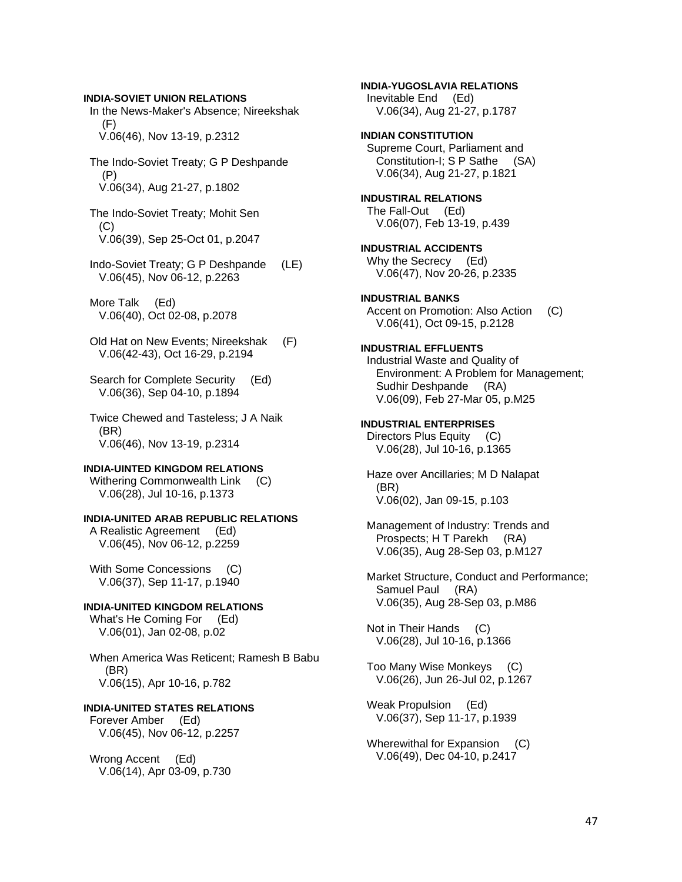### **INDIA-SOVIET UNION RELATIONS**

 In the News-Maker's Absence; Nireekshak  $(F)$ V.06(46), Nov 13-19, p.2312

 The Indo-Soviet Treaty; G P Deshpande (P) V.06(34), Aug 21-27, p.1802

 The Indo-Soviet Treaty; Mohit Sen  $(C)$ V.06(39), Sep 25-Oct 01, p.2047

 Indo-Soviet Treaty; G P Deshpande (LE) V.06(45), Nov 06-12, p.2263

 More Talk (Ed) V.06(40), Oct 02-08, p.2078

- Old Hat on New Events; Nireekshak (F) V.06(42-43), Oct 16-29, p.2194
- Search for Complete Security (Ed) V.06(36), Sep 04-10, p.1894
- Twice Chewed and Tasteless; J A Naik (BR) V.06(46), Nov 13-19, p.2314

#### **INDIA-UINTED KINGDOM RELATIONS**

Withering Commonwealth Link (C) V.06(28), Jul 10-16, p.1373

#### **INDIA-UNITED ARAB REPUBLIC RELATIONS**  A Realistic Agreement (Ed)

V.06(45), Nov 06-12, p.2259

With Some Concessions (C) V.06(37), Sep 11-17, p.1940

## **INDIA-UNITED KINGDOM RELATIONS**

What's He Coming For (Ed) V.06(01), Jan 02-08, p.02

 When America Was Reticent; Ramesh B Babu (BR) V.06(15), Apr 10-16, p.782

## **INDIA-UNITED STATES RELATIONS**

 Forever Amber (Ed) V.06(45), Nov 06-12, p.2257

 Wrong Accent (Ed) V.06(14), Apr 03-09, p.730

**INDIA-YUGOSLAVIA RELATIONS**  Inevitable End (Ed) V.06(34), Aug 21-27, p.1787 **INDIAN CONSTITUTION**  Supreme Court, Parliament and Constitution-I; S P Sathe (SA) V.06(34), Aug 21-27, p.1821 **INDUSTIRAL RELATIONS**  The Fall-Out (Ed) V.06(07), Feb 13-19, p.439 **INDUSTRIAL ACCIDENTS**  Why the Secrecy (Ed) V.06(47), Nov 20-26, p.2335 **INDUSTRIAL BANKS**  Accent on Promotion: Also Action (C) V.06(41), Oct 09-15, p.2128 **INDUSTRIAL EFFLUENTS**  Industrial Waste and Quality of Environment: A Problem for Management; Sudhir Deshpande (RA) V.06(09), Feb 27-Mar 05, p.M25 **INDUSTRIAL ENTERPRISES**  Directors Plus Equity (C) V.06(28), Jul 10-16, p.1365 Haze over Ancillaries; M D Nalapat (BR) V.06(02), Jan 09-15, p.103 Management of Industry: Trends and Prospects; H T Parekh (RA) V.06(35), Aug 28-Sep 03, p.M127 Market Structure, Conduct and Performance;

 Samuel Paul (RA) V.06(35), Aug 28-Sep 03, p.M86

 Not in Their Hands (C) V.06(28), Jul 10-16, p.1366

 Too Many Wise Monkeys (C) V.06(26), Jun 26-Jul 02, p.1267

 Weak Propulsion (Ed) V.06(37), Sep 11-17, p.1939

 Wherewithal for Expansion (C) V.06(49), Dec 04-10, p.2417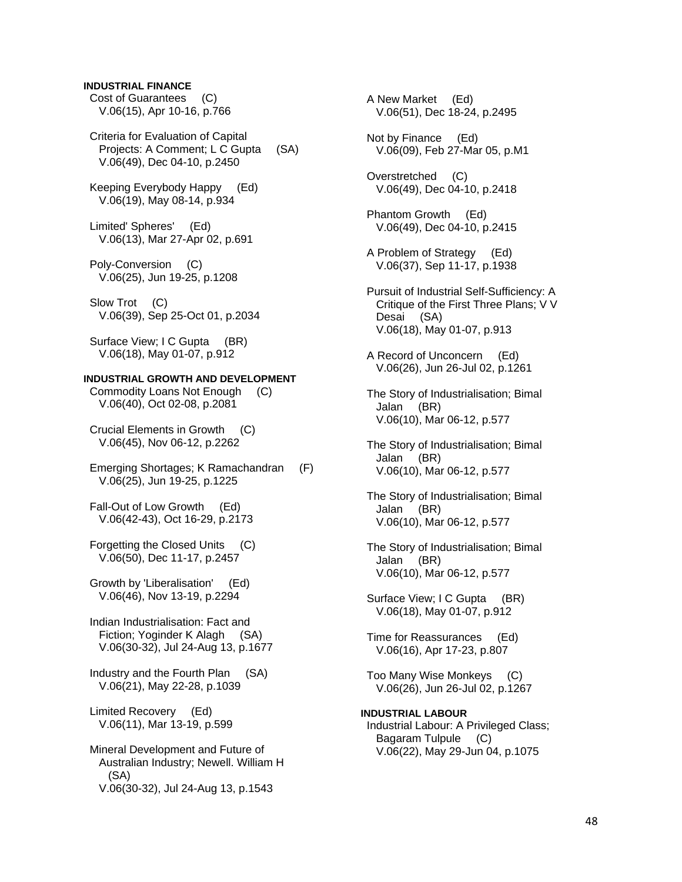## **INDUSTRIAL FINANCE**

 Cost of Guarantees (C) V.06(15), Apr 10-16, p.766

 Criteria for Evaluation of Capital Projects: A Comment; L C Gupta (SA) V.06(49), Dec 04-10, p.2450

 Keeping Everybody Happy (Ed) V.06(19), May 08-14, p.934

 Limited' Spheres' (Ed) V.06(13), Mar 27-Apr 02, p.691

 Poly-Conversion (C) V.06(25), Jun 19-25, p.1208

Slow Trot (C) V.06(39), Sep 25-Oct 01, p.2034

Surface View; I C Gupta (BR) V.06(18), May 01-07, p.912

### **INDUSTRIAL GROWTH AND DEVELOPMENT**

 Commodity Loans Not Enough (C) V.06(40), Oct 02-08, p.2081

 Crucial Elements in Growth (C) V.06(45), Nov 06-12, p.2262

 Emerging Shortages; K Ramachandran (F) V.06(25), Jun 19-25, p.1225

 Fall-Out of Low Growth (Ed) V.06(42-43), Oct 16-29, p.2173

 Forgetting the Closed Units (C) V.06(50), Dec 11-17, p.2457

 Growth by 'Liberalisation' (Ed) V.06(46), Nov 13-19, p.2294

 Indian Industrialisation: Fact and Fiction; Yoginder K Alagh (SA) V.06(30-32), Jul 24-Aug 13, p.1677

 Industry and the Fourth Plan (SA) V.06(21), May 22-28, p.1039

 Limited Recovery (Ed) V.06(11), Mar 13-19, p.599

 Mineral Development and Future of Australian Industry; Newell. William H (SA) V.06(30-32), Jul 24-Aug 13, p.1543

 A New Market (Ed) V.06(51), Dec 18-24, p.2495 Not by Finance (Ed) V.06(09), Feb 27-Mar 05, p.M1 Overstretched (C) V.06(49), Dec 04-10, p.2418 Phantom Growth (Ed) V.06(49), Dec 04-10, p.2415 A Problem of Strategy (Ed) V.06(37), Sep 11-17, p.1938 Pursuit of Industrial Self-Sufficiency: A Critique of the First Three Plans; V V Desai (SA) V.06(18), May 01-07, p.913 A Record of Unconcern (Ed) V.06(26), Jun 26-Jul 02, p.1261 The Story of Industrialisation; Bimal Jalan (BR) V.06(10), Mar 06-12, p.577 The Story of Industrialisation; Bimal Jalan (BR) V.06(10), Mar 06-12, p.577 The Story of Industrialisation; Bimal Jalan (BR) V.06(10), Mar 06-12, p.577 The Story of Industrialisation; Bimal Jalan (BR) V.06(10), Mar 06-12, p.577 Surface View; I C Gupta (BR) V.06(18), May 01-07, p.912 Time for Reassurances (Ed) V.06(16), Apr 17-23, p.807 Too Many Wise Monkeys (C) V.06(26), Jun 26-Jul 02, p.1267 **INDUSTRIAL LABOUR**  Industrial Labour: A Privileged Class; Bagaram Tulpule (C) V.06(22), May 29-Jun 04, p.1075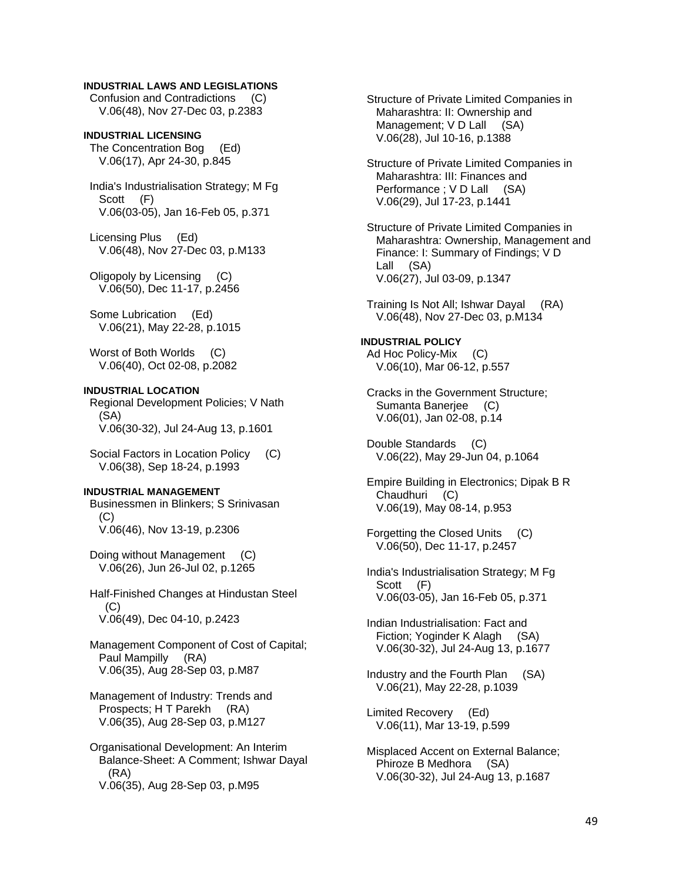## **INDUSTRIAL LAWS AND LEGISLATIONS**

 Confusion and Contradictions (C) V.06(48), Nov 27-Dec 03, p.2383

**INDUSTRIAL LICENSING**  The Concentration Bog (Ed) V.06(17), Apr 24-30, p.845

 India's Industrialisation Strategy; M Fg Scott (F) V.06(03-05), Jan 16-Feb 05, p.371

 Licensing Plus (Ed) V.06(48), Nov 27-Dec 03, p.M133

 Oligopoly by Licensing (C) V.06(50), Dec 11-17, p.2456

 Some Lubrication (Ed) V.06(21), May 22-28, p.1015

Worst of Both Worlds (C) V.06(40), Oct 02-08, p.2082

#### **INDUSTRIAL LOCATION**

 Regional Development Policies; V Nath (SA) V.06(30-32), Jul 24-Aug 13, p.1601

 Social Factors in Location Policy (C) V.06(38), Sep 18-24, p.1993

## **INDUSTRIAL MANAGEMENT**

 Businessmen in Blinkers; S Srinivasan (C) V.06(46), Nov 13-19, p.2306

 Doing without Management (C) V.06(26), Jun 26-Jul 02, p.1265

 Half-Finished Changes at Hindustan Steel  $(C)$ V.06(49), Dec 04-10, p.2423

 Management Component of Cost of Capital; Paul Mampilly (RA) V.06(35), Aug 28-Sep 03, p.M87

 Management of Industry: Trends and Prospects; H T Parekh (RA) V.06(35), Aug 28-Sep 03, p.M127

 Organisational Development: An Interim Balance-Sheet: A Comment; Ishwar Dayal (RA) V.06(35), Aug 28-Sep 03, p.M95

 Structure of Private Limited Companies in Maharashtra: II: Ownership and Management; V D Lall (SA) V.06(28), Jul 10-16, p.1388

 Structure of Private Limited Companies in Maharashtra: III: Finances and Performance ; V D Lall (SA) V.06(29), Jul 17-23, p.1441

 Structure of Private Limited Companies in Maharashtra: Ownership, Management and Finance: I: Summary of Findings; V D Lall (SA) V.06(27), Jul 03-09, p.1347

 Training Is Not All; Ishwar Dayal (RA) V.06(48), Nov 27-Dec 03, p.M134

#### **INDUSTRIAL POLICY**  Ad Hoc Policy-Mix (C) V.06(10), Mar 06-12, p.557

 Cracks in the Government Structure; Sumanta Banerjee (C) V.06(01), Jan 02-08, p.14

 Double Standards (C) V.06(22), May 29-Jun 04, p.1064

 Empire Building in Electronics; Dipak B R Chaudhuri (C) V.06(19), May 08-14, p.953

 Forgetting the Closed Units (C) V.06(50), Dec 11-17, p.2457

 India's Industrialisation Strategy; M Fg Scott (F) V.06(03-05), Jan 16-Feb 05, p.371

 Indian Industrialisation: Fact and Fiction; Yoginder K Alagh (SA) V.06(30-32), Jul 24-Aug 13, p.1677

 Industry and the Fourth Plan (SA) V.06(21), May 22-28, p.1039

 Limited Recovery (Ed) V.06(11), Mar 13-19, p.599

 Misplaced Accent on External Balance; Phiroze B Medhora (SA) V.06(30-32), Jul 24-Aug 13, p.1687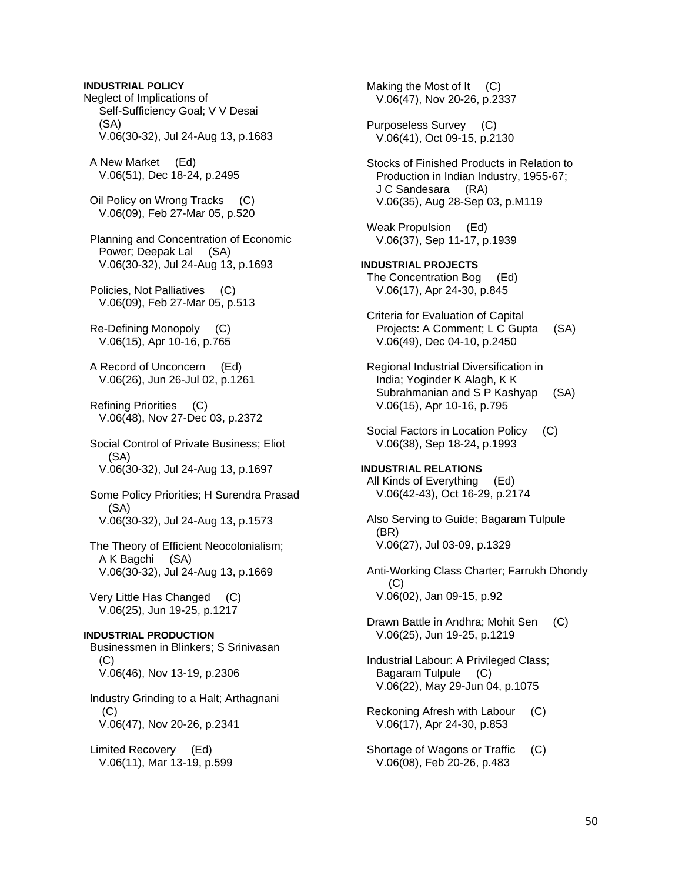Neglect of Implications of Self-Sufficiency Goal; V V Desai (SA) V.06(30-32), Jul 24-Aug 13, p.1683 A New Market (Ed) V.06(51), Dec 18-24, p.2495 Oil Policy on Wrong Tracks (C) V.06(09), Feb 27-Mar 05, p.520 Planning and Concentration of Economic Power; Deepak Lal (SA) V.06(30-32), Jul 24-Aug 13, p.1693 Policies, Not Palliatives (C) V.06(09), Feb 27-Mar 05, p.513 Re-Defining Monopoly (C) V.06(15), Apr 10-16, p.765 A Record of Unconcern (Ed) V.06(26), Jun 26-Jul 02, p.1261 Refining Priorities (C) V.06(48), Nov 27-Dec 03, p.2372 Social Control of Private Business; Eliot  $(SA)$  V.06(30-32), Jul 24-Aug 13, p.1697 Some Policy Priorities; H Surendra Prasad (SA) V.06(30-32), Jul 24-Aug 13, p.1573 The Theory of Efficient Neocolonialism; A K Bagchi (SA) V.06(30-32), Jul 24-Aug 13, p.1669 Very Little Has Changed (C) V.06(25), Jun 19-25, p.1217 **INDUSTRIAL PRODUCTION**  Businessmen in Blinkers; S Srinivasan  $(C)$  V.06(46), Nov 13-19, p.2306 Industry Grinding to a Halt; Arthagnani (C) V.06(47), Nov 20-26, p.2341 Limited Recovery (Ed) V.06(11), Mar 13-19, p.599

**INDUSTRIAL POLICY** 

Making the Most of It (C) V.06(47), Nov 20-26, p.2337 Purposeless Survey (C) V.06(41), Oct 09-15, p.2130 Stocks of Finished Products in Relation to Production in Indian Industry, 1955-67; J C Sandesara (RA) V.06(35), Aug 28-Sep 03, p.M119 Weak Propulsion (Ed) V.06(37), Sep 11-17, p.1939 **INDUSTRIAL PROJECTS**  The Concentration Bog (Ed) V.06(17), Apr 24-30, p.845 Criteria for Evaluation of Capital Projects: A Comment; L C Gupta (SA) V.06(49), Dec 04-10, p.2450 Regional Industrial Diversification in India; Yoginder K Alagh, K K Subrahmanian and S P Kashyap (SA) V.06(15), Apr 10-16, p.795 Social Factors in Location Policy (C) V.06(38), Sep 18-24, p.1993 **INDUSTRIAL RELATIONS**  All Kinds of Everything (Ed) V.06(42-43), Oct 16-29, p.2174 Also Serving to Guide; Bagaram Tulpule (BR) V.06(27), Jul 03-09, p.1329 Anti-Working Class Charter; Farrukh Dhondy (C) V.06(02), Jan 09-15, p.92 Drawn Battle in Andhra; Mohit Sen (C) V.06(25), Jun 19-25, p.1219 Industrial Labour: A Privileged Class; Bagaram Tulpule (C) V.06(22), May 29-Jun 04, p.1075 Reckoning Afresh with Labour (C) V.06(17), Apr 24-30, p.853 Shortage of Wagons or Traffic (C) V.06(08), Feb 20-26, p.483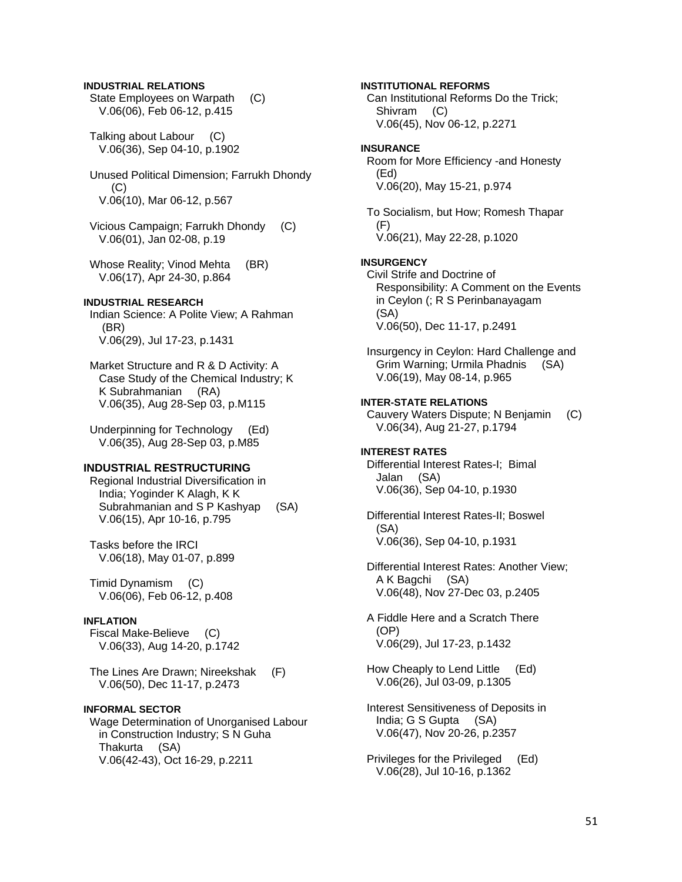### **INDUSTRIAL RELATIONS**

- State Employees on Warpath (C) V.06(06), Feb 06-12, p.415
- Talking about Labour (C) V.06(36), Sep 04-10, p.1902
- Unused Political Dimension; Farrukh Dhondy  $(C)$ V.06(10), Mar 06-12, p.567
- Vicious Campaign; Farrukh Dhondy (C) V.06(01), Jan 02-08, p.19
- Whose Reality; Vinod Mehta (BR) V.06(17), Apr 24-30, p.864

## **INDUSTRIAL RESEARCH**

- Indian Science: A Polite View; A Rahman (BR) V.06(29), Jul 17-23, p.1431
- Market Structure and R & D Activity: A Case Study of the Chemical Industry; K K Subrahmanian (RA) V.06(35), Aug 28-Sep 03, p.M115
- Underpinning for Technology (Ed) V.06(35), Aug 28-Sep 03, p.M85

#### **INDUSTRIAL RESTRUCTURING**

- Regional Industrial Diversification in India; Yoginder K Alagh, K K Subrahmanian and S P Kashyap (SA) V.06(15), Apr 10-16, p.795
- Tasks before the IRCI V.06(18), May 01-07, p.899
- Timid Dynamism (C) V.06(06), Feb 06-12, p.408

#### **INFLATION**

- Fiscal Make-Believe (C) V.06(33), Aug 14-20, p.1742
- The Lines Are Drawn; Nireekshak (F) V.06(50), Dec 11-17, p.2473

### **INFORMAL SECTOR**

 Wage Determination of Unorganised Labour in Construction Industry; S N Guha Thakurta (SA) V.06(42-43), Oct 16-29, p.2211

 Can Institutional Reforms Do the Trick; Shivram (C) V.06(45), Nov 06-12, p.2271 **INSURANCE**  Room for More Efficiency -and Honesty (Ed) V.06(20), May 15-21, p.974 To Socialism, but How; Romesh Thapar (F) V.06(21), May 22-28, p.1020 **INSURGENCY**  Civil Strife and Doctrine of Responsibility: A Comment on the Events in Ceylon (; R S Perinbanayagam (SA) V.06(50), Dec 11-17, p.2491 Insurgency in Ceylon: Hard Challenge and Grim Warning; Urmila Phadnis (SA) V.06(19), May 08-14, p.965 **INTER-STATE RELATIONS**  Cauvery Waters Dispute; N Benjamin (C) V.06(34), Aug 21-27, p.1794 **INTEREST RATES**  Differential Interest Rates-I; Bimal Jalan (SA) V.06(36), Sep 04-10, p.1930 Differential Interest Rates-II; Boswel (SA) V.06(36), Sep 04-10, p.1931 Differential Interest Rates: Another View; A K Bagchi (SA) V.06(48), Nov 27-Dec 03, p.2405 A Fiddle Here and a Scratch There (OP) V.06(29), Jul 17-23, p.1432 How Cheaply to Lend Little (Ed) V.06(26), Jul 03-09, p.1305

**INSTITUTIONAL REFORMS** 

- Interest Sensitiveness of Deposits in India; G S Gupta (SA) V.06(47), Nov 20-26, p.2357
- Privileges for the Privileged (Ed) V.06(28), Jul 10-16, p.1362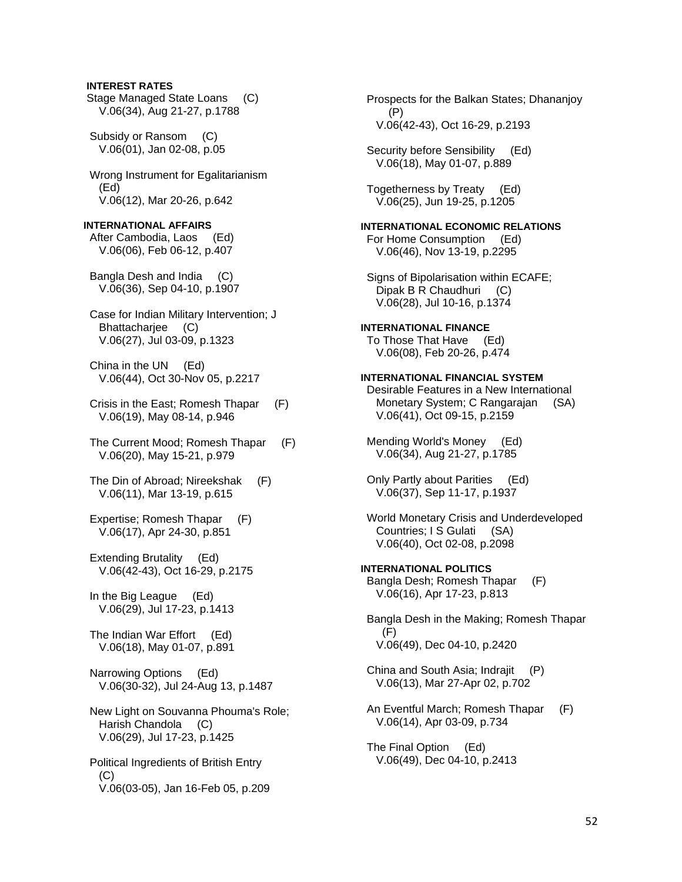### **INTEREST RATES**

 Stage Managed State Loans (C) V.06(34), Aug 21-27, p.1788

 Subsidy or Ransom (C) V.06(01), Jan 02-08, p.05

 Wrong Instrument for Egalitarianism (Ed) V.06(12), Mar 20-26, p.642

### **INTERNATIONAL AFFAIRS**  After Cambodia, Laos (Ed) V.06(06), Feb 06-12, p.407

 Bangla Desh and India (C) V.06(36), Sep 04-10, p.1907

 Case for Indian Military Intervention; J Bhattacharjee (C) V.06(27), Jul 03-09, p.1323

 China in the UN (Ed) V.06(44), Oct 30-Nov 05, p.2217

- Crisis in the East; Romesh Thapar (F) V.06(19), May 08-14, p.946
- The Current Mood; Romesh Thapar (F) V.06(20), May 15-21, p.979
- The Din of Abroad; Nireekshak (F) V.06(11), Mar 13-19, p.615
- Expertise; Romesh Thapar (F) V.06(17), Apr 24-30, p.851
- Extending Brutality (Ed) V.06(42-43), Oct 16-29, p.2175

 In the Big League (Ed) V.06(29), Jul 17-23, p.1413

 The Indian War Effort (Ed) V.06(18), May 01-07, p.891

 Narrowing Options (Ed) V.06(30-32), Jul 24-Aug 13, p.1487

 New Light on Souvanna Phouma's Role; Harish Chandola (C) V.06(29), Jul 17-23, p.1425

 Political Ingredients of British Entry (C) V.06(03-05), Jan 16-Feb 05, p.209  Prospects for the Balkan States; Dhananjoy (P) V.06(42-43), Oct 16-29, p.2193

Security before Sensibility (Ed) V.06(18), May 01-07, p.889

 Togetherness by Treaty (Ed) V.06(25), Jun 19-25, p.1205

## **INTERNATIONAL ECONOMIC RELATIONS**  For Home Consumption (Ed) V.06(46), Nov 13-19, p.2295

 Signs of Bipolarisation within ECAFE; Dipak B R Chaudhuri (C) V.06(28), Jul 10-16, p.1374

## **INTERNATIONAL FINANCE**

 To Those That Have (Ed) V.06(08), Feb 20-26, p.474

### **INTERNATIONAL FINANCIAL SYSTEM**

 Desirable Features in a New International Monetary System; C Rangarajan (SA) V.06(41), Oct 09-15, p.2159

 Mending World's Money (Ed) V.06(34), Aug 21-27, p.1785

 Only Partly about Parities (Ed) V.06(37), Sep 11-17, p.1937

 World Monetary Crisis and Underdeveloped Countries; I S Gulati (SA) V.06(40), Oct 02-08, p.2098

**INTERNATIONAL POLITICS**  Bangla Desh; Romesh Thapar (F) V.06(16), Apr 17-23, p.813

 Bangla Desh in the Making; Romesh Thapar (F) V.06(49), Dec 04-10, p.2420

 China and South Asia; Indrajit (P) V.06(13), Mar 27-Apr 02, p.702

 An Eventful March; Romesh Thapar (F) V.06(14), Apr 03-09, p.734

 The Final Option (Ed) V.06(49), Dec 04-10, p.2413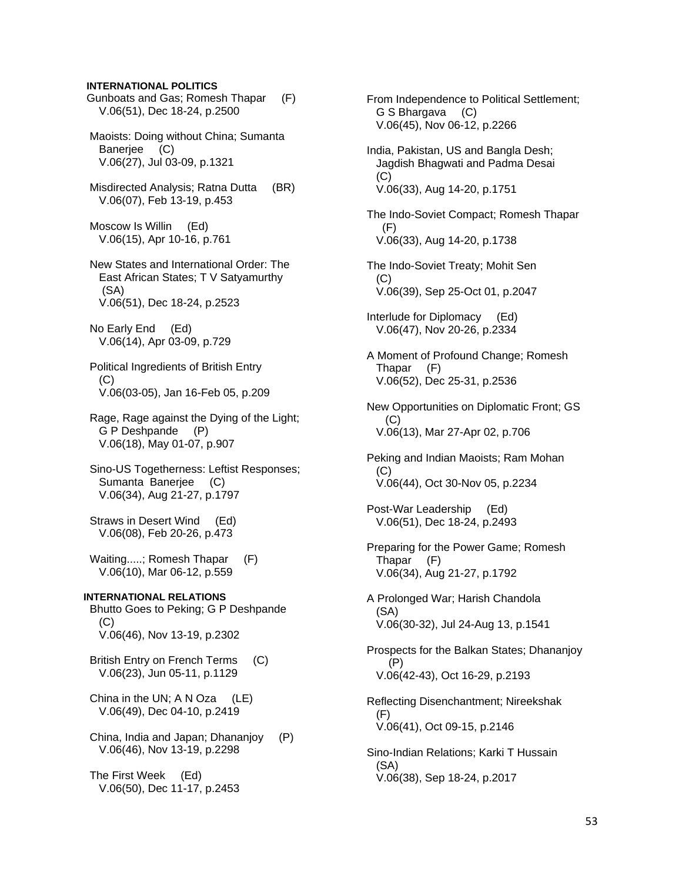#### **INTERNATIONAL POLITICS**

 Gunboats and Gas; Romesh Thapar (F) V.06(51), Dec 18-24, p.2500

 Maoists: Doing without China; Sumanta Banerjee (C) V.06(27), Jul 03-09, p.1321

 Misdirected Analysis; Ratna Dutta (BR) V.06(07), Feb 13-19, p.453

 Moscow Is Willin (Ed) V.06(15), Apr 10-16, p.761

 New States and International Order: The East African States; T V Satyamurthy (SA) V.06(51), Dec 18-24, p.2523

 No Early End (Ed) V.06(14), Apr 03-09, p.729

 Political Ingredients of British Entry (C) V.06(03-05), Jan 16-Feb 05, p.209

 Rage, Rage against the Dying of the Light; G P Deshpande (P) V.06(18), May 01-07, p.907

 Sino-US Togetherness: Leftist Responses; Sumanta Banerjee (C) V.06(34), Aug 21-27, p.1797

 Straws in Desert Wind (Ed) V.06(08), Feb 20-26, p.473

Waiting.....; Romesh Thapar (F) V.06(10), Mar 06-12, p.559

**INTERNATIONAL RELATIONS**  Bhutto Goes to Peking; G P Deshpande (C) V.06(46), Nov 13-19, p.2302

 British Entry on French Terms (C) V.06(23), Jun 05-11, p.1129

 China in the UN; A N Oza (LE) V.06(49), Dec 04-10, p.2419

 China, India and Japan; Dhananjoy (P) V.06(46), Nov 13-19, p.2298

 The First Week (Ed) V.06(50), Dec 11-17, p.2453

 From Independence to Political Settlement; G S Bhargava (C) V.06(45), Nov 06-12, p.2266 India, Pakistan, US and Bangla Desh; Jagdish Bhagwati and Padma Desai  $(C)$  V.06(33), Aug 14-20, p.1751 The Indo-Soviet Compact; Romesh Thapar (F) V.06(33), Aug 14-20, p.1738 The Indo-Soviet Treaty; Mohit Sen  $(C)$  V.06(39), Sep 25-Oct 01, p.2047 Interlude for Diplomacy (Ed) V.06(47), Nov 20-26, p.2334 A Moment of Profound Change; Romesh Thapar (F) V.06(52), Dec 25-31, p.2536 New Opportunities on Diplomatic Front; GS  $(C)$  V.06(13), Mar 27-Apr 02, p.706 Peking and Indian Maoists; Ram Mohan  $(C)$  V.06(44), Oct 30-Nov 05, p.2234 Post-War Leadership (Ed) V.06(51), Dec 18-24, p.2493 Preparing for the Power Game; Romesh Thapar (F) V.06(34), Aug 21-27, p.1792 A Prolonged War; Harish Chandola (SA) V.06(30-32), Jul 24-Aug 13, p.1541 Prospects for the Balkan States; Dhananjoy (P) V.06(42-43), Oct 16-29, p.2193 Reflecting Disenchantment; Nireekshak (F) V.06(41), Oct 09-15, p.2146 Sino-Indian Relations; Karki T Hussain (SA) V.06(38), Sep 18-24, p.2017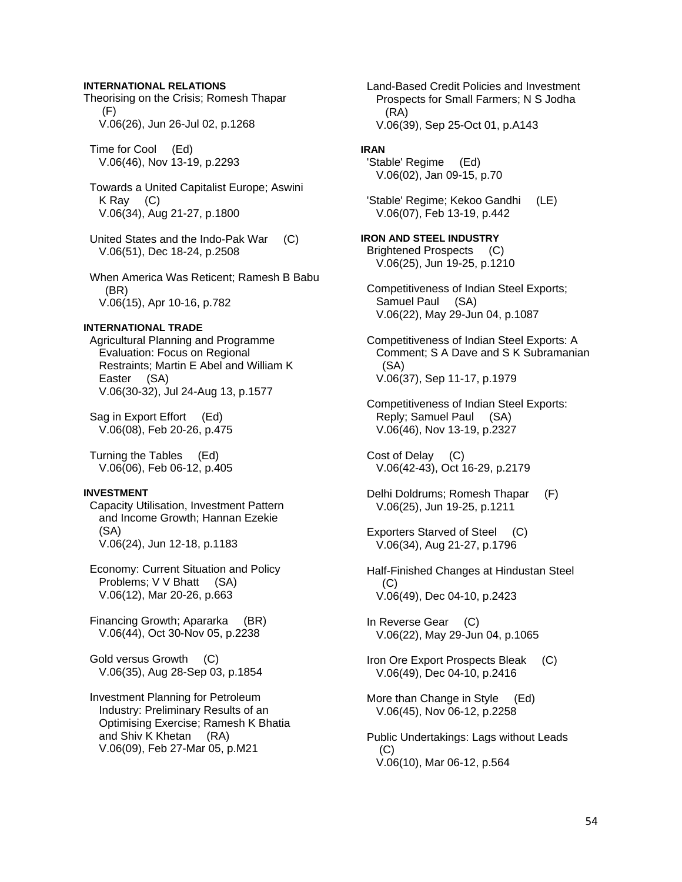## **INTERNATIONAL RELATIONS**

Theorising on the Crisis; Romesh Thapar (F) V.06(26), Jun 26-Jul 02, p.1268

 Time for Cool (Ed) V.06(46), Nov 13-19, p.2293

 Towards a United Capitalist Europe; Aswini K Ray (C) V.06(34), Aug 21-27, p.1800

 United States and the Indo-Pak War (C) V.06(51), Dec 18-24, p.2508

 When America Was Reticent; Ramesh B Babu (BR) V.06(15), Apr 10-16, p.782

## **INTERNATIONAL TRADE**

 Agricultural Planning and Programme Evaluation: Focus on Regional Restraints; Martin E Abel and William K Easter (SA) V.06(30-32), Jul 24-Aug 13, p.1577

 Sag in Export Effort (Ed) V.06(08), Feb 20-26, p.475

 Turning the Tables (Ed) V.06(06), Feb 06-12, p.405

#### **INVESTMENT**

 Capacity Utilisation, Investment Pattern and Income Growth; Hannan Ezekie (SA) V.06(24), Jun 12-18, p.1183

 Economy: Current Situation and Policy Problems; V V Bhatt (SA) V.06(12), Mar 20-26, p.663

 Financing Growth; Apararka (BR) V.06(44), Oct 30-Nov 05, p.2238

 Gold versus Growth (C) V.06(35), Aug 28-Sep 03, p.1854

 Investment Planning for Petroleum Industry: Preliminary Results of an Optimising Exercise; Ramesh K Bhatia and Shiv K Khetan (RA) V.06(09), Feb 27-Mar 05, p.M21

 Land-Based Credit Policies and Investment Prospects for Small Farmers; N S Jodha (RA) V.06(39), Sep 25-Oct 01, p.A143

## **IRAN**

 'Stable' Regime (Ed) V.06(02), Jan 09-15, p.70

 'Stable' Regime; Kekoo Gandhi (LE) V.06(07), Feb 13-19, p.442

**IRON AND STEEL INDUSTRY**  Brightened Prospects (C) V.06(25), Jun 19-25, p.1210

 Competitiveness of Indian Steel Exports; Samuel Paul (SA) V.06(22), May 29-Jun 04, p.1087

 Competitiveness of Indian Steel Exports: A Comment; S A Dave and S K Subramanian (SA) V.06(37), Sep 11-17, p.1979

 Competitiveness of Indian Steel Exports: Reply; Samuel Paul (SA) V.06(46), Nov 13-19, p.2327

 Cost of Delay (C) V.06(42-43), Oct 16-29, p.2179

 Delhi Doldrums; Romesh Thapar (F) V.06(25), Jun 19-25, p.1211

 Exporters Starved of Steel (C) V.06(34), Aug 21-27, p.1796

 Half-Finished Changes at Hindustan Steel (C) V.06(49), Dec 04-10, p.2423

 In Reverse Gear (C) V.06(22), May 29-Jun 04, p.1065

 Iron Ore Export Prospects Bleak (C) V.06(49), Dec 04-10, p.2416

 More than Change in Style (Ed) V.06(45), Nov 06-12, p.2258

 Public Undertakings: Lags without Leads  $(C)$ V.06(10), Mar 06-12, p.564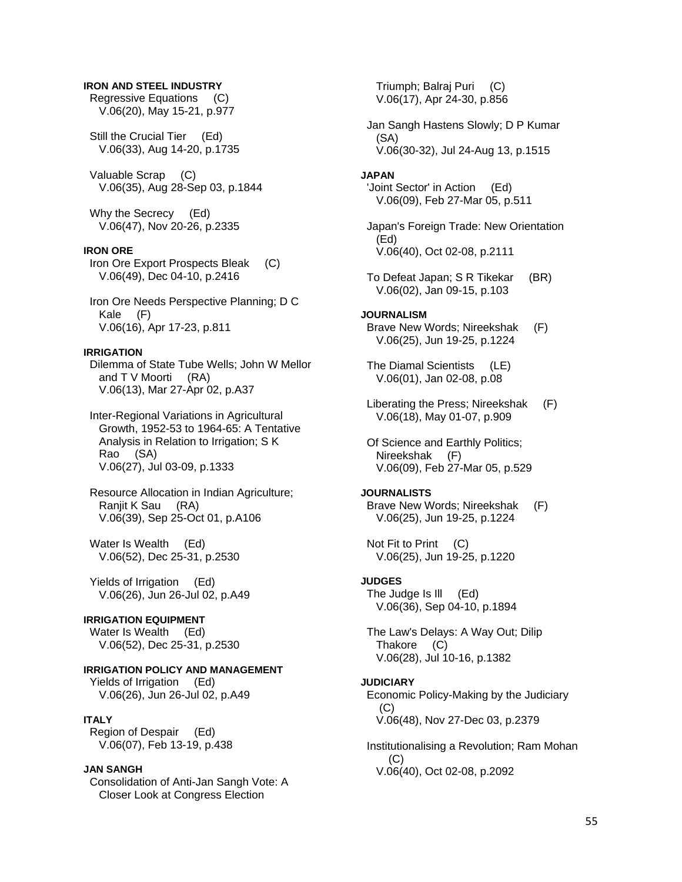#### **IRON AND STEEL INDUSTRY**

 Regressive Equations (C) V.06(20), May 15-21, p.977

 Still the Crucial Tier (Ed) V.06(33), Aug 14-20, p.1735

 Valuable Scrap (C) V.06(35), Aug 28-Sep 03, p.1844

 Why the Secrecy (Ed) V.06(47), Nov 20-26, p.2335

## **IRON ORE**

 Iron Ore Export Prospects Bleak (C) V.06(49), Dec 04-10, p.2416

 Iron Ore Needs Perspective Planning; D C Kale (F) V.06(16), Apr 17-23, p.811

#### **IRRIGATION**

 Dilemma of State Tube Wells; John W Mellor and T V Moorti (RA) V.06(13), Mar 27-Apr 02, p.A37

 Inter-Regional Variations in Agricultural Growth, 1952-53 to 1964-65: A Tentative Analysis in Relation to Irrigation; S K Rao (SA) V.06(27), Jul 03-09, p.1333

 Resource Allocation in Indian Agriculture; Ranjit K Sau (RA) V.06(39), Sep 25-Oct 01, p.A106

Water Is Wealth (Ed) V.06(52), Dec 25-31, p.2530

 Yields of Irrigation (Ed) V.06(26), Jun 26-Jul 02, p.A49

## **IRRIGATION EQUIPMENT**

Water Is Wealth (Ed) V.06(52), Dec 25-31, p.2530

### **IRRIGATION POLICY AND MANAGEMENT**

Yields of Irrigation (Ed) V.06(26), Jun 26-Jul 02, p.A49

#### **ITALY**

 Region of Despair (Ed) V.06(07), Feb 13-19, p.438

#### **JAN SANGH**

 Consolidation of Anti-Jan Sangh Vote: A Closer Look at Congress Election

 Triumph; Balraj Puri (C) V.06(17), Apr 24-30, p.856 Jan Sangh Hastens Slowly; D P Kumar (SA) V.06(30-32), Jul 24-Aug 13, p.1515 **JAPAN**  'Joint Sector' in Action (Ed) V.06(09), Feb 27-Mar 05, p.511 Japan's Foreign Trade: New Orientation (Ed) V.06(40), Oct 02-08, p.2111 To Defeat Japan; S R Tikekar (BR) V.06(02), Jan 09-15, p.103 **JOURNALISM**  Brave New Words; Nireekshak (F) V.06(25), Jun 19-25, p.1224 The Diamal Scientists (LE) V.06(01), Jan 02-08, p.08 Liberating the Press; Nireekshak (F) V.06(18), May 01-07, p.909 Of Science and Earthly Politics; Nireekshak (F) V.06(09), Feb 27-Mar 05, p.529 **JOURNALISTS**  Brave New Words; Nireekshak (F) V.06(25), Jun 19-25, p.1224 Not Fit to Print (C) V.06(25), Jun 19-25, p.1220 **JUDGES**  The Judge Is Ill (Ed) V.06(36), Sep 04-10, p.1894 The Law's Delays: A Way Out; Dilip Thakore (C) V.06(28), Jul 10-16, p.1382 **JUDICIARY**  Economic Policy-Making by the Judiciary  $(C)$  V.06(48), Nov 27-Dec 03, p.2379 Institutionalising a Revolution; Ram Mohan (C) V.06(40), Oct 02-08, p.2092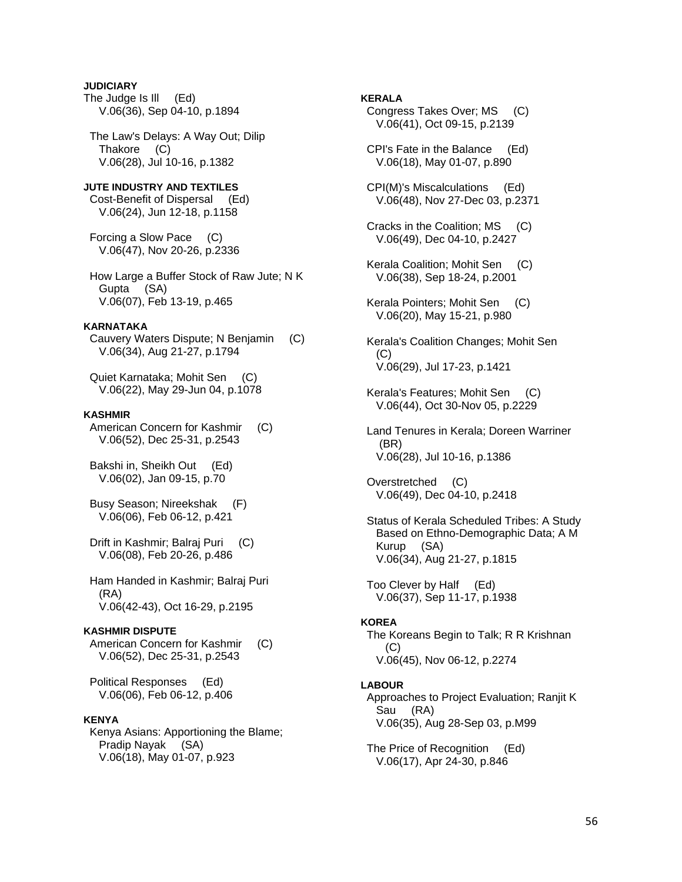## **JUDICIARY**

The Judge Is Ill (Ed) V.06(36), Sep 04-10, p.1894

 The Law's Delays: A Way Out; Dilip Thakore (C) V.06(28), Jul 10-16, p.1382

## **JUTE INDUSTRY AND TEXTILES**  Cost-Benefit of Dispersal (Ed)

V.06(24), Jun 12-18, p.1158

 Forcing a Slow Pace (C) V.06(47), Nov 20-26, p.2336

 How Large a Buffer Stock of Raw Jute; N K Gupta (SA) V.06(07), Feb 13-19, p.465

#### **KARNATAKA**

 Cauvery Waters Dispute; N Benjamin (C) V.06(34), Aug 21-27, p.1794

 Quiet Karnataka; Mohit Sen (C) V.06(22), May 29-Jun 04, p.1078

#### **KASHMIR**

American Concern for Kashmir (C) V.06(52), Dec 25-31, p.2543

 Bakshi in, Sheikh Out (Ed) V.06(02), Jan 09-15, p.70

- Busy Season; Nireekshak (F) V.06(06), Feb 06-12, p.421
- Drift in Kashmir; Balraj Puri (C) V.06(08), Feb 20-26, p.486

 Ham Handed in Kashmir; Balraj Puri (RA) V.06(42-43), Oct 16-29, p.2195

## **KASHMIR DISPUTE**

American Concern for Kashmir (C) V.06(52), Dec 25-31, p.2543

 Political Responses (Ed) V.06(06), Feb 06-12, p.406

## **KENYA**

 Kenya Asians: Apportioning the Blame; Pradip Nayak (SA) V.06(18), May 01-07, p.923

#### **KERALA**

- Congress Takes Over; MS (C) V.06(41), Oct 09-15, p.2139
- CPI's Fate in the Balance (Ed) V.06(18), May 01-07, p.890
- CPI(M)'s Miscalculations (Ed) V.06(48), Nov 27-Dec 03, p.2371
- Cracks in the Coalition; MS (C) V.06(49), Dec 04-10, p.2427
- Kerala Coalition; Mohit Sen (C) V.06(38), Sep 18-24, p.2001
- Kerala Pointers; Mohit Sen (C) V.06(20), May 15-21, p.980
- Kerala's Coalition Changes; Mohit Sen (C) V.06(29), Jul 17-23, p.1421
- Kerala's Features; Mohit Sen (C) V.06(44), Oct 30-Nov 05, p.2229
- Land Tenures in Kerala; Doreen Warriner (BR) V.06(28), Jul 10-16, p.1386
- Overstretched (C) V.06(49), Dec 04-10, p.2418
- Status of Kerala Scheduled Tribes: A Study Based on Ethno-Demographic Data; A M Kurup (SA) V.06(34), Aug 21-27, p.1815

 Too Clever by Half (Ed) V.06(37), Sep 11-17, p.1938

#### **KOREA**

 The Koreans Begin to Talk; R R Krishnan (C) V.06(45), Nov 06-12, p.2274

#### **LABOUR**

 Approaches to Project Evaluation; Ranjit K Sau (RA) V.06(35), Aug 28-Sep 03, p.M99

 The Price of Recognition (Ed) V.06(17), Apr 24-30, p.846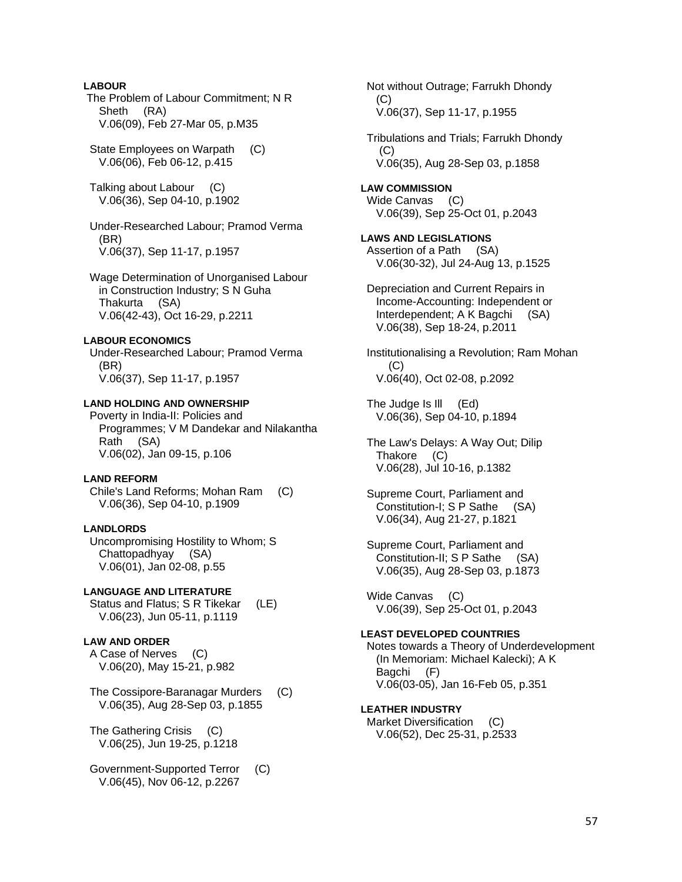## **LABOUR**

 The Problem of Labour Commitment; N R Sheth (RA) V.06(09), Feb 27-Mar 05, p.M35

State Employees on Warpath (C) V.06(06), Feb 06-12, p.415

 Talking about Labour (C) V.06(36), Sep 04-10, p.1902

 Under-Researched Labour; Pramod Verma (BR) V.06(37), Sep 11-17, p.1957

 Wage Determination of Unorganised Labour in Construction Industry; S N Guha Thakurta (SA) V.06(42-43), Oct 16-29, p.2211

#### **LABOUR ECONOMICS**

 Under-Researched Labour; Pramod Verma (BR) V.06(37), Sep 11-17, p.1957

## **LAND HOLDING AND OWNERSHIP**

 Poverty in India-II: Policies and Programmes; V M Dandekar and Nilakantha Rath (SA) V.06(02), Jan 09-15, p.106

#### **LAND REFORM**

 Chile's Land Reforms; Mohan Ram (C) V.06(36), Sep 04-10, p.1909

## **LANDLORDS**

 Uncompromising Hostility to Whom; S Chattopadhyay (SA) V.06(01), Jan 02-08, p.55

## **LANGUAGE AND LITERATURE**

 Status and Flatus; S R Tikekar (LE) V.06(23), Jun 05-11, p.1119

#### **LAW AND ORDER**

 A Case of Nerves (C) V.06(20), May 15-21, p.982

 The Cossipore-Baranagar Murders (C) V.06(35), Aug 28-Sep 03, p.1855

 The Gathering Crisis (C) V.06(25), Jun 19-25, p.1218

 Government-Supported Terror (C) V.06(45), Nov 06-12, p.2267

 Not without Outrage; Farrukh Dhondy (C) V.06(37), Sep 11-17, p.1955 Tribulations and Trials; Farrukh Dhondy  $(C)$  V.06(35), Aug 28-Sep 03, p.1858 **LAW COMMISSION**  Wide Canvas (C) V.06(39), Sep 25-Oct 01, p.2043 **LAWS AND LEGISLATIONS**  Assertion of a Path (SA) V.06(30-32), Jul 24-Aug 13, p.1525 Depreciation and Current Repairs in Income-Accounting: Independent or Interdependent; A K Bagchi (SA) V.06(38), Sep 18-24, p.2011 Institutionalising a Revolution; Ram Mohan (C) V.06(40), Oct 02-08, p.2092 The Judge Is Ill (Ed) V.06(36), Sep 04-10, p.1894 The Law's Delays: A Way Out; Dilip Thakore (C) V.06(28), Jul 10-16, p.1382 Supreme Court, Parliament and Constitution-I; S P Sathe (SA) V.06(34), Aug 21-27, p.1821 Supreme Court, Parliament and Constitution-II; S P Sathe (SA) V.06(35), Aug 28-Sep 03, p.1873 Wide Canvas (C) V.06(39), Sep 25-Oct 01, p.2043 **LEAST DEVELOPED COUNTRIES** 

 Notes towards a Theory of Underdevelopment (In Memoriam: Michael Kalecki); A K Bagchi (F) V.06(03-05), Jan 16-Feb 05, p.351

## **LEATHER INDUSTRY**

 Market Diversification (C) V.06(52), Dec 25-31, p.2533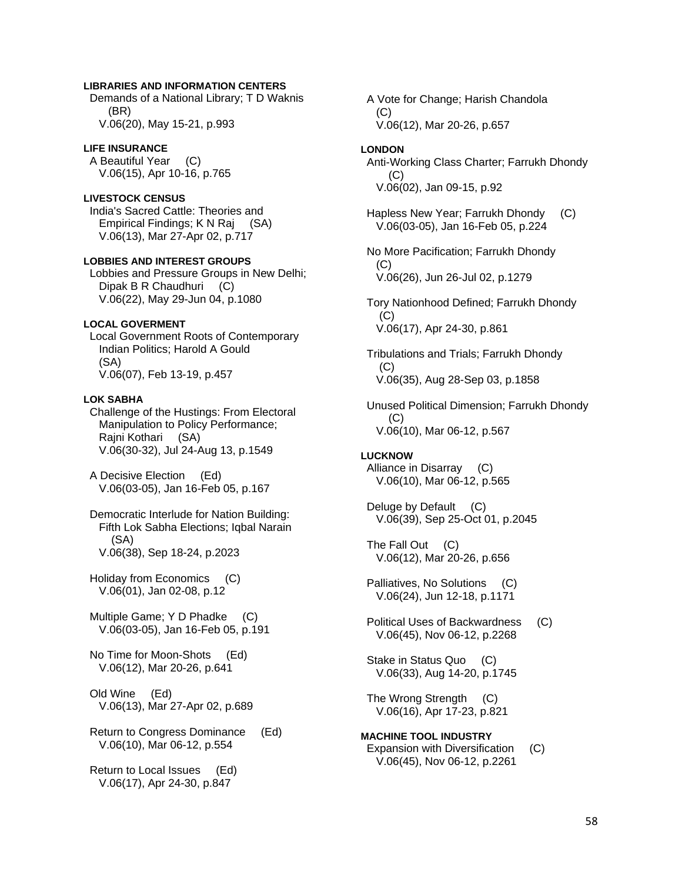## **LIBRARIES AND INFORMATION CENTERS**

 Demands of a National Library; T D Waknis (BR) V.06(20), May 15-21, p.993

#### **LIFE INSURANCE**

 A Beautiful Year (C) V.06(15), Apr 10-16, p.765

## **LIVESTOCK CENSUS**

 India's Sacred Cattle: Theories and Empirical Findings; K N Raj (SA) V.06(13), Mar 27-Apr 02, p.717

## **LOBBIES AND INTEREST GROUPS**

 Lobbies and Pressure Groups in New Delhi; Dipak B R Chaudhuri (C) V.06(22), May 29-Jun 04, p.1080

### **LOCAL GOVERMENT**

 Local Government Roots of Contemporary Indian Politics; Harold A Gould (SA) V.06(07), Feb 13-19, p.457

#### **LOK SABHA**

 Challenge of the Hustings: From Electoral Manipulation to Policy Performance; Rajni Kothari (SA) V.06(30-32), Jul 24-Aug 13, p.1549

 A Decisive Election (Ed) V.06(03-05), Jan 16-Feb 05, p.167

 Democratic Interlude for Nation Building: Fifth Lok Sabha Elections; Iqbal Narain (SA) V.06(38), Sep 18-24, p.2023

 Holiday from Economics (C) V.06(01), Jan 02-08, p.12

 Multiple Game; Y D Phadke (C) V.06(03-05), Jan 16-Feb 05, p.191

 No Time for Moon-Shots (Ed) V.06(12), Mar 20-26, p.641

 Old Wine (Ed) V.06(13), Mar 27-Apr 02, p.689

 Return to Congress Dominance (Ed) V.06(10), Mar 06-12, p.554

 Return to Local Issues (Ed) V.06(17), Apr 24-30, p.847

 A Vote for Change; Harish Chandola (C) V.06(12), Mar 20-26, p.657

#### **LONDON**

 Anti-Working Class Charter; Farrukh Dhondy (C) V.06(02), Jan 09-15, p.92

 Hapless New Year; Farrukh Dhondy (C) V.06(03-05), Jan 16-Feb 05, p.224

 No More Pacification; Farrukh Dhondy  $(C)$ V.06(26), Jun 26-Jul 02, p.1279

 Tory Nationhood Defined; Farrukh Dhondy (C) V.06(17), Apr 24-30, p.861

 Tribulations and Trials; Farrukh Dhondy  $(C)$ V.06(35), Aug 28-Sep 03, p.1858

 Unused Political Dimension; Farrukh Dhondy (C) V.06(10), Mar 06-12, p.567

#### **LUCKNOW**

 Alliance in Disarray (C) V.06(10), Mar 06-12, p.565

Deluge by Default (C) V.06(39), Sep 25-Oct 01, p.2045

The Fall Out (C) V.06(12), Mar 20-26, p.656

 Palliatives, No Solutions (C) V.06(24), Jun 12-18, p.1171

 Political Uses of Backwardness (C) V.06(45), Nov 06-12, p.2268

 Stake in Status Quo (C) V.06(33), Aug 14-20, p.1745

 The Wrong Strength (C) V.06(16), Apr 17-23, p.821

**MACHINE TOOL INDUSTRY**  Expansion with Diversification (C) V.06(45), Nov 06-12, p.2261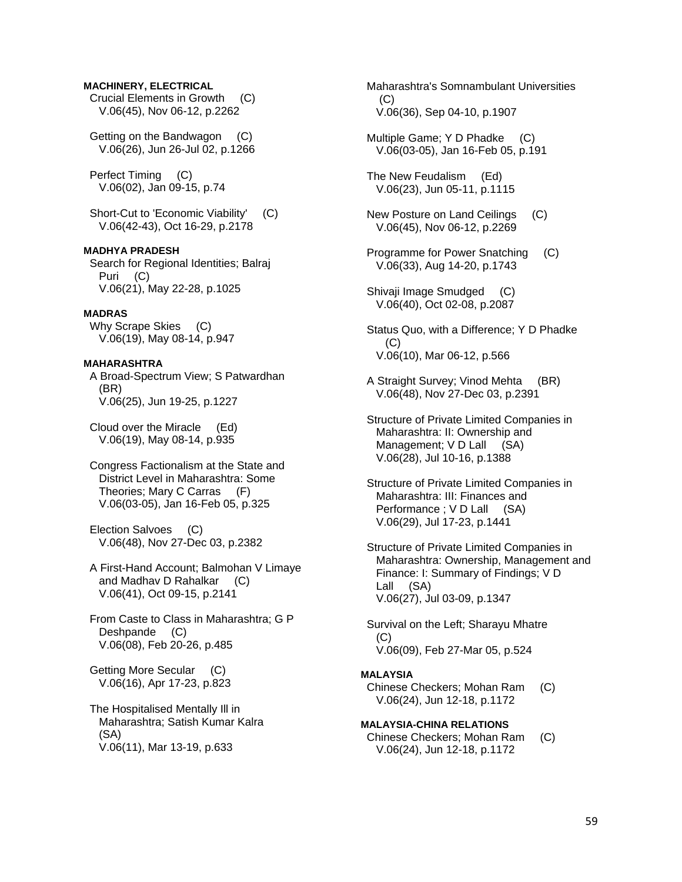## **MACHINERY, ELECTRICAL**

 Crucial Elements in Growth (C) V.06(45), Nov 06-12, p.2262

 Getting on the Bandwagon (C) V.06(26), Jun 26-Jul 02, p.1266

 Perfect Timing (C) V.06(02), Jan 09-15, p.74

 Short-Cut to 'Economic Viability' (C) V.06(42-43), Oct 16-29, p.2178

## **MADHYA PRADESH**

 Search for Regional Identities; Balraj Puri (C) V.06(21), May 22-28, p.1025

## **MADRAS**

Why Scrape Skies (C) V.06(19), May 08-14, p.947

### **MAHARASHTRA**

 A Broad-Spectrum View; S Patwardhan (BR) V.06(25), Jun 19-25, p.1227

 Cloud over the Miracle (Ed) V.06(19), May 08-14, p.935

 Congress Factionalism at the State and District Level in Maharashtra: Some Theories; Mary C Carras (F) V.06(03-05), Jan 16-Feb 05, p.325

 Election Salvoes (C) V.06(48), Nov 27-Dec 03, p.2382

 A First-Hand Account; Balmohan V Limaye and Madhav D Rahalkar (C) V.06(41), Oct 09-15, p.2141

 From Caste to Class in Maharashtra; G P Deshpande (C) V.06(08), Feb 20-26, p.485

 Getting More Secular (C) V.06(16), Apr 17-23, p.823

 The Hospitalised Mentally Ill in Maharashtra; Satish Kumar Kalra (SA) V.06(11), Mar 13-19, p.633

 Maharashtra's Somnambulant Universities (C) V.06(36), Sep 04-10, p.1907

 Multiple Game; Y D Phadke (C) V.06(03-05), Jan 16-Feb 05, p.191

 The New Feudalism (Ed) V.06(23), Jun 05-11, p.1115

 New Posture on Land Ceilings (C) V.06(45), Nov 06-12, p.2269

 Programme for Power Snatching (C) V.06(33), Aug 14-20, p.1743

 Shivaji Image Smudged (C) V.06(40), Oct 02-08, p.2087

 Status Quo, with a Difference; Y D Phadke (C) V.06(10), Mar 06-12, p.566

 A Straight Survey; Vinod Mehta (BR) V.06(48), Nov 27-Dec 03, p.2391

 Structure of Private Limited Companies in Maharashtra: II: Ownership and Management; V D Lall (SA) V.06(28), Jul 10-16, p.1388

 Structure of Private Limited Companies in Maharashtra: III: Finances and Performance ; V D Lall (SA) V.06(29), Jul 17-23, p.1441

 Structure of Private Limited Companies in Maharashtra: Ownership, Management and Finance: I: Summary of Findings; V D Lall (SA) V.06(27), Jul 03-09, p.1347

 Survival on the Left; Sharayu Mhatre (C) V.06(09), Feb 27-Mar 05, p.524

#### **MALAYSIA**

 Chinese Checkers; Mohan Ram (C) V.06(24), Jun 12-18, p.1172

**MALAYSIA-CHINA RELATIONS** 

 Chinese Checkers; Mohan Ram (C) V.06(24), Jun 12-18, p.1172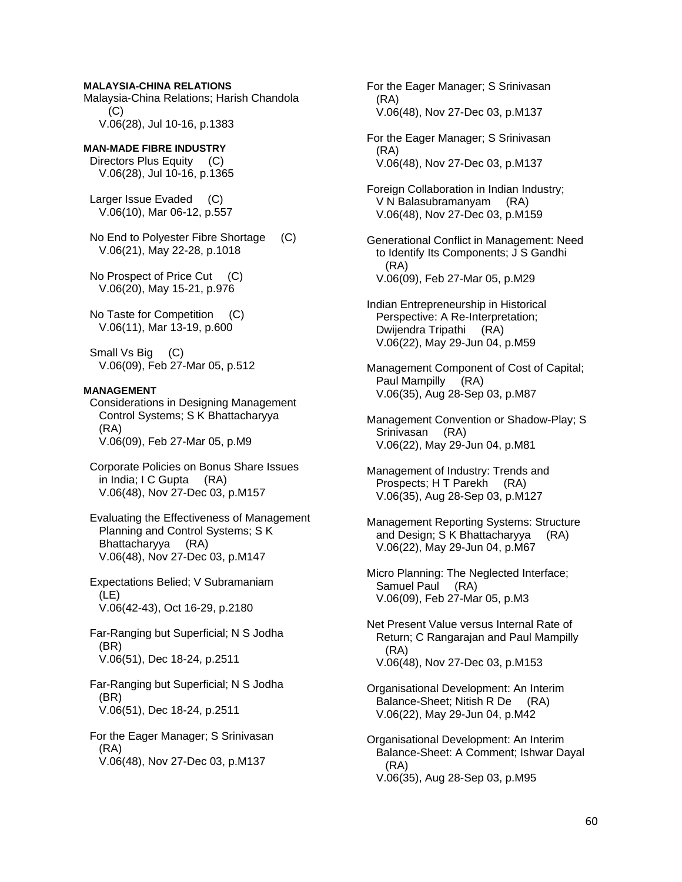### **MALAYSIA-CHINA RELATIONS**

Malaysia-China Relations; Harish Chandola (C) V.06(28), Jul 10-16, p.1383

## **MAN-MADE FIBRE INDUSTRY**

 Directors Plus Equity (C) V.06(28), Jul 10-16, p.1365

 Larger Issue Evaded (C) V.06(10), Mar 06-12, p.557

 No End to Polyester Fibre Shortage (C) V.06(21), May 22-28, p.1018

 No Prospect of Price Cut (C) V.06(20), May 15-21, p.976

 No Taste for Competition (C) V.06(11), Mar 13-19, p.600

Small Vs Big (C) V.06(09), Feb 27-Mar 05, p.512

#### **MANAGEMENT**

 Considerations in Designing Management Control Systems; S K Bhattacharyya (RA) V.06(09), Feb 27-Mar 05, p.M9

 Corporate Policies on Bonus Share Issues in India; I C Gupta (RA) V.06(48), Nov 27-Dec 03, p.M157

 Evaluating the Effectiveness of Management Planning and Control Systems; S K Bhattacharyya (RA) V.06(48), Nov 27-Dec 03, p.M147

 Expectations Belied; V Subramaniam (LE) V.06(42-43), Oct 16-29, p.2180

 Far-Ranging but Superficial; N S Jodha (BR) V.06(51), Dec 18-24, p.2511

 Far-Ranging but Superficial; N S Jodha (BR) V.06(51), Dec 18-24, p.2511

 For the Eager Manager; S Srinivasan (RA) V.06(48), Nov 27-Dec 03, p.M137

 For the Eager Manager; S Srinivasan (RA) V.06(48), Nov 27-Dec 03, p.M137

 For the Eager Manager; S Srinivasan (RA) V.06(48), Nov 27-Dec 03, p.M137

 Foreign Collaboration in Indian Industry; V N Balasubramanyam (RA) V.06(48), Nov 27-Dec 03, p.M159

 Generational Conflict in Management: Need to Identify Its Components; J S Gandhi (RA) V.06(09), Feb 27-Mar 05, p.M29

 Indian Entrepreneurship in Historical Perspective: A Re-Interpretation; Dwijendra Tripathi (RA) V.06(22), May 29-Jun 04, p.M59

 Management Component of Cost of Capital; Paul Mampilly (RA) V.06(35), Aug 28-Sep 03, p.M87

 Management Convention or Shadow-Play; S Srinivasan (RA) V.06(22), May 29-Jun 04, p.M81

 Management of Industry: Trends and Prospects; H T Parekh (RA) V.06(35), Aug 28-Sep 03, p.M127

 Management Reporting Systems: Structure and Design; S K Bhattacharyya (RA) V.06(22), May 29-Jun 04, p.M67

 Micro Planning: The Neglected Interface; Samuel Paul (RA) V.06(09), Feb 27-Mar 05, p.M3

 Net Present Value versus Internal Rate of Return; C Rangarajan and Paul Mampilly (RA) V.06(48), Nov 27-Dec 03, p.M153

 Organisational Development: An Interim Balance-Sheet; Nitish R De (RA) V.06(22), May 29-Jun 04, p.M42

 Organisational Development: An Interim Balance-Sheet: A Comment; Ishwar Dayal (RA) V.06(35), Aug 28-Sep 03, p.M95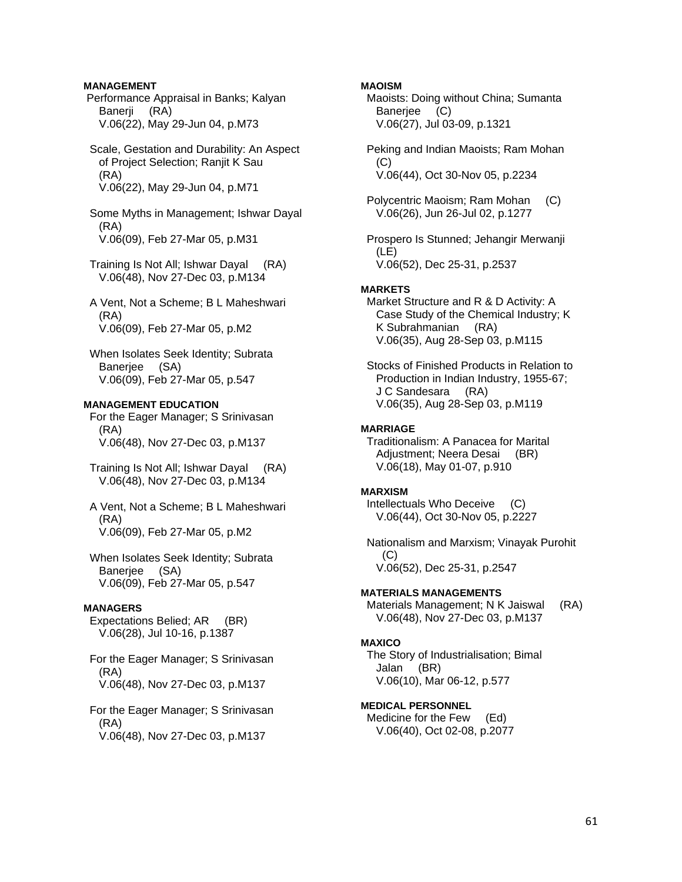## **MANAGEMENT**

 Performance Appraisal in Banks; Kalyan Banerii (RA) V.06(22), May 29-Jun 04, p.M73

 Scale, Gestation and Durability: An Aspect of Project Selection; Ranjit K Sau (RA) V.06(22), May 29-Jun 04, p.M71

 Some Myths in Management; Ishwar Dayal (RA) V.06(09), Feb 27-Mar 05, p.M31

- Training Is Not All; Ishwar Dayal (RA) V.06(48), Nov 27-Dec 03, p.M134
- A Vent, Not a Scheme; B L Maheshwari (RA) V.06(09), Feb 27-Mar 05, p.M2
- When Isolates Seek Identity; Subrata Banerjee (SA) V.06(09), Feb 27-Mar 05, p.547

## **MANAGEMENT EDUCATION**

 For the Eager Manager; S Srinivasan (RA) V.06(48), Nov 27-Dec 03, p.M137

- Training Is Not All; Ishwar Dayal (RA) V.06(48), Nov 27-Dec 03, p.M134
- A Vent, Not a Scheme; B L Maheshwari (RA) V.06(09), Feb 27-Mar 05, p.M2
- When Isolates Seek Identity; Subrata Banerjee (SA) V.06(09), Feb 27-Mar 05, p.547

## **MANAGERS**

 Expectations Belied; AR (BR) V.06(28), Jul 10-16, p.1387

 For the Eager Manager; S Srinivasan (RA) V.06(48), Nov 27-Dec 03, p.M137

 For the Eager Manager; S Srinivasan (RA) V.06(48), Nov 27-Dec 03, p.M137

## **MAOISM**

 Maoists: Doing without China; Sumanta Banerjee (C) V.06(27), Jul 03-09, p.1321

 Peking and Indian Maoists; Ram Mohan (C) V.06(44), Oct 30-Nov 05, p.2234

 Polycentric Maoism; Ram Mohan (C) V.06(26), Jun 26-Jul 02, p.1277

 Prospero Is Stunned; Jehangir Merwanji (LE) V.06(52), Dec 25-31, p.2537

### **MARKETS**

 Market Structure and R & D Activity: A Case Study of the Chemical Industry; K K Subrahmanian (RA) V.06(35), Aug 28-Sep 03, p.M115

 Stocks of Finished Products in Relation to Production in Indian Industry, 1955-67; J C Sandesara (RA) V.06(35), Aug 28-Sep 03, p.M119

#### **MARRIAGE**

 Traditionalism: A Panacea for Marital Adjustment; Neera Desai (BR) V.06(18), May 01-07, p.910

#### **MARXISM**

 Intellectuals Who Deceive (C) V.06(44), Oct 30-Nov 05, p.2227

 Nationalism and Marxism; Vinayak Purohit  $(C)$ V.06(52), Dec 25-31, p.2547

#### **MATERIALS MANAGEMENTS**

 Materials Management; N K Jaiswal (RA) V.06(48), Nov 27-Dec 03, p.M137

## **MAXICO**

 The Story of Industrialisation; Bimal Jalan (BR) V.06(10), Mar 06-12, p.577

## **MEDICAL PERSONNEL**

 Medicine for the Few (Ed) V.06(40), Oct 02-08, p.2077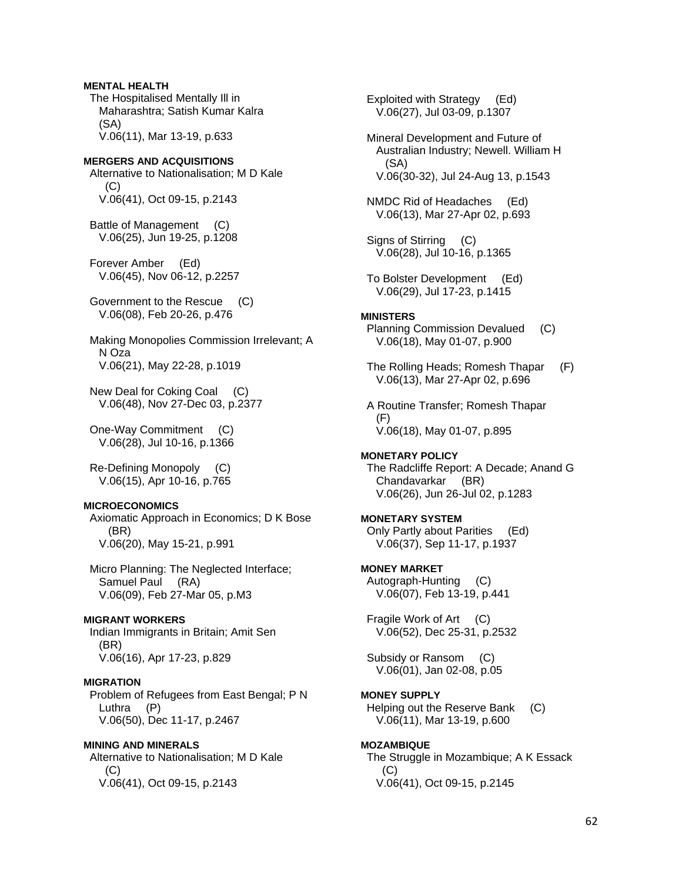## **MENTAL HEALTH**  The Hospitalised Mentally Ill in Maharashtra; Satish Kumar Kalra

 (SA) V.06(11), Mar 13-19, p.633

## **MERGERS AND ACQUISITIONS**

 Alternative to Nationalisation; M D Kale  $(C)$ V.06(41), Oct 09-15, p.2143

 Battle of Management (C) V.06(25), Jun 19-25, p.1208

 Forever Amber (Ed) V.06(45), Nov 06-12, p.2257

 Government to the Rescue (C) V.06(08), Feb 20-26, p.476

 Making Monopolies Commission Irrelevant; A N Oza V.06(21), May 22-28, p.1019

 New Deal for Coking Coal (C) V.06(48), Nov 27-Dec 03, p.2377

 One-Way Commitment (C) V.06(28), Jul 10-16, p.1366

 Re-Defining Monopoly (C) V.06(15), Apr 10-16, p.765

## **MICROECONOMICS**

 Axiomatic Approach in Economics; D K Bose (BR) V.06(20), May 15-21, p.991

 Micro Planning: The Neglected Interface; Samuel Paul (RA) V.06(09), Feb 27-Mar 05, p.M3

## **MIGRANT WORKERS**

 Indian Immigrants in Britain; Amit Sen (BR) V.06(16), Apr 17-23, p.829

## **MIGRATION**

 Problem of Refugees from East Bengal; P N Luthra (P) V.06(50), Dec 11-17, p.2467

#### **MINING AND MINERALS**

 Alternative to Nationalisation; M D Kale  $(C)$ V.06(41), Oct 09-15, p.2143

 Exploited with Strategy (Ed) V.06(27), Jul 03-09, p.1307 Mineral Development and Future of Australian Industry; Newell. William H (SA) V.06(30-32), Jul 24-Aug 13, p.1543 NMDC Rid of Headaches (Ed) V.06(13), Mar 27-Apr 02, p.693 Signs of Stirring (C) V.06(28), Jul 10-16, p.1365 To Bolster Development (Ed) V.06(29), Jul 17-23, p.1415 **MINISTERS**  Planning Commission Devalued (C) V.06(18), May 01-07, p.900 The Rolling Heads; Romesh Thapar (F) V.06(13), Mar 27-Apr 02, p.696 A Routine Transfer; Romesh Thapar (F) V.06(18), May 01-07, p.895 **MONETARY POLICY**  The Radcliffe Report: A Decade; Anand G Chandavarkar (BR) V.06(26), Jun 26-Jul 02, p.1283 **MONETARY SYSTEM**  Only Partly about Parities (Ed) V.06(37), Sep 11-17, p.1937 **MONEY MARKET**  Autograph-Hunting (C) V.06(07), Feb 13-19, p.441 Fragile Work of Art (C) V.06(52), Dec 25-31, p.2532 Subsidy or Ransom (C)

V.06(01), Jan 02-08, p.05

## **MONEY SUPPLY**

 Helping out the Reserve Bank (C) V.06(11), Mar 13-19, p.600

## **MOZAMBIQUE**

 The Struggle in Mozambique; A K Essack  $(C)$ V.06(41), Oct 09-15, p.2145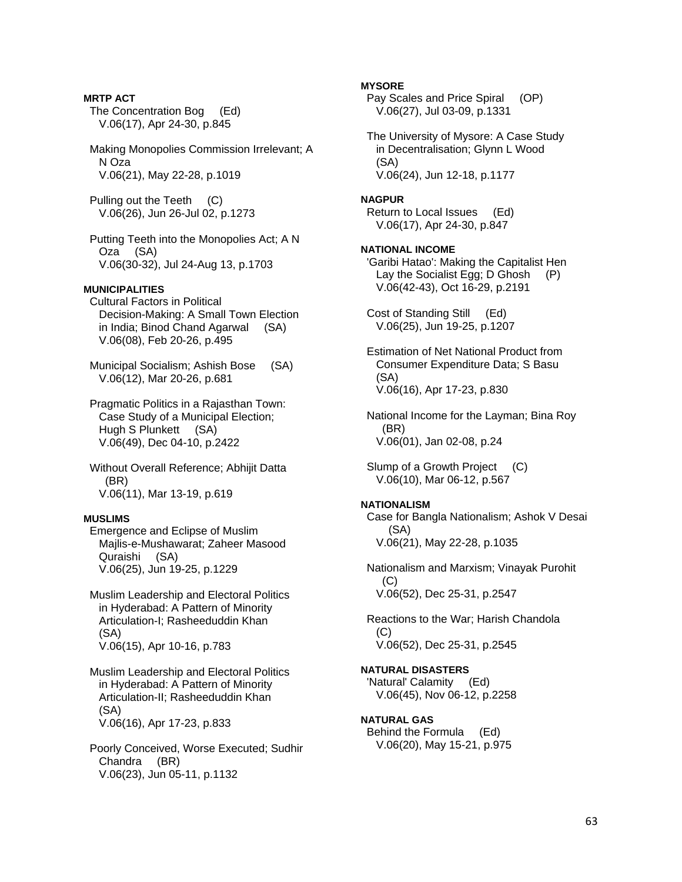**MRTP ACT**  The Concentration Bog (Ed) V.06(17), Apr 24-30, p.845 Making Monopolies Commission Irrelevant; A N Oza V.06(21), May 22-28, p.1019 Pulling out the Teeth (C) V.06(26), Jun 26-Jul 02, p.1273 Putting Teeth into the Monopolies Act; A N Oza (SA) V.06(30-32), Jul 24-Aug 13, p.1703 **MUNICIPALITIES**  Cultural Factors in Political Decision-Making: A Small Town Election in India; Binod Chand Agarwal (SA) V.06(08), Feb 20-26, p.495 Municipal Socialism; Ashish Bose (SA) V.06(12), Mar 20-26, p.681 Pragmatic Politics in a Rajasthan Town: Case Study of a Municipal Election; Hugh S Plunkett (SA) V.06(49), Dec 04-10, p.2422 Without Overall Reference; Abhijit Datta (BR) V.06(11), Mar 13-19, p.619 **MUSLIMS**  Emergence and Eclipse of Muslim Majlis-e-Mushawarat; Zaheer Masood Quraishi (SA) V.06(25), Jun 19-25, p.1229 Muslim Leadership and Electoral Politics in Hyderabad: A Pattern of Minority Articulation-I; Rasheeduddin Khan (SA) V.06(15), Apr 10-16, p.783 Muslim Leadership and Electoral Politics in Hyderabad: A Pattern of Minority Articulation-II; Rasheeduddin Khan (SA) V.06(16), Apr 17-23, p.833 Poorly Conceived, Worse Executed; Sudhir Chandra (BR) V.06(23), Jun 05-11, p.1132

**MYSORE**  Pay Scales and Price Spiral (OP) V.06(27), Jul 03-09, p.1331 The University of Mysore: A Case Study in Decentralisation; Glynn L Wood (SA) V.06(24), Jun 12-18, p.1177 **NAGPUR**  Return to Local Issues (Ed) V.06(17), Apr 24-30, p.847 **NATIONAL INCOME**  'Garibi Hatao': Making the Capitalist Hen Lay the Socialist Egg; D Ghosh (P) V.06(42-43), Oct 16-29, p.2191 Cost of Standing Still (Ed) V.06(25), Jun 19-25, p.1207 Estimation of Net National Product from Consumer Expenditure Data; S Basu (SA) V.06(16), Apr 17-23, p.830 National Income for the Layman; Bina Roy (BR) V.06(01), Jan 02-08, p.24 Slump of a Growth Project (C) V.06(10), Mar 06-12, p.567 **NATIONALISM**  Case for Bangla Nationalism; Ashok V Desai (SA) V.06(21), May 22-28, p.1035 Nationalism and Marxism; Vinayak Purohit (C) V.06(52), Dec 25-31, p.2547 Reactions to the War; Harish Chandola  $(C)$  V.06(52), Dec 25-31, p.2545 **NATURAL DISASTERS**  'Natural' Calamity (Ed) V.06(45), Nov 06-12, p.2258 **NATURAL GAS**  Behind the Formula (Ed) V.06(20), May 15-21, p.975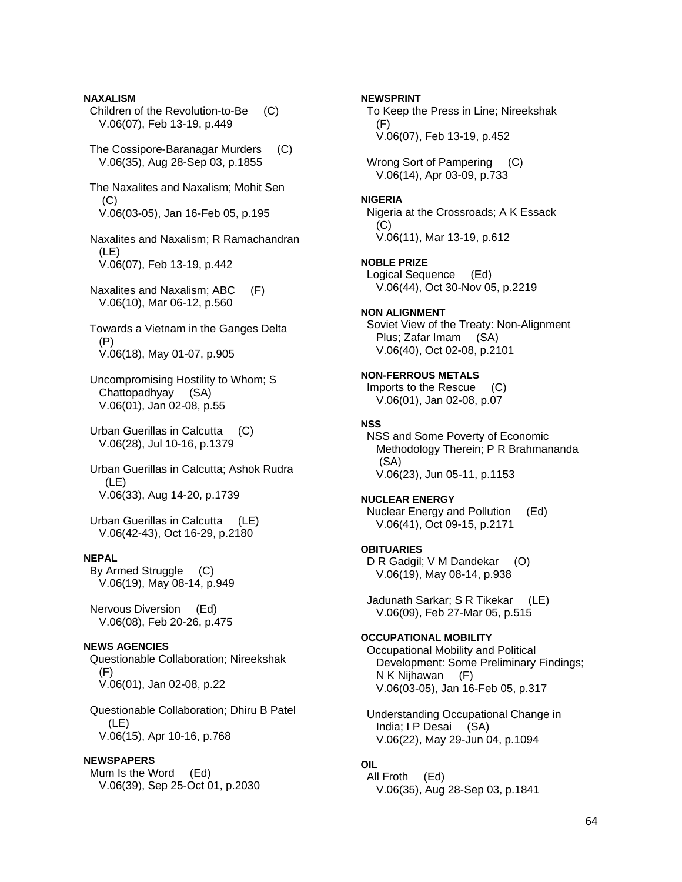**NAXALISM**  Children of the Revolution-to-Be (C) V.06(07), Feb 13-19, p.449

 The Cossipore-Baranagar Murders (C) V.06(35), Aug 28-Sep 03, p.1855

 The Naxalites and Naxalism; Mohit Sen (C) V.06(03-05), Jan 16-Feb 05, p.195

 Naxalites and Naxalism; R Ramachandran (LE) V.06(07), Feb 13-19, p.442

 Naxalites and Naxalism; ABC (F) V.06(10), Mar 06-12, p.560

 Towards a Vietnam in the Ganges Delta (P) V.06(18), May 01-07, p.905

 Uncompromising Hostility to Whom; S Chattopadhyay (SA) V.06(01), Jan 02-08, p.55

 Urban Guerillas in Calcutta (C) V.06(28), Jul 10-16, p.1379

 Urban Guerillas in Calcutta; Ashok Rudra (LE) V.06(33), Aug 14-20, p.1739

 Urban Guerillas in Calcutta (LE) V.06(42-43), Oct 16-29, p.2180

#### **NEPAL**

 By Armed Struggle (C) V.06(19), May 08-14, p.949

 Nervous Diversion (Ed) V.06(08), Feb 20-26, p.475

## **NEWS AGENCIES**

 Questionable Collaboration; Nireekshak (F) V.06(01), Jan 02-08, p.22

 Questionable Collaboration; Dhiru B Patel (LE) V.06(15), Apr 10-16, p.768

## **NEWSPAPERS**

 Mum Is the Word (Ed) V.06(39), Sep 25-Oct 01, p.2030

#### **NEWSPRINT**

 To Keep the Press in Line; Nireekshak (F) V.06(07), Feb 13-19, p.452

Wrong Sort of Pampering (C) V.06(14), Apr 03-09, p.733

#### **NIGERIA**

 Nigeria at the Crossroads; A K Essack (C) V.06(11), Mar 13-19, p.612

**NOBLE PRIZE** 

 Logical Sequence (Ed) V.06(44), Oct 30-Nov 05, p.2219

## **NON ALIGNMENT**

 Soviet View of the Treaty: Non-Alignment Plus; Zafar Imam (SA) V.06(40), Oct 02-08, p.2101

## **NON-FERROUS METALS**

 Imports to the Rescue (C) V.06(01), Jan 02-08, p.07

### **NSS**

 NSS and Some Poverty of Economic Methodology Therein; P R Brahmananda (SA) V.06(23), Jun 05-11, p.1153

#### **NUCLEAR ENERGY**

 Nuclear Energy and Pollution (Ed) V.06(41), Oct 09-15, p.2171

#### **OBITUARIES**

D R Gadgil; V M Dandekar (O) V.06(19), May 08-14, p.938

 Jadunath Sarkar; S R Tikekar (LE) V.06(09), Feb 27-Mar 05, p.515

### **OCCUPATIONAL MOBILITY**

 Occupational Mobility and Political Development: Some Preliminary Findings; N K Nijhawan (F) V.06(03-05), Jan 16-Feb 05, p.317

 Understanding Occupational Change in India; I P Desai (SA) V.06(22), May 29-Jun 04, p.1094

## **OIL**

 All Froth (Ed) V.06(35), Aug 28-Sep 03, p.1841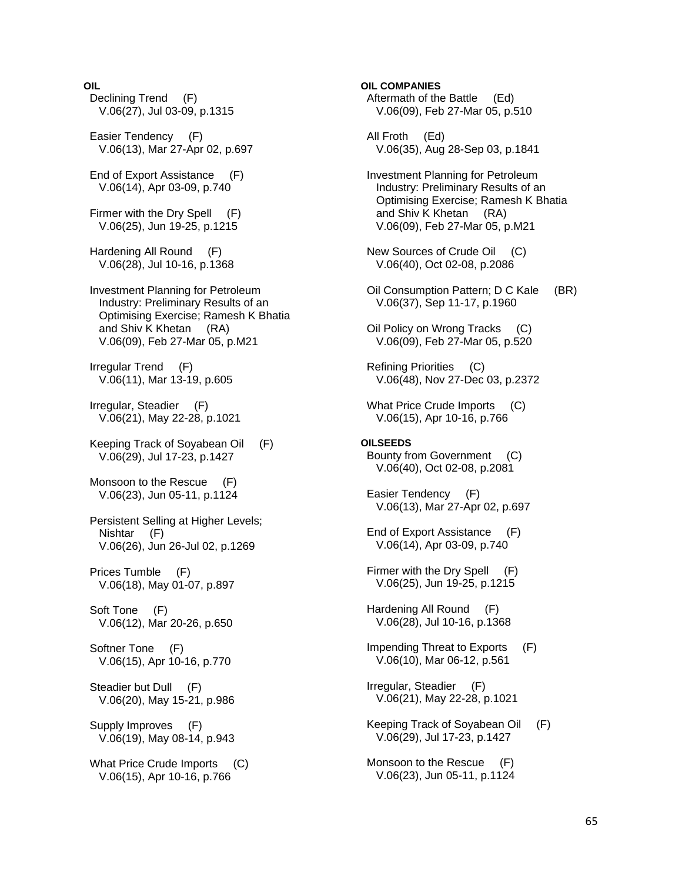## **OIL**

 Declining Trend (F) V.06(27), Jul 03-09, p.1315 Easier Tendency (F) V.06(13), Mar 27-Apr 02, p.697 End of Export Assistance (F) V.06(14), Apr 03-09, p.740 Firmer with the Dry Spell (F) V.06(25), Jun 19-25, p.1215 Hardening All Round (F) V.06(28), Jul 10-16, p.1368 Investment Planning for Petroleum Industry: Preliminary Results of an Optimising Exercise; Ramesh K Bhatia and Shiv K Khetan (RA) V.06(09), Feb 27-Mar 05, p.M21 Irregular Trend (F) V.06(11), Mar 13-19, p.605 Irregular, Steadier (F) V.06(21), May 22-28, p.1021 Keeping Track of Soyabean Oil (F) V.06(29), Jul 17-23, p.1427 Monsoon to the Rescue (F) V.06(23), Jun 05-11, p.1124 Persistent Selling at Higher Levels; Nishtar (F) V.06(26), Jun 26-Jul 02, p.1269 Prices Tumble (F) V.06(18), May 01-07, p.897 Soft Tone (F) V.06(12), Mar 20-26, p.650 Softner Tone (F) V.06(15), Apr 10-16, p.770 Steadier but Dull (F) V.06(20), May 15-21, p.986 Supply Improves (F) V.06(19), May 08-14, p.943 What Price Crude Imports (C) V.06(15), Apr 10-16, p.766

**OIL COMPANIES**  Aftermath of the Battle (Ed) V.06(09), Feb 27-Mar 05, p.510 All Froth (Ed) V.06(35), Aug 28-Sep 03, p.1841 Investment Planning for Petroleum Industry: Preliminary Results of an Optimising Exercise; Ramesh K Bhatia and Shiv K Khetan (RA) V.06(09), Feb 27-Mar 05, p.M21 New Sources of Crude Oil (C) V.06(40), Oct 02-08, p.2086 Oil Consumption Pattern; D C Kale (BR) V.06(37), Sep 11-17, p.1960 Oil Policy on Wrong Tracks (C) V.06(09), Feb 27-Mar 05, p.520 Refining Priorities (C) V.06(48), Nov 27-Dec 03, p.2372 What Price Crude Imports (C) V.06(15), Apr 10-16, p.766 **OILSEEDS**  Bounty from Government (C) V.06(40), Oct 02-08, p.2081 Easier Tendency (F) V.06(13), Mar 27-Apr 02, p.697 End of Export Assistance (F) V.06(14), Apr 03-09, p.740 Firmer with the Dry Spell (F) V.06(25), Jun 19-25, p.1215 Hardening All Round (F) V.06(28), Jul 10-16, p.1368 Impending Threat to Exports (F) V.06(10), Mar 06-12, p.561 Irregular, Steadier (F) V.06(21), May 22-28, p.1021 Keeping Track of Soyabean Oil (F) V.06(29), Jul 17-23, p.1427 Monsoon to the Rescue (F) V.06(23), Jun 05-11, p.1124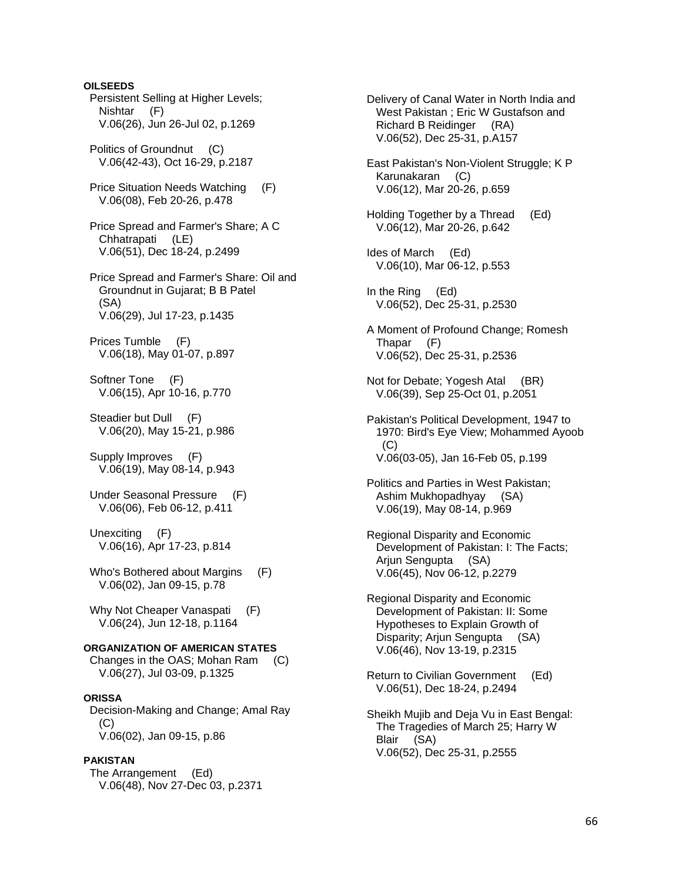**OILSEEDS**  Persistent Selling at Higher Levels; Nishtar (F) V.06(26), Jun 26-Jul 02, p.1269 Politics of Groundnut (C) V.06(42-43), Oct 16-29, p.2187 Price Situation Needs Watching (F) V.06(08), Feb 20-26, p.478 Price Spread and Farmer's Share; A C Chhatrapati (LE) V.06(51), Dec 18-24, p.2499 Price Spread and Farmer's Share: Oil and Groundnut in Gujarat; B B Patel (SA) V.06(29), Jul 17-23, p.1435 Prices Tumble (F) V.06(18), May 01-07, p.897 Softner Tone (F) V.06(15), Apr 10-16, p.770 Steadier but Dull (F) V.06(20), May 15-21, p.986 Supply Improves (F) V.06(19), May 08-14, p.943 Under Seasonal Pressure (F) V.06(06), Feb 06-12, p.411 Unexciting (F) V.06(16), Apr 17-23, p.814 Who's Bothered about Margins (F) V.06(02), Jan 09-15, p.78 Why Not Cheaper Vanaspati (F) V.06(24), Jun 12-18, p.1164 **ORGANIZATION OF AMERICAN STATES**  Changes in the OAS; Mohan Ram (C) V.06(27), Jul 03-09, p.1325 **ORISSA**  Decision-Making and Change; Amal Ray  $(C)$  V.06(02), Jan 09-15, p.86 **PAKISTAN**  The Arrangement (Ed) V.06(48), Nov 27-Dec 03, p.2371

 Delivery of Canal Water in North India and West Pakistan ; Eric W Gustafson and Richard B Reidinger (RA) V.06(52), Dec 25-31, p.A157 East Pakistan's Non-Violent Struggle; K P Karunakaran (C) V.06(12), Mar 20-26, p.659 Holding Together by a Thread (Ed) V.06(12), Mar 20-26, p.642 Ides of March (Ed) V.06(10), Mar 06-12, p.553 In the Ring (Ed) V.06(52), Dec 25-31, p.2530 A Moment of Profound Change; Romesh Thapar (F) V.06(52), Dec 25-31, p.2536 Not for Debate; Yogesh Atal (BR) V.06(39), Sep 25-Oct 01, p.2051 Pakistan's Political Development, 1947 to 1970: Bird's Eye View; Mohammed Ayoob (C) V.06(03-05), Jan 16-Feb 05, p.199 Politics and Parties in West Pakistan; Ashim Mukhopadhyay (SA) V.06(19), May 08-14, p.969 Regional Disparity and Economic Development of Pakistan: I: The Facts; Arjun Sengupta (SA) V.06(45), Nov 06-12, p.2279 Regional Disparity and Economic Development of Pakistan: II: Some Hypotheses to Explain Growth of Disparity; Arjun Sengupta (SA) V.06(46), Nov 13-19, p.2315 Return to Civilian Government (Ed) V.06(51), Dec 18-24, p.2494 Sheikh Mujib and Deja Vu in East Bengal:

 The Tragedies of March 25; Harry W Blair (SA) V.06(52), Dec 25-31, p.2555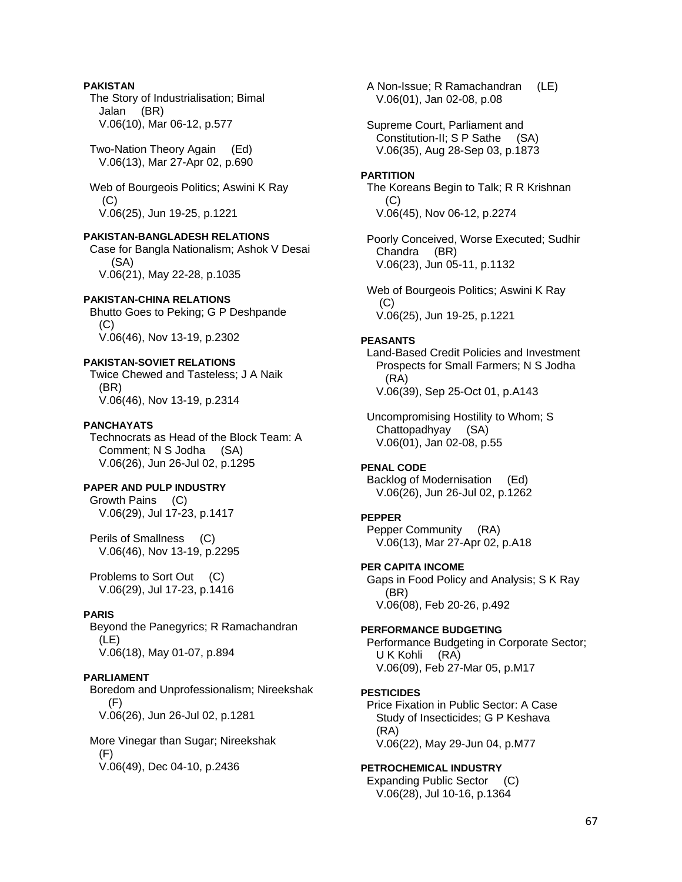## **PAKISTAN**

 The Story of Industrialisation; Bimal Jalan (BR) V.06(10), Mar 06-12, p.577

 Two-Nation Theory Again (Ed) V.06(13), Mar 27-Apr 02, p.690

 Web of Bourgeois Politics; Aswini K Ray (C) V.06(25), Jun 19-25, p.1221

## **PAKISTAN-BANGLADESH RELATIONS**

 Case for Bangla Nationalism; Ashok V Desai (SA) V.06(21), May 22-28, p.1035

## **PAKISTAN-CHINA RELATIONS**

 Bhutto Goes to Peking; G P Deshpande (C) V.06(46), Nov 13-19, p.2302

## **PAKISTAN-SOVIET RELATIONS**

 Twice Chewed and Tasteless; J A Naik (BR) V.06(46), Nov 13-19, p.2314

## **PANCHAYATS**

 Technocrats as Head of the Block Team: A Comment; N S Jodha (SA) V.06(26), Jun 26-Jul 02, p.1295

## **PAPER AND PULP INDUSTRY**

 Growth Pains (C) V.06(29), Jul 17-23, p.1417

 Perils of Smallness (C) V.06(46), Nov 13-19, p.2295

 Problems to Sort Out (C) V.06(29), Jul 17-23, p.1416

## **PARIS**

 Beyond the Panegyrics; R Ramachandran (LE) V.06(18), May 01-07, p.894

## **PARLIAMENT**

 Boredom and Unprofessionalism; Nireekshak  $(F)$ V.06(26), Jun 26-Jul 02, p.1281

 More Vinegar than Sugar; Nireekshak (F) V.06(49), Dec 04-10, p.2436

 A Non-Issue; R Ramachandran (LE) V.06(01), Jan 02-08, p.08

 Supreme Court, Parliament and Constitution-II; S P Sathe (SA) V.06(35), Aug 28-Sep 03, p.1873

## **PARTITION**

 The Koreans Begin to Talk; R R Krishnan (C) V.06(45), Nov 06-12, p.2274

 Poorly Conceived, Worse Executed; Sudhir Chandra (BR) V.06(23), Jun 05-11, p.1132

 Web of Bourgeois Politics; Aswini K Ray  $(C)$ V.06(25), Jun 19-25, p.1221

## **PEASANTS**

 Land-Based Credit Policies and Investment Prospects for Small Farmers; N S Jodha (RA) V.06(39), Sep 25-Oct 01, p.A143

 Uncompromising Hostility to Whom; S Chattopadhyay (SA) V.06(01), Jan 02-08, p.55

## **PENAL CODE**

 Backlog of Modernisation (Ed) V.06(26), Jun 26-Jul 02, p.1262

## **PEPPER**

 Pepper Community (RA) V.06(13), Mar 27-Apr 02, p.A18

## **PER CAPITA INCOME**

 Gaps in Food Policy and Analysis; S K Ray (BR) V.06(08), Feb 20-26, p.492

## **PERFORMANCE BUDGETING**

 Performance Budgeting in Corporate Sector; U K Kohli (RA) V.06(09), Feb 27-Mar 05, p.M17

## **PESTICIDES**

 Price Fixation in Public Sector: A Case Study of Insecticides; G P Keshava (RA) V.06(22), May 29-Jun 04, p.M77

## **PETROCHEMICAL INDUSTRY**

 Expanding Public Sector (C) V.06(28), Jul 10-16, p.1364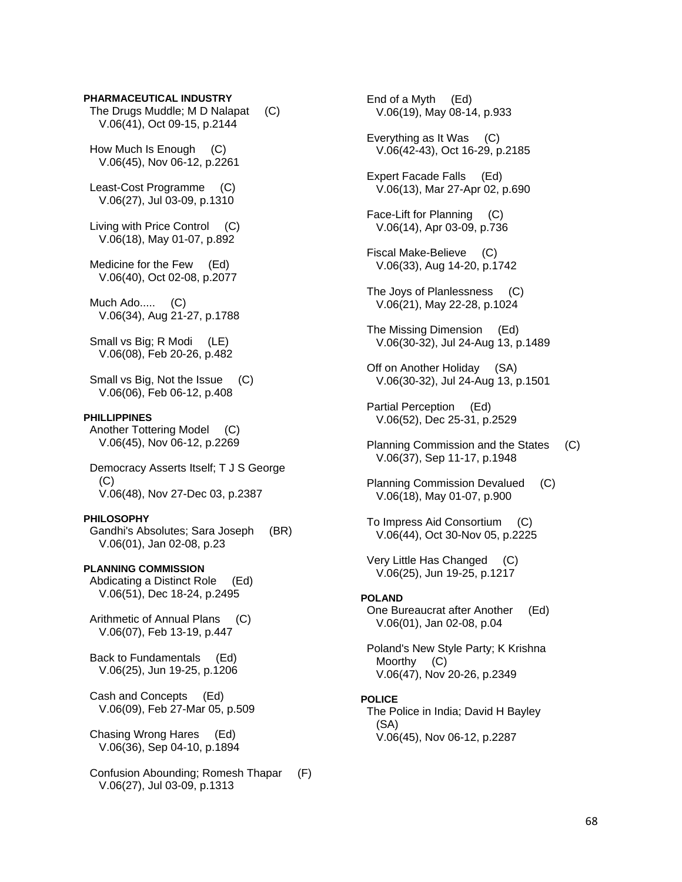#### **PHARMACEUTICAL INDUSTRY**

 The Drugs Muddle; M D Nalapat (C) V.06(41), Oct 09-15, p.2144

 How Much Is Enough (C) V.06(45), Nov 06-12, p.2261

 Least-Cost Programme (C) V.06(27), Jul 03-09, p.1310

 Living with Price Control (C) V.06(18), May 01-07, p.892

 Medicine for the Few (Ed) V.06(40), Oct 02-08, p.2077

 Much Ado..... (C) V.06(34), Aug 21-27, p.1788

 Small vs Big; R Modi (LE) V.06(08), Feb 20-26, p.482

 Small vs Big, Not the Issue (C) V.06(06), Feb 06-12, p.408

#### **PHILLIPPINES**

 Another Tottering Model (C) V.06(45), Nov 06-12, p.2269

 Democracy Asserts Itself; T J S George (C) V.06(48), Nov 27-Dec 03, p.2387

#### **PHILOSOPHY**

 Gandhi's Absolutes; Sara Joseph (BR) V.06(01), Jan 02-08, p.23

**PLANNING COMMISSION** 

 Abdicating a Distinct Role (Ed) V.06(51), Dec 18-24, p.2495

 Arithmetic of Annual Plans (C) V.06(07), Feb 13-19, p.447

 Back to Fundamentals (Ed) V.06(25), Jun 19-25, p.1206

 Cash and Concepts (Ed) V.06(09), Feb 27-Mar 05, p.509

 Chasing Wrong Hares (Ed) V.06(36), Sep 04-10, p.1894

 Confusion Abounding; Romesh Thapar (F) V.06(27), Jul 03-09, p.1313

 End of a Myth (Ed) V.06(19), May 08-14, p.933

 Everything as It Was (C) V.06(42-43), Oct 16-29, p.2185

 Expert Facade Falls (Ed) V.06(13), Mar 27-Apr 02, p.690

 Face-Lift for Planning (C) V.06(14), Apr 03-09, p.736

- Fiscal Make-Believe (C) V.06(33), Aug 14-20, p.1742
- The Joys of Planlessness (C) V.06(21), May 22-28, p.1024
- The Missing Dimension (Ed) V.06(30-32), Jul 24-Aug 13, p.1489

 Off on Another Holiday (SA) V.06(30-32), Jul 24-Aug 13, p.1501

 Partial Perception (Ed) V.06(52), Dec 25-31, p.2529

- Planning Commission and the States (C) V.06(37), Sep 11-17, p.1948
- Planning Commission Devalued (C) V.06(18), May 01-07, p.900
- To Impress Aid Consortium (C) V.06(44), Oct 30-Nov 05, p.2225

 Very Little Has Changed (C) V.06(25), Jun 19-25, p.1217

#### **POLAND**

 One Bureaucrat after Another (Ed) V.06(01), Jan 02-08, p.04

 Poland's New Style Party; K Krishna Moorthy (C) V.06(47), Nov 20-26, p.2349

#### **POLICE**

 The Police in India; David H Bayley (SA) V.06(45), Nov 06-12, p.2287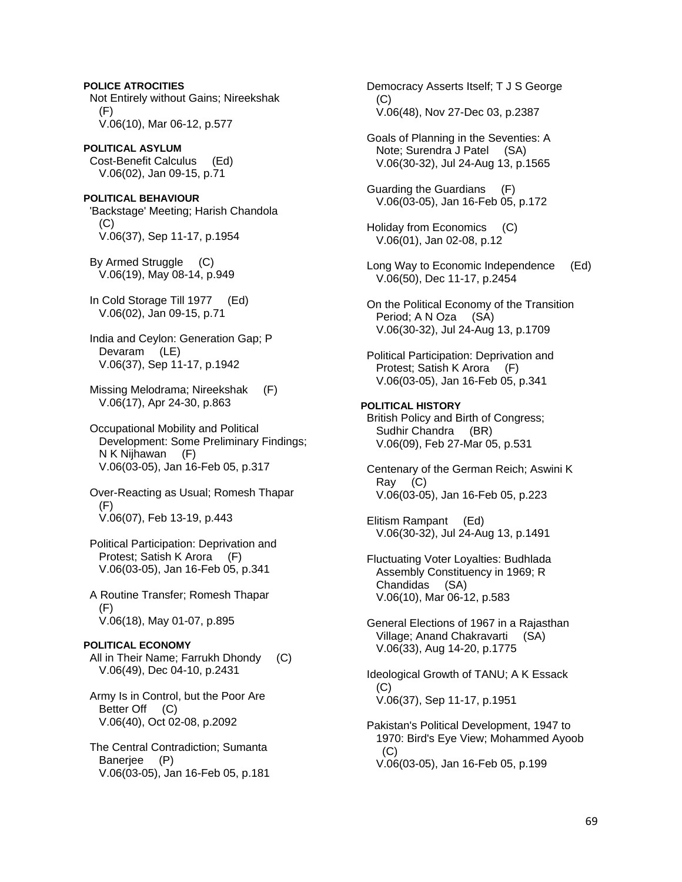**POLICE ATROCITIES**  Not Entirely without Gains; Nireekshak (F) V.06(10), Mar 06-12, p.577 **POLITICAL ASYLUM**  Cost-Benefit Calculus (Ed) V.06(02), Jan 09-15, p.71 **POLITICAL BEHAVIOUR**  'Backstage' Meeting; Harish Chandola  $(C)$  V.06(37), Sep 11-17, p.1954 By Armed Struggle (C) V.06(19), May 08-14, p.949 In Cold Storage Till 1977 (Ed) V.06(02), Jan 09-15, p.71 India and Ceylon: Generation Gap; P Devaram (LE) V.06(37), Sep 11-17, p.1942 Missing Melodrama; Nireekshak (F) V.06(17), Apr 24-30, p.863 Occupational Mobility and Political Development: Some Preliminary Findings; N K Nijhawan (F) V.06(03-05), Jan 16-Feb 05, p.317 Over-Reacting as Usual; Romesh Thapar (F) V.06(07), Feb 13-19, p.443 Political Participation: Deprivation and Protest; Satish K Arora (F) V.06(03-05), Jan 16-Feb 05, p.341 A Routine Transfer; Romesh Thapar (F) V.06(18), May 01-07, p.895 **POLITICAL ECONOMY**  All in Their Name; Farrukh Dhondy (C) V.06(49), Dec 04-10, p.2431 Army Is in Control, but the Poor Are Better Off (C) V.06(40), Oct 02-08, p.2092 The Central Contradiction; Sumanta Banerjee (P) V.06(03-05), Jan 16-Feb 05, p.181

 Democracy Asserts Itself; T J S George (C) V.06(48), Nov 27-Dec 03, p.2387 Goals of Planning in the Seventies: A Note; Surendra J Patel (SA) V.06(30-32), Jul 24-Aug 13, p.1565 Guarding the Guardians (F) V.06(03-05), Jan 16-Feb 05, p.172 Holiday from Economics (C) V.06(01), Jan 02-08, p.12

 Long Way to Economic Independence (Ed) V.06(50), Dec 11-17, p.2454

 On the Political Economy of the Transition Period; A N Oza (SA) V.06(30-32), Jul 24-Aug 13, p.1709

 Political Participation: Deprivation and Protest; Satish K Arora (F) V.06(03-05), Jan 16-Feb 05, p.341

**POLITICAL HISTORY**  British Policy and Birth of Congress; Sudhir Chandra (BR) V.06(09), Feb 27-Mar 05, p.531

 Centenary of the German Reich; Aswini K Ray (C) V.06(03-05), Jan 16-Feb 05, p.223

 Elitism Rampant (Ed) V.06(30-32), Jul 24-Aug 13, p.1491

 Fluctuating Voter Loyalties: Budhlada Assembly Constituency in 1969; R Chandidas (SA) V.06(10), Mar 06-12, p.583

 General Elections of 1967 in a Rajasthan Village; Anand Chakravarti (SA) V.06(33), Aug 14-20, p.1775

 Ideological Growth of TANU; A K Essack (C) V.06(37), Sep 11-17, p.1951

 Pakistan's Political Development, 1947 to 1970: Bird's Eye View; Mohammed Ayoob  $(C)$ V.06(03-05), Jan 16-Feb 05, p.199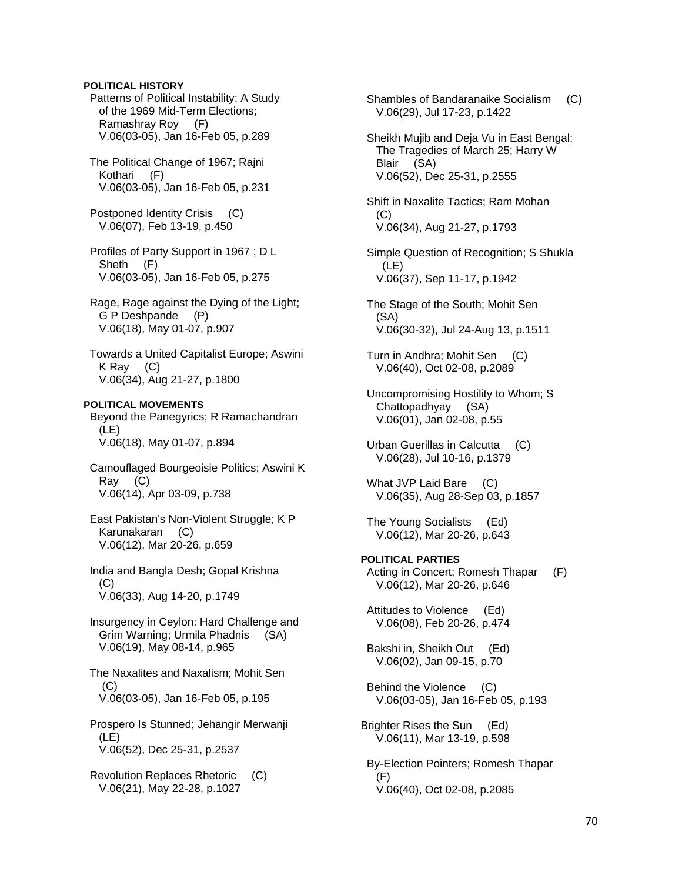## **POLITICAL HISTORY**

 Patterns of Political Instability: A Study of the 1969 Mid-Term Elections; Ramashray Roy (F) V.06(03-05), Jan 16-Feb 05, p.289

 The Political Change of 1967; Rajni Kothari (F) V.06(03-05), Jan 16-Feb 05, p.231

 Postponed Identity Crisis (C) V.06(07), Feb 13-19, p.450

 Profiles of Party Support in 1967 ; D L Sheth (F) V.06(03-05), Jan 16-Feb 05, p.275

 Rage, Rage against the Dying of the Light; G P Deshpande (P) V.06(18), May 01-07, p.907

 Towards a United Capitalist Europe; Aswini K Ray (C) V.06(34), Aug 21-27, p.1800

**POLITICAL MOVEMENTS**  Beyond the Panegyrics; R Ramachandran (LE) V.06(18), May 01-07, p.894

 Camouflaged Bourgeoisie Politics; Aswini K Ray (C) V.06(14), Apr 03-09, p.738

 East Pakistan's Non-Violent Struggle; K P Karunakaran (C) V.06(12), Mar 20-26, p.659

 India and Bangla Desh; Gopal Krishna (C) V.06(33), Aug 14-20, p.1749

 Insurgency in Ceylon: Hard Challenge and Grim Warning; Urmila Phadnis (SA) V.06(19), May 08-14, p.965

 The Naxalites and Naxalism; Mohit Sen (C) V.06(03-05), Jan 16-Feb 05, p.195

 Prospero Is Stunned; Jehangir Merwanji (LE) V.06(52), Dec 25-31, p.2537

 Revolution Replaces Rhetoric (C) V.06(21), May 22-28, p.1027

 Shambles of Bandaranaike Socialism (C) V.06(29), Jul 17-23, p.1422 Sheikh Mujib and Deja Vu in East Bengal: The Tragedies of March 25; Harry W Blair (SA) V.06(52), Dec 25-31, p.2555 Shift in Naxalite Tactics; Ram Mohan (C) V.06(34), Aug 21-27, p.1793 Simple Question of Recognition; S Shukla  $(LE)$  V.06(37), Sep 11-17, p.1942 The Stage of the South; Mohit Sen (SA) V.06(30-32), Jul 24-Aug 13, p.1511 Turn in Andhra; Mohit Sen (C) V.06(40), Oct 02-08, p.2089 Uncompromising Hostility to Whom; S Chattopadhyay (SA) V.06(01), Jan 02-08, p.55 Urban Guerillas in Calcutta (C) V.06(28), Jul 10-16, p.1379 What JVP Laid Bare (C) V.06(35), Aug 28-Sep 03, p.1857 The Young Socialists (Ed) V.06(12), Mar 20-26, p.643 **POLITICAL PARTIES**  Acting in Concert; Romesh Thapar (F) V.06(12), Mar 20-26, p.646 Attitudes to Violence (Ed) V.06(08), Feb 20-26, p.474 Bakshi in, Sheikh Out (Ed) V.06(02), Jan 09-15, p.70 Behind the Violence (C) V.06(03-05), Jan 16-Feb 05, p.193 Brighter Rises the Sun (Ed) V.06(11), Mar 13-19, p.598 By-Election Pointers; Romesh Thapar (F) V.06(40), Oct 02-08, p.2085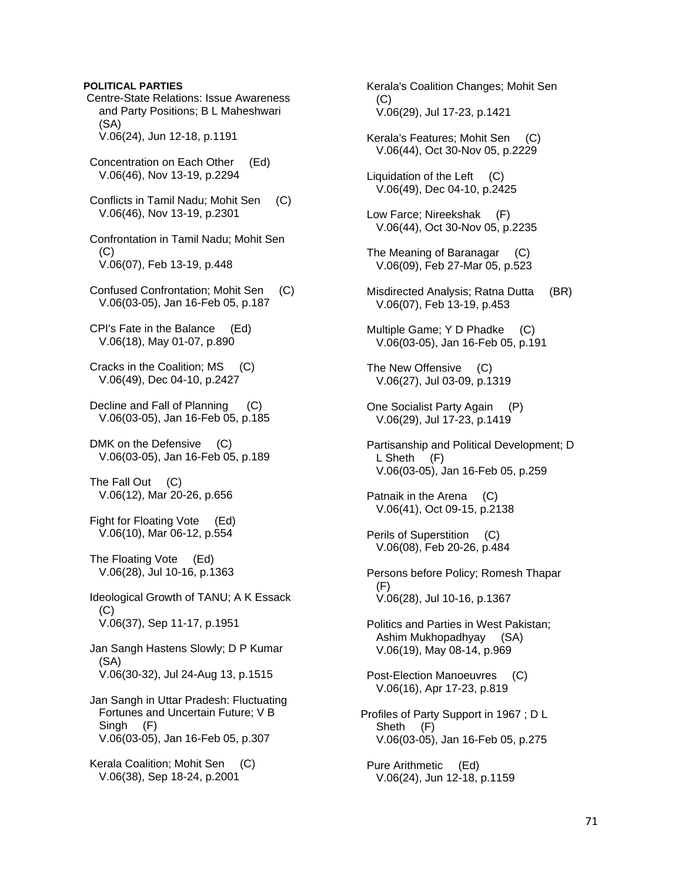### **POLITICAL PARTIES**

 Centre-State Relations: Issue Awareness and Party Positions; B L Maheshwari (SA) V.06(24), Jun 12-18, p.1191

- Concentration on Each Other (Ed) V.06(46), Nov 13-19, p.2294
- Conflicts in Tamil Nadu; Mohit Sen (C) V.06(46), Nov 13-19, p.2301
- Confrontation in Tamil Nadu; Mohit Sen (C) V.06(07), Feb 13-19, p.448
- Confused Confrontation; Mohit Sen (C) V.06(03-05), Jan 16-Feb 05, p.187
- CPI's Fate in the Balance (Ed) V.06(18), May 01-07, p.890
- Cracks in the Coalition; MS (C) V.06(49), Dec 04-10, p.2427
- Decline and Fall of Planning (C) V.06(03-05), Jan 16-Feb 05, p.185

DMK on the Defensive (C) V.06(03-05), Jan 16-Feb 05, p.189

The Fall Out (C) V.06(12), Mar 20-26, p.656

 Fight for Floating Vote (Ed) V.06(10), Mar 06-12, p.554

 The Floating Vote (Ed) V.06(28), Jul 10-16, p.1363

 Ideological Growth of TANU; A K Essack (C) V.06(37), Sep 11-17, p.1951

 Jan Sangh Hastens Slowly; D P Kumar (SA) V.06(30-32), Jul 24-Aug 13, p.1515

- Jan Sangh in Uttar Pradesh: Fluctuating Fortunes and Uncertain Future; V B Singh (F) V.06(03-05), Jan 16-Feb 05, p.307
- Kerala Coalition; Mohit Sen (C) V.06(38), Sep 18-24, p.2001

 Kerala's Coalition Changes; Mohit Sen (C) V.06(29), Jul 17-23, p.1421

- Kerala's Features; Mohit Sen (C) V.06(44), Oct 30-Nov 05, p.2229
- Liquidation of the Left (C) V.06(49), Dec 04-10, p.2425
- Low Farce; Nireekshak (F) V.06(44), Oct 30-Nov 05, p.2235
- The Meaning of Baranagar (C) V.06(09), Feb 27-Mar 05, p.523
- Misdirected Analysis; Ratna Dutta (BR) V.06(07), Feb 13-19, p.453
- Multiple Game; Y D Phadke (C) V.06(03-05), Jan 16-Feb 05, p.191
- The New Offensive (C) V.06(27), Jul 03-09, p.1319
- One Socialist Party Again (P) V.06(29), Jul 17-23, p.1419
- Partisanship and Political Development; D L Sheth (F) V.06(03-05), Jan 16-Feb 05, p.259
- Patnaik in the Arena (C) V.06(41), Oct 09-15, p.2138
- Perils of Superstition (C) V.06(08), Feb 20-26, p.484
- Persons before Policy; Romesh Thapar (F) V.06(28), Jul 10-16, p.1367
- Politics and Parties in West Pakistan; Ashim Mukhopadhyay (SA) V.06(19), May 08-14, p.969
- Post-Election Manoeuvres (C) V.06(16), Apr 17-23, p.819
- Profiles of Party Support in 1967 ; D L Sheth (F) V.06(03-05), Jan 16-Feb 05, p.275
- Pure Arithmetic (Ed) V.06(24), Jun 12-18, p.1159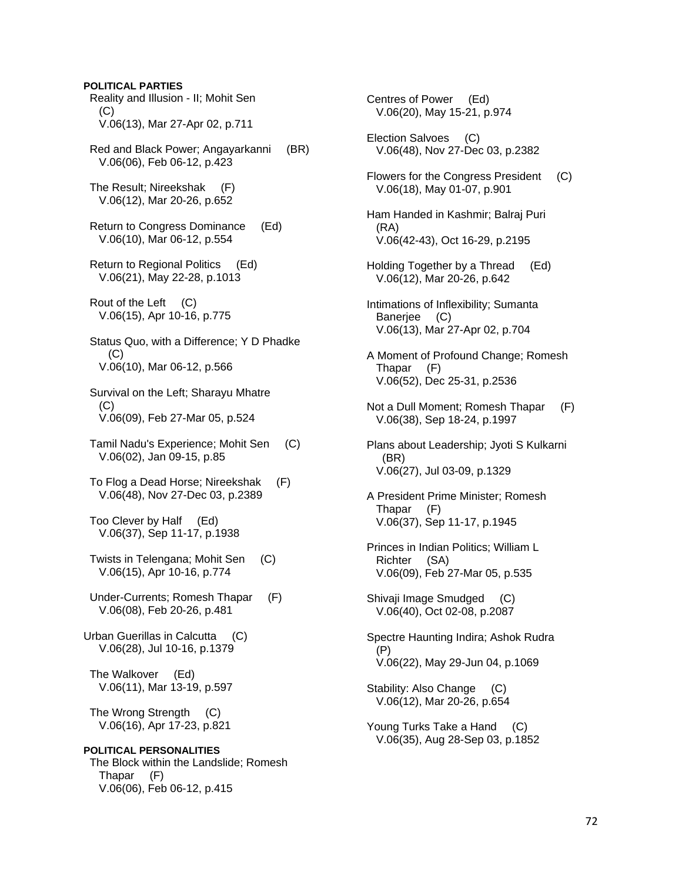Reality and Illusion - II; Mohit Sen (C) V.06(13), Mar 27-Apr 02, p.711 Red and Black Power; Angayarkanni (BR) V.06(06), Feb 06-12, p.423 The Result; Nireekshak (F) V.06(12), Mar 20-26, p.652 Return to Congress Dominance (Ed) V.06(10), Mar 06-12, p.554 Return to Regional Politics (Ed) V.06(21), May 22-28, p.1013 Rout of the Left (C) V.06(15), Apr 10-16, p.775 Status Quo, with a Difference; Y D Phadke (C) V.06(10), Mar 06-12, p.566 Survival on the Left; Sharayu Mhatre (C) V.06(09), Feb 27-Mar 05, p.524 Tamil Nadu's Experience; Mohit Sen (C) V.06(02), Jan 09-15, p.85 To Flog a Dead Horse; Nireekshak (F) V.06(48), Nov 27-Dec 03, p.2389 Too Clever by Half (Ed) V.06(37), Sep 11-17, p.1938 Twists in Telengana; Mohit Sen (C) V.06(15), Apr 10-16, p.774 Under-Currents; Romesh Thapar (F) V.06(08), Feb 20-26, p.481 Urban Guerillas in Calcutta (C) V.06(28), Jul 10-16, p.1379 The Walkover (Ed) V.06(11), Mar 13-19, p.597 The Wrong Strength (C) V.06(16), Apr 17-23, p.821 **POLITICAL PERSONALITIES**  The Block within the Landslide; Romesh Thapar (F) V.06(06), Feb 06-12, p.415

**POLITICAL PARTIES** 

 Centres of Power (Ed) V.06(20), May 15-21, p.974 Election Salvoes (C) V.06(48), Nov 27-Dec 03, p.2382 Flowers for the Congress President (C) V.06(18), May 01-07, p.901 Ham Handed in Kashmir; Balraj Puri (RA) V.06(42-43), Oct 16-29, p.2195 Holding Together by a Thread (Ed) V.06(12), Mar 20-26, p.642 Intimations of Inflexibility; Sumanta Banerjee (C) V.06(13), Mar 27-Apr 02, p.704 A Moment of Profound Change; Romesh Thapar (F) V.06(52), Dec 25-31, p.2536 Not a Dull Moment; Romesh Thapar (F) V.06(38), Sep 18-24, p.1997 Plans about Leadership; Jyoti S Kulkarni (BR) V.06(27), Jul 03-09, p.1329 A President Prime Minister; Romesh Thapar (F) V.06(37), Sep 11-17, p.1945 Princes in Indian Politics; William L Richter (SA) V.06(09), Feb 27-Mar 05, p.535 Shivaji Image Smudged (C) V.06(40), Oct 02-08, p.2087 Spectre Haunting Indira; Ashok Rudra (P) V.06(22), May 29-Jun 04, p.1069 Stability: Also Change (C) V.06(12), Mar 20-26, p.654 Young Turks Take a Hand (C) V.06(35), Aug 28-Sep 03, p.1852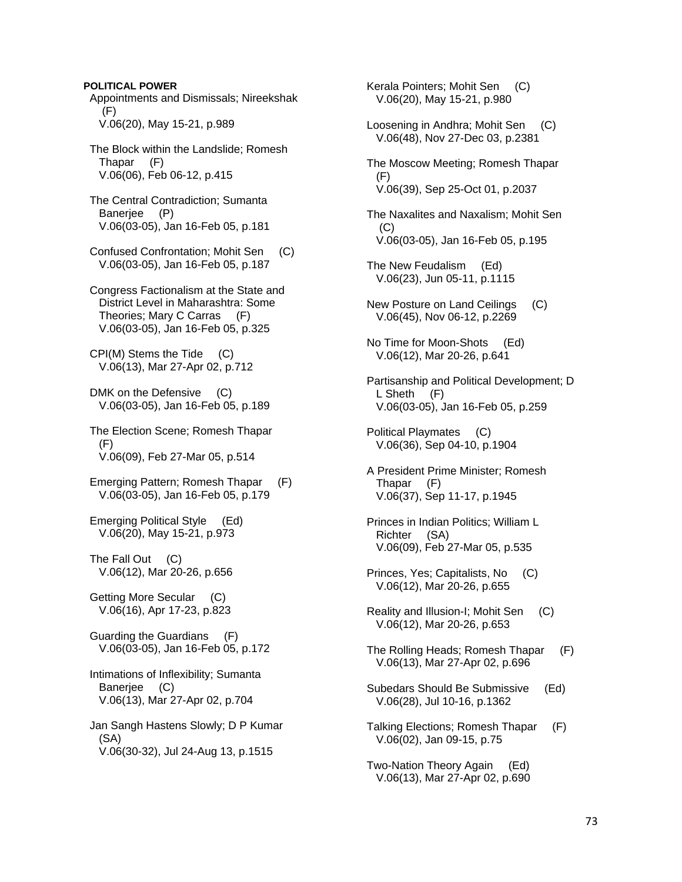**POLITICAL POWER**  Appointments and Dismissals; Nireekshak (F) V.06(20), May 15-21, p.989 The Block within the Landslide; Romesh Thapar (F) V.06(06), Feb 06-12, p.415 The Central Contradiction; Sumanta Banerjee (P) V.06(03-05), Jan 16-Feb 05, p.181 Confused Confrontation; Mohit Sen (C) V.06(03-05), Jan 16-Feb 05, p.187 Congress Factionalism at the State and District Level in Maharashtra: Some Theories; Mary C Carras (F) V.06(03-05), Jan 16-Feb 05, p.325 CPI(M) Stems the Tide (C) V.06(13), Mar 27-Apr 02, p.712 DMK on the Defensive (C) V.06(03-05), Jan 16-Feb 05, p.189 The Election Scene; Romesh Thapar (F) V.06(09), Feb 27-Mar 05, p.514 Emerging Pattern; Romesh Thapar (F) V.06(03-05), Jan 16-Feb 05, p.179 Emerging Political Style (Ed) V.06(20), May 15-21, p.973 The Fall Out (C) V.06(12), Mar 20-26, p.656 Getting More Secular (C) V.06(16), Apr 17-23, p.823 Guarding the Guardians (F) V.06(03-05), Jan 16-Feb 05, p.172 Intimations of Inflexibility; Sumanta Banerjee (C) V.06(13), Mar 27-Apr 02, p.704 Jan Sangh Hastens Slowly; D P Kumar (SA) V.06(30-32), Jul 24-Aug 13, p.1515

 Kerala Pointers; Mohit Sen (C) V.06(20), May 15-21, p.980 Loosening in Andhra; Mohit Sen (C) V.06(48), Nov 27-Dec 03, p.2381 The Moscow Meeting; Romesh Thapar (F) V.06(39), Sep 25-Oct 01, p.2037 The Naxalites and Naxalism; Mohit Sen (C) V.06(03-05), Jan 16-Feb 05, p.195 The New Feudalism (Ed) V.06(23), Jun 05-11, p.1115 New Posture on Land Ceilings (C) V.06(45), Nov 06-12, p.2269 No Time for Moon-Shots (Ed) V.06(12), Mar 20-26, p.641 Partisanship and Political Development; D L Sheth (F) V.06(03-05), Jan 16-Feb 05, p.259 Political Playmates (C) V.06(36), Sep 04-10, p.1904 A President Prime Minister; Romesh Thapar (F) V.06(37), Sep 11-17, p.1945 Princes in Indian Politics; William L Richter (SA) V.06(09), Feb 27-Mar 05, p.535 Princes, Yes; Capitalists, No (C) V.06(12), Mar 20-26, p.655 Reality and Illusion-I; Mohit Sen (C) V.06(12), Mar 20-26, p.653 The Rolling Heads; Romesh Thapar (F) V.06(13), Mar 27-Apr 02, p.696 Subedars Should Be Submissive (Ed) V.06(28), Jul 10-16, p.1362 Talking Elections; Romesh Thapar (F) V.06(02), Jan 09-15, p.75 Two-Nation Theory Again (Ed) V.06(13), Mar 27-Apr 02, p.690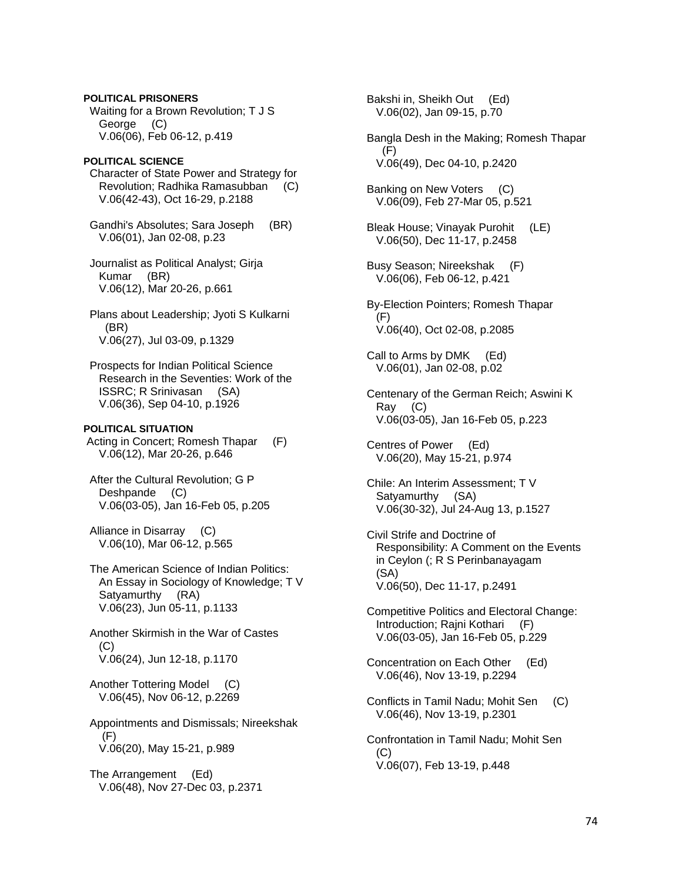**POLITICAL PRISONERS**  Waiting for a Brown Revolution; T J S George (C) V.06(06), Feb 06-12, p.419

#### **POLITICAL SCIENCE**  Character of State Power and Strategy for Revolution; Radhika Ramasubban (C) V.06(42-43), Oct 16-29, p.2188

 Gandhi's Absolutes; Sara Joseph (BR) V.06(01), Jan 02-08, p.23

 Journalist as Political Analyst; Girja Kumar (BR) V.06(12), Mar 20-26, p.661

 Plans about Leadership; Jyoti S Kulkarni (BR) V.06(27), Jul 03-09, p.1329

 Prospects for Indian Political Science Research in the Seventies: Work of the ISSRC; R Srinivasan (SA) V.06(36), Sep 04-10, p.1926

# **POLITICAL SITUATION**

 Acting in Concert; Romesh Thapar (F) V.06(12), Mar 20-26, p.646

 After the Cultural Revolution; G P Deshpande (C) V.06(03-05), Jan 16-Feb 05, p.205

 Alliance in Disarray (C) V.06(10), Mar 06-12, p.565

 The American Science of Indian Politics: An Essay in Sociology of Knowledge; T V Satyamurthy (RA) V.06(23), Jun 05-11, p.1133

 Another Skirmish in the War of Castes  $(C)$ V.06(24), Jun 12-18, p.1170

 Another Tottering Model (C) V.06(45), Nov 06-12, p.2269

 Appointments and Dismissals; Nireekshak (F) V.06(20), May 15-21, p.989

 The Arrangement (Ed) V.06(48), Nov 27-Dec 03, p.2371  Bakshi in, Sheikh Out (Ed) V.06(02), Jan 09-15, p.70 Bangla Desh in the Making; Romesh Thapar  $(F)$  V.06(49), Dec 04-10, p.2420 Banking on New Voters (C) V.06(09), Feb 27-Mar 05, p.521 Bleak House; Vinayak Purohit (LE) V.06(50), Dec 11-17, p.2458 Busy Season; Nireekshak (F) V.06(06), Feb 06-12, p.421 By-Election Pointers; Romesh Thapar  $(F)$  V.06(40), Oct 02-08, p.2085 Call to Arms by DMK (Ed) V.06(01), Jan 02-08, p.02 Centenary of the German Reich; Aswini K Ray (C) V.06(03-05), Jan 16-Feb 05, p.223 Centres of Power (Ed) V.06(20), May 15-21, p.974 Chile: An Interim Assessment; T V Satyamurthy (SA) V.06(30-32), Jul 24-Aug 13, p.1527 Civil Strife and Doctrine of Responsibility: A Comment on the Events in Ceylon (; R S Perinbanayagam (SA) V.06(50), Dec 11-17, p.2491 Competitive Politics and Electoral Change: Introduction; Rajni Kothari (F) V.06(03-05), Jan 16-Feb 05, p.229 Concentration on Each Other (Ed) V.06(46), Nov 13-19, p.2294 Conflicts in Tamil Nadu; Mohit Sen (C) V.06(46), Nov 13-19, p.2301 Confrontation in Tamil Nadu; Mohit Sen (C) V.06(07), Feb 13-19, p.448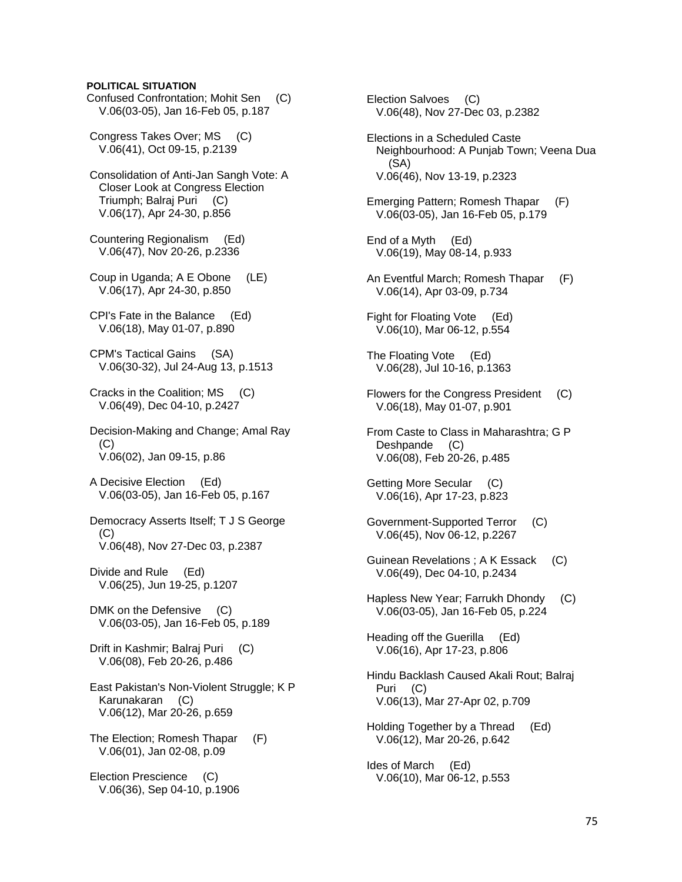# **POLITICAL SITUATION**

 Confused Confrontation; Mohit Sen (C) V.06(03-05), Jan 16-Feb 05, p.187

 Congress Takes Over; MS (C) V.06(41), Oct 09-15, p.2139

 Consolidation of Anti-Jan Sangh Vote: A Closer Look at Congress Election Triumph; Balraj Puri (C) V.06(17), Apr 24-30, p.856

 Countering Regionalism (Ed) V.06(47), Nov 20-26, p.2336

 Coup in Uganda; A E Obone (LE) V.06(17), Apr 24-30, p.850

 CPI's Fate in the Balance (Ed) V.06(18), May 01-07, p.890

 CPM's Tactical Gains (SA) V.06(30-32), Jul 24-Aug 13, p.1513

 Cracks in the Coalition; MS (C) V.06(49), Dec 04-10, p.2427

 Decision-Making and Change; Amal Ray (C) V.06(02), Jan 09-15, p.86

 A Decisive Election (Ed) V.06(03-05), Jan 16-Feb 05, p.167

 Democracy Asserts Itself; T J S George (C) V.06(48), Nov 27-Dec 03, p.2387

 Divide and Rule (Ed) V.06(25), Jun 19-25, p.1207

DMK on the Defensive (C) V.06(03-05), Jan 16-Feb 05, p.189

 Drift in Kashmir; Balraj Puri (C) V.06(08), Feb 20-26, p.486

 East Pakistan's Non-Violent Struggle; K P Karunakaran (C) V.06(12), Mar 20-26, p.659

 The Election; Romesh Thapar (F) V.06(01), Jan 02-08, p.09

 Election Prescience (C) V.06(36), Sep 04-10, p.1906  Election Salvoes (C) V.06(48), Nov 27-Dec 03, p.2382

 Elections in a Scheduled Caste Neighbourhood: A Punjab Town; Veena Dua (SA) V.06(46), Nov 13-19, p.2323

 Emerging Pattern; Romesh Thapar (F) V.06(03-05), Jan 16-Feb 05, p.179

 End of a Myth (Ed) V.06(19), May 08-14, p.933

 An Eventful March; Romesh Thapar (F) V.06(14), Apr 03-09, p.734

 Fight for Floating Vote (Ed) V.06(10), Mar 06-12, p.554

 The Floating Vote (Ed) V.06(28), Jul 10-16, p.1363

Flowers for the Congress President (C) V.06(18), May 01-07, p.901

 From Caste to Class in Maharashtra; G P Deshpande (C) V.06(08), Feb 20-26, p.485

 Getting More Secular (C) V.06(16), Apr 17-23, p.823

 Government-Supported Terror (C) V.06(45), Nov 06-12, p.2267

 Guinean Revelations ; A K Essack (C) V.06(49), Dec 04-10, p.2434

 Hapless New Year; Farrukh Dhondy (C) V.06(03-05), Jan 16-Feb 05, p.224

 Heading off the Guerilla (Ed) V.06(16), Apr 17-23, p.806

 Hindu Backlash Caused Akali Rout; Balraj Puri (C) V.06(13), Mar 27-Apr 02, p.709

 Holding Together by a Thread (Ed) V.06(12), Mar 20-26, p.642

 Ides of March (Ed) V.06(10), Mar 06-12, p.553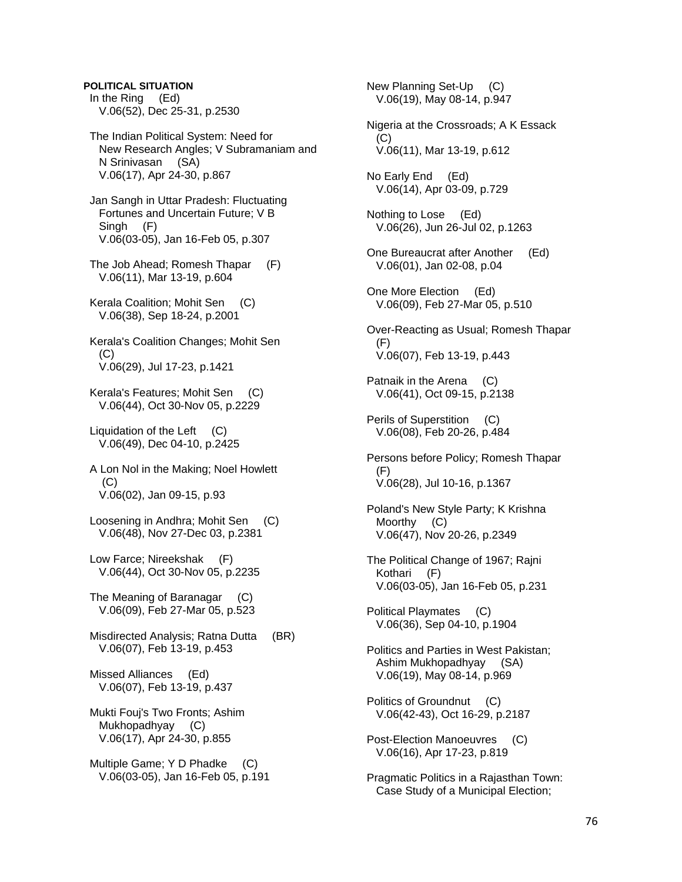# **POLITICAL SITUATION**

 In the Ring (Ed) V.06(52), Dec 25-31, p.2530

 The Indian Political System: Need for New Research Angles; V Subramaniam and N Srinivasan (SA) V.06(17), Apr 24-30, p.867

 Jan Sangh in Uttar Pradesh: Fluctuating Fortunes and Uncertain Future; V B Singh (F) V.06(03-05), Jan 16-Feb 05, p.307

 The Job Ahead; Romesh Thapar (F) V.06(11), Mar 13-19, p.604

 Kerala Coalition; Mohit Sen (C) V.06(38), Sep 18-24, p.2001

 Kerala's Coalition Changes; Mohit Sen (C) V.06(29), Jul 17-23, p.1421

 Kerala's Features; Mohit Sen (C) V.06(44), Oct 30-Nov 05, p.2229

 Liquidation of the Left (C) V.06(49), Dec 04-10, p.2425

 A Lon Nol in the Making; Noel Howlett (C) V.06(02), Jan 09-15, p.93

 Loosening in Andhra; Mohit Sen (C) V.06(48), Nov 27-Dec 03, p.2381

 Low Farce; Nireekshak (F) V.06(44), Oct 30-Nov 05, p.2235

 The Meaning of Baranagar (C) V.06(09), Feb 27-Mar 05, p.523

 Misdirected Analysis; Ratna Dutta (BR) V.06(07), Feb 13-19, p.453

 Missed Alliances (Ed) V.06(07), Feb 13-19, p.437

 Mukti Fouj's Two Fronts; Ashim Mukhopadhyay (C) V.06(17), Apr 24-30, p.855

 Multiple Game; Y D Phadke (C) V.06(03-05), Jan 16-Feb 05, p.191  New Planning Set-Up (C) V.06(19), May 08-14, p.947 Nigeria at the Crossroads; A K Essack (C) V.06(11), Mar 13-19, p.612 No Early End (Ed) V.06(14), Apr 03-09, p.729 Nothing to Lose (Ed) V.06(26), Jun 26-Jul 02, p.1263 One Bureaucrat after Another (Ed) V.06(01), Jan 02-08, p.04 One More Election (Ed) V.06(09), Feb 27-Mar 05, p.510 Over-Reacting as Usual; Romesh Thapar (F) V.06(07), Feb 13-19, p.443 Patnaik in the Arena (C) V.06(41), Oct 09-15, p.2138 Perils of Superstition (C) V.06(08), Feb 20-26, p.484 Persons before Policy; Romesh Thapar (F) V.06(28), Jul 10-16, p.1367 Poland's New Style Party; K Krishna Moorthy (C) V.06(47), Nov 20-26, p.2349 The Political Change of 1967; Rajni Kothari (F) V.06(03-05), Jan 16-Feb 05, p.231 Political Playmates (C) V.06(36), Sep 04-10, p.1904 Politics and Parties in West Pakistan; Ashim Mukhopadhyay (SA) V.06(19), May 08-14, p.969 Politics of Groundnut (C) V.06(42-43), Oct 16-29, p.2187 Post-Election Manoeuvres (C) V.06(16), Apr 17-23, p.819 Pragmatic Politics in a Rajasthan Town: Case Study of a Municipal Election;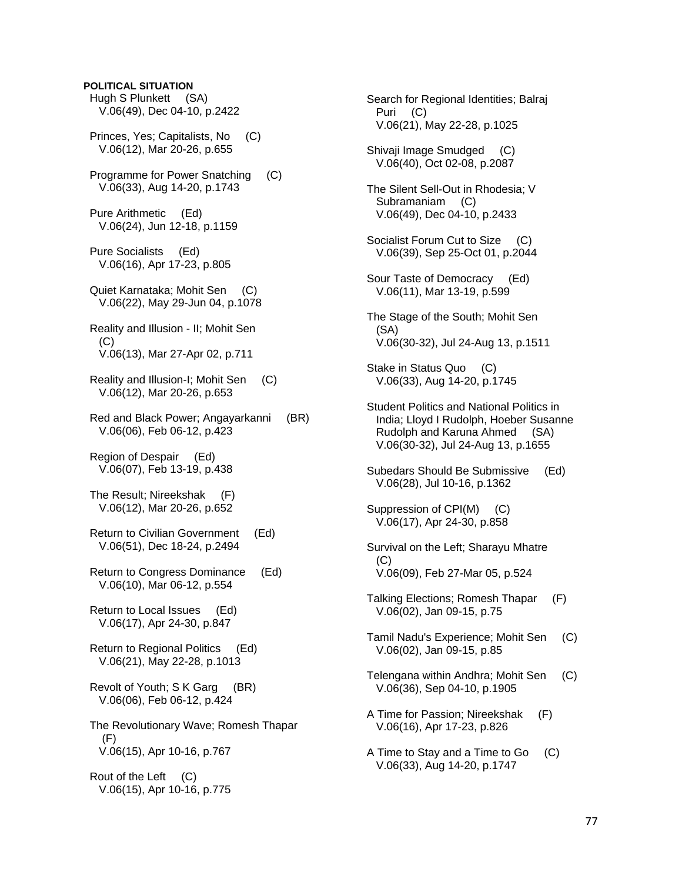# **POLITICAL SITUATION**  Hugh S Plunkett (SA) V.06(49), Dec 04-10, p.2422 Princes, Yes; Capitalists, No (C) V.06(12), Mar 20-26, p.655 Programme for Power Snatching (C) V.06(33), Aug 14-20, p.1743 Pure Arithmetic (Ed) V.06(24), Jun 12-18, p.1159 Pure Socialists (Ed) V.06(16), Apr 17-23, p.805 Quiet Karnataka; Mohit Sen (C) V.06(22), May 29-Jun 04, p.1078 Reality and Illusion - II; Mohit Sen (C) V.06(13), Mar 27-Apr 02, p.711 Reality and Illusion-I; Mohit Sen (C) V.06(12), Mar 20-26, p.653 Red and Black Power; Angayarkanni (BR) V.06(06), Feb 06-12, p.423 Region of Despair (Ed) V.06(07), Feb 13-19, p.438 The Result; Nireekshak (F) V.06(12), Mar 20-26, p.652 Return to Civilian Government (Ed) V.06(51), Dec 18-24, p.2494 Return to Congress Dominance (Ed) V.06(10), Mar 06-12, p.554 Return to Local Issues (Ed) V.06(17), Apr 24-30, p.847 Return to Regional Politics (Ed) V.06(21), May 22-28, p.1013 Revolt of Youth; S K Garg (BR) V.06(06), Feb 06-12, p.424 The Revolutionary Wave; Romesh Thapar (F) V.06(15), Apr 10-16, p.767

 Rout of the Left (C) V.06(15), Apr 10-16, p.775

 Puri (C) V.06(21), May 22-28, p.1025 Shivaji Image Smudged (C) V.06(40), Oct 02-08, p.2087 The Silent Sell-Out in Rhodesia; V Subramaniam (C) V.06(49), Dec 04-10, p.2433 Socialist Forum Cut to Size (C) V.06(39), Sep 25-Oct 01, p.2044 Sour Taste of Democracy (Ed) V.06(11), Mar 13-19, p.599 The Stage of the South; Mohit Sen (SA) V.06(30-32), Jul 24-Aug 13, p.1511 Stake in Status Quo (C) V.06(33), Aug 14-20, p.1745 Student Politics and National Politics in India; Lloyd I Rudolph, Hoeber Susanne Rudolph and Karuna Ahmed (SA) V.06(30-32), Jul 24-Aug 13, p.1655 Subedars Should Be Submissive (Ed) V.06(28), Jul 10-16, p.1362 Suppression of CPI(M) (C) V.06(17), Apr 24-30, p.858 Survival on the Left; Sharayu Mhatre (C) V.06(09), Feb 27-Mar 05, p.524 Talking Elections; Romesh Thapar (F) V.06(02), Jan 09-15, p.75 Tamil Nadu's Experience; Mohit Sen (C) V.06(02), Jan 09-15, p.85 Telengana within Andhra; Mohit Sen (C) V.06(36), Sep 04-10, p.1905 A Time for Passion; Nireekshak (F) V.06(16), Apr 17-23, p.826 A Time to Stay and a Time to Go (C) V.06(33), Aug 14-20, p.1747

Search for Regional Identities; Balraj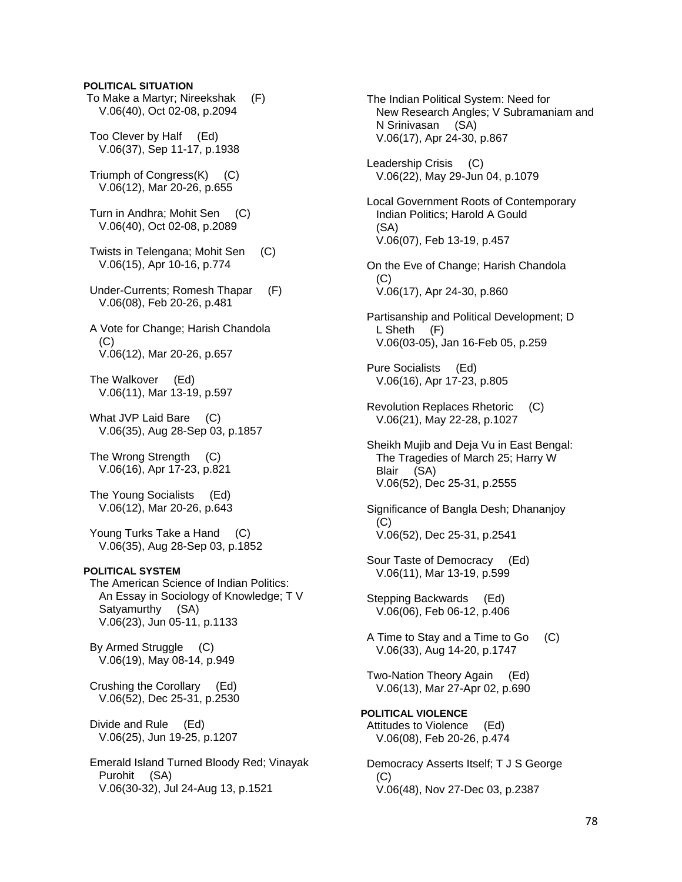### **POLITICAL SITUATION**

- To Make a Martyr; Nireekshak (F) V.06(40), Oct 02-08, p.2094
- Too Clever by Half (Ed) V.06(37), Sep 11-17, p.1938
- Triumph of Congress(K) (C) V.06(12), Mar 20-26, p.655
- Turn in Andhra; Mohit Sen (C) V.06(40), Oct 02-08, p.2089
- Twists in Telengana; Mohit Sen (C) V.06(15), Apr 10-16, p.774
- Under-Currents; Romesh Thapar (F) V.06(08), Feb 20-26, p.481
- A Vote for Change; Harish Chandola  $(C)$ V.06(12), Mar 20-26, p.657
- The Walkover (Ed) V.06(11), Mar 13-19, p.597
- What JVP Laid Bare (C) V.06(35), Aug 28-Sep 03, p.1857
- The Wrong Strength (C) V.06(16), Apr 17-23, p.821
- The Young Socialists (Ed) V.06(12), Mar 20-26, p.643
- Young Turks Take a Hand (C) V.06(35), Aug 28-Sep 03, p.1852

# **POLITICAL SYSTEM**

 The American Science of Indian Politics: An Essay in Sociology of Knowledge; T V Satyamurthy (SA) V.06(23), Jun 05-11, p.1133

 By Armed Struggle (C) V.06(19), May 08-14, p.949

 Crushing the Corollary (Ed) V.06(52), Dec 25-31, p.2530

 Divide and Rule (Ed) V.06(25), Jun 19-25, p.1207

 Emerald Island Turned Bloody Red; Vinayak Purohit (SA) V.06(30-32), Jul 24-Aug 13, p.1521

 The Indian Political System: Need for New Research Angles; V Subramaniam and N Srinivasan (SA) V.06(17), Apr 24-30, p.867

 Leadership Crisis (C) V.06(22), May 29-Jun 04, p.1079

 Local Government Roots of Contemporary Indian Politics; Harold A Gould (SA) V.06(07), Feb 13-19, p.457

 On the Eve of Change; Harish Chandola  $(C)$ V.06(17), Apr 24-30, p.860

- Partisanship and Political Development; D L Sheth (F) V.06(03-05), Jan 16-Feb 05, p.259
- Pure Socialists (Ed) V.06(16), Apr 17-23, p.805
- Revolution Replaces Rhetoric (C) V.06(21), May 22-28, p.1027
- Sheikh Mujib and Deja Vu in East Bengal: The Tragedies of March 25; Harry W Blair (SA) V.06(52), Dec 25-31, p.2555
- Significance of Bangla Desh; Dhananjoy  $(C)$ V.06(52), Dec 25-31, p.2541
- Sour Taste of Democracy (Ed) V.06(11), Mar 13-19, p.599

 Stepping Backwards (Ed) V.06(06), Feb 06-12, p.406

- A Time to Stay and a Time to Go (C) V.06(33), Aug 14-20, p.1747
- Two-Nation Theory Again (Ed) V.06(13), Mar 27-Apr 02, p.690
- **POLITICAL VIOLENCE**  Attitudes to Violence (Ed) V.06(08), Feb 20-26, p.474
- Democracy Asserts Itself; T J S George (C) V.06(48), Nov 27-Dec 03, p.2387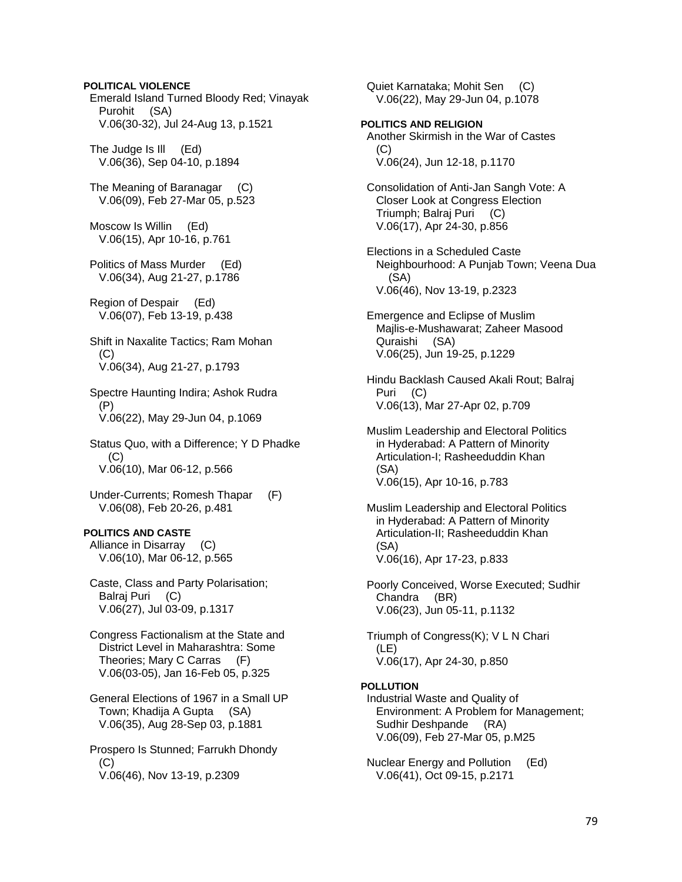# **POLITICAL VIOLENCE**

 Emerald Island Turned Bloody Red; Vinayak Purohit (SA) V.06(30-32), Jul 24-Aug 13, p.1521

 The Judge Is Ill (Ed) V.06(36), Sep 04-10, p.1894

 The Meaning of Baranagar (C) V.06(09), Feb 27-Mar 05, p.523

 Moscow Is Willin (Ed) V.06(15), Apr 10-16, p.761

 Politics of Mass Murder (Ed) V.06(34), Aug 21-27, p.1786

 Region of Despair (Ed) V.06(07), Feb 13-19, p.438

 Shift in Naxalite Tactics; Ram Mohan (C) V.06(34), Aug 21-27, p.1793

 Spectre Haunting Indira; Ashok Rudra (P) V.06(22), May 29-Jun 04, p.1069

 Status Quo, with a Difference; Y D Phadke  $(C)$ V.06(10), Mar 06-12, p.566

 Under-Currents; Romesh Thapar (F) V.06(08), Feb 20-26, p.481

# **POLITICS AND CASTE**

 Alliance in Disarray (C) V.06(10), Mar 06-12, p.565

 Caste, Class and Party Polarisation; Balraj Puri (C) V.06(27), Jul 03-09, p.1317

 Congress Factionalism at the State and District Level in Maharashtra: Some Theories; Mary C Carras (F) V.06(03-05), Jan 16-Feb 05, p.325

 General Elections of 1967 in a Small UP Town; Khadija A Gupta (SA) V.06(35), Aug 28-Sep 03, p.1881

 Prospero Is Stunned; Farrukh Dhondy  $(C)$ V.06(46), Nov 13-19, p.2309

 Quiet Karnataka; Mohit Sen (C) V.06(22), May 29-Jun 04, p.1078

# **POLITICS AND RELIGION**

 Another Skirmish in the War of Castes  $(C)$ V.06(24), Jun 12-18, p.1170

 Consolidation of Anti-Jan Sangh Vote: A Closer Look at Congress Election Triumph; Balraj Puri (C) V.06(17), Apr 24-30, p.856

 Elections in a Scheduled Caste Neighbourhood: A Punjab Town; Veena Dua (SA) V.06(46), Nov 13-19, p.2323

 Emergence and Eclipse of Muslim Majlis-e-Mushawarat; Zaheer Masood Quraishi (SA) V.06(25), Jun 19-25, p.1229

 Hindu Backlash Caused Akali Rout; Balraj Puri (C) V.06(13), Mar 27-Apr 02, p.709

 Muslim Leadership and Electoral Politics in Hyderabad: A Pattern of Minority Articulation-I; Rasheeduddin Khan (SA) V.06(15), Apr 10-16, p.783

 Muslim Leadership and Electoral Politics in Hyderabad: A Pattern of Minority Articulation-II; Rasheeduddin Khan (SA) V.06(16), Apr 17-23, p.833

 Poorly Conceived, Worse Executed; Sudhir Chandra (BR) V.06(23), Jun 05-11, p.1132

 Triumph of Congress(K); V L N Chari (LE) V.06(17), Apr 24-30, p.850

# **POLLUTION**

 Industrial Waste and Quality of Environment: A Problem for Management; Sudhir Deshpande (RA) V.06(09), Feb 27-Mar 05, p.M25

 Nuclear Energy and Pollution (Ed) V.06(41), Oct 09-15, p.2171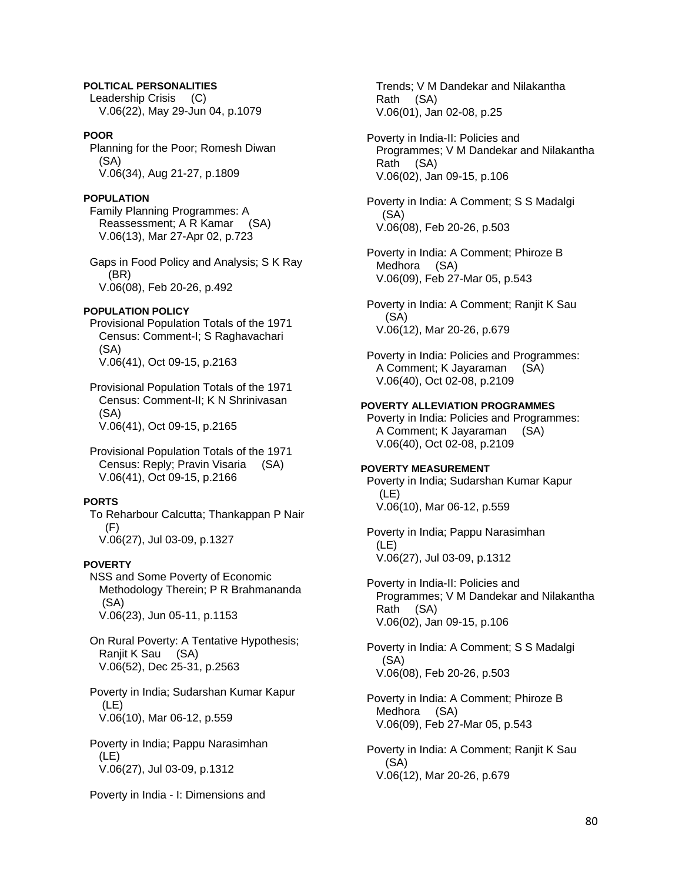# **POLTICAL PERSONALITIES**

 Leadership Crisis (C) V.06(22), May 29-Jun 04, p.1079

# **POOR**

 Planning for the Poor; Romesh Diwan (SA) V.06(34), Aug 21-27, p.1809

# **POPULATION**

 Family Planning Programmes: A Reassessment; A R Kamar (SA) V.06(13), Mar 27-Apr 02, p.723

 Gaps in Food Policy and Analysis; S K Ray (BR) V.06(08), Feb 20-26, p.492

# **POPULATION POLICY**

 Provisional Population Totals of the 1971 Census: Comment-I; S Raghavachari (SA) V.06(41), Oct 09-15, p.2163

 Provisional Population Totals of the 1971 Census: Comment-II; K N Shrinivasan (SA) V.06(41), Oct 09-15, p.2165

 Provisional Population Totals of the 1971 Census: Reply; Pravin Visaria (SA) V.06(41), Oct 09-15, p.2166

# **PORTS**

 To Reharbour Calcutta; Thankappan P Nair (F) V.06(27), Jul 03-09, p.1327

# **POVERTY**

 NSS and Some Poverty of Economic Methodology Therein; P R Brahmananda (SA) V.06(23), Jun 05-11, p.1153

 On Rural Poverty: A Tentative Hypothesis; Ranjit K Sau (SA) V.06(52), Dec 25-31, p.2563

 Poverty in India; Sudarshan Kumar Kapur (LE) V.06(10), Mar 06-12, p.559

 Poverty in India; Pappu Narasimhan (LE) V.06(27), Jul 03-09, p.1312

Poverty in India - I: Dimensions and

 Trends; V M Dandekar and Nilakantha Rath (SA) V.06(01), Jan 02-08, p.25

 Poverty in India-II: Policies and Programmes; V M Dandekar and Nilakantha Rath (SA) V.06(02), Jan 09-15, p.106

 Poverty in India: A Comment; S S Madalgi (SA) V.06(08), Feb 20-26, p.503

 Poverty in India: A Comment; Phiroze B Medhora (SA) V.06(09), Feb 27-Mar 05, p.543

 Poverty in India: A Comment; Ranjit K Sau (SA) V.06(12), Mar 20-26, p.679

 Poverty in India: Policies and Programmes: A Comment; K Jayaraman (SA) V.06(40), Oct 02-08, p.2109

#### **POVERTY ALLEVIATION PROGRAMMES**

 Poverty in India: Policies and Programmes: A Comment; K Jayaraman (SA) V.06(40), Oct 02-08, p.2109

# **POVERTY MEASUREMENT**

 Poverty in India; Sudarshan Kumar Kapur (LE) V.06(10), Mar 06-12, p.559

 Poverty in India; Pappu Narasimhan (LE) V.06(27), Jul 03-09, p.1312

 Poverty in India-II: Policies and Programmes; V M Dandekar and Nilakantha Rath (SA) V.06(02), Jan 09-15, p.106

 Poverty in India: A Comment; S S Madalgi (SA) V.06(08), Feb 20-26, p.503

 Poverty in India: A Comment; Phiroze B Medhora (SA) V.06(09), Feb 27-Mar 05, p.543

 Poverty in India: A Comment; Ranjit K Sau (SA) V.06(12), Mar 20-26, p.679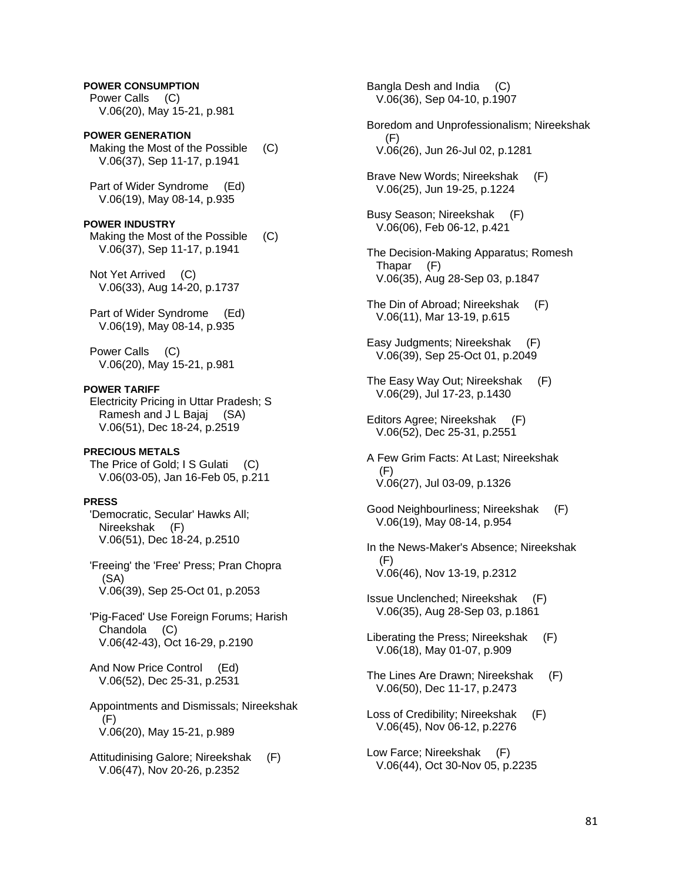**POWER CONSUMPTION**  Power Calls (C) V.06(20), May 15-21, p.981

**POWER GENERATION**  Making the Most of the Possible (C) V.06(37), Sep 11-17, p.1941

 Part of Wider Syndrome (Ed) V.06(19), May 08-14, p.935

# **POWER INDUSTRY**

 Making the Most of the Possible (C) V.06(37), Sep 11-17, p.1941

 Not Yet Arrived (C) V.06(33), Aug 14-20, p.1737

 Part of Wider Syndrome (Ed) V.06(19), May 08-14, p.935

 Power Calls (C) V.06(20), May 15-21, p.981

#### **POWER TARIFF**

 Electricity Pricing in Uttar Pradesh; S Ramesh and J L Bajaj (SA) V.06(51), Dec 18-24, p.2519

# **PRECIOUS METALS**

The Price of Gold; I S Gulati (C) V.06(03-05), Jan 16-Feb 05, p.211

# **PRESS**

 'Democratic, Secular' Hawks All; Nireekshak (F) V.06(51), Dec 18-24, p.2510

 'Freeing' the 'Free' Press; Pran Chopra (SA) V.06(39), Sep 25-Oct 01, p.2053

 'Pig-Faced' Use Foreign Forums; Harish Chandola (C) V.06(42-43), Oct 16-29, p.2190

 And Now Price Control (Ed) V.06(52), Dec 25-31, p.2531

 Appointments and Dismissals; Nireekshak (F) V.06(20), May 15-21, p.989

 Attitudinising Galore; Nireekshak (F) V.06(47), Nov 20-26, p.2352

 Bangla Desh and India (C) V.06(36), Sep 04-10, p.1907 Boredom and Unprofessionalism; Nireekshak (F) V.06(26), Jun 26-Jul 02, p.1281 Brave New Words; Nireekshak (F) V.06(25), Jun 19-25, p.1224 Busy Season; Nireekshak (F) V.06(06), Feb 06-12, p.421 The Decision-Making Apparatus; Romesh Thapar (F) V.06(35), Aug 28-Sep 03, p.1847 The Din of Abroad; Nireekshak (F) V.06(11), Mar 13-19, p.615 Easy Judgments; Nireekshak (F) V.06(39), Sep 25-Oct 01, p.2049 The Easy Way Out; Nireekshak (F) V.06(29), Jul 17-23, p.1430 Editors Agree; Nireekshak (F) V.06(52), Dec 25-31, p.2551 A Few Grim Facts: At Last; Nireekshak (F) V.06(27), Jul 03-09, p.1326 Good Neighbourliness; Nireekshak (F) V.06(19), May 08-14, p.954 In the News-Maker's Absence; Nireekshak (F) V.06(46), Nov 13-19, p.2312 Issue Unclenched; Nireekshak (F) V.06(35), Aug 28-Sep 03, p.1861 Liberating the Press; Nireekshak (F) V.06(18), May 01-07, p.909 The Lines Are Drawn; Nireekshak (F) V.06(50), Dec 11-17, p.2473 Loss of Credibility; Nireekshak (F) V.06(45), Nov 06-12, p.2276 Low Farce; Nireekshak (F) V.06(44), Oct 30-Nov 05, p.2235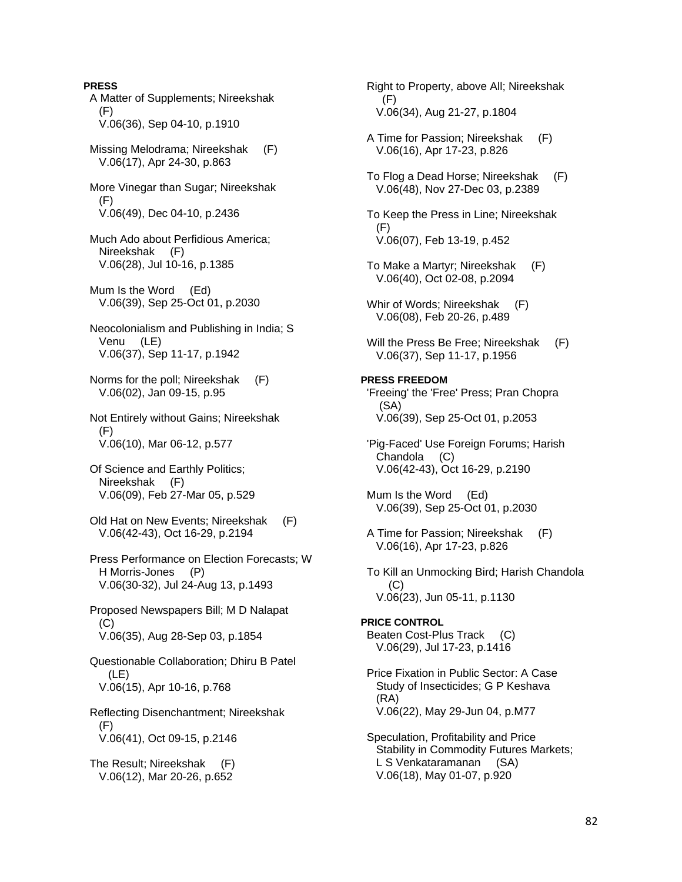**PRESS**  A Matter of Supplements; Nireekshak (F) V.06(36), Sep 04-10, p.1910 Missing Melodrama; Nireekshak (F) V.06(17), Apr 24-30, p.863 More Vinegar than Sugar; Nireekshak (F) V.06(49), Dec 04-10, p.2436 Much Ado about Perfidious America; Nireekshak (F) V.06(28), Jul 10-16, p.1385 Mum Is the Word (Ed) V.06(39), Sep 25-Oct 01, p.2030 Neocolonialism and Publishing in India; S Venu (LE) V.06(37), Sep 11-17, p.1942 Norms for the poll; Nireekshak (F) V.06(02), Jan 09-15, p.95 Not Entirely without Gains; Nireekshak (F) V.06(10), Mar 06-12, p.577 Of Science and Earthly Politics; Nireekshak (F) V.06(09), Feb 27-Mar 05, p.529 Old Hat on New Events; Nireekshak (F) V.06(42-43), Oct 16-29, p.2194 Press Performance on Election Forecasts; W H Morris-Jones (P) V.06(30-32), Jul 24-Aug 13, p.1493 Proposed Newspapers Bill; M D Nalapat (C) V.06(35), Aug 28-Sep 03, p.1854 Questionable Collaboration; Dhiru B Patel (LE) V.06(15), Apr 10-16, p.768 Reflecting Disenchantment; Nireekshak (F) V.06(41), Oct 09-15, p.2146 The Result; Nireekshak (F) V.06(12), Mar 20-26, p.652

 Right to Property, above All; Nireekshak (F) V.06(34), Aug 21-27, p.1804

- A Time for Passion; Nireekshak (F) V.06(16), Apr 17-23, p.826
- To Flog a Dead Horse; Nireekshak (F) V.06(48), Nov 27-Dec 03, p.2389
- To Keep the Press in Line; Nireekshak (F) V.06(07), Feb 13-19, p.452
- To Make a Martyr; Nireekshak (F) V.06(40), Oct 02-08, p.2094
- Whir of Words; Nireekshak (F) V.06(08), Feb 20-26, p.489
- Will the Press Be Free; Nireekshak (F) V.06(37), Sep 11-17, p.1956

#### **PRESS FREEDOM**  'Freeing' the 'Free' Press; Pran Chopra (SA) V.06(39), Sep 25-Oct 01, p.2053

 'Pig-Faced' Use Foreign Forums; Harish Chandola (C) V.06(42-43), Oct 16-29, p.2190

- Mum Is the Word (Ed) V.06(39), Sep 25-Oct 01, p.2030
- A Time for Passion; Nireekshak (F) V.06(16), Apr 17-23, p.826
- To Kill an Unmocking Bird; Harish Chandola (C) V.06(23), Jun 05-11, p.1130

# **PRICE CONTROL**

 Beaten Cost-Plus Track (C) V.06(29), Jul 17-23, p.1416

- Price Fixation in Public Sector: A Case Study of Insecticides; G P Keshava (RA) V.06(22), May 29-Jun 04, p.M77
- Speculation, Profitability and Price Stability in Commodity Futures Markets; L S Venkataramanan (SA) V.06(18), May 01-07, p.920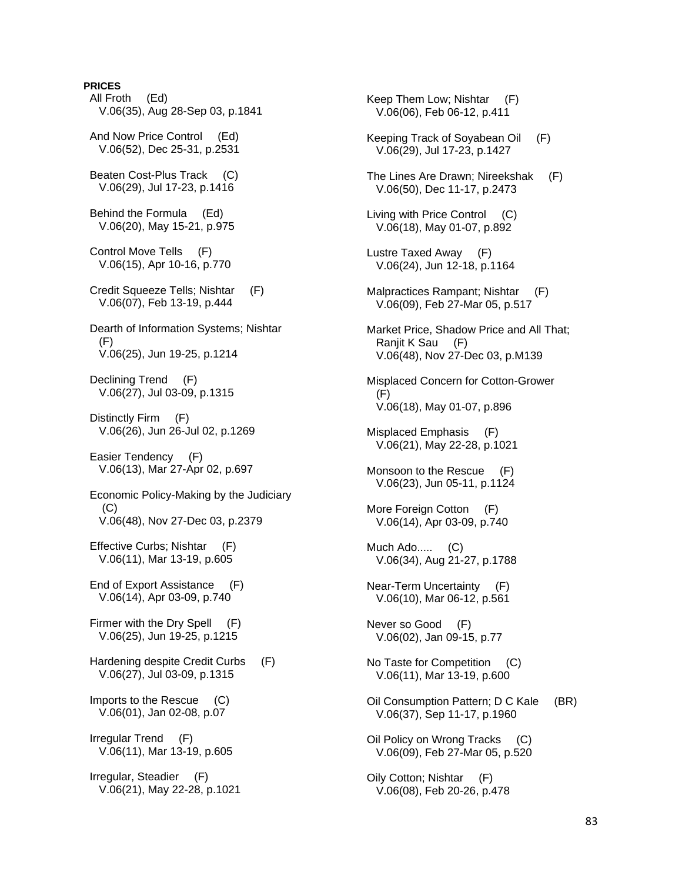# **PRICES**

 All Froth (Ed) V.06(35), Aug 28-Sep 03, p.1841 And Now Price Control (Ed) V.06(52), Dec 25-31, p.2531 Beaten Cost-Plus Track (C) V.06(29), Jul 17-23, p.1416 Behind the Formula (Ed) V.06(20), May 15-21, p.975 Control Move Tells (F) V.06(15), Apr 10-16, p.770 Credit Squeeze Tells; Nishtar (F) V.06(07), Feb 13-19, p.444 Dearth of Information Systems; Nishtar  $(F)$  V.06(25), Jun 19-25, p.1214 Declining Trend (F) V.06(27), Jul 03-09, p.1315 Distinctly Firm (F) V.06(26), Jun 26-Jul 02, p.1269 Easier Tendency (F) V.06(13), Mar 27-Apr 02, p.697 Economic Policy-Making by the Judiciary (C) V.06(48), Nov 27-Dec 03, p.2379 Effective Curbs; Nishtar (F) V.06(11), Mar 13-19, p.605 End of Export Assistance (F) V.06(14), Apr 03-09, p.740 Firmer with the Dry Spell (F) V.06(25), Jun 19-25, p.1215 Hardening despite Credit Curbs (F) V.06(27), Jul 03-09, p.1315 Imports to the Rescue (C) V.06(01), Jan 02-08, p.07 Irregular Trend (F) V.06(11), Mar 13-19, p.605 Irregular, Steadier (F) V.06(21), May 22-28, p.1021

 Keep Them Low; Nishtar (F) V.06(06), Feb 06-12, p.411 Keeping Track of Soyabean Oil (F) V.06(29), Jul 17-23, p.1427 The Lines Are Drawn; Nireekshak (F) V.06(50), Dec 11-17, p.2473 Living with Price Control (C) V.06(18), May 01-07, p.892 Lustre Taxed Away (F) V.06(24), Jun 12-18, p.1164 Malpractices Rampant; Nishtar (F) V.06(09), Feb 27-Mar 05, p.517 Market Price, Shadow Price and All That; Ranjit K Sau (F) V.06(48), Nov 27-Dec 03, p.M139 Misplaced Concern for Cotton-Grower  $(F)$  V.06(18), May 01-07, p.896 Misplaced Emphasis (F) V.06(21), May 22-28, p.1021 Monsoon to the Rescue (F) V.06(23), Jun 05-11, p.1124 More Foreign Cotton (F) V.06(14), Apr 03-09, p.740 Much Ado..... (C) V.06(34), Aug 21-27, p.1788 Near-Term Uncertainty (F) V.06(10), Mar 06-12, p.561 Never so Good (F) V.06(02), Jan 09-15, p.77 No Taste for Competition (C) V.06(11), Mar 13-19, p.600 Oil Consumption Pattern; D C Kale (BR) V.06(37), Sep 11-17, p.1960 Oil Policy on Wrong Tracks (C) V.06(09), Feb 27-Mar 05, p.520 Oily Cotton; Nishtar (F) V.06(08), Feb 20-26, p.478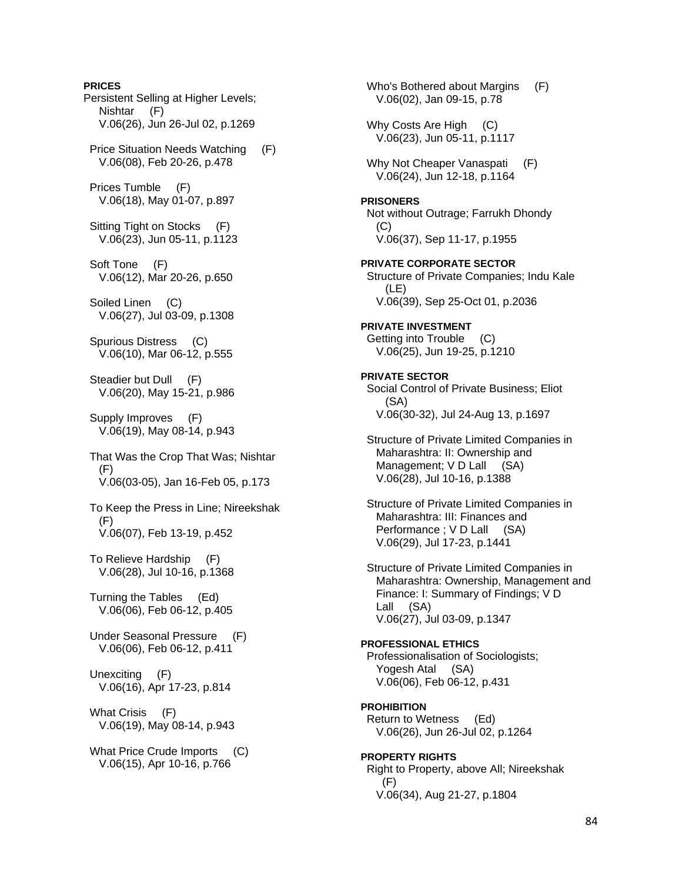**PRICES**  Persistent Selling at Higher Levels; Nishtar (F) V.06(26), Jun 26-Jul 02, p.1269 Price Situation Needs Watching (F) V.06(08), Feb 20-26, p.478 Prices Tumble (F) V.06(18), May 01-07, p.897 Sitting Tight on Stocks (F) V.06(23), Jun 05-11, p.1123 Soft Tone (F) V.06(12), Mar 20-26, p.650 Soiled Linen (C) V.06(27), Jul 03-09, p.1308 Spurious Distress (C) V.06(10), Mar 06-12, p.555 Steadier but Dull (F) V.06(20), May 15-21, p.986 Supply Improves (F) V.06(19), May 08-14, p.943 That Was the Crop That Was; Nishtar (F) V.06(03-05), Jan 16-Feb 05, p.173 To Keep the Press in Line; Nireekshak (F) V.06(07), Feb 13-19, p.452 To Relieve Hardship (F) V.06(28), Jul 10-16, p.1368 Turning the Tables (Ed) V.06(06), Feb 06-12, p.405 Under Seasonal Pressure (F) V.06(06), Feb 06-12, p.411 Unexciting (F) V.06(16), Apr 17-23, p.814 What Crisis (F) V.06(19), May 08-14, p.943 What Price Crude Imports (C) V.06(15), Apr 10-16, p.766

 Who's Bothered about Margins (F) V.06(02), Jan 09-15, p.78 Why Costs Are High (C) V.06(23), Jun 05-11, p.1117 Why Not Cheaper Vanaspati (F) V.06(24), Jun 12-18, p.1164 **PRISONERS**  Not without Outrage; Farrukh Dhondy  $(C)$  V.06(37), Sep 11-17, p.1955 **PRIVATE CORPORATE SECTOR**  Structure of Private Companies; Indu Kale (LE) V.06(39), Sep 25-Oct 01, p.2036 **PRIVATE INVESTMENT**  Getting into Trouble (C) V.06(25), Jun 19-25, p.1210 **PRIVATE SECTOR**  Social Control of Private Business; Eliot (SA) V.06(30-32), Jul 24-Aug 13, p.1697 Structure of Private Limited Companies in Maharashtra: II: Ownership and Management; V D Lall (SA) V.06(28), Jul 10-16, p.1388 Structure of Private Limited Companies in Maharashtra: III: Finances and Performance : V D Lall (SA) V.06(29), Jul 17-23, p.1441 Structure of Private Limited Companies in Maharashtra: Ownership, Management and Finance: I: Summary of Findings; V D Lall (SA) V.06(27), Jul 03-09, p.1347 **PROFESSIONAL ETHICS**  Professionalisation of Sociologists; Yogesh Atal (SA) V.06(06), Feb 06-12, p.431 **PROHIBITION**  Return to Wetness (Ed) V.06(26), Jun 26-Jul 02, p.1264 **PROPERTY RIGHTS**  Right to Property, above All; Nireekshak  $(F)$ V.06(34), Aug 21-27, p.1804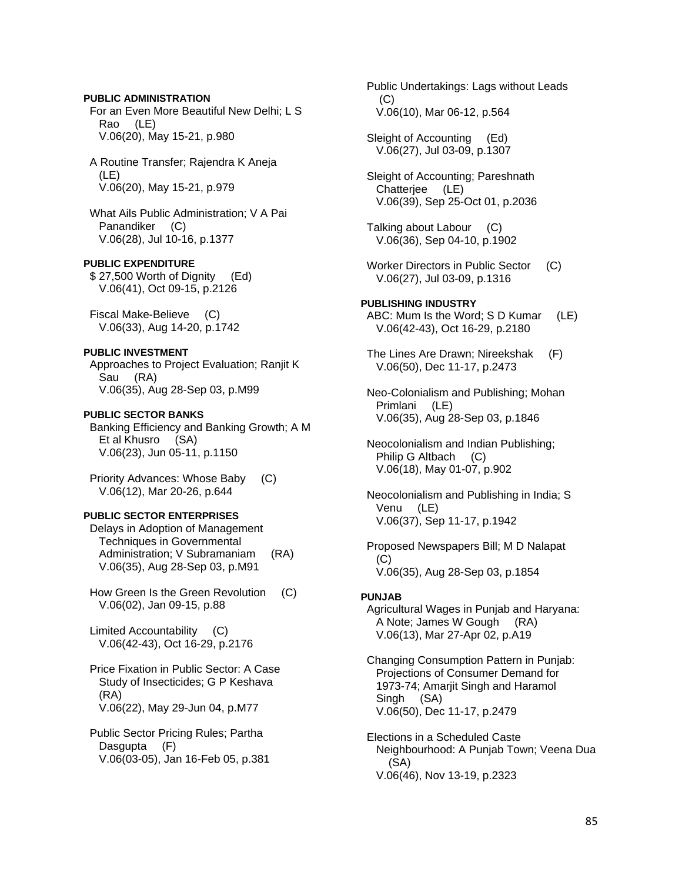# **PUBLIC ADMINISTRATION**

 For an Even More Beautiful New Delhi; L S Rao (LE) V.06(20), May 15-21, p.980

 A Routine Transfer; Rajendra K Aneja (LE) V.06(20), May 15-21, p.979

 What Ails Public Administration; V A Pai Panandiker (C) V.06(28), Jul 10-16, p.1377

**PUBLIC EXPENDITURE** 

 \$ 27,500 Worth of Dignity (Ed) V.06(41), Oct 09-15, p.2126

 Fiscal Make-Believe (C) V.06(33), Aug 14-20, p.1742

## **PUBLIC INVESTMENT**

 Approaches to Project Evaluation; Ranjit K Sau (RA) V.06(35), Aug 28-Sep 03, p.M99

#### **PUBLIC SECTOR BANKS**

 Banking Efficiency and Banking Growth; A M Et al Khusro (SA) V.06(23), Jun 05-11, p.1150

 Priority Advances: Whose Baby (C) V.06(12), Mar 20-26, p.644

# **PUBLIC SECTOR ENTERPRISES**

 Delays in Adoption of Management Techniques in Governmental Administration; V Subramaniam (RA) V.06(35), Aug 28-Sep 03, p.M91

 How Green Is the Green Revolution (C) V.06(02), Jan 09-15, p.88

 Limited Accountability (C) V.06(42-43), Oct 16-29, p.2176

 Price Fixation in Public Sector: A Case Study of Insecticides; G P Keshava (RA) V.06(22), May 29-Jun 04, p.M77

 Public Sector Pricing Rules; Partha Dasgupta (F) V.06(03-05), Jan 16-Feb 05, p.381  Public Undertakings: Lags without Leads (C) V.06(10), Mar 06-12, p.564

 Sleight of Accounting (Ed) V.06(27), Jul 03-09, p.1307

 Sleight of Accounting; Pareshnath Chatterjee (LE) V.06(39), Sep 25-Oct 01, p.2036

 Talking about Labour (C) V.06(36), Sep 04-10, p.1902

- Worker Directors in Public Sector (C) V.06(27), Jul 03-09, p.1316
- **PUBLISHING INDUSTRY**  ABC: Mum Is the Word; S D Kumar (LE) V.06(42-43), Oct 16-29, p.2180
- The Lines Are Drawn; Nireekshak (F) V.06(50), Dec 11-17, p.2473
- Neo-Colonialism and Publishing; Mohan Primlani (LE) V.06(35), Aug 28-Sep 03, p.1846

 Neocolonialism and Indian Publishing; Philip G Altbach (C) V.06(18), May 01-07, p.902

 Neocolonialism and Publishing in India; S Venu (LE) V.06(37), Sep 11-17, p.1942

 Proposed Newspapers Bill; M D Nalapat (C) V.06(35), Aug 28-Sep 03, p.1854

#### **PUNJAB**

 Agricultural Wages in Punjab and Haryana: A Note; James W Gough (RA) V.06(13), Mar 27-Apr 02, p.A19

 Changing Consumption Pattern in Punjab: Projections of Consumer Demand for 1973-74; Amarjit Singh and Haramol Singh (SA) V.06(50), Dec 11-17, p.2479

 Elections in a Scheduled Caste Neighbourhood: A Punjab Town; Veena Dua (SA) V.06(46), Nov 13-19, p.2323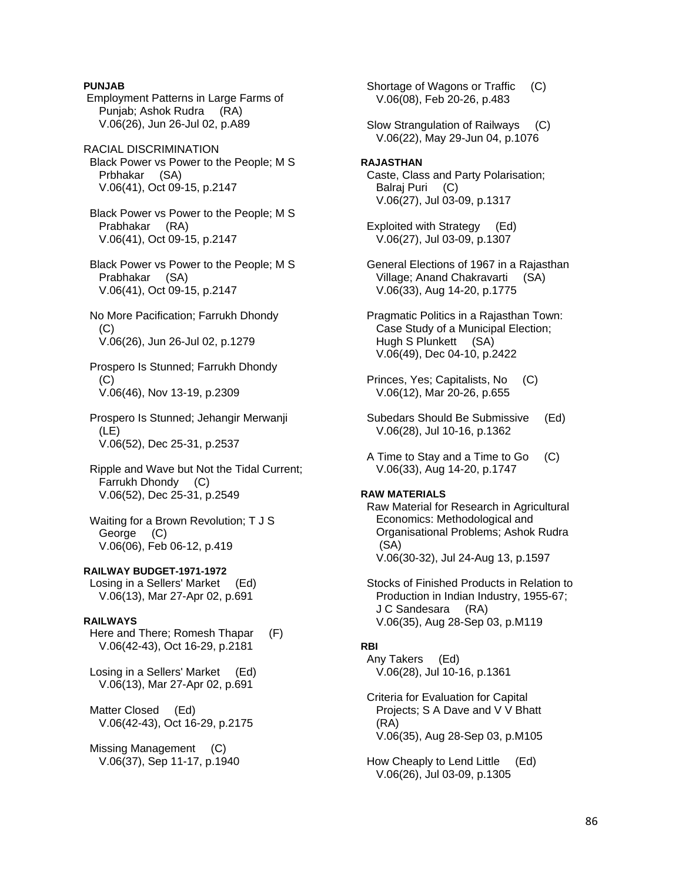**PUNJAB** 

 Employment Patterns in Large Farms of Punjab; Ashok Rudra (RA) V.06(26), Jun 26-Jul 02, p.A89

RACIAL DISCRIMINATION Black Power vs Power to the People; M S Prbhakar (SA) V.06(41), Oct 09-15, p.2147

 Black Power vs Power to the People; M S Prabhakar (RA) V.06(41), Oct 09-15, p.2147

 Black Power vs Power to the People; M S Prabhakar (SA) V.06(41), Oct 09-15, p.2147

 No More Pacification; Farrukh Dhondy (C) V.06(26), Jun 26-Jul 02, p.1279

 Prospero Is Stunned; Farrukh Dhondy  $(C)$ V.06(46), Nov 13-19, p.2309

 Prospero Is Stunned; Jehangir Merwanji (LE) V.06(52), Dec 25-31, p.2537

 Ripple and Wave but Not the Tidal Current; Farrukh Dhondy (C) V.06(52), Dec 25-31, p.2549

 Waiting for a Brown Revolution; T J S George (C) V.06(06), Feb 06-12, p.419

**RAILWAY BUDGET-1971-1972** 

 Losing in a Sellers' Market (Ed) V.06(13), Mar 27-Apr 02, p.691

### **RAILWAYS**

 Here and There; Romesh Thapar (F) V.06(42-43), Oct 16-29, p.2181

 Losing in a Sellers' Market (Ed) V.06(13), Mar 27-Apr 02, p.691

 Matter Closed (Ed) V.06(42-43), Oct 16-29, p.2175

 Missing Management (C) V.06(37), Sep 11-17, p.1940  Shortage of Wagons or Traffic (C) V.06(08), Feb 20-26, p.483

 Slow Strangulation of Railways (C) V.06(22), May 29-Jun 04, p.1076

**RAJASTHAN**  Caste, Class and Party Polarisation; Balraj Puri (C) V.06(27), Jul 03-09, p.1317

 Exploited with Strategy (Ed) V.06(27), Jul 03-09, p.1307

 General Elections of 1967 in a Rajasthan Village; Anand Chakravarti (SA) V.06(33), Aug 14-20, p.1775

 Pragmatic Politics in a Rajasthan Town: Case Study of a Municipal Election; Hugh S Plunkett (SA) V.06(49), Dec 04-10, p.2422

 Princes, Yes; Capitalists, No (C) V.06(12), Mar 20-26, p.655

 Subedars Should Be Submissive (Ed) V.06(28), Jul 10-16, p.1362

 A Time to Stay and a Time to Go (C) V.06(33), Aug 14-20, p.1747

#### **RAW MATERIALS**

 Raw Material for Research in Agricultural Economics: Methodological and Organisational Problems; Ashok Rudra (SA) V.06(30-32), Jul 24-Aug 13, p.1597

 Stocks of Finished Products in Relation to Production in Indian Industry, 1955-67; J C Sandesara (RA) V.06(35), Aug 28-Sep 03, p.M119

# **RBI**

 Any Takers (Ed) V.06(28), Jul 10-16, p.1361

 Criteria for Evaluation for Capital Projects; S A Dave and V V Bhatt (RA) V.06(35), Aug 28-Sep 03, p.M105

 How Cheaply to Lend Little (Ed) V.06(26), Jul 03-09, p.1305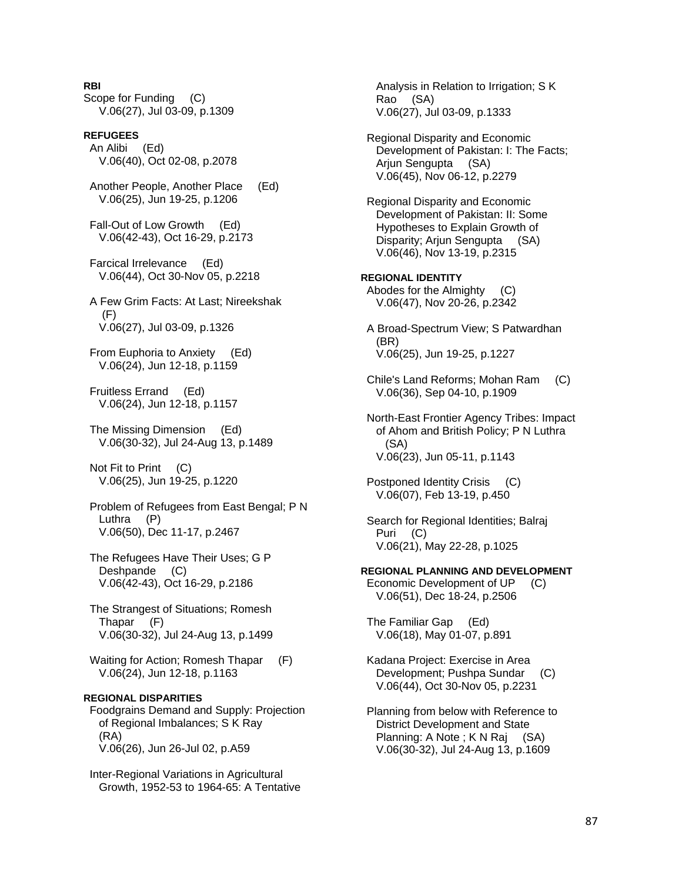**RBI** 

Scope for Funding (C) V.06(27), Jul 03-09, p.1309

#### **REFUGEES**  An Alibi (Ed) V.06(40), Oct 02-08, p.2078

 Another People, Another Place (Ed) V.06(25), Jun 19-25, p.1206

 Fall-Out of Low Growth (Ed) V.06(42-43), Oct 16-29, p.2173

 Farcical Irrelevance (Ed) V.06(44), Oct 30-Nov 05, p.2218

 A Few Grim Facts: At Last; Nireekshak (F) V.06(27), Jul 03-09, p.1326

 From Euphoria to Anxiety (Ed) V.06(24), Jun 12-18, p.1159

 Fruitless Errand (Ed) V.06(24), Jun 12-18, p.1157

 The Missing Dimension (Ed) V.06(30-32), Jul 24-Aug 13, p.1489

 Not Fit to Print (C) V.06(25), Jun 19-25, p.1220

 Problem of Refugees from East Bengal; P N Luthra (P) V.06(50), Dec 11-17, p.2467

 The Refugees Have Their Uses; G P Deshpande (C) V.06(42-43), Oct 16-29, p.2186

 The Strangest of Situations; Romesh Thapar (F) V.06(30-32), Jul 24-Aug 13, p.1499

Waiting for Action; Romesh Thapar (F) V.06(24), Jun 12-18, p.1163

# **REGIONAL DISPARITIES**

 Foodgrains Demand and Supply: Projection of Regional Imbalances; S K Ray (RA) V.06(26), Jun 26-Jul 02, p.A59

 Inter-Regional Variations in Agricultural Growth, 1952-53 to 1964-65: A Tentative

 Analysis in Relation to Irrigation; S K Rao (SA) V.06(27), Jul 03-09, p.1333 Regional Disparity and Economic Development of Pakistan: I: The Facts; Arjun Sengupta (SA) V.06(45), Nov 06-12, p.2279 Regional Disparity and Economic Development of Pakistan: II: Some Hypotheses to Explain Growth of Disparity; Arjun Sengupta (SA) V.06(46), Nov 13-19, p.2315 **REGIONAL IDENTITY**  Abodes for the Almighty (C) V.06(47), Nov 20-26, p.2342 A Broad-Spectrum View; S Patwardhan (BR) V.06(25), Jun 19-25, p.1227 Chile's Land Reforms; Mohan Ram (C) V.06(36), Sep 04-10, p.1909 North-East Frontier Agency Tribes: Impact of Ahom and British Policy; P N Luthra (SA) V.06(23), Jun 05-11, p.1143 Postponed Identity Crisis (C) V.06(07), Feb 13-19, p.450 Search for Regional Identities; Balraj Puri (C) V.06(21), May 22-28, p.1025 **REGIONAL PLANNING AND DEVELOPMENT**  Economic Development of UP (C) V.06(51), Dec 18-24, p.2506 The Familiar Gap (Ed) V.06(18), May 01-07, p.891 Kadana Project: Exercise in Area Development; Pushpa Sundar (C) V.06(44), Oct 30-Nov 05, p.2231 Planning from below with Reference to District Development and State

Planning: A Note ; K N Raj (SA) V.06(30-32), Jul 24-Aug 13, p.1609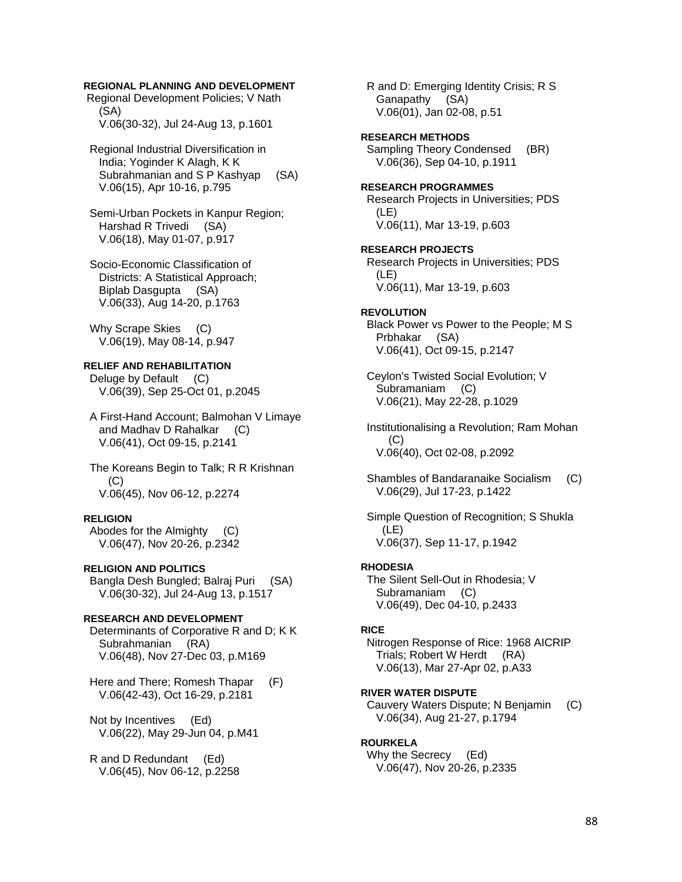# **REGIONAL PLANNING AND DEVELOPMENT**

 Regional Development Policies; V Nath (SA) V.06(30-32), Jul 24-Aug 13, p.1601

 Regional Industrial Diversification in India; Yoginder K Alagh, K K Subrahmanian and S P Kashyap (SA) V.06(15), Apr 10-16, p.795

 Semi-Urban Pockets in Kanpur Region; Harshad R Trivedi (SA) V.06(18), May 01-07, p.917

 Socio-Economic Classification of Districts: A Statistical Approach; Biplab Dasgupta (SA) V.06(33), Aug 14-20, p.1763

Why Scrape Skies (C) V.06(19), May 08-14, p.947

# **RELIEF AND REHABILITATION**

Deluge by Default (C) V.06(39), Sep 25-Oct 01, p.2045

 A First-Hand Account; Balmohan V Limaye and Madhav D Rahalkar (C) V.06(41), Oct 09-15, p.2141

 The Koreans Begin to Talk; R R Krishnan (C) V.06(45), Nov 06-12, p.2274

#### **RELIGION**

 Abodes for the Almighty (C) V.06(47), Nov 20-26, p.2342

### **RELIGION AND POLITICS**

 Bangla Desh Bungled; Balraj Puri (SA) V.06(30-32), Jul 24-Aug 13, p.1517

#### **RESEARCH AND DEVELOPMENT**

 Determinants of Corporative R and D; K K Subrahmanian (RA) V.06(48), Nov 27-Dec 03, p.M169

 Here and There; Romesh Thapar (F) V.06(42-43), Oct 16-29, p.2181

 Not by Incentives (Ed) V.06(22), May 29-Jun 04, p.M41

 R and D Redundant (Ed) V.06(45), Nov 06-12, p.2258  R and D: Emerging Identity Crisis; R S Ganapathy (SA) V.06(01), Jan 02-08, p.51

# **RESEARCH METHODS**

Sampling Theory Condensed (BR) V.06(36), Sep 04-10, p.1911

## **RESEARCH PROGRAMMES**

 Research Projects in Universities; PDS (LE) V.06(11), Mar 13-19, p.603

**RESEARCH PROJECTS** 

 Research Projects in Universities; PDS (LE) V.06(11), Mar 13-19, p.603

#### **REVOLUTION**

 Black Power vs Power to the People; M S Prbhakar (SA) V.06(41), Oct 09-15, p.2147

 Ceylon's Twisted Social Evolution; V Subramaniam (C) V.06(21), May 22-28, p.1029

 Institutionalising a Revolution; Ram Mohan (C) V.06(40), Oct 02-08, p.2092

 Shambles of Bandaranaike Socialism (C) V.06(29), Jul 17-23, p.1422

 Simple Question of Recognition; S Shukla (LE) V.06(37), Sep 11-17, p.1942

#### **RHODESIA**

 The Silent Sell-Out in Rhodesia; V Subramaniam (C) V.06(49), Dec 04-10, p.2433

# **RICE**

 Nitrogen Response of Rice: 1968 AICRIP Trials; Robert W Herdt (RA) V.06(13), Mar 27-Apr 02, p.A33

### **RIVER WATER DISPUTE**

 Cauvery Waters Dispute; N Benjamin (C) V.06(34), Aug 21-27, p.1794

# **ROURKELA**

 Why the Secrecy (Ed) V.06(47), Nov 20-26, p.2335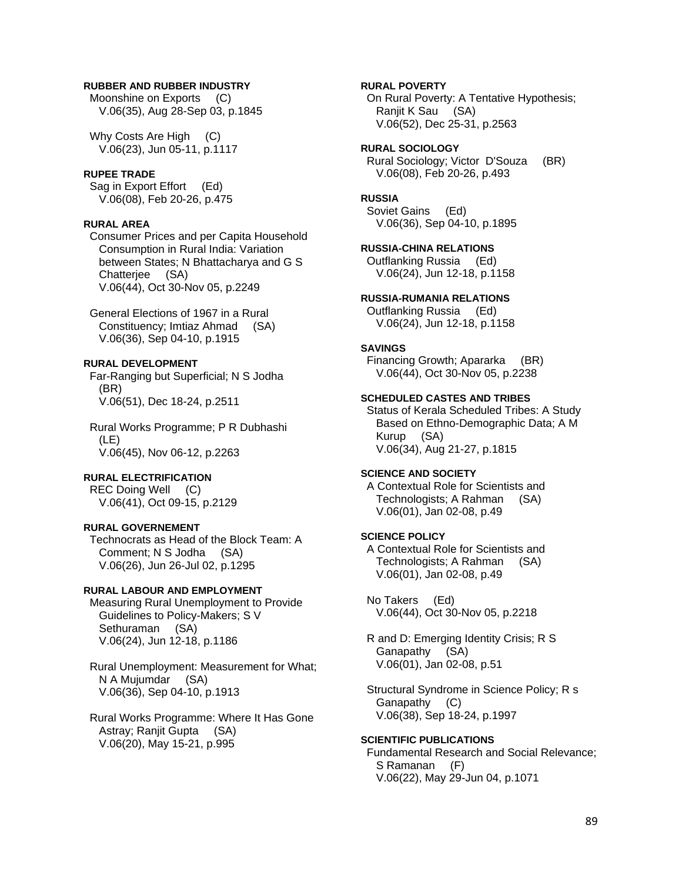# **RUBBER AND RUBBER INDUSTRY**

Moonshine on Exports (C) V.06(35), Aug 28-Sep 03, p.1845

Why Costs Are High (C) V.06(23), Jun 05-11, p.1117

### **RUPEE TRADE**

 Sag in Export Effort (Ed) V.06(08), Feb 20-26, p.475

#### **RURAL AREA**

 Consumer Prices and per Capita Household Consumption in Rural India: Variation between States; N Bhattacharya and G S Chatterjee (SA) V.06(44), Oct 30-Nov 05, p.2249

 General Elections of 1967 in a Rural Constituency; Imtiaz Ahmad (SA) V.06(36), Sep 04-10, p.1915

# **RURAL DEVELOPMENT**

 Far-Ranging but Superficial; N S Jodha (BR) V.06(51), Dec 18-24, p.2511

 Rural Works Programme; P R Dubhashi (LE) V.06(45), Nov 06-12, p.2263

## **RURAL ELECTRIFICATION**

 REC Doing Well (C) V.06(41), Oct 09-15, p.2129

# **RURAL GOVERNEMENT**

 Technocrats as Head of the Block Team: A Comment; N S Jodha (SA) V.06(26), Jun 26-Jul 02, p.1295

# **RURAL LABOUR AND EMPLOYMENT**

 Measuring Rural Unemployment to Provide Guidelines to Policy-Makers; S V Sethuraman (SA) V.06(24), Jun 12-18, p.1186

 Rural Unemployment: Measurement for What; N A Mujumdar (SA) V.06(36), Sep 04-10, p.1913

 Rural Works Programme: Where It Has Gone Astray; Ranjit Gupta (SA) V.06(20), May 15-21, p.995

# **RURAL POVERTY**

 On Rural Poverty: A Tentative Hypothesis; Ranjit K Sau (SA) V.06(52), Dec 25-31, p.2563

**RURAL SOCIOLOGY**  Rural Sociology; Victor D'Souza (BR)

V.06(08), Feb 20-26, p.493

# **RUSSIA**

 Soviet Gains (Ed) V.06(36), Sep 04-10, p.1895

#### **RUSSIA-CHINA RELATIONS**

 Outflanking Russia (Ed) V.06(24), Jun 12-18, p.1158

### **RUSSIA-RUMANIA RELATIONS**

 Outflanking Russia (Ed) V.06(24), Jun 12-18, p.1158

# **SAVINGS**

 Financing Growth; Apararka (BR) V.06(44), Oct 30-Nov 05, p.2238

# **SCHEDULED CASTES AND TRIBES**

 Status of Kerala Scheduled Tribes: A Study Based on Ethno-Demographic Data; A M Kurup (SA) V.06(34), Aug 21-27, p.1815

### **SCIENCE AND SOCIETY**

 A Contextual Role for Scientists and Technologists; A Rahman (SA) V.06(01), Jan 02-08, p.49

# **SCIENCE POLICY**

 A Contextual Role for Scientists and Technologists; A Rahman (SA) V.06(01), Jan 02-08, p.49

 No Takers (Ed) V.06(44), Oct 30-Nov 05, p.2218

 R and D: Emerging Identity Crisis; R S Ganapathy (SA) V.06(01), Jan 02-08, p.51

 Structural Syndrome in Science Policy; R s Ganapathy (C) V.06(38), Sep 18-24, p.1997

## **SCIENTIFIC PUBLICATIONS**

 Fundamental Research and Social Relevance; S Ramanan (F) V.06(22), May 29-Jun 04, p.1071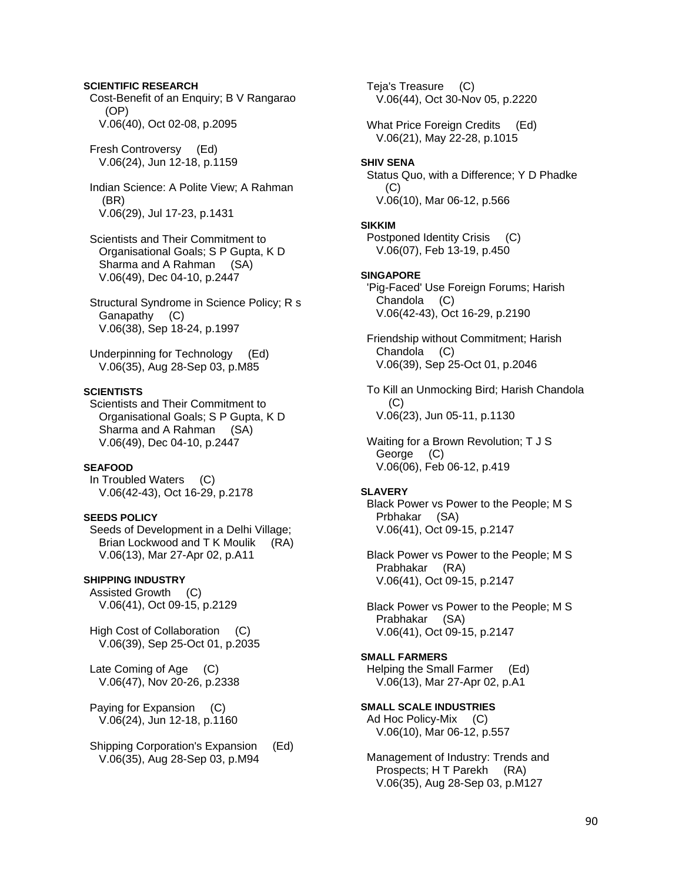### **SCIENTIFIC RESEARCH**

 Cost-Benefit of an Enquiry; B V Rangarao (OP) V.06(40), Oct 02-08, p.2095

 Fresh Controversy (Ed) V.06(24), Jun 12-18, p.1159

 Indian Science: A Polite View; A Rahman (BR) V.06(29), Jul 17-23, p.1431

 Scientists and Their Commitment to Organisational Goals; S P Gupta, K D Sharma and A Rahman (SA) V.06(49), Dec 04-10, p.2447

 Structural Syndrome in Science Policy; R s Ganapathy (C) V.06(38), Sep 18-24, p.1997

 Underpinning for Technology (Ed) V.06(35), Aug 28-Sep 03, p.M85

# **SCIENTISTS**

 Scientists and Their Commitment to Organisational Goals; S P Gupta, K D Sharma and A Rahman (SA) V.06(49), Dec 04-10, p.2447

#### **SEAFOOD**

 In Troubled Waters (C) V.06(42-43), Oct 16-29, p.2178

#### **SEEDS POLICY**

 Seeds of Development in a Delhi Village; Brian Lockwood and T K Moulik (RA) V.06(13), Mar 27-Apr 02, p.A11

### **SHIPPING INDUSTRY**

 Assisted Growth (C) V.06(41), Oct 09-15, p.2129

High Cost of Collaboration (C) V.06(39), Sep 25-Oct 01, p.2035

 Late Coming of Age (C) V.06(47), Nov 20-26, p.2338

 Paying for Expansion (C) V.06(24), Jun 12-18, p.1160

 Shipping Corporation's Expansion (Ed) V.06(35), Aug 28-Sep 03, p.M94

 Teja's Treasure (C) V.06(44), Oct 30-Nov 05, p.2220 What Price Foreign Credits (Ed) V.06(21), May 22-28, p.1015 **SHIV SENA**  Status Quo, with a Difference; Y D Phadke (C) V.06(10), Mar 06-12, p.566 **SIKKIM**  Postponed Identity Crisis (C) V.06(07), Feb 13-19, p.450 **SINGAPORE**  'Pig-Faced' Use Foreign Forums; Harish Chandola (C) V.06(42-43), Oct 16-29, p.2190 Friendship without Commitment; Harish Chandola (C) V.06(39), Sep 25-Oct 01, p.2046 To Kill an Unmocking Bird; Harish Chandola  $(C)$  V.06(23), Jun 05-11, p.1130 Waiting for a Brown Revolution; T J S George (C) V.06(06), Feb 06-12, p.419 **SLAVERY**  Black Power vs Power to the People; M S Prbhakar (SA) V.06(41), Oct 09-15, p.2147 Black Power vs Power to the People; M S Prabhakar (RA) V.06(41), Oct 09-15, p.2147 Black Power vs Power to the People; M S Prabhakar (SA) V.06(41), Oct 09-15, p.2147 **SMALL FARMERS**  Helping the Small Farmer (Ed) V.06(13), Mar 27-Apr 02, p.A1 **SMALL SCALE INDUSTRIES**  Ad Hoc Policy-Mix (C) V.06(10), Mar 06-12, p.557

 Management of Industry: Trends and Prospects; H T Parekh (RA) V.06(35), Aug 28-Sep 03, p.M127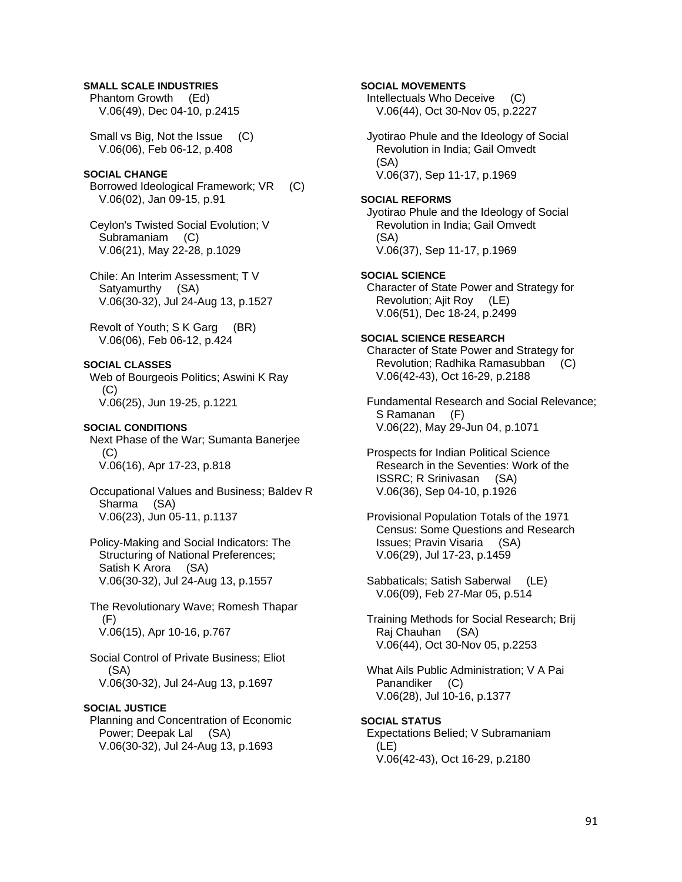#### **SMALL SCALE INDUSTRIES**

 Phantom Growth (Ed) V.06(49), Dec 04-10, p.2415

 Small vs Big, Not the Issue (C) V.06(06), Feb 06-12, p.408

# **SOCIAL CHANGE**

 Borrowed Ideological Framework; VR (C) V.06(02), Jan 09-15, p.91

 Ceylon's Twisted Social Evolution; V Subramaniam (C) V.06(21), May 22-28, p.1029

 Chile: An Interim Assessment; T V Satyamurthy (SA) V.06(30-32), Jul 24-Aug 13, p.1527

 Revolt of Youth; S K Garg (BR) V.06(06), Feb 06-12, p.424

### **SOCIAL CLASSES**

 Web of Bourgeois Politics; Aswini K Ray (C) V.06(25), Jun 19-25, p.1221

#### **SOCIAL CONDITIONS**

 Next Phase of the War; Sumanta Banerjee (C) V.06(16), Apr 17-23, p.818

 Occupational Values and Business; Baldev R Sharma (SA) V.06(23), Jun 05-11, p.1137

 Policy-Making and Social Indicators: The Structuring of National Preferences; Satish K Arora (SA) V.06(30-32), Jul 24-Aug 13, p.1557

 The Revolutionary Wave; Romesh Thapar (F) V.06(15), Apr 10-16, p.767

 Social Control of Private Business; Eliot (SA) V.06(30-32), Jul 24-Aug 13, p.1697

#### **SOCIAL JUSTICE**

 Planning and Concentration of Economic Power; Deepak Lal (SA) V.06(30-32), Jul 24-Aug 13, p.1693

# **SOCIAL MOVEMENTS**

 Intellectuals Who Deceive (C) V.06(44), Oct 30-Nov 05, p.2227

 Jyotirao Phule and the Ideology of Social Revolution in India; Gail Omvedt (SA) V.06(37), Sep 11-17, p.1969

#### **SOCIAL REFORMS**

 Jyotirao Phule and the Ideology of Social Revolution in India; Gail Omvedt (SA) V.06(37), Sep 11-17, p.1969

#### **SOCIAL SCIENCE**

 Character of State Power and Strategy for Revolution; Ajit Roy (LE) V.06(51), Dec 18-24, p.2499

# **SOCIAL SCIENCE RESEARCH**

 Character of State Power and Strategy for Revolution; Radhika Ramasubban (C) V.06(42-43), Oct 16-29, p.2188

 Fundamental Research and Social Relevance; S Ramanan (F) V.06(22), May 29-Jun 04, p.1071

 Prospects for Indian Political Science Research in the Seventies: Work of the ISSRC; R Srinivasan (SA) V.06(36), Sep 04-10, p.1926

 Provisional Population Totals of the 1971 Census: Some Questions and Research Issues; Pravin Visaria (SA) V.06(29), Jul 17-23, p.1459

 Sabbaticals; Satish Saberwal (LE) V.06(09), Feb 27-Mar 05, p.514

 Training Methods for Social Research; Brij Raj Chauhan (SA) V.06(44), Oct 30-Nov 05, p.2253

 What Ails Public Administration; V A Pai Panandiker (C) V.06(28), Jul 10-16, p.1377

#### **SOCIAL STATUS**

 Expectations Belied; V Subramaniam (LE) V.06(42-43), Oct 16-29, p.2180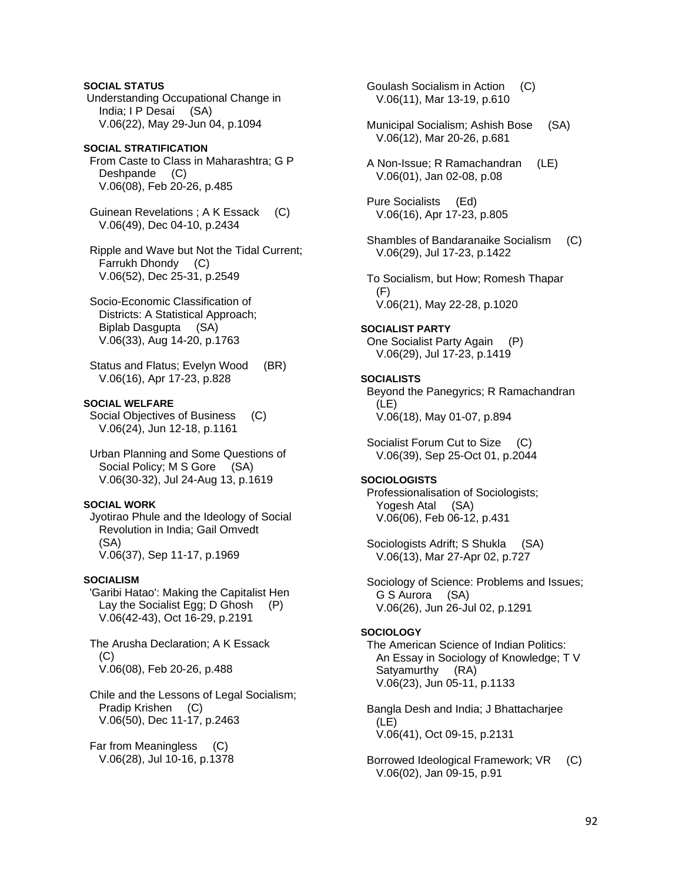**SOCIAL STATUS**  Understanding Occupational Change in India; I P Desai (SA) V.06(22), May 29-Jun 04, p.1094

### **SOCIAL STRATIFICATION**  From Caste to Class in Maharashtra; G P Deshpande (C) V.06(08), Feb 20-26, p.485

 Guinean Revelations ; A K Essack (C) V.06(49), Dec 04-10, p.2434

 Ripple and Wave but Not the Tidal Current; Farrukh Dhondy (C) V.06(52), Dec 25-31, p.2549

 Socio-Economic Classification of Districts: A Statistical Approach; Biplab Dasgupta (SA) V.06(33), Aug 14-20, p.1763

 Status and Flatus; Evelyn Wood (BR) V.06(16), Apr 17-23, p.828

# **SOCIAL WELFARE**

 Social Objectives of Business (C) V.06(24), Jun 12-18, p.1161

 Urban Planning and Some Questions of Social Policy; M S Gore (SA) V.06(30-32), Jul 24-Aug 13, p.1619

# **SOCIAL WORK**

 Jyotirao Phule and the Ideology of Social Revolution in India; Gail Omvedt (SA) V.06(37), Sep 11-17, p.1969

### **SOCIALISM**

 'Garibi Hatao': Making the Capitalist Hen Lay the Socialist Egg; D Ghosh (P) V.06(42-43), Oct 16-29, p.2191

 The Arusha Declaration; A K Essack (C) V.06(08), Feb 20-26, p.488

 Chile and the Lessons of Legal Socialism; Pradip Krishen (C) V.06(50), Dec 11-17, p.2463

 Far from Meaningless (C) V.06(28), Jul 10-16, p.1378  Goulash Socialism in Action (C) V.06(11), Mar 13-19, p.610

- Municipal Socialism; Ashish Bose (SA) V.06(12), Mar 20-26, p.681
- A Non-Issue; R Ramachandran (LE) V.06(01), Jan 02-08, p.08
- Pure Socialists (Ed) V.06(16), Apr 17-23, p.805
- Shambles of Bandaranaike Socialism (C) V.06(29), Jul 17-23, p.1422

 To Socialism, but How; Romesh Thapar (F) V.06(21), May 22-28, p.1020

### **SOCIALIST PARTY**

 One Socialist Party Again (P) V.06(29), Jul 17-23, p.1419

### **SOCIALISTS**

 Beyond the Panegyrics; R Ramachandran (LE) V.06(18), May 01-07, p.894

 Socialist Forum Cut to Size (C) V.06(39), Sep 25-Oct 01, p.2044

# **SOCIOLOGISTS**

 Professionalisation of Sociologists; Yogesh Atal (SA) V.06(06), Feb 06-12, p.431

 Sociologists Adrift; S Shukla (SA) V.06(13), Mar 27-Apr 02, p.727

 Sociology of Science: Problems and Issues; G S Aurora (SA) V.06(26), Jun 26-Jul 02, p.1291

# **SOCIOLOGY**

 The American Science of Indian Politics: An Essay in Sociology of Knowledge; T V Satyamurthy (RA) V.06(23), Jun 05-11, p.1133

 Bangla Desh and India; J Bhattacharjee (LE) V.06(41), Oct 09-15, p.2131

 Borrowed Ideological Framework; VR (C) V.06(02), Jan 09-15, p.91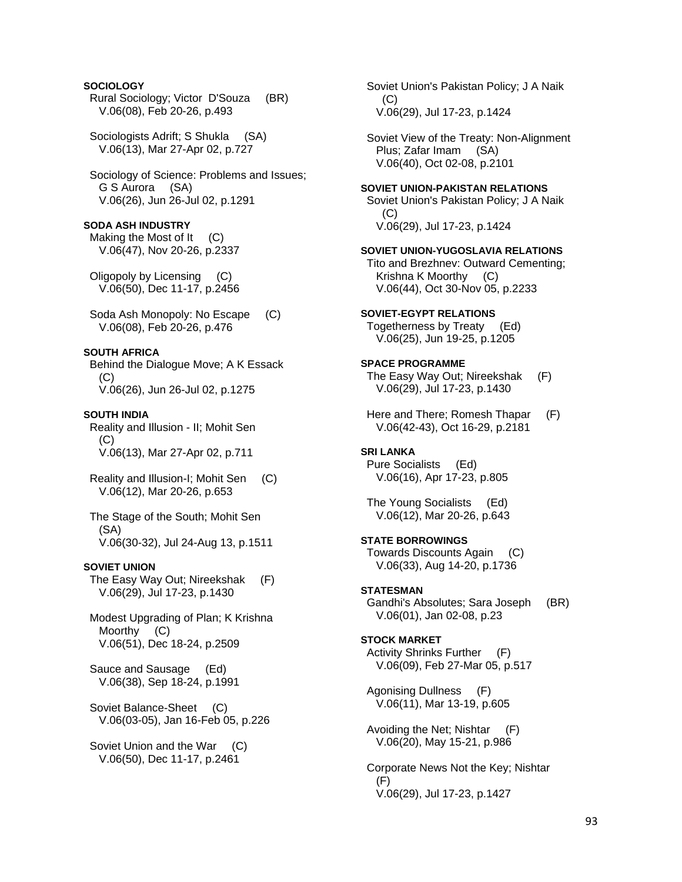# **SOCIOLOGY**

 Rural Sociology; Victor D'Souza (BR) V.06(08), Feb 20-26, p.493

 Sociologists Adrift; S Shukla (SA) V.06(13), Mar 27-Apr 02, p.727

 Sociology of Science: Problems and Issues; G S Aurora (SA) V.06(26), Jun 26-Jul 02, p.1291

#### **SODA ASH INDUSTRY**

Making the Most of It (C) V.06(47), Nov 20-26, p.2337

 Oligopoly by Licensing (C) V.06(50), Dec 11-17, p.2456

Soda Ash Monopoly: No Escape (C) V.06(08), Feb 20-26, p.476

#### **SOUTH AFRICA**

 Behind the Dialogue Move; A K Essack  $(C)$ V.06(26), Jun 26-Jul 02, p.1275

#### **SOUTH INDIA**

 Reality and Illusion - II; Mohit Sen (C) V.06(13), Mar 27-Apr 02, p.711

 Reality and Illusion-I; Mohit Sen (C) V.06(12), Mar 20-26, p.653

 The Stage of the South; Mohit Sen (SA) V.06(30-32), Jul 24-Aug 13, p.1511

#### **SOVIET UNION**

 The Easy Way Out; Nireekshak (F) V.06(29), Jul 17-23, p.1430

 Modest Upgrading of Plan; K Krishna Moorthy (C) V.06(51), Dec 18-24, p.2509

 Sauce and Sausage (Ed) V.06(38), Sep 18-24, p.1991

 Soviet Balance-Sheet (C) V.06(03-05), Jan 16-Feb 05, p.226

 Soviet Union and the War (C) V.06(50), Dec 11-17, p.2461

 Soviet Union's Pakistan Policy; J A Naik  $(C)$ V.06(29), Jul 17-23, p.1424

 Soviet View of the Treaty: Non-Alignment Plus; Zafar Imam (SA) V.06(40), Oct 02-08, p.2101

#### **SOVIET UNION-PAKISTAN RELATIONS**

 Soviet Union's Pakistan Policy; J A Naik (C) V.06(29), Jul 17-23, p.1424

**SOVIET UNION-YUGOSLAVIA RELATIONS**  Tito and Brezhnev: Outward Cementing; Krishna K Moorthy (C)

V.06(44), Oct 30-Nov 05, p.2233

#### **SOVIET-EGYPT RELATIONS**  Togetherness by Treaty (Ed) V.06(25), Jun 19-25, p.1205

**SPACE PROGRAMME**  The Easy Way Out; Nireekshak (F) V.06(29), Jul 17-23, p.1430

 Here and There; Romesh Thapar (F) V.06(42-43), Oct 16-29, p.2181

# **SRI LANKA**

 Pure Socialists (Ed) V.06(16), Apr 17-23, p.805

 The Young Socialists (Ed) V.06(12), Mar 20-26, p.643

# **STATE BORROWINGS**

 Towards Discounts Again (C) V.06(33), Aug 14-20, p.1736

#### **STATESMAN**

 Gandhi's Absolutes; Sara Joseph (BR) V.06(01), Jan 02-08, p.23

#### **STOCK MARKET**

 Activity Shrinks Further (F) V.06(09), Feb 27-Mar 05, p.517

 Agonising Dullness (F) V.06(11), Mar 13-19, p.605

 Avoiding the Net; Nishtar (F) V.06(20), May 15-21, p.986

 Corporate News Not the Key; Nishtar  $(F)$ V.06(29), Jul 17-23, p.1427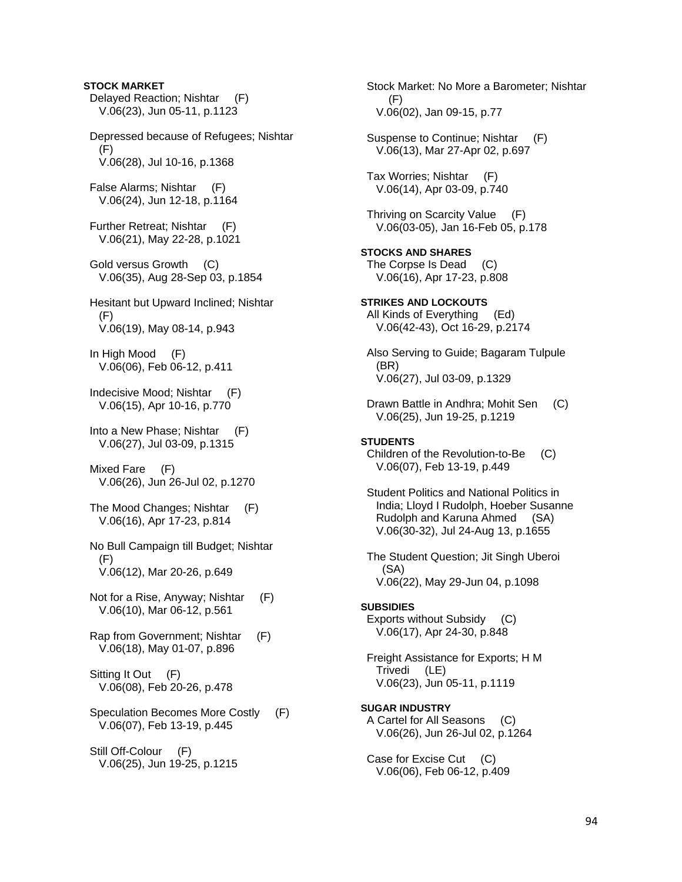**STOCK MARKET**  Delayed Reaction; Nishtar (F) V.06(23), Jun 05-11, p.1123 Depressed because of Refugees; Nishtar  $(F)$  V.06(28), Jul 10-16, p.1368 False Alarms; Nishtar (F) V.06(24), Jun 12-18, p.1164 Further Retreat; Nishtar (F) V.06(21), May 22-28, p.1021 Gold versus Growth (C) V.06(35), Aug 28-Sep 03, p.1854 Hesitant but Upward Inclined; Nishtar (F) V.06(19), May 08-14, p.943 In High Mood (F) V.06(06), Feb 06-12, p.411 Indecisive Mood; Nishtar (F) V.06(15), Apr 10-16, p.770 Into a New Phase; Nishtar (F) V.06(27), Jul 03-09, p.1315 Mixed Fare (F) V.06(26), Jun 26-Jul 02, p.1270 The Mood Changes; Nishtar (F) V.06(16), Apr 17-23, p.814 No Bull Campaign till Budget; Nishtar (F) V.06(12), Mar 20-26, p.649 Not for a Rise, Anyway; Nishtar (F) V.06(10), Mar 06-12, p.561 Rap from Government; Nishtar (F) V.06(18), May 01-07, p.896 Sitting It Out (F) V.06(08), Feb 20-26, p.478 Speculation Becomes More Costly (F) V.06(07), Feb 13-19, p.445 Still Off-Colour (F) V.06(25), Jun 19-25, p.1215

 Stock Market: No More a Barometer; Nishtar (F) V.06(02), Jan 09-15, p.77 Suspense to Continue; Nishtar (F) V.06(13), Mar 27-Apr 02, p.697 Tax Worries; Nishtar (F) V.06(14), Apr 03-09, p.740 Thriving on Scarcity Value (F) V.06(03-05), Jan 16-Feb 05, p.178 **STOCKS AND SHARES**  The Corpse Is Dead (C) V.06(16), Apr 17-23, p.808 **STRIKES AND LOCKOUTS**  All Kinds of Everything (Ed) V.06(42-43), Oct 16-29, p.2174 Also Serving to Guide; Bagaram Tulpule (BR) V.06(27), Jul 03-09, p.1329 Drawn Battle in Andhra; Mohit Sen (C) V.06(25), Jun 19-25, p.1219 **STUDENTS**  Children of the Revolution-to-Be (C) V.06(07), Feb 13-19, p.449 Student Politics and National Politics in India; Lloyd I Rudolph, Hoeber Susanne Rudolph and Karuna Ahmed (SA) V.06(30-32), Jul 24-Aug 13, p.1655 The Student Question; Jit Singh Uberoi (SA) V.06(22), May 29-Jun 04, p.1098 **SUBSIDIES**  Exports without Subsidy (C) V.06(17), Apr 24-30, p.848 Freight Assistance for Exports; H M Trivedi (LE) V.06(23), Jun 05-11, p.1119 **SUGAR INDUSTRY**  A Cartel for All Seasons (C) V.06(26), Jun 26-Jul 02, p.1264 Case for Excise Cut (C) V.06(06), Feb 06-12, p.409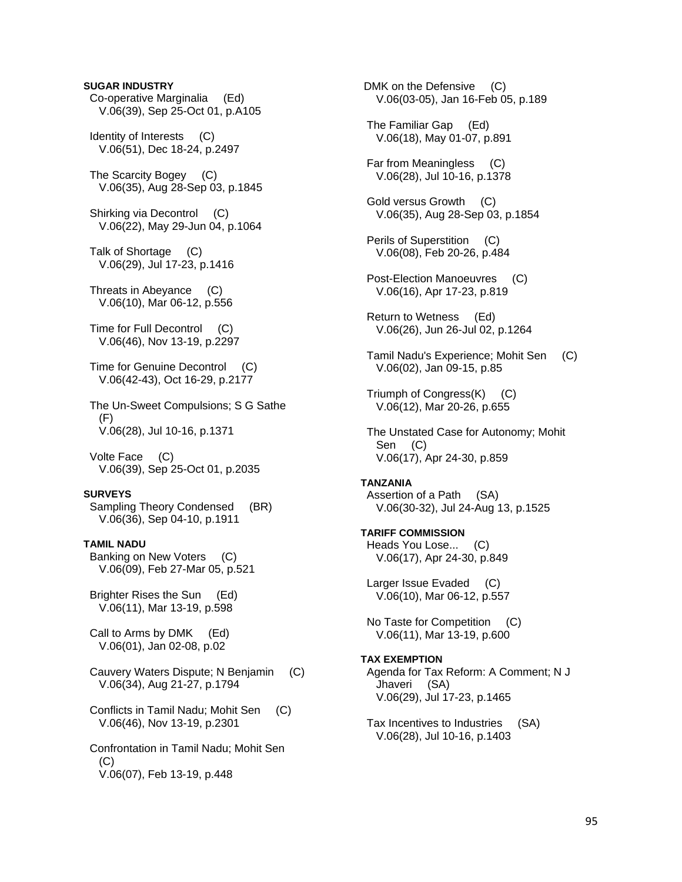# **SUGAR INDUSTRY**  Co-operative Marginalia (Ed) V.06(39), Sep 25-Oct 01, p.A105 Identity of Interests (C) V.06(51), Dec 18-24, p.2497 The Scarcity Bogey (C) V.06(35), Aug 28-Sep 03, p.1845 Shirking via Decontrol (C) V.06(22), May 29-Jun 04, p.1064 Talk of Shortage (C) V.06(29), Jul 17-23, p.1416 Threats in Abeyance (C) V.06(10), Mar 06-12, p.556 Time for Full Decontrol (C) V.06(46), Nov 13-19, p.2297 Time for Genuine Decontrol (C) V.06(42-43), Oct 16-29, p.2177 The Un-Sweet Compulsions; S G Sathe (F) V.06(28), Jul 10-16, p.1371 Volte Face (C) V.06(39), Sep 25-Oct 01, p.2035 **SURVEYS**  Sampling Theory Condensed (BR) V.06(36), Sep 04-10, p.1911 **TAMIL NADU**  Banking on New Voters (C) V.06(09), Feb 27-Mar 05, p.521 Brighter Rises the Sun (Ed) V.06(11), Mar 13-19, p.598 Call to Arms by DMK (Ed) V.06(01), Jan 02-08, p.02 Cauvery Waters Dispute; N Benjamin (C) V.06(34), Aug 21-27, p.1794 Conflicts in Tamil Nadu; Mohit Sen (C) V.06(46), Nov 13-19, p.2301 Confrontation in Tamil Nadu; Mohit Sen  $(C)$ V.06(07), Feb 13-19, p.448

DMK on the Defensive (C) V.06(03-05), Jan 16-Feb 05, p.189 The Familiar Gap (Ed) V.06(18), May 01-07, p.891 Far from Meaningless (C) V.06(28), Jul 10-16, p.1378 Gold versus Growth (C) V.06(35), Aug 28-Sep 03, p.1854 Perils of Superstition (C) V.06(08), Feb 20-26, p.484 Post-Election Manoeuvres (C) V.06(16), Apr 17-23, p.819 Return to Wetness (Ed) V.06(26), Jun 26-Jul 02, p.1264 Tamil Nadu's Experience; Mohit Sen (C) V.06(02), Jan 09-15, p.85 Triumph of Congress(K) (C) V.06(12), Mar 20-26, p.655 The Unstated Case for Autonomy; Mohit Sen (C) V.06(17), Apr 24-30, p.859 **TANZANIA**  Assertion of a Path (SA) V.06(30-32), Jul 24-Aug 13, p.1525 **TARIFF COMMISSION**  Heads You Lose... (C) V.06(17), Apr 24-30, p.849 Larger Issue Evaded (C) V.06(10), Mar 06-12, p.557 No Taste for Competition (C) V.06(11), Mar 13-19, p.600 **TAX EXEMPTION**  Agenda for Tax Reform: A Comment; N J Jhaveri (SA) V.06(29), Jul 17-23, p.1465 Tax Incentives to Industries (SA) V.06(28), Jul 10-16, p.1403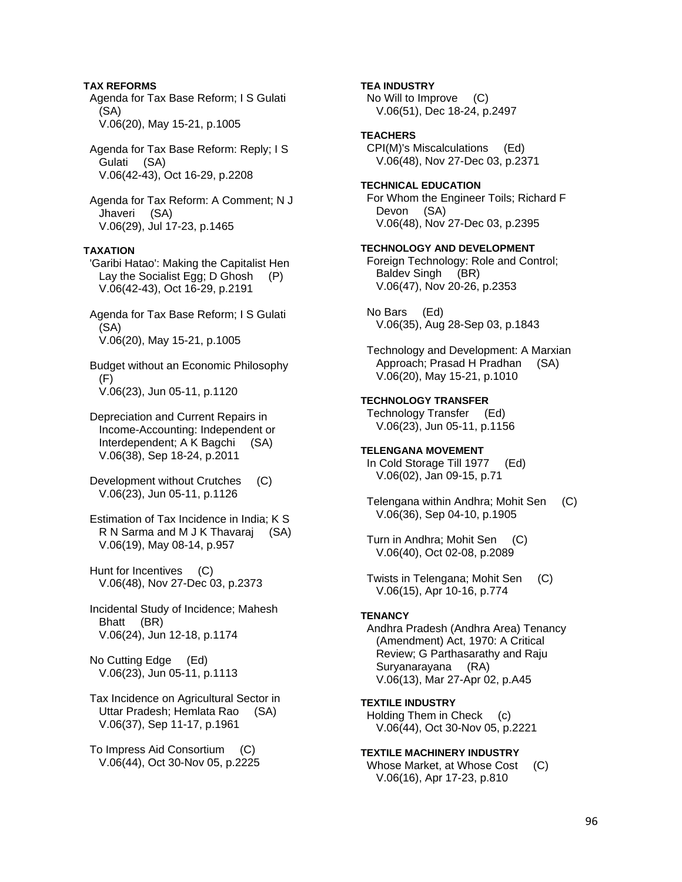# **TAX REFORMS**

 Agenda for Tax Base Reform; I S Gulati (SA) V.06(20), May 15-21, p.1005

 Agenda for Tax Base Reform: Reply; I S Gulati (SA) V.06(42-43), Oct 16-29, p.2208

 Agenda for Tax Reform: A Comment; N J Jhaveri (SA) V.06(29), Jul 17-23, p.1465

### **TAXATION**

 'Garibi Hatao': Making the Capitalist Hen Lay the Socialist Egg; D Ghosh (P) V.06(42-43), Oct 16-29, p.2191

 Agenda for Tax Base Reform; I S Gulati (SA) V.06(20), May 15-21, p.1005

 Budget without an Economic Philosophy (F) V.06(23), Jun 05-11, p.1120

 Depreciation and Current Repairs in Income-Accounting: Independent or Interdependent; A K Bagchi (SA) V.06(38), Sep 18-24, p.2011

 Development without Crutches (C) V.06(23), Jun 05-11, p.1126

 Estimation of Tax Incidence in India; K S R N Sarma and M J K Thavaraj (SA) V.06(19), May 08-14, p.957

 Hunt for Incentives (C) V.06(48), Nov 27-Dec 03, p.2373

 Incidental Study of Incidence; Mahesh Bhatt (BR) V.06(24), Jun 12-18, p.1174

 No Cutting Edge (Ed) V.06(23), Jun 05-11, p.1113

 Tax Incidence on Agricultural Sector in Uttar Pradesh; Hemlata Rao (SA) V.06(37), Sep 11-17, p.1961

 To Impress Aid Consortium (C) V.06(44), Oct 30-Nov 05, p.2225 **TEA INDUSTRY**  No Will to Improve (C) V.06(51), Dec 18-24, p.2497

**TEACHERS**  CPI(M)'s Miscalculations (Ed)

V.06(48), Nov 27-Dec 03, p.2371

**TECHNICAL EDUCATION**  For Whom the Engineer Toils; Richard F Devon (SA) V.06(48), Nov 27-Dec 03, p.2395

**TECHNOLOGY AND DEVELOPMENT**  Foreign Technology: Role and Control; Baldev Singh (BR) V.06(47), Nov 20-26, p.2353

 No Bars (Ed) V.06(35), Aug 28-Sep 03, p.1843

 Technology and Development: A Marxian Approach; Prasad H Pradhan (SA) V.06(20), May 15-21, p.1010

**TECHNOLOGY TRANSFER**  Technology Transfer (Ed) V.06(23), Jun 05-11, p.1156

**TELENGANA MOVEMENT**  In Cold Storage Till 1977 (Ed) V.06(02), Jan 09-15, p.71

 Telengana within Andhra; Mohit Sen (C) V.06(36), Sep 04-10, p.1905

 Turn in Andhra; Mohit Sen (C) V.06(40), Oct 02-08, p.2089

 Twists in Telengana; Mohit Sen (C) V.06(15), Apr 10-16, p.774

#### **TENANCY**

 Andhra Pradesh (Andhra Area) Tenancy (Amendment) Act, 1970: A Critical Review; G Parthasarathy and Raju Suryanarayana (RA) V.06(13), Mar 27-Apr 02, p.A45

**TEXTILE INDUSTRY**  Holding Them in Check (c) V.06(44), Oct 30-Nov 05, p.2221

**TEXTILE MACHINERY INDUSTRY**  Whose Market, at Whose Cost (C) V.06(16), Apr 17-23, p.810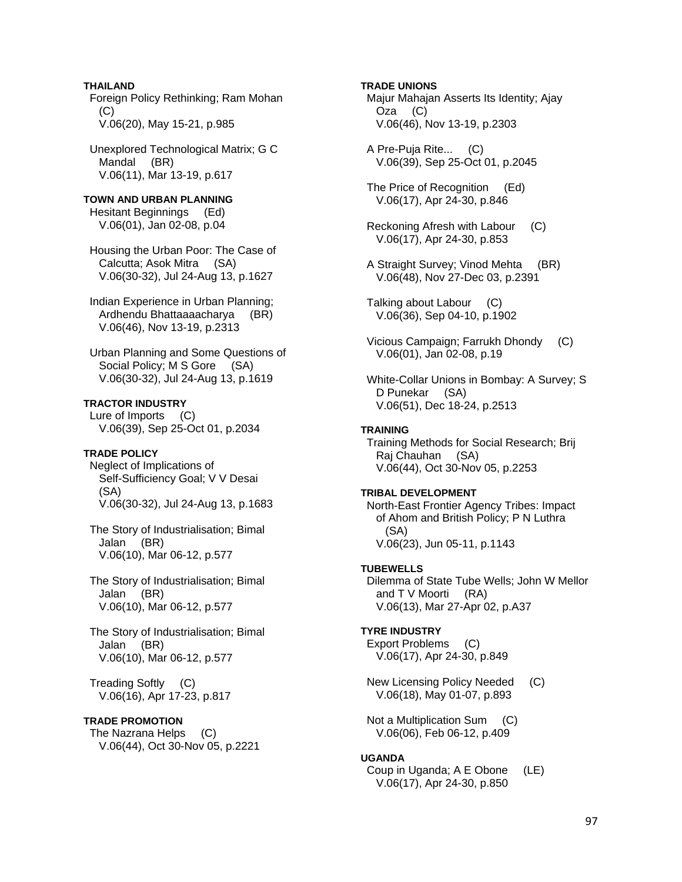**THAILAND**  Foreign Policy Rethinking; Ram Mohan  $(C)$ V.06(20), May 15-21, p.985

 Unexplored Technological Matrix; G C Mandal (BR) V.06(11), Mar 13-19, p.617

**TOWN AND URBAN PLANNING**  Hesitant Beginnings (Ed) V.06(01), Jan 02-08, p.04

 Housing the Urban Poor: The Case of Calcutta; Asok Mitra (SA) V.06(30-32), Jul 24-Aug 13, p.1627

 Indian Experience in Urban Planning; Ardhendu Bhattaaaacharya (BR) V.06(46), Nov 13-19, p.2313

 Urban Planning and Some Questions of Social Policy; M S Gore (SA) V.06(30-32), Jul 24-Aug 13, p.1619

**TRACTOR INDUSTRY** 

 Lure of Imports (C) V.06(39), Sep 25-Oct 01, p.2034

# **TRADE POLICY**

 Neglect of Implications of Self-Sufficiency Goal; V V Desai (SA) V.06(30-32), Jul 24-Aug 13, p.1683

 The Story of Industrialisation; Bimal Jalan (BR) V.06(10), Mar 06-12, p.577

 The Story of Industrialisation; Bimal Jalan (BR) V.06(10), Mar 06-12, p.577

 The Story of Industrialisation; Bimal Jalan (BR) V.06(10), Mar 06-12, p.577

 Treading Softly (C) V.06(16), Apr 17-23, p.817

#### **TRADE PROMOTION**

 The Nazrana Helps (C) V.06(44), Oct 30-Nov 05, p.2221

### **TRADE UNIONS**

 Majur Mahajan Asserts Its Identity; Ajay Oza (C) V.06(46), Nov 13-19, p.2303

 A Pre-Puja Rite... (C) V.06(39), Sep 25-Oct 01, p.2045

 The Price of Recognition (Ed) V.06(17), Apr 24-30, p.846

- Reckoning Afresh with Labour (C) V.06(17), Apr 24-30, p.853
- A Straight Survey; Vinod Mehta (BR) V.06(48), Nov 27-Dec 03, p.2391

 Talking about Labour (C) V.06(36), Sep 04-10, p.1902

 Vicious Campaign; Farrukh Dhondy (C) V.06(01), Jan 02-08, p.19

 White-Collar Unions in Bombay: A Survey; S D Punekar (SA) V.06(51), Dec 18-24, p.2513

# **TRAINING**

 Training Methods for Social Research; Brij Raj Chauhan (SA) V.06(44), Oct 30-Nov 05, p.2253

#### **TRIBAL DEVELOPMENT**

 North-East Frontier Agency Tribes: Impact of Ahom and British Policy; P N Luthra (SA) V.06(23), Jun 05-11, p.1143

#### **TUBEWELLS**

 Dilemma of State Tube Wells; John W Mellor and T V Moorti (RA) V.06(13), Mar 27-Apr 02, p.A37

# **TYRE INDUSTRY**

 Export Problems (C) V.06(17), Apr 24-30, p.849

 New Licensing Policy Needed (C) V.06(18), May 01-07, p.893

 Not a Multiplication Sum (C) V.06(06), Feb 06-12, p.409

#### **UGANDA**

 Coup in Uganda; A E Obone (LE) V.06(17), Apr 24-30, p.850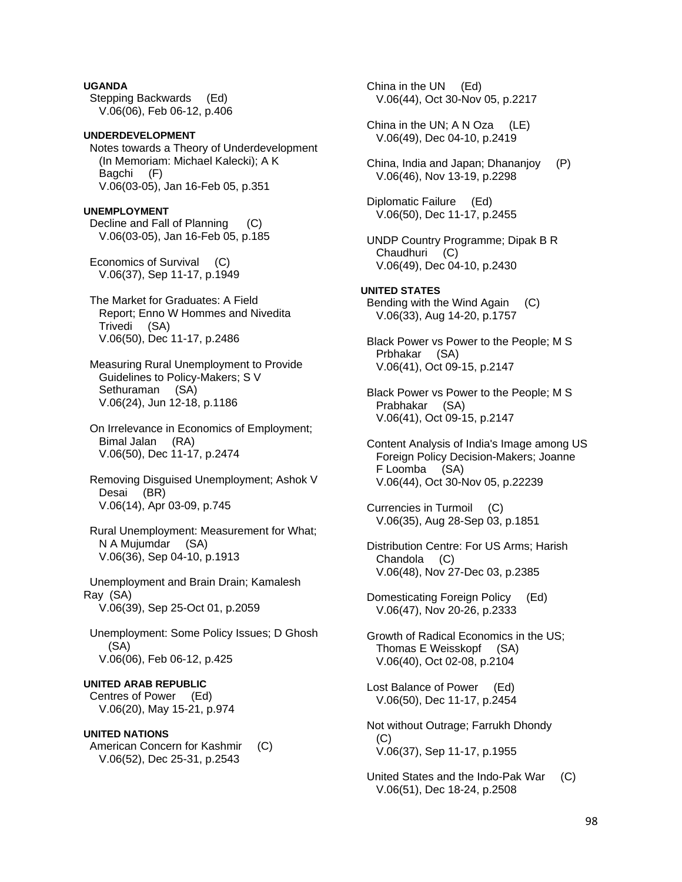**UGANDA**  Stepping Backwards (Ed) V.06(06), Feb 06-12, p.406

# **UNDERDEVELOPMENT**

 Notes towards a Theory of Underdevelopment (In Memoriam: Michael Kalecki); A K Bagchi (F) V.06(03-05), Jan 16-Feb 05, p.351

#### **UNEMPLOYMENT**

 Decline and Fall of Planning (C) V.06(03-05), Jan 16-Feb 05, p.185

 Economics of Survival (C) V.06(37), Sep 11-17, p.1949

 The Market for Graduates: A Field Report; Enno W Hommes and Nivedita Trivedi (SA) V.06(50), Dec 11-17, p.2486

 Measuring Rural Unemployment to Provide Guidelines to Policy-Makers; S V Sethuraman (SA) V.06(24), Jun 12-18, p.1186

 On Irrelevance in Economics of Employment; Bimal Jalan (RA) V.06(50), Dec 11-17, p.2474

 Removing Disguised Unemployment; Ashok V Desai (BR) V.06(14), Apr 03-09, p.745

 Rural Unemployment: Measurement for What; N A Mujumdar (SA) V.06(36), Sep 04-10, p.1913

 Unemployment and Brain Drain; Kamalesh Ray (SA) V.06(39), Sep 25-Oct 01, p.2059

 Unemployment: Some Policy Issues; D Ghosh (SA) V.06(06), Feb 06-12, p.425

**UNITED ARAB REPUBLIC** 

 Centres of Power (Ed) V.06(20), May 15-21, p.974

### **UNITED NATIONS**

American Concern for Kashmir (C) V.06(52), Dec 25-31, p.2543

 China in the UN (Ed) V.06(44), Oct 30-Nov 05, p.2217 China in the UN; A N Oza (LE) V.06(49), Dec 04-10, p.2419 China, India and Japan; Dhananjoy (P) V.06(46), Nov 13-19, p.2298 Diplomatic Failure (Ed) V.06(50), Dec 11-17, p.2455 UNDP Country Programme; Dipak B R Chaudhuri (C) V.06(49), Dec 04-10, p.2430 **UNITED STATES**  Bending with the Wind Again (C) V.06(33), Aug 14-20, p.1757 Black Power vs Power to the People; M S Prbhakar (SA) V.06(41), Oct 09-15, p.2147 Black Power vs Power to the People; M S Prabhakar (SA) V.06(41), Oct 09-15, p.2147 Content Analysis of India's Image among US Foreign Policy Decision-Makers; Joanne F Loomba (SA) V.06(44), Oct 30-Nov 05, p.22239 Currencies in Turmoil (C) V.06(35), Aug 28-Sep 03, p.1851 Distribution Centre: For US Arms; Harish Chandola (C) V.06(48), Nov 27-Dec 03, p.2385 Domesticating Foreign Policy (Ed) V.06(47), Nov 20-26, p.2333 Growth of Radical Economics in the US; Thomas E Weisskopf (SA) V.06(40), Oct 02-08, p.2104 Lost Balance of Power (Ed) V.06(50), Dec 11-17, p.2454 Not without Outrage; Farrukh Dhondy (C) V.06(37), Sep 11-17, p.1955

 United States and the Indo-Pak War (C) V.06(51), Dec 18-24, p.2508

98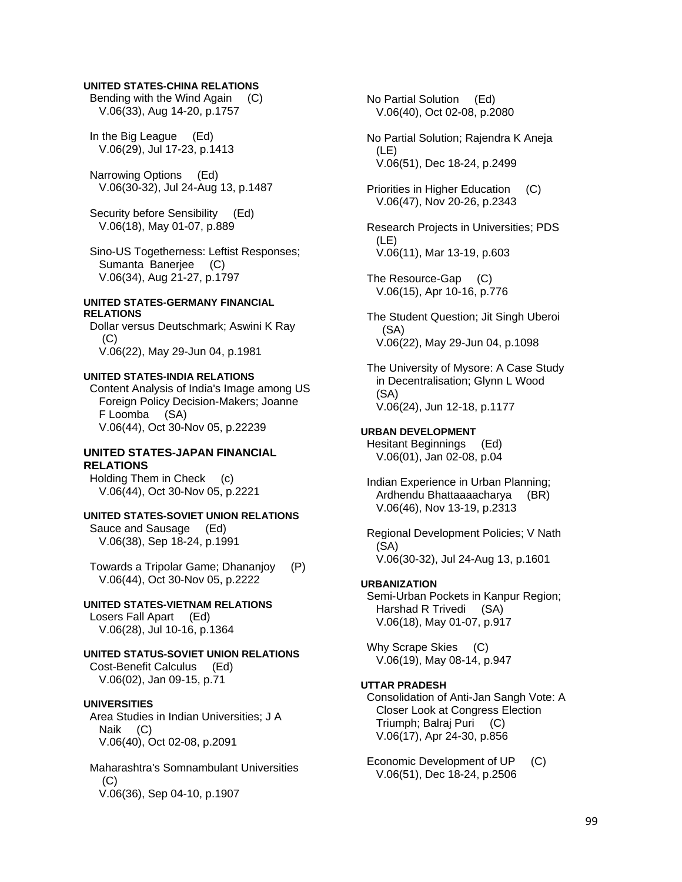#### **UNITED STATES-CHINA RELATIONS**

 Bending with the Wind Again (C) V.06(33), Aug 14-20, p.1757

 In the Big League (Ed) V.06(29), Jul 17-23, p.1413

 Narrowing Options (Ed) V.06(30-32), Jul 24-Aug 13, p.1487

 Security before Sensibility (Ed) V.06(18), May 01-07, p.889

 Sino-US Togetherness: Leftist Responses; Sumanta Banerjee (C) V.06(34), Aug 21-27, p.1797

#### **UNITED STATES-GERMANY FINANCIAL RELATIONS**

 Dollar versus Deutschmark; Aswini K Ray (C) V.06(22), May 29-Jun 04, p.1981

#### **UNITED STATES-INDIA RELATIONS**

 Content Analysis of India's Image among US Foreign Policy Decision-Makers; Joanne F Loomba (SA) V.06(44), Oct 30-Nov 05, p.22239

# **UNITED STATES-JAPAN FINANCIAL RELATIONS**

 Holding Them in Check (c) V.06(44), Oct 30-Nov 05, p.2221

# **UNITED STATES-SOVIET UNION RELATIONS**

 Sauce and Sausage (Ed) V.06(38), Sep 18-24, p.1991

 Towards a Tripolar Game; Dhananjoy (P) V.06(44), Oct 30-Nov 05, p.2222

#### **UNITED STATES-VIETNAM RELATIONS**  Losers Fall Apart (Ed)

V.06(28), Jul 10-16, p.1364

## **UNITED STATUS-SOVIET UNION RELATIONS**  Cost-Benefit Calculus (Ed) V.06(02), Jan 09-15, p.71

# **UNIVERSITIES**

 Area Studies in Indian Universities; J A Naik (C) V.06(40), Oct 02-08, p.2091

 Maharashtra's Somnambulant Universities (C) V.06(36), Sep 04-10, p.1907

 No Partial Solution (Ed) V.06(40), Oct 02-08, p.2080

 No Partial Solution; Rajendra K Aneja (LE) V.06(51), Dec 18-24, p.2499

 Priorities in Higher Education (C) V.06(47), Nov 20-26, p.2343

 Research Projects in Universities; PDS (LE) V.06(11), Mar 13-19, p.603

 The Resource-Gap (C) V.06(15), Apr 10-16, p.776

 The Student Question; Jit Singh Uberoi (SA) V.06(22), May 29-Jun 04, p.1098

 The University of Mysore: A Case Study in Decentralisation; Glynn L Wood (SA) V.06(24), Jun 12-18, p.1177

#### **URBAN DEVELOPMENT**

 Hesitant Beginnings (Ed) V.06(01), Jan 02-08, p.04

 Indian Experience in Urban Planning; Ardhendu Bhattaaaacharya (BR) V.06(46), Nov 13-19, p.2313

 Regional Development Policies; V Nath (SA) V.06(30-32), Jul 24-Aug 13, p.1601

#### **URBANIZATION**

 Semi-Urban Pockets in Kanpur Region; Harshad R Trivedi (SA) V.06(18), May 01-07, p.917

 Why Scrape Skies (C) V.06(19), May 08-14, p.947

# **UTTAR PRADESH**

 Consolidation of Anti-Jan Sangh Vote: A Closer Look at Congress Election Triumph; Balraj Puri (C) V.06(17), Apr 24-30, p.856

Economic Development of UP (C) V.06(51), Dec 18-24, p.2506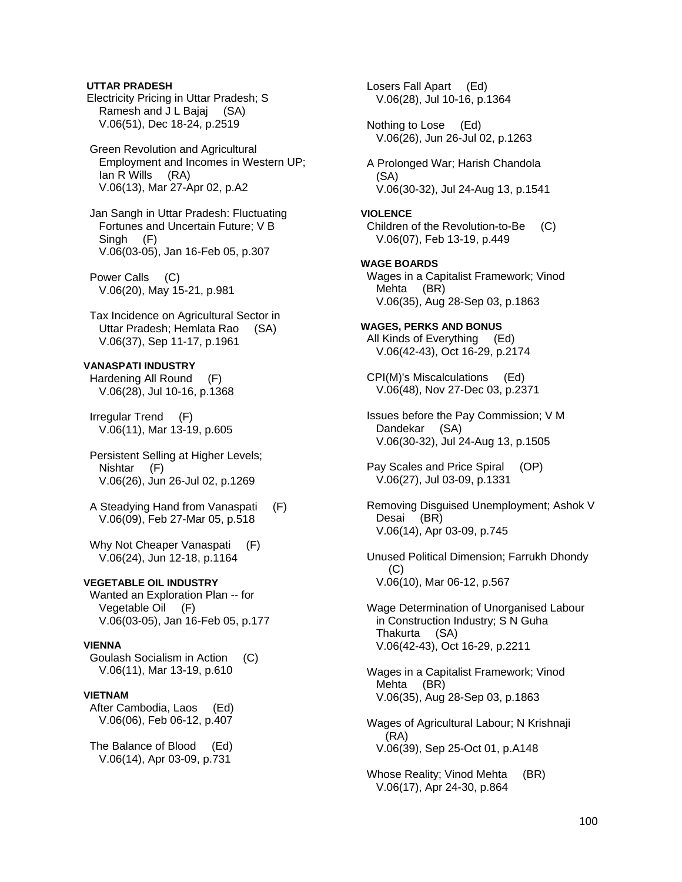# **UTTAR PRADESH**

 Electricity Pricing in Uttar Pradesh; S Ramesh and J L Bajaj (SA) V.06(51), Dec 18-24, p.2519

 Green Revolution and Agricultural Employment and Incomes in Western UP; Ian R Wills (RA) V.06(13), Mar 27-Apr 02, p.A2

 Jan Sangh in Uttar Pradesh: Fluctuating Fortunes and Uncertain Future; V B Singh (F) V.06(03-05), Jan 16-Feb 05, p.307

 Power Calls (C) V.06(20), May 15-21, p.981

 Tax Incidence on Agricultural Sector in Uttar Pradesh; Hemlata Rao (SA) V.06(37), Sep 11-17, p.1961

# **VANASPATI INDUSTRY**

 Hardening All Round (F) V.06(28), Jul 10-16, p.1368

 Irregular Trend (F) V.06(11), Mar 13-19, p.605

 Persistent Selling at Higher Levels; Nishtar (F) V.06(26), Jun 26-Jul 02, p.1269

 A Steadying Hand from Vanaspati (F) V.06(09), Feb 27-Mar 05, p.518

Why Not Cheaper Vanaspati (F) V.06(24), Jun 12-18, p.1164

# **VEGETABLE OIL INDUSTRY**

 Wanted an Exploration Plan -- for Vegetable Oil (F) V.06(03-05), Jan 16-Feb 05, p.177

# **VIENNA**

 Goulash Socialism in Action (C) V.06(11), Mar 13-19, p.610

# **VIETNAM**

 After Cambodia, Laos (Ed) V.06(06), Feb 06-12, p.407

 The Balance of Blood (Ed) V.06(14), Apr 03-09, p.731

 Losers Fall Apart (Ed) V.06(28), Jul 10-16, p.1364 Nothing to Lose (Ed) V.06(26), Jun 26-Jul 02, p.1263 A Prolonged War; Harish Chandola (SA) V.06(30-32), Jul 24-Aug 13, p.1541 **VIOLENCE**  Children of the Revolution-to-Be (C) V.06(07), Feb 13-19, p.449 **WAGE BOARDS**  Wages in a Capitalist Framework; Vinod Mehta (BR) V.06(35), Aug 28-Sep 03, p.1863 **WAGES, PERKS AND BONUS**  All Kinds of Everything (Ed) V.06(42-43), Oct 16-29, p.2174 CPI(M)'s Miscalculations (Ed) V.06(48), Nov 27-Dec 03, p.2371 Issues before the Pay Commission; V M Dandekar (SA) V.06(30-32), Jul 24-Aug 13, p.1505 Pay Scales and Price Spiral (OP) V.06(27), Jul 03-09, p.1331 Removing Disguised Unemployment; Ashok V Desai (BR) V.06(14), Apr 03-09, p.745 Unused Political Dimension; Farrukh Dhondy (C) V.06(10), Mar 06-12, p.567 Wage Determination of Unorganised Labour in Construction Industry; S N Guha Thakurta (SA) V.06(42-43), Oct 16-29, p.2211 Wages in a Capitalist Framework; Vinod Mehta (BR) V.06(35), Aug 28-Sep 03, p.1863 Wages of Agricultural Labour; N Krishnaji (RA) V.06(39), Sep 25-Oct 01, p.A148 Whose Reality; Vinod Mehta (BR) V.06(17), Apr 24-30, p.864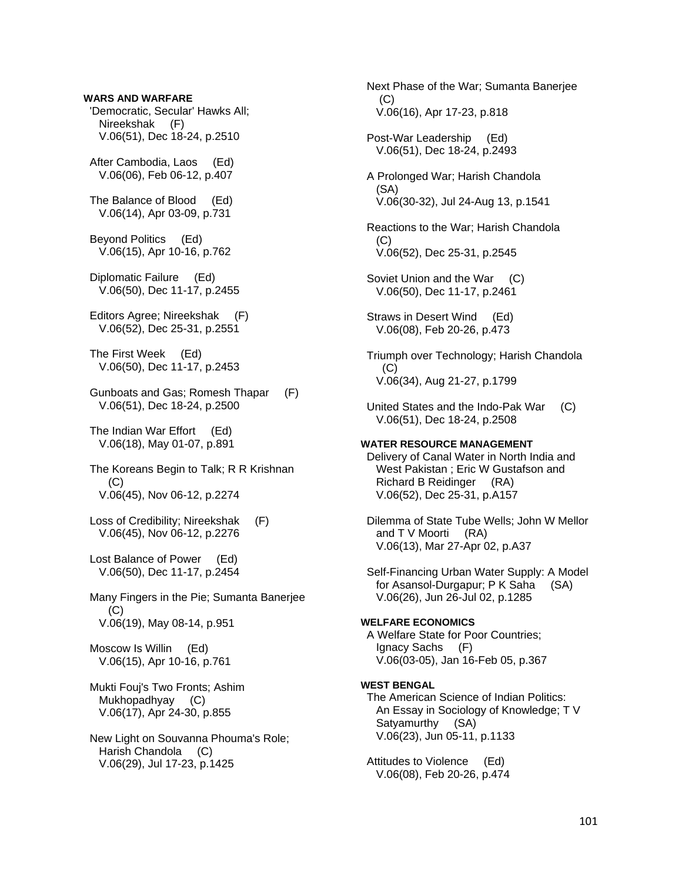**WARS AND WARFARE**  'Democratic, Secular' Hawks All; Nireekshak (F) V.06(51), Dec 18-24, p.2510 After Cambodia, Laos (Ed) V.06(06), Feb 06-12, p.407 The Balance of Blood (Ed) V.06(14), Apr 03-09, p.731 Beyond Politics (Ed) V.06(15), Apr 10-16, p.762 Diplomatic Failure (Ed) V.06(50), Dec 11-17, p.2455 Editors Agree; Nireekshak (F) V.06(52), Dec 25-31, p.2551 The First Week (Ed) V.06(50), Dec 11-17, p.2453 Gunboats and Gas; Romesh Thapar (F) V.06(51), Dec 18-24, p.2500 The Indian War Effort (Ed) V.06(18), May 01-07, p.891 The Koreans Begin to Talk; R R Krishnan  $(C)$  V.06(45), Nov 06-12, p.2274 Loss of Credibility; Nireekshak (F) V.06(45), Nov 06-12, p.2276 Lost Balance of Power (Ed) V.06(50), Dec 11-17, p.2454 Many Fingers in the Pie; Sumanta Banerjee  $(C)$  V.06(19), May 08-14, p.951 Moscow Is Willin (Ed) V.06(15), Apr 10-16, p.761 Mukti Fouj's Two Fronts; Ashim Mukhopadhyay (C) V.06(17), Apr 24-30, p.855 New Light on Souvanna Phouma's Role; Harish Chandola (C) V.06(29), Jul 17-23, p.1425

 Next Phase of the War; Sumanta Banerjee (C) V.06(16), Apr 17-23, p.818 Post-War Leadership (Ed) V.06(51), Dec 18-24, p.2493 A Prolonged War; Harish Chandola (SA) V.06(30-32), Jul 24-Aug 13, p.1541 Reactions to the War; Harish Chandola  $(C)$  V.06(52), Dec 25-31, p.2545 Soviet Union and the War (C) V.06(50), Dec 11-17, p.2461 Straws in Desert Wind (Ed) V.06(08), Feb 20-26, p.473 Triumph over Technology; Harish Chandola (C) V.06(34), Aug 21-27, p.1799 United States and the Indo-Pak War (C) V.06(51), Dec 18-24, p.2508 **WATER RESOURCE MANAGEMENT**  Delivery of Canal Water in North India and West Pakistan ; Eric W Gustafson and Richard B Reidinger (RA) V.06(52), Dec 25-31, p.A157 Dilemma of State Tube Wells; John W Mellor and T V Moorti (RA) V.06(13), Mar 27-Apr 02, p.A37 Self-Financing Urban Water Supply: A Model for Asansol-Durgapur; P K Saha (SA) V.06(26), Jun 26-Jul 02, p.1285 **WELFARE ECONOMICS**  A Welfare State for Poor Countries; Ignacy Sachs (F) V.06(03-05), Jan 16-Feb 05, p.367 **WEST BENGAL**  The American Science of Indian Politics: An Essay in Sociology of Knowledge; T V Satyamurthy (SA) V.06(23), Jun 05-11, p.1133

 Attitudes to Violence (Ed) V.06(08), Feb 20-26, p.474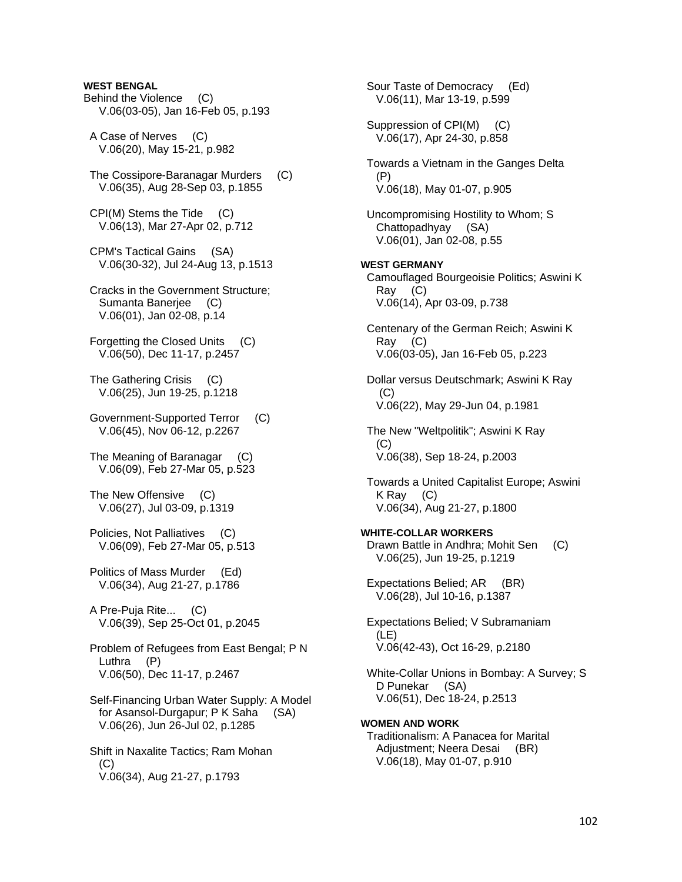# **WEST BENGAL**

- Behind the Violence (C) V.06(03-05), Jan 16-Feb 05, p.193
- A Case of Nerves (C) V.06(20), May 15-21, p.982
- The Cossipore-Baranagar Murders (C) V.06(35), Aug 28-Sep 03, p.1855
- CPI(M) Stems the Tide (C) V.06(13), Mar 27-Apr 02, p.712
- CPM's Tactical Gains (SA) V.06(30-32), Jul 24-Aug 13, p.1513
- Cracks in the Government Structure; Sumanta Baneriee (C) V.06(01), Jan 02-08, p.14
- Forgetting the Closed Units (C) V.06(50), Dec 11-17, p.2457
- The Gathering Crisis (C) V.06(25), Jun 19-25, p.1218
- Government-Supported Terror (C) V.06(45), Nov 06-12, p.2267
- The Meaning of Baranagar (C) V.06(09), Feb 27-Mar 05, p.523
- The New Offensive (C) V.06(27), Jul 03-09, p.1319
- Policies, Not Palliatives (C) V.06(09), Feb 27-Mar 05, p.513
- Politics of Mass Murder (Ed) V.06(34), Aug 21-27, p.1786
- A Pre-Puja Rite... (C) V.06(39), Sep 25-Oct 01, p.2045
- Problem of Refugees from East Bengal; P N Luthra (P) V.06(50), Dec 11-17, p.2467
- Self-Financing Urban Water Supply: A Model for Asansol-Durgapur; P K Saha (SA) V.06(26), Jun 26-Jul 02, p.1285
- Shift in Naxalite Tactics; Ram Mohan  $(C)$ V.06(34), Aug 21-27, p.1793

 Sour Taste of Democracy (Ed) V.06(11), Mar 13-19, p.599 Suppression of CPI(M) (C) V.06(17), Apr 24-30, p.858 Towards a Vietnam in the Ganges Delta (P) V.06(18), May 01-07, p.905 Uncompromising Hostility to Whom; S Chattopadhyay (SA) V.06(01), Jan 02-08, p.55 **WEST GERMANY**  Camouflaged Bourgeoisie Politics; Aswini K Ray (C) V.06(14), Apr 03-09, p.738 Centenary of the German Reich; Aswini K Ray (C) V.06(03-05), Jan 16-Feb 05, p.223 Dollar versus Deutschmark; Aswini K Ray (C) V.06(22), May 29-Jun 04, p.1981 The New "Weltpolitik"; Aswini K Ray (C) V.06(38), Sep 18-24, p.2003 Towards a United Capitalist Europe; Aswini K Ray (C) V.06(34), Aug 21-27, p.1800 **WHITE-COLLAR WORKERS**  Drawn Battle in Andhra; Mohit Sen (C) V.06(25), Jun 19-25, p.1219 Expectations Belied; AR (BR) V.06(28), Jul 10-16, p.1387 Expectations Belied; V Subramaniam (LE) V.06(42-43), Oct 16-29, p.2180 White-Collar Unions in Bombay: A Survey; S D Punekar (SA) V.06(51), Dec 18-24, p.2513 **WOMEN AND WORK**  Traditionalism: A Panacea for Marital Adjustment; Neera Desai (BR)

V.06(18), May 01-07, p.910